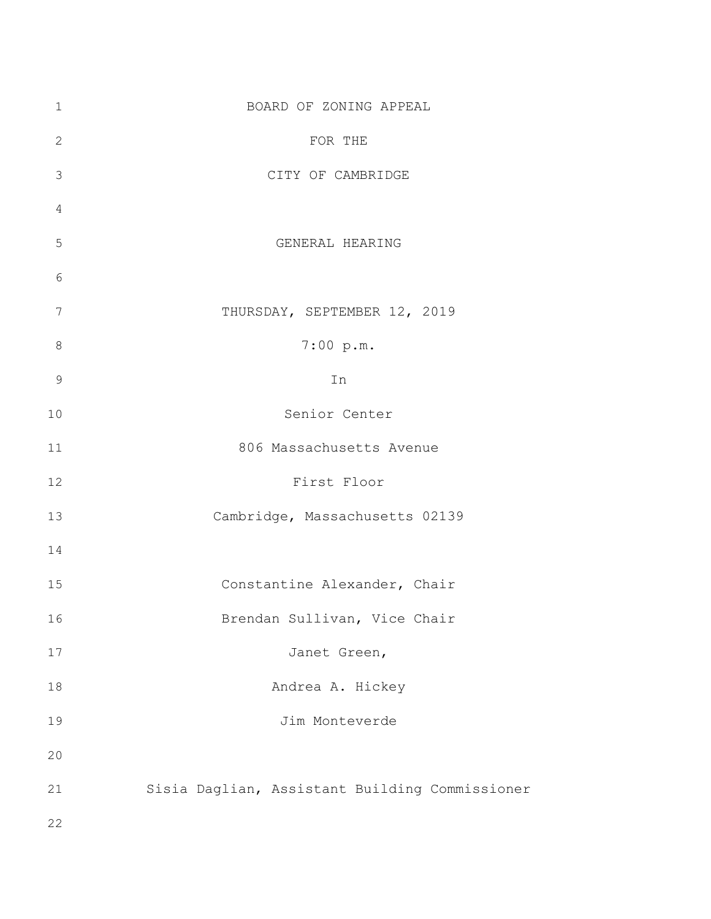| $\mathbf 1$    | BOARD OF ZONING APPEAL                         |
|----------------|------------------------------------------------|
| $\sqrt{2}$     | FOR THE                                        |
| 3              | CITY OF CAMBRIDGE                              |
| $\overline{4}$ |                                                |
| 5              | GENERAL HEARING                                |
| 6              |                                                |
| 7              | THURSDAY, SEPTEMBER 12, 2019                   |
| $\,8\,$        | 7:00 p.m.                                      |
| $\mathcal{G}$  | In                                             |
| 10             | Senior Center                                  |
| 11             | 806 Massachusetts Avenue                       |
| 12             | First Floor                                    |
| 13             | Cambridge, Massachusetts 02139                 |
| 14             |                                                |
| 15             | Constantine Alexander, Chair                   |
| 16             | Brendan Sullivan, Vice Chair                   |
| 17             | Janet Green,                                   |
| 18             | Andrea A. Hickey                               |
| 19             | Jim Monteverde                                 |
| 20             |                                                |
| 21             | Sisia Daglian, Assistant Building Commissioner |
| 22             |                                                |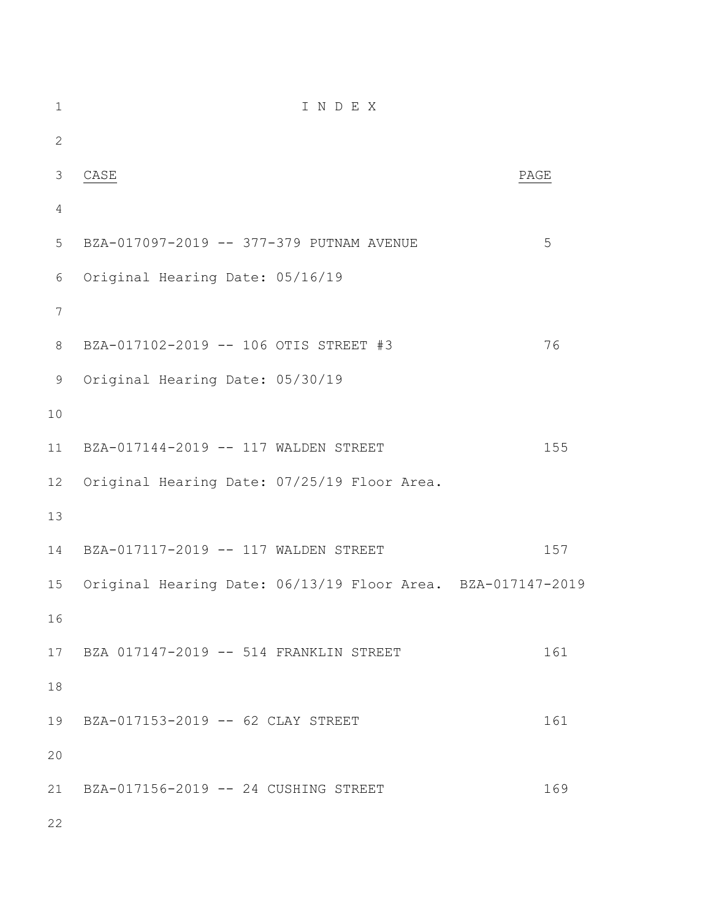| $\mathbf{1}$    | INDEX                                                       |      |
|-----------------|-------------------------------------------------------------|------|
| $\mathbf{2}$    |                                                             |      |
| 3               | CASE                                                        | PAGE |
| $\overline{4}$  |                                                             |      |
| 5               | BZA-017097-2019 -- 377-379 PUTNAM AVENUE                    | 5    |
| $\epsilon$      | Original Hearing Date: 05/16/19                             |      |
| $7\phantom{.0}$ |                                                             |      |
| $\,8\,$         | BZA-017102-2019 -- 106 OTIS STREET #3                       | 76   |
| $\mathsf 9$     | Original Hearing Date: 05/30/19                             |      |
| 10              |                                                             |      |
| 11              | BZA-017144-2019 -- 117 WALDEN STREET                        | 155  |
| 12 <sup>°</sup> | Original Hearing Date: 07/25/19 Floor Area.                 |      |
| 13              |                                                             |      |
| 14              | BZA-017117-2019 -- 117 WALDEN STREET                        | 157  |
| 15              | Original Hearing Date: 06/13/19 Floor Area. BZA-017147-2019 |      |
| 16              |                                                             |      |
| 17              | BZA 017147-2019 -- 514 FRANKLIN STREET                      | 161  |
| 18              |                                                             |      |
| 19              | BZA-017153-2019 -- 62 CLAY STREET                           | 161  |
| 20              |                                                             |      |
| 21              | BZA-017156-2019 -- 24 CUSHING STREET                        | 169  |
| 22              |                                                             |      |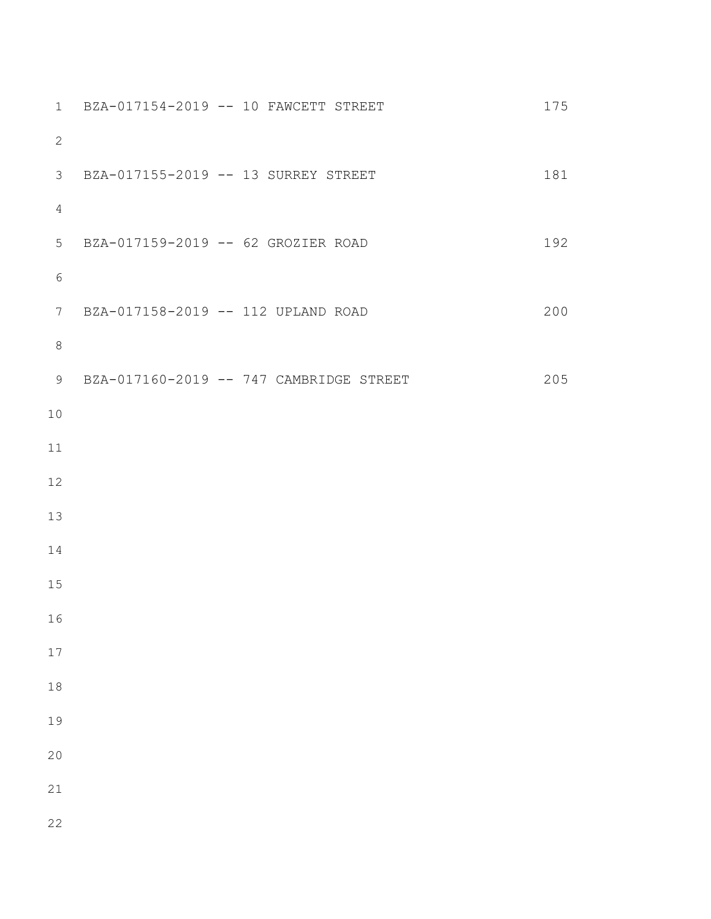| 1               |                                     | BZA-017154-2019 -- 10 FAWCETT STREET    | 175 |
|-----------------|-------------------------------------|-----------------------------------------|-----|
| $\mathbf{2}$    |                                     |                                         |     |
| $\mathcal{S}$   | BZA-017155-2019 -- 13 SURREY STREET |                                         | 181 |
| $\overline{4}$  |                                     |                                         |     |
| 5               | BZA-017159-2019 -- 62 GROZIER ROAD  |                                         | 192 |
| $\epsilon$      |                                     |                                         |     |
| $7\phantom{.0}$ | BZA-017158-2019 -- 112 UPLAND ROAD  |                                         | 200 |
| $\,8\,$         |                                     |                                         |     |
| 9               |                                     | BZA-017160-2019 -- 747 CAMBRIDGE STREET | 205 |
| $10$            |                                     |                                         |     |
| 11              |                                     |                                         |     |
| 12              |                                     |                                         |     |
| 13              |                                     |                                         |     |
| 14              |                                     |                                         |     |
| 15              |                                     |                                         |     |
| 16              |                                     |                                         |     |
| $17$            |                                     |                                         |     |
| $18$            |                                     |                                         |     |
| 19              |                                     |                                         |     |
| 20              |                                     |                                         |     |
| 21              |                                     |                                         |     |
| 22              |                                     |                                         |     |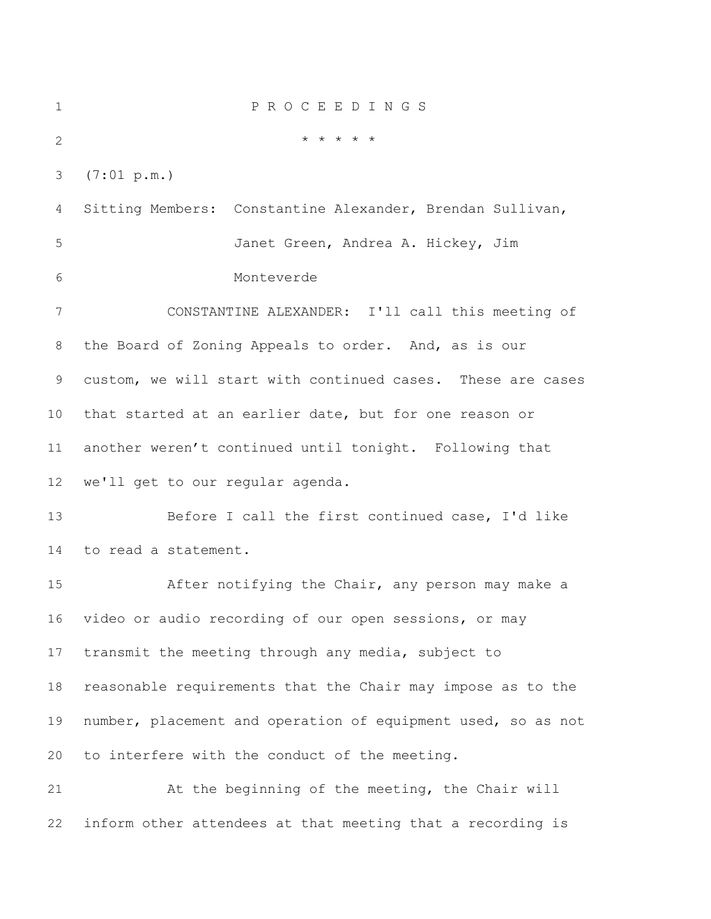| $\mathbf 1$    | PROCEEDINGS                                                  |
|----------------|--------------------------------------------------------------|
| $\mathbf{2}$   | * * * * *                                                    |
| 3              | (7:01 p.m.)                                                  |
| $\overline{4}$ | Sitting Members: Constantine Alexander, Brendan Sullivan,    |
| 5              | Janet Green, Andrea A. Hickey, Jim                           |
| 6              | Monteverde                                                   |
| 7              | CONSTANTINE ALEXANDER: I'll call this meeting of             |
| 8              | the Board of Zoning Appeals to order. And, as is our         |
| 9              | custom, we will start with continued cases. These are cases  |
| $10 \,$        | that started at an earlier date, but for one reason or       |
| 11             | another weren't continued until tonight. Following that      |
| 12             | we'll get to our regular agenda.                             |
| 13             | Before I call the first continued case, I'd like             |
| 14             | to read a statement.                                         |
| 15             | After notifying the Chair, any person may make a             |
| 16             | video or audio recording of our open sessions, or may        |
| 17             | transmit the meeting through any media, subject to           |
| 18             | reasonable requirements that the Chair may impose as to the  |
| 19             | number, placement and operation of equipment used, so as not |
| 20             | to interfere with the conduct of the meeting.                |
| 21             | At the beginning of the meeting, the Chair will              |
| 22             | inform other attendees at that meeting that a recording is   |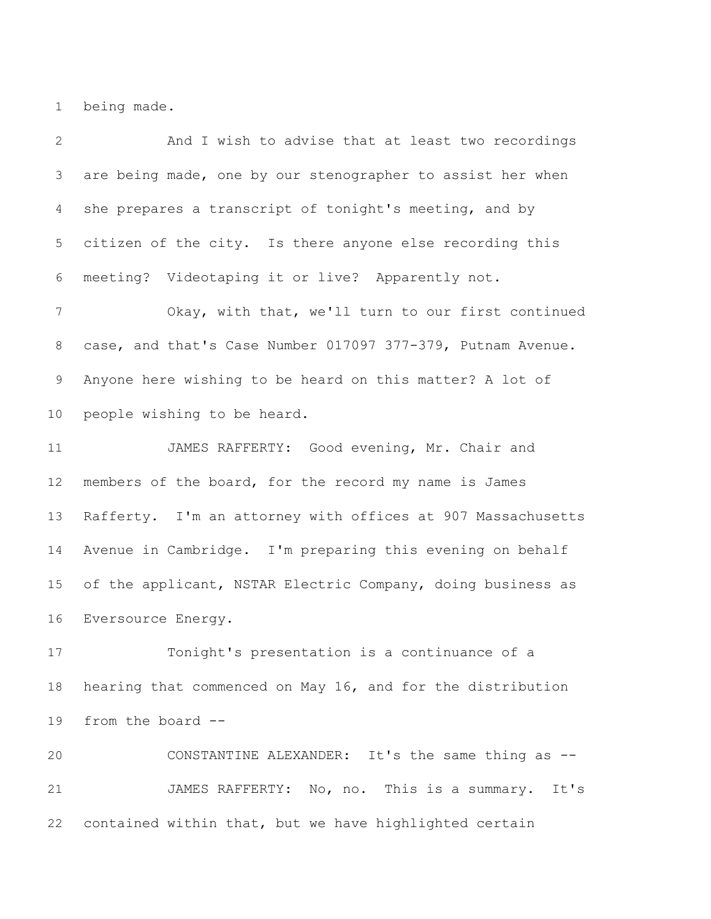being made.

 And I wish to advise that at least two recordings are being made, one by our stenographer to assist her when she prepares a transcript of tonight's meeting, and by citizen of the city. Is there anyone else recording this meeting? Videotaping it or live? Apparently not. Okay, with that, we'll turn to our first continued case, and that's Case Number 017097 377-379, Putnam Avenue. Anyone here wishing to be heard on this matter? A lot of people wishing to be heard. JAMES RAFFERTY: Good evening, Mr. Chair and members of the board, for the record my name is James Rafferty. I'm an attorney with offices at 907 Massachusetts Avenue in Cambridge. I'm preparing this evening on behalf 15 of the applicant, NSTAR Electric Company, doing business as Eversource Energy. Tonight's presentation is a continuance of a hearing that commenced on May 16, and for the distribution

from the board --

 CONSTANTINE ALEXANDER: It's the same thing as -- JAMES RAFFERTY: No, no. This is a summary. It's contained within that, but we have highlighted certain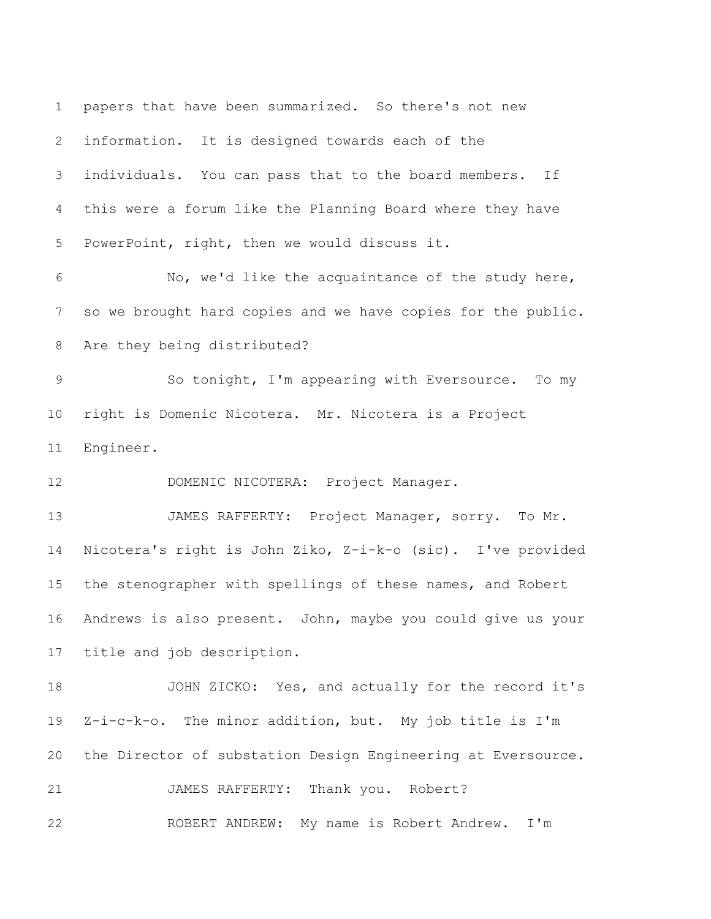papers that have been summarized. So there's not new information. It is designed towards each of the individuals. You can pass that to the board members. If this were a forum like the Planning Board where they have PowerPoint, right, then we would discuss it. No, we'd like the acquaintance of the study here, so we brought hard copies and we have copies for the public. Are they being distributed? So tonight, I'm appearing with Eversource. To my right is Domenic Nicotera. Mr. Nicotera is a Project Engineer. DOMENIC NICOTERA: Project Manager. 13 JAMES RAFFERTY: Project Manager, sorry. To Mr. Nicotera's right is John Ziko, Z-i-k-o (sic). I've provided the stenographer with spellings of these names, and Robert Andrews is also present. John, maybe you could give us your title and job description. JOHN ZICKO: Yes, and actually for the record it's Z-i-c-k-o. The minor addition, but. My job title is I'm the Director of substation Design Engineering at Eversource. JAMES RAFFERTY: Thank you. Robert? ROBERT ANDREW: My name is Robert Andrew. I'm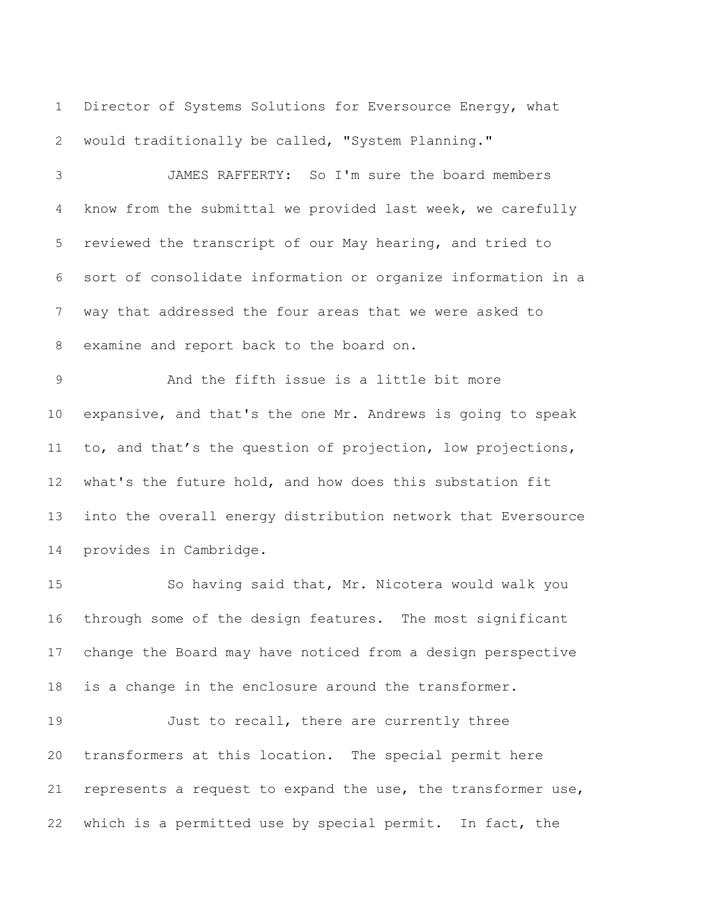Director of Systems Solutions for Eversource Energy, what would traditionally be called, "System Planning."

 JAMES RAFFERTY: So I'm sure the board members know from the submittal we provided last week, we carefully reviewed the transcript of our May hearing, and tried to sort of consolidate information or organize information in a way that addressed the four areas that we were asked to examine and report back to the board on.

 And the fifth issue is a little bit more expansive, and that's the one Mr. Andrews is going to speak 11 to, and that's the question of projection, low projections, what's the future hold, and how does this substation fit into the overall energy distribution network that Eversource provides in Cambridge.

 So having said that, Mr. Nicotera would walk you through some of the design features. The most significant change the Board may have noticed from a design perspective is a change in the enclosure around the transformer.

19 Just to recall, there are currently three transformers at this location. The special permit here 21 represents a request to expand the use, the transformer use, which is a permitted use by special permit. In fact, the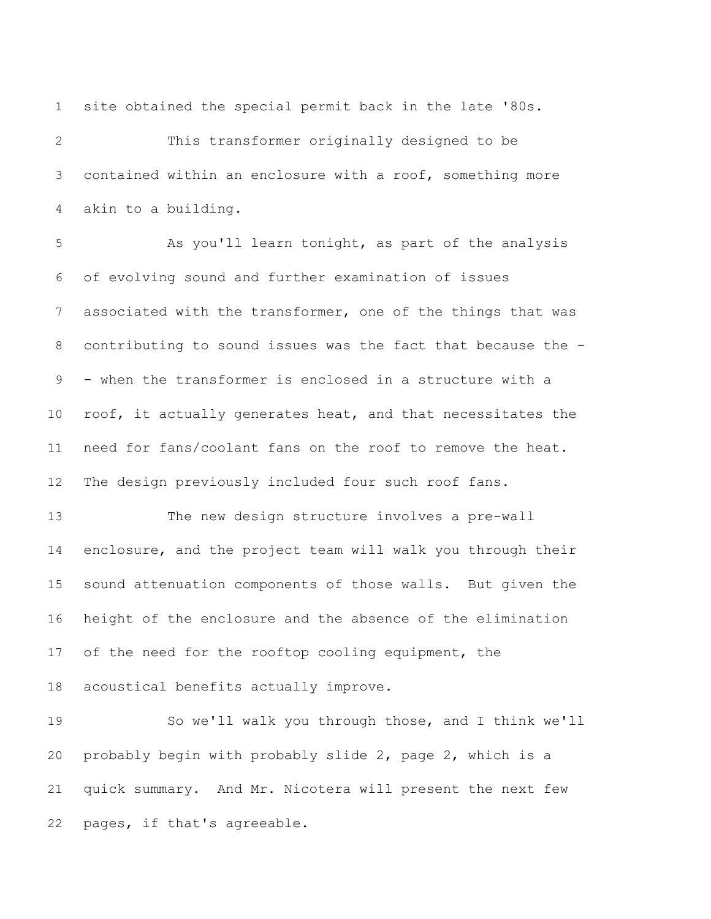site obtained the special permit back in the late '80s.

 This transformer originally designed to be contained within an enclosure with a roof, something more akin to a building.

 As you'll learn tonight, as part of the analysis of evolving sound and further examination of issues associated with the transformer, one of the things that was contributing to sound issues was the fact that because the - - when the transformer is enclosed in a structure with a roof, it actually generates heat, and that necessitates the need for fans/coolant fans on the roof to remove the heat. The design previously included four such roof fans.

 The new design structure involves a pre-wall enclosure, and the project team will walk you through their sound attenuation components of those walls. But given the height of the enclosure and the absence of the elimination 17 of the need for the rooftop cooling equipment, the acoustical benefits actually improve.

 So we'll walk you through those, and I think we'll probably begin with probably slide 2, page 2, which is a quick summary. And Mr. Nicotera will present the next few pages, if that's agreeable.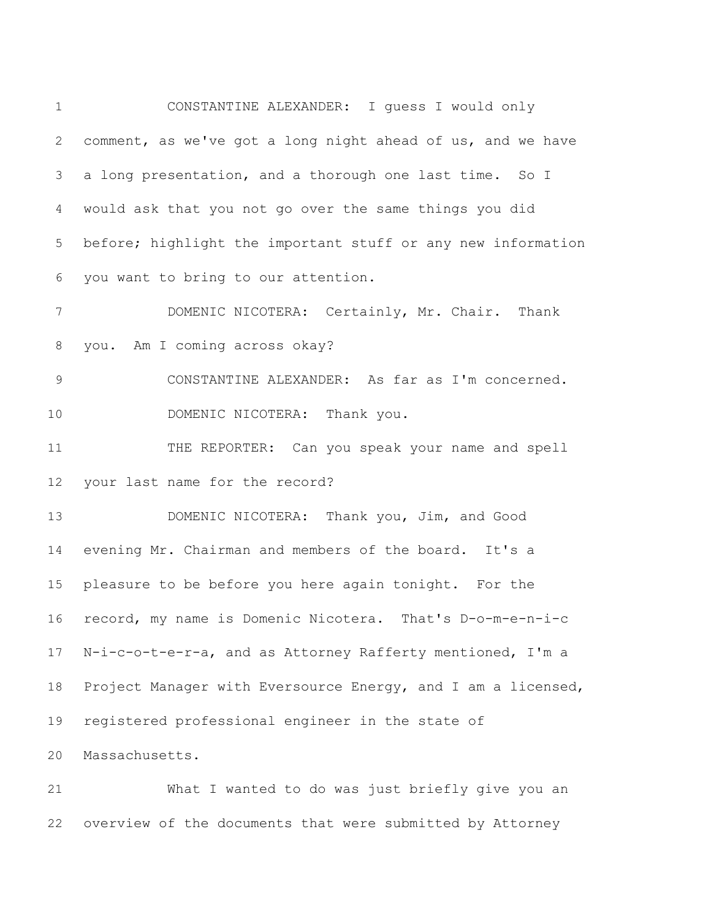CONSTANTINE ALEXANDER: I guess I would only comment, as we've got a long night ahead of us, and we have a long presentation, and a thorough one last time. So I would ask that you not go over the same things you did before; highlight the important stuff or any new information you want to bring to our attention. DOMENIC NICOTERA: Certainly, Mr. Chair. Thank you. Am I coming across okay? CONSTANTINE ALEXANDER: As far as I'm concerned. 10 DOMENIC NICOTERA: Thank you. THE REPORTER: Can you speak your name and spell your last name for the record? DOMENIC NICOTERA: Thank you, Jim, and Good evening Mr. Chairman and members of the board. It's a pleasure to be before you here again tonight. For the record, my name is Domenic Nicotera. That's D-o-m-e-n-i-c N-i-c-o-t-e-r-a, and as Attorney Rafferty mentioned, I'm a Project Manager with Eversource Energy, and I am a licensed, registered professional engineer in the state of Massachusetts.

 What I wanted to do was just briefly give you an overview of the documents that were submitted by Attorney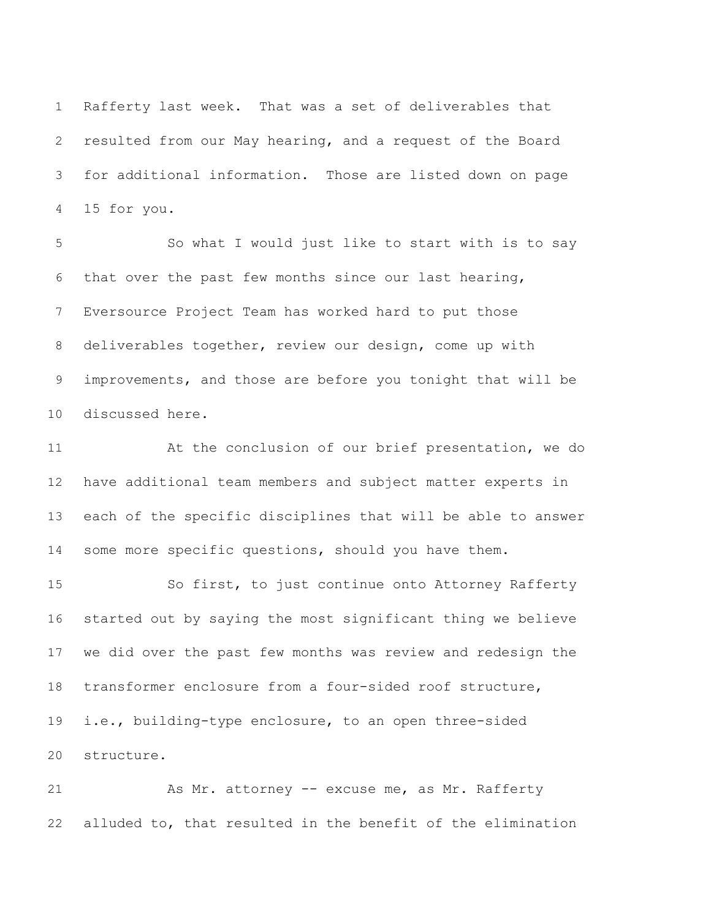Rafferty last week. That was a set of deliverables that resulted from our May hearing, and a request of the Board for additional information. Those are listed down on page 15 for you.

 So what I would just like to start with is to say that over the past few months since our last hearing, Eversource Project Team has worked hard to put those deliverables together, review our design, come up with improvements, and those are before you tonight that will be discussed here.

 At the conclusion of our brief presentation, we do have additional team members and subject matter experts in each of the specific disciplines that will be able to answer 14 some more specific questions, should you have them.

 So first, to just continue onto Attorney Rafferty started out by saying the most significant thing we believe we did over the past few months was review and redesign the transformer enclosure from a four-sided roof structure, i.e., building-type enclosure, to an open three-sided structure.

21 As Mr. attorney -- excuse me, as Mr. Rafferty alluded to, that resulted in the benefit of the elimination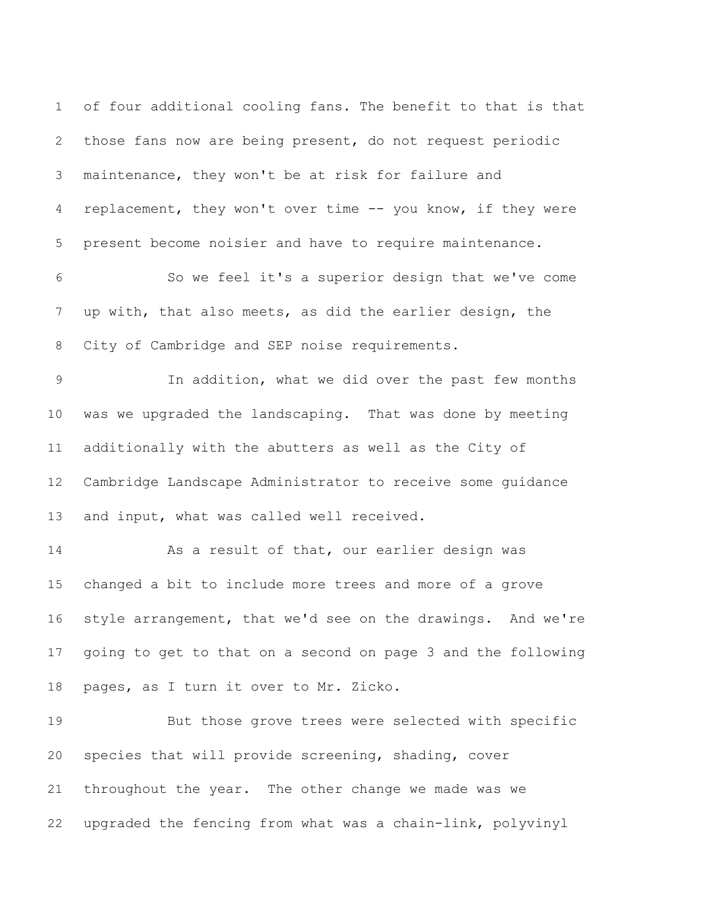of four additional cooling fans. The benefit to that is that those fans now are being present, do not request periodic maintenance, they won't be at risk for failure and replacement, they won't over time -- you know, if they were present become noisier and have to require maintenance. So we feel it's a superior design that we've come

 up with, that also meets, as did the earlier design, the City of Cambridge and SEP noise requirements.

 In addition, what we did over the past few months was we upgraded the landscaping. That was done by meeting additionally with the abutters as well as the City of Cambridge Landscape Administrator to receive some guidance 13 and input, what was called well received.

 As a result of that, our earlier design was changed a bit to include more trees and more of a grove style arrangement, that we'd see on the drawings. And we're going to get to that on a second on page 3 and the following pages, as I turn it over to Mr. Zicko.

 But those grove trees were selected with specific species that will provide screening, shading, cover throughout the year. The other change we made was we upgraded the fencing from what was a chain-link, polyvinyl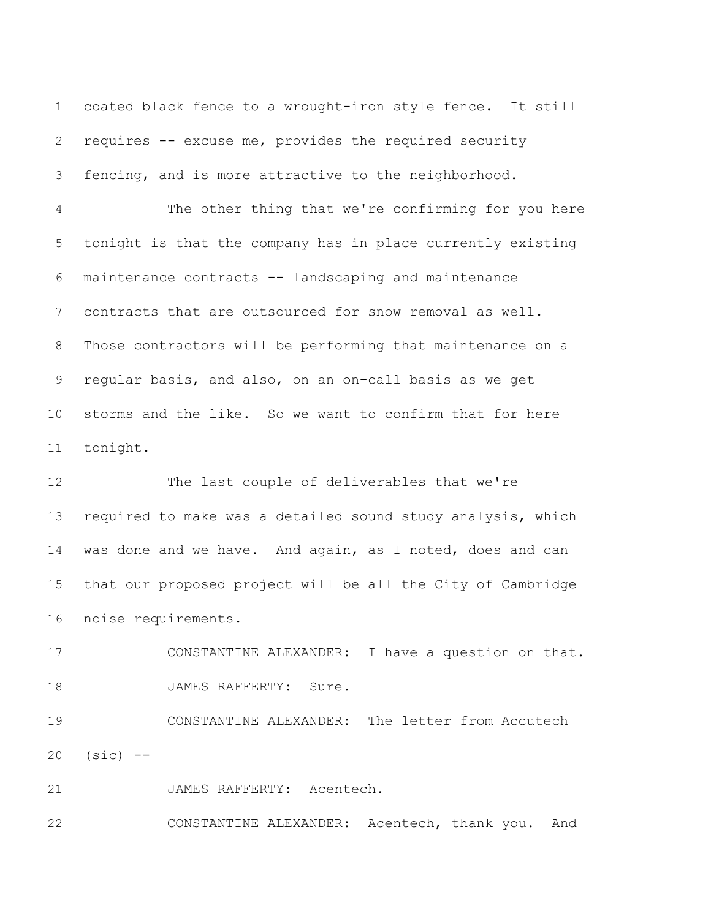coated black fence to a wrought-iron style fence. It still requires -- excuse me, provides the required security fencing, and is more attractive to the neighborhood.

 The other thing that we're confirming for you here tonight is that the company has in place currently existing maintenance contracts -- landscaping and maintenance contracts that are outsourced for snow removal as well. Those contractors will be performing that maintenance on a regular basis, and also, on an on-call basis as we get storms and the like. So we want to confirm that for here tonight.

 The last couple of deliverables that we're required to make was a detailed sound study analysis, which was done and we have. And again, as I noted, does and can that our proposed project will be all the City of Cambridge noise requirements.

 CONSTANTINE ALEXANDER: I have a question on that. 18 JAMES RAFFERTY: Sure.

 CONSTANTINE ALEXANDER: The letter from Accutech (sic) --

JAMES RAFFERTY: Acentech.

CONSTANTINE ALEXANDER: Acentech, thank you. And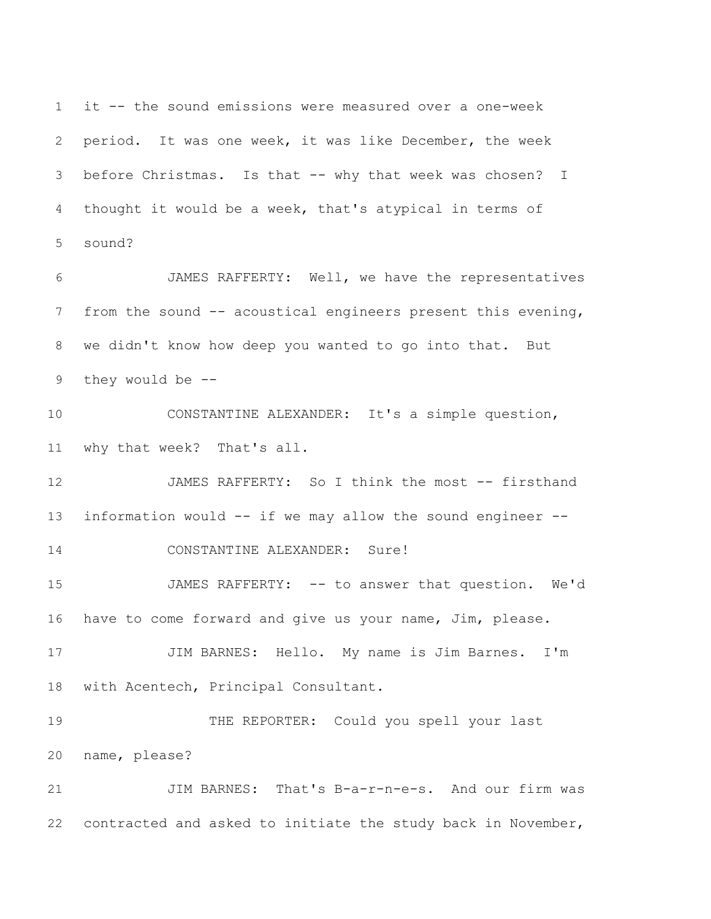it -- the sound emissions were measured over a one-week period. It was one week, it was like December, the week before Christmas. Is that -- why that week was chosen? I thought it would be a week, that's atypical in terms of sound?

 JAMES RAFFERTY: Well, we have the representatives from the sound -- acoustical engineers present this evening, we didn't know how deep you wanted to go into that. But they would be --

 CONSTANTINE ALEXANDER: It's a simple question, why that week? That's all.

12 JAMES RAFFERTY: So I think the most -- firsthand information would -- if we may allow the sound engineer --

CONSTANTINE ALEXANDER: Sure!

 JAMES RAFFERTY: -- to answer that question. We'd have to come forward and give us your name, Jim, please.

 JIM BARNES: Hello. My name is Jim Barnes. I'm with Acentech, Principal Consultant.

 THE REPORTER: Could you spell your last name, please?

 JIM BARNES: That's B-a-r-n-e-s. And our firm was contracted and asked to initiate the study back in November,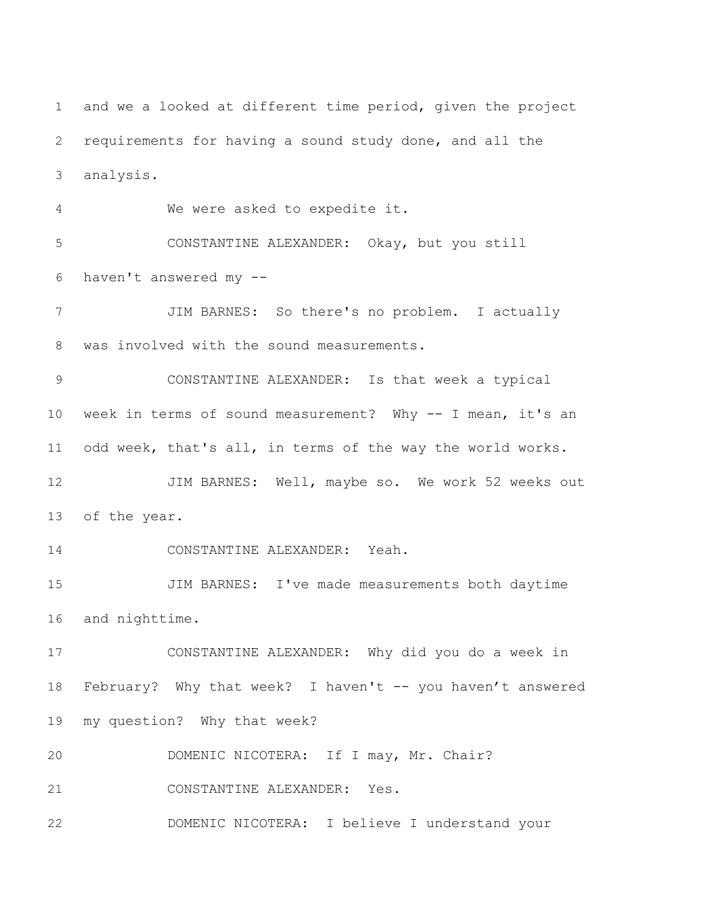and we a looked at different time period, given the project requirements for having a sound study done, and all the analysis. We were asked to expedite it. CONSTANTINE ALEXANDER: Okay, but you still haven't answered my -- JIM BARNES: So there's no problem. I actually was involved with the sound measurements. CONSTANTINE ALEXANDER: Is that week a typical week in terms of sound measurement? Why -- I mean, it's an odd week, that's all, in terms of the way the world works. 12 JIM BARNES: Well, maybe so. We work 52 weeks out of the year. CONSTANTINE ALEXANDER: Yeah. JIM BARNES: I've made measurements both daytime and nighttime. CONSTANTINE ALEXANDER: Why did you do a week in 18 February? Why that week? I haven't -- you haven't answered my question? Why that week? DOMENIC NICOTERA: If I may, Mr. Chair? CONSTANTINE ALEXANDER: Yes. DOMENIC NICOTERA: I believe I understand your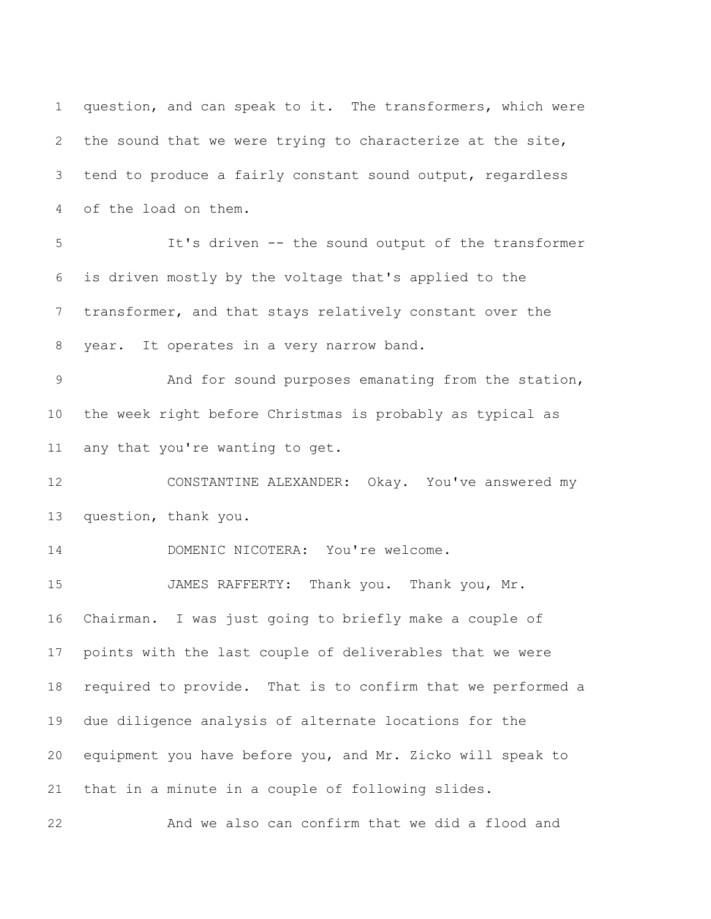question, and can speak to it. The transformers, which were the sound that we were trying to characterize at the site, tend to produce a fairly constant sound output, regardless of the load on them. It's driven -- the sound output of the transformer is driven mostly by the voltage that's applied to the transformer, and that stays relatively constant over the year. It operates in a very narrow band. And for sound purposes emanating from the station, the week right before Christmas is probably as typical as any that you're wanting to get. CONSTANTINE ALEXANDER: Okay. You've answered my question, thank you. DOMENIC NICOTERA: You're welcome. JAMES RAFFERTY: Thank you. Thank you, Mr. Chairman. I was just going to briefly make a couple of points with the last couple of deliverables that we were required to provide. That is to confirm that we performed a due diligence analysis of alternate locations for the equipment you have before you, and Mr. Zicko will speak to that in a minute in a couple of following slides. And we also can confirm that we did a flood and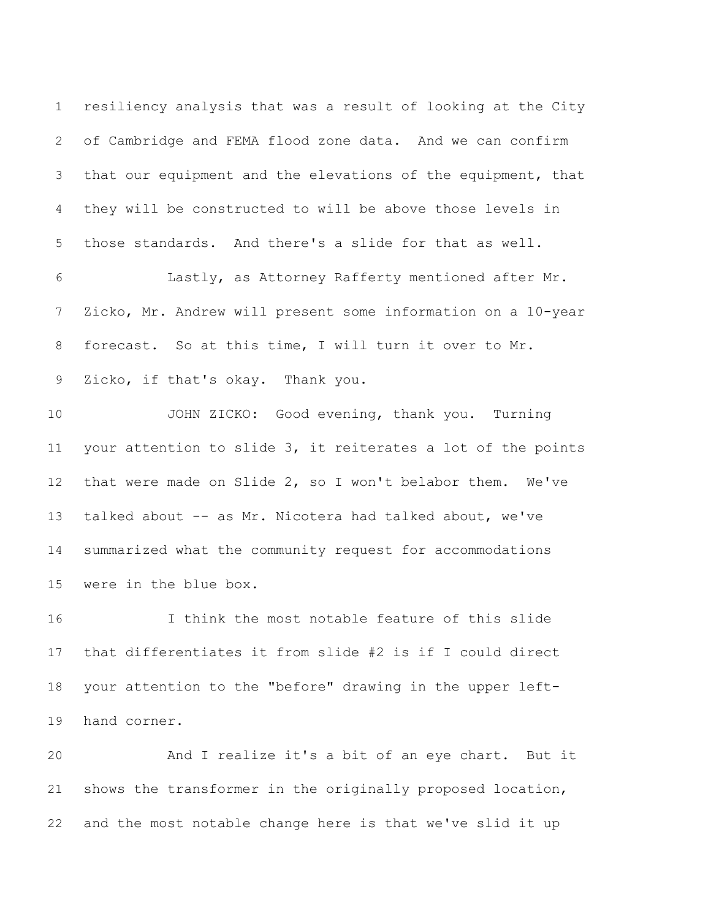resiliency analysis that was a result of looking at the City of Cambridge and FEMA flood zone data. And we can confirm that our equipment and the elevations of the equipment, that they will be constructed to will be above those levels in those standards. And there's a slide for that as well.

 Lastly, as Attorney Rafferty mentioned after Mr. Zicko, Mr. Andrew will present some information on a 10-year forecast. So at this time, I will turn it over to Mr. Zicko, if that's okay. Thank you.

 JOHN ZICKO: Good evening, thank you. Turning your attention to slide 3, it reiterates a lot of the points that were made on Slide 2, so I won't belabor them. We've talked about -- as Mr. Nicotera had talked about, we've summarized what the community request for accommodations were in the blue box.

 I think the most notable feature of this slide that differentiates it from slide #2 is if I could direct your attention to the "before" drawing in the upper left-hand corner.

 And I realize it's a bit of an eye chart. But it shows the transformer in the originally proposed location, and the most notable change here is that we've slid it up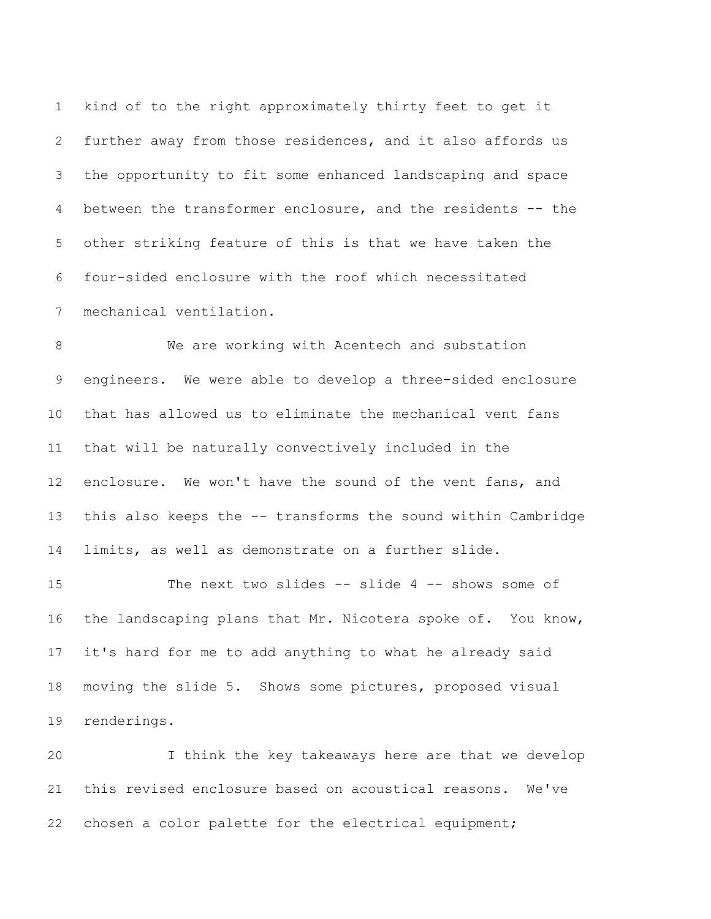kind of to the right approximately thirty feet to get it further away from those residences, and it also affords us the opportunity to fit some enhanced landscaping and space between the transformer enclosure, and the residents -- the other striking feature of this is that we have taken the four-sided enclosure with the roof which necessitated mechanical ventilation.

 We are working with Acentech and substation engineers. We were able to develop a three-sided enclosure that has allowed us to eliminate the mechanical vent fans that will be naturally convectively included in the enclosure. We won't have the sound of the vent fans, and this also keeps the -- transforms the sound within Cambridge limits, as well as demonstrate on a further slide.

 The next two slides -- slide 4 -- shows some of the landscaping plans that Mr. Nicotera spoke of. You know, it's hard for me to add anything to what he already said moving the slide 5. Shows some pictures, proposed visual renderings.

 I think the key takeaways here are that we develop this revised enclosure based on acoustical reasons. We've chosen a color palette for the electrical equipment;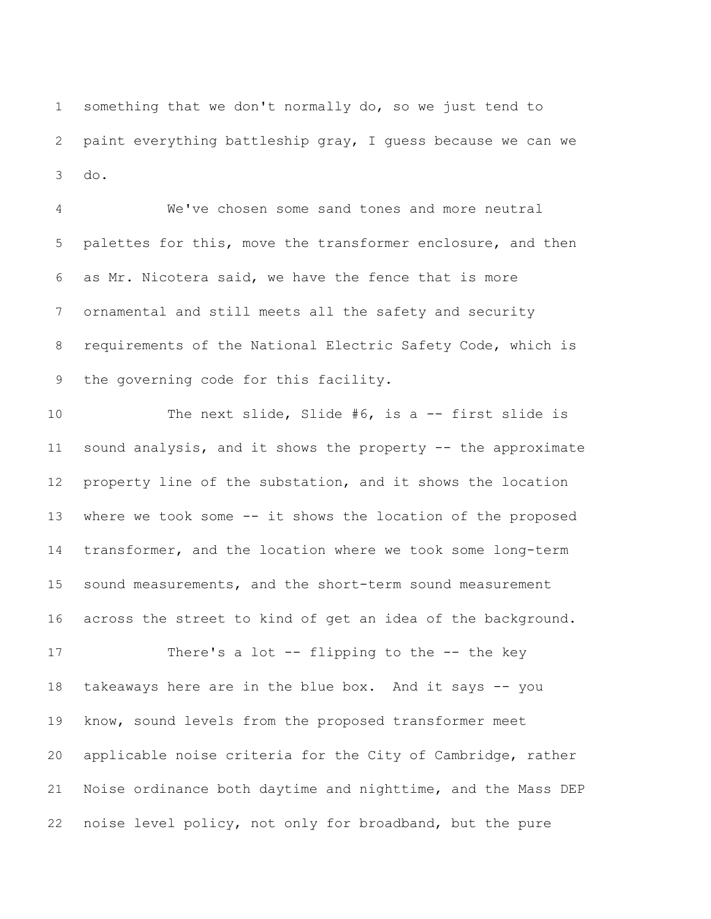something that we don't normally do, so we just tend to paint everything battleship gray, I guess because we can we do.

 We've chosen some sand tones and more neutral palettes for this, move the transformer enclosure, and then as Mr. Nicotera said, we have the fence that is more ornamental and still meets all the safety and security requirements of the National Electric Safety Code, which is the governing code for this facility.

 The next slide, Slide #6, is a -- first slide is sound analysis, and it shows the property -- the approximate property line of the substation, and it shows the location where we took some -- it shows the location of the proposed transformer, and the location where we took some long-term sound measurements, and the short-term sound measurement across the street to kind of get an idea of the background.

 There's a lot -- flipping to the -- the key takeaways here are in the blue box. And it says -- you know, sound levels from the proposed transformer meet applicable noise criteria for the City of Cambridge, rather Noise ordinance both daytime and nighttime, and the Mass DEP noise level policy, not only for broadband, but the pure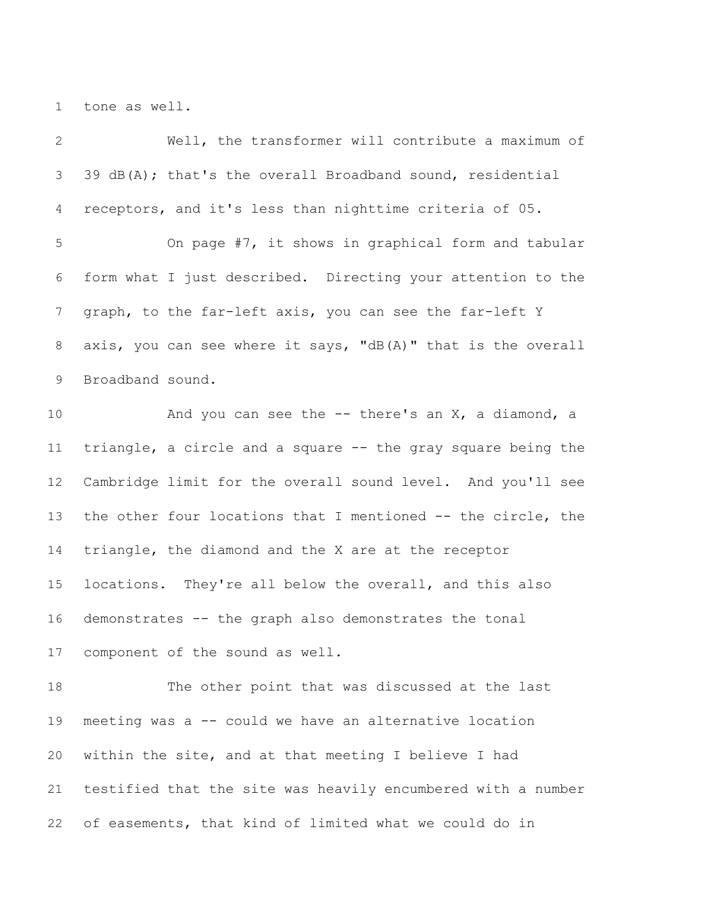tone as well.

| $\overline{2}$ | Well, the transformer will contribute a maximum of           |
|----------------|--------------------------------------------------------------|
| $\mathfrak{Z}$ | 39 $dB(A)$ ; that's the overall Broadband sound, residential |
| $\overline{4}$ | receptors, and it's less than nighttime criteria of 05.      |
| 5              | On page #7, it shows in graphical form and tabular           |
| 6              | form what I just described. Directing your attention to the  |
| $\overline{7}$ | graph, to the far-left axis, you can see the far-left Y      |
| $8\,$          | axis, you can see where it says, "dB(A)" that is the overall |
| 9              | Broadband sound.                                             |
| 10             | And you can see the $-$ there's an $X$ , a diamond, a        |
| 11             | triangle, a circle and a square -- the gray square being the |
| 12             | Cambridge limit for the overall sound level. And you'll see  |
| 13             | the other four locations that I mentioned -- the circle, the |
| 14             | triangle, the diamond and the X are at the receptor          |
| 15             | locations. They're all below the overall, and this also      |
| 16             | demonstrates -- the graph also demonstrates the tonal        |
|                | 17 component of the sound as well.                           |
| 18             | The other point that was discussed at the last               |
| 19             | meeting was a -- could we have an alternative location       |
| 20             | within the site, and at that meeting I believe I had         |
| 21             | testified that the site was heavily encumbered with a number |
| 22             | of easements, that kind of limited what we could do in       |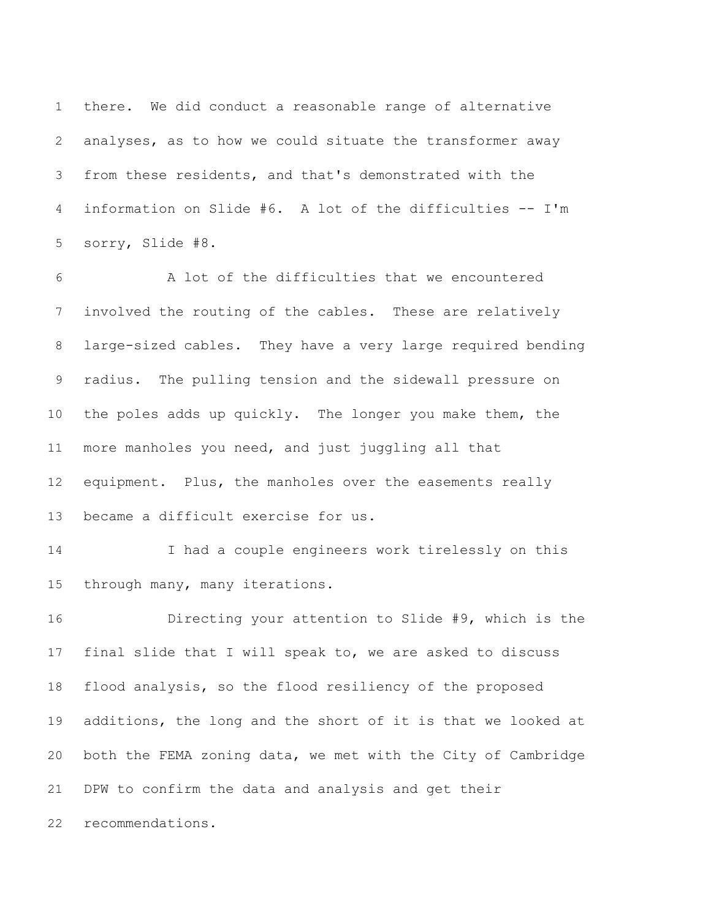there. We did conduct a reasonable range of alternative analyses, as to how we could situate the transformer away from these residents, and that's demonstrated with the information on Slide #6. A lot of the difficulties -- I'm sorry, Slide #8.

 A lot of the difficulties that we encountered involved the routing of the cables. These are relatively large-sized cables. They have a very large required bending radius. The pulling tension and the sidewall pressure on the poles adds up quickly. The longer you make them, the more manholes you need, and just juggling all that equipment. Plus, the manholes over the easements really became a difficult exercise for us.

 I had a couple engineers work tirelessly on this through many, many iterations.

 Directing your attention to Slide #9, which is the final slide that I will speak to, we are asked to discuss flood analysis, so the flood resiliency of the proposed additions, the long and the short of it is that we looked at both the FEMA zoning data, we met with the City of Cambridge DPW to confirm the data and analysis and get their recommendations.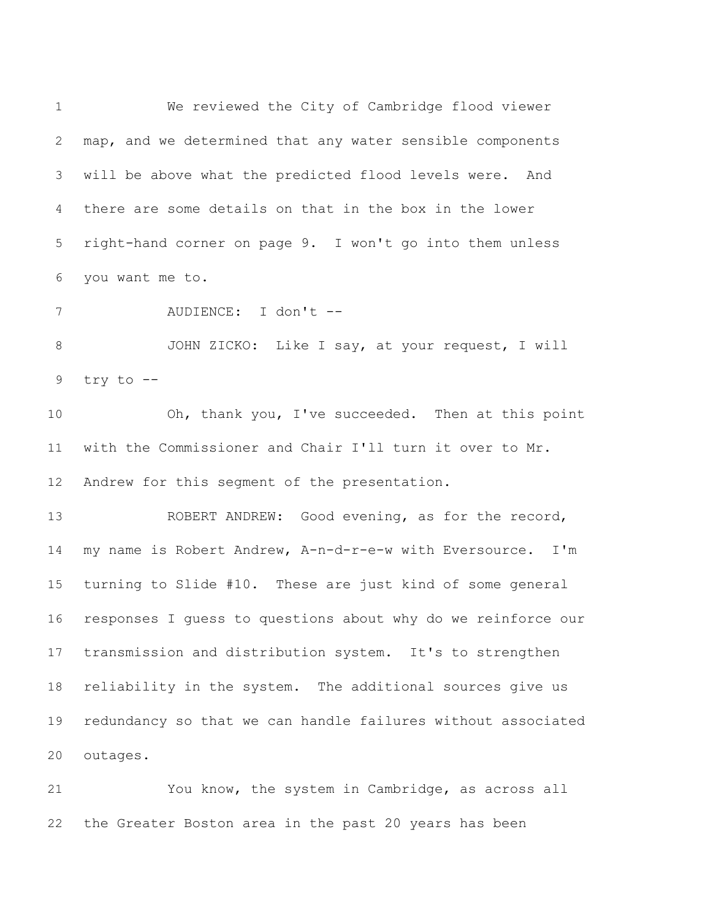We reviewed the City of Cambridge flood viewer map, and we determined that any water sensible components will be above what the predicted flood levels were. And there are some details on that in the box in the lower right-hand corner on page 9. I won't go into them unless you want me to. AUDIENCE: I don't -- JOHN ZICKO: Like I say, at your request, I will try to -- Oh, thank you, I've succeeded. Then at this point with the Commissioner and Chair I'll turn it over to Mr. Andrew for this segment of the presentation. ROBERT ANDREW: Good evening, as for the record, my name is Robert Andrew, A-n-d-r-e-w with Eversource. I'm turning to Slide #10. These are just kind of some general responses I guess to questions about why do we reinforce our transmission and distribution system. It's to strengthen reliability in the system. The additional sources give us redundancy so that we can handle failures without associated outages.

 You know, the system in Cambridge, as across all the Greater Boston area in the past 20 years has been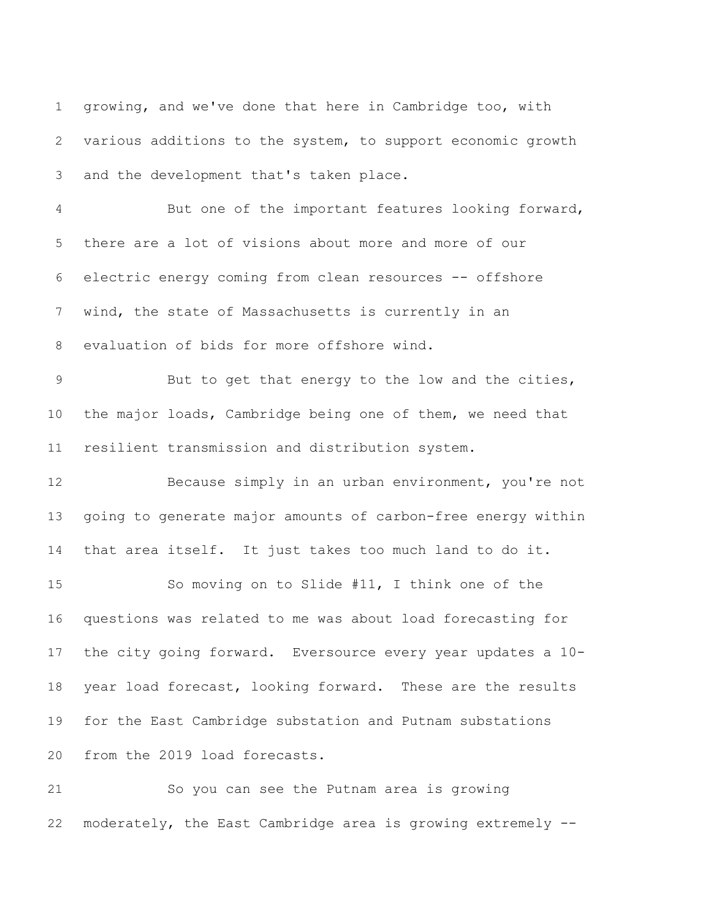growing, and we've done that here in Cambridge too, with various additions to the system, to support economic growth and the development that's taken place. But one of the important features looking forward, there are a lot of visions about more and more of our electric energy coming from clean resources -- offshore wind, the state of Massachusetts is currently in an evaluation of bids for more offshore wind. But to get that energy to the low and the cities, the major loads, Cambridge being one of them, we need that resilient transmission and distribution system. Because simply in an urban environment, you're not going to generate major amounts of carbon-free energy within that area itself. It just takes too much land to do it. So moving on to Slide #11, I think one of the questions was related to me was about load forecasting for the city going forward. Eversource every year updates a 10- year load forecast, looking forward. These are the results for the East Cambridge substation and Putnam substations from the 2019 load forecasts. So you can see the Putnam area is growing

moderately, the East Cambridge area is growing extremely --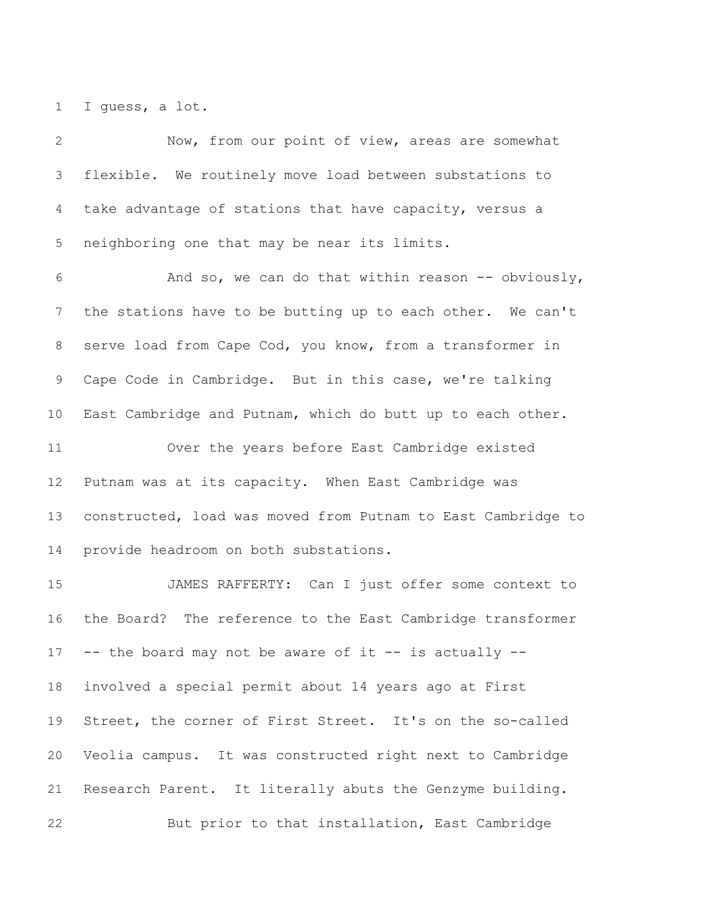I guess, a lot.

 Now, from our point of view, areas are somewhat flexible. We routinely move load between substations to take advantage of stations that have capacity, versus a neighboring one that may be near its limits. And so, we can do that within reason -- obviously, the stations have to be butting up to each other. We can't serve load from Cape Cod, you know, from a transformer in Cape Code in Cambridge. But in this case, we're talking East Cambridge and Putnam, which do butt up to each other. Over the years before East Cambridge existed Putnam was at its capacity. When East Cambridge was constructed, load was moved from Putnam to East Cambridge to provide headroom on both substations. JAMES RAFFERTY: Can I just offer some context to the Board? The reference to the East Cambridge transformer -- the board may not be aware of it -- is actually -- involved a special permit about 14 years ago at First Street, the corner of First Street. It's on the so-called Veolia campus. It was constructed right next to Cambridge Research Parent. It literally abuts the Genzyme building. But prior to that installation, East Cambridge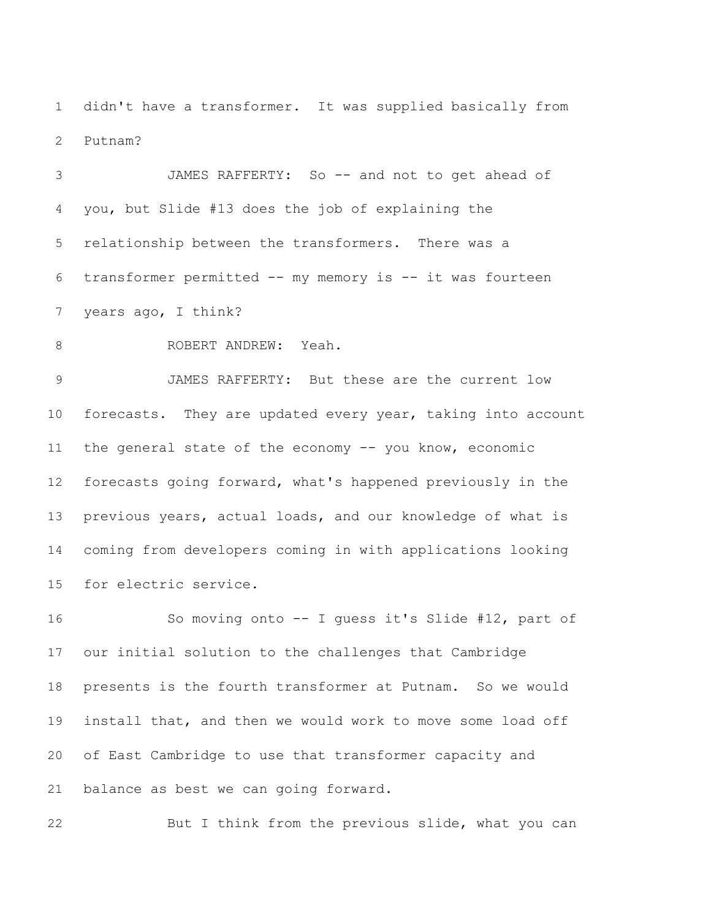didn't have a transformer. It was supplied basically from Putnam?

 JAMES RAFFERTY: So -- and not to get ahead of you, but Slide #13 does the job of explaining the relationship between the transformers. There was a transformer permitted -- my memory is -- it was fourteen years ago, I think?

8 ROBERT ANDREW: Yeah.

 JAMES RAFFERTY: But these are the current low 10 forecasts. They are updated every year, taking into account the general state of the economy -- you know, economic forecasts going forward, what's happened previously in the previous years, actual loads, and our knowledge of what is coming from developers coming in with applications looking for electric service.

 So moving onto -- I guess it's Slide #12, part of our initial solution to the challenges that Cambridge presents is the fourth transformer at Putnam. So we would install that, and then we would work to move some load off of East Cambridge to use that transformer capacity and balance as best we can going forward.

But I think from the previous slide, what you can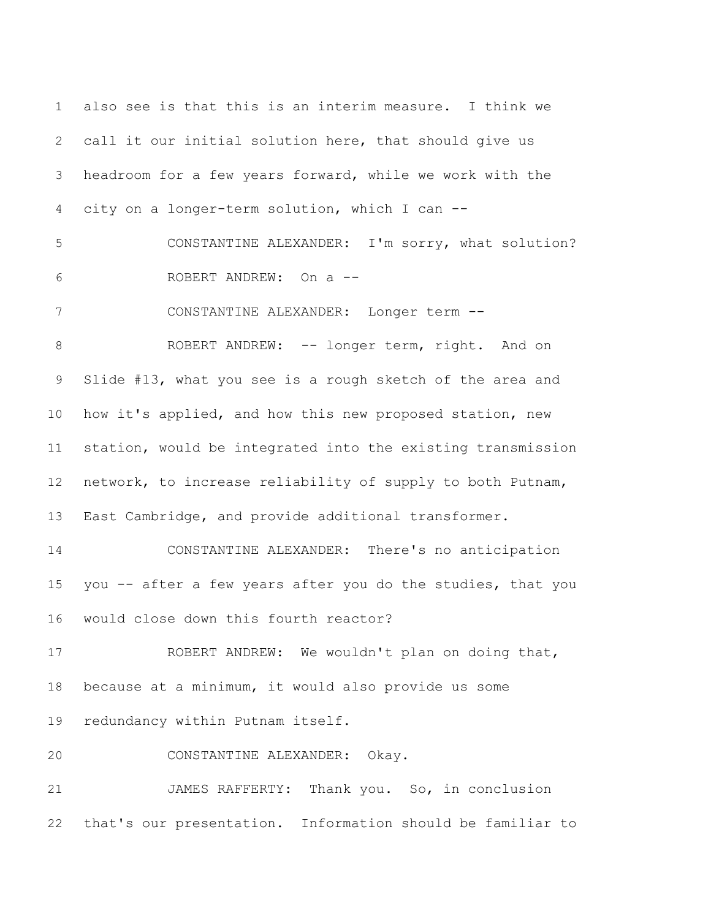also see is that this is an interim measure. I think we call it our initial solution here, that should give us headroom for a few years forward, while we work with the city on a longer-term solution, which I can -- CONSTANTINE ALEXANDER: I'm sorry, what solution? ROBERT ANDREW: On a -- CONSTANTINE ALEXANDER: Longer term -- 8 ROBERT ANDREW: -- longer term, right. And on Slide #13, what you see is a rough sketch of the area and how it's applied, and how this new proposed station, new station, would be integrated into the existing transmission network, to increase reliability of supply to both Putnam, East Cambridge, and provide additional transformer. CONSTANTINE ALEXANDER: There's no anticipation you -- after a few years after you do the studies, that you would close down this fourth reactor? ROBERT ANDREW: We wouldn't plan on doing that, because at a minimum, it would also provide us some redundancy within Putnam itself. CONSTANTINE ALEXANDER: Okay. JAMES RAFFERTY: Thank you. So, in conclusion that's our presentation. Information should be familiar to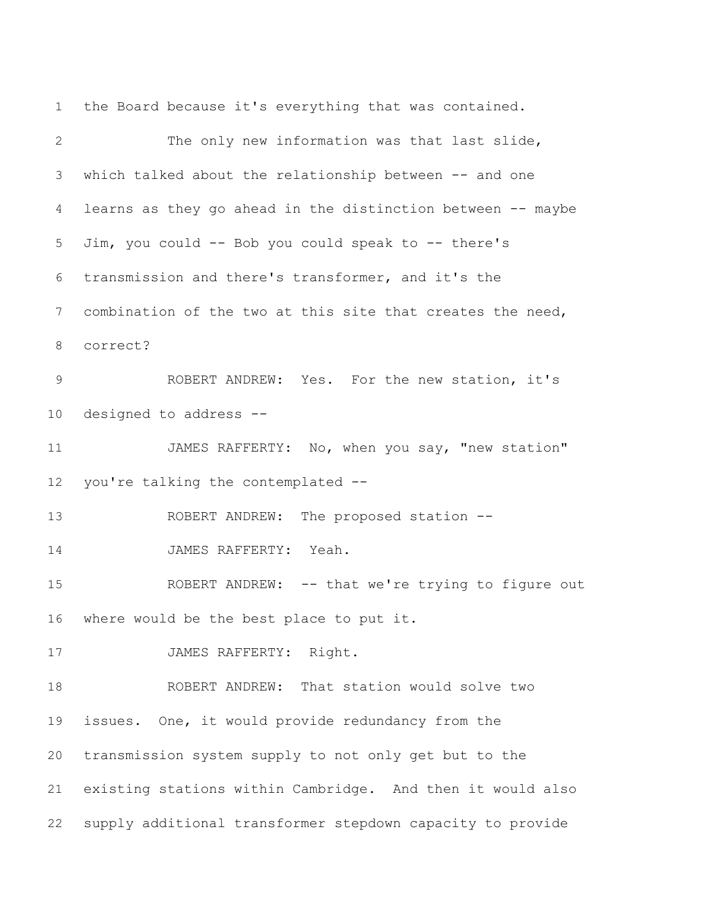the Board because it's everything that was contained. The only new information was that last slide, which talked about the relationship between -- and one learns as they go ahead in the distinction between -- maybe Jim, you could -- Bob you could speak to -- there's transmission and there's transformer, and it's the combination of the two at this site that creates the need, correct? ROBERT ANDREW: Yes. For the new station, it's designed to address -- 11 JAMES RAFFERTY: No, when you say, "new station" you're talking the contemplated -- 13 ROBERT ANDREW: The proposed station --14 JAMES RAFFERTY: Yeah. ROBERT ANDREW: -- that we're trying to figure out where would be the best place to put it. 17 JAMES RAFFERTY: Right. ROBERT ANDREW: That station would solve two issues. One, it would provide redundancy from the transmission system supply to not only get but to the existing stations within Cambridge. And then it would also supply additional transformer stepdown capacity to provide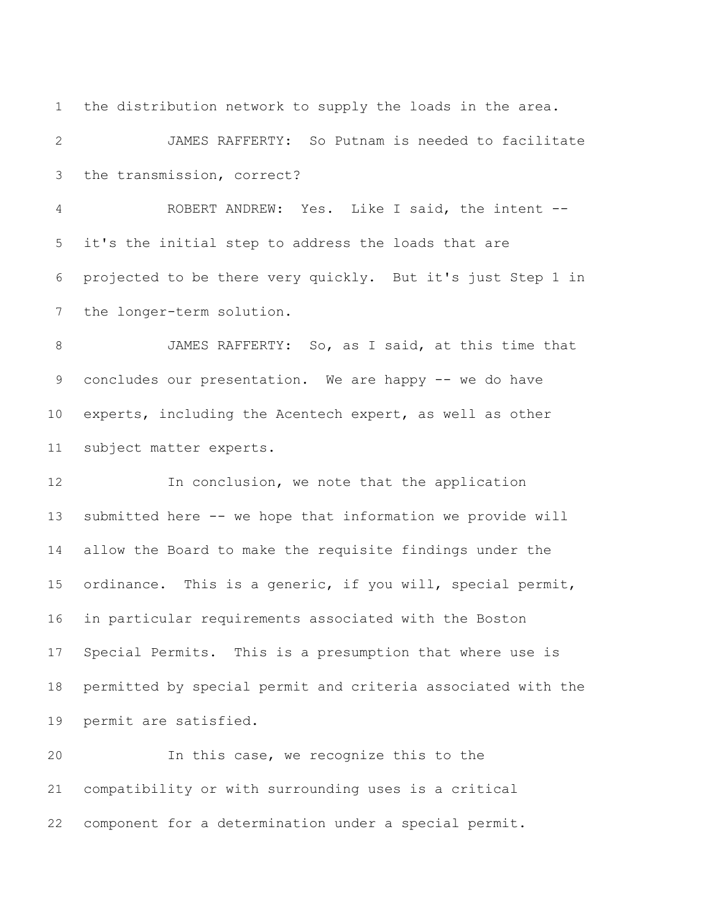the distribution network to supply the loads in the area. JAMES RAFFERTY: So Putnam is needed to facilitate the transmission, correct? ROBERT ANDREW: Yes. Like I said, the intent -- it's the initial step to address the loads that are projected to be there very quickly. But it's just Step 1 in the longer-term solution. JAMES RAFFERTY: So, as I said, at this time that 9 concludes our presentation. We are happy -- we do have experts, including the Acentech expert, as well as other subject matter experts. 12 In conclusion, we note that the application submitted here -- we hope that information we provide will allow the Board to make the requisite findings under the ordinance. This is a generic, if you will, special permit, in particular requirements associated with the Boston Special Permits. This is a presumption that where use is permitted by special permit and criteria associated with the

permit are satisfied.

 In this case, we recognize this to the compatibility or with surrounding uses is a critical component for a determination under a special permit.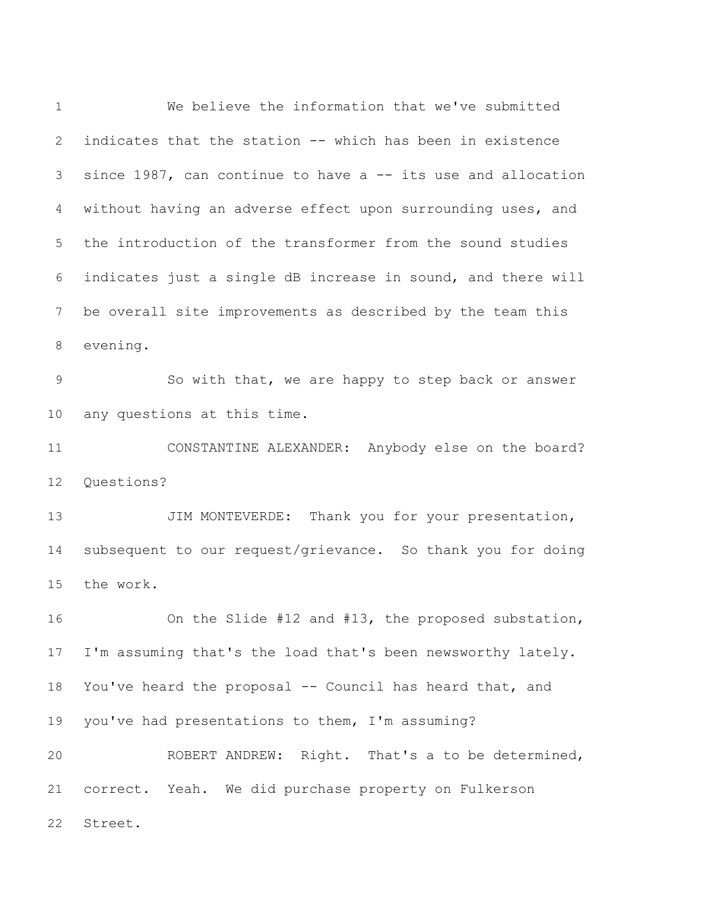We believe the information that we've submitted indicates that the station -- which has been in existence since 1987, can continue to have a -- its use and allocation without having an adverse effect upon surrounding uses, and the introduction of the transformer from the sound studies indicates just a single dB increase in sound, and there will be overall site improvements as described by the team this evening. So with that, we are happy to step back or answer any questions at this time. CONSTANTINE ALEXANDER: Anybody else on the board? Questions? 13 JIM MONTEVERDE: Thank you for your presentation, subsequent to our request/grievance. So thank you for doing the work. On the Slide #12 and #13, the proposed substation, I'm assuming that's the load that's been newsworthy lately. You've heard the proposal -- Council has heard that, and you've had presentations to them, I'm assuming? ROBERT ANDREW: Right. That's a to be determined, correct. Yeah. We did purchase property on Fulkerson Street.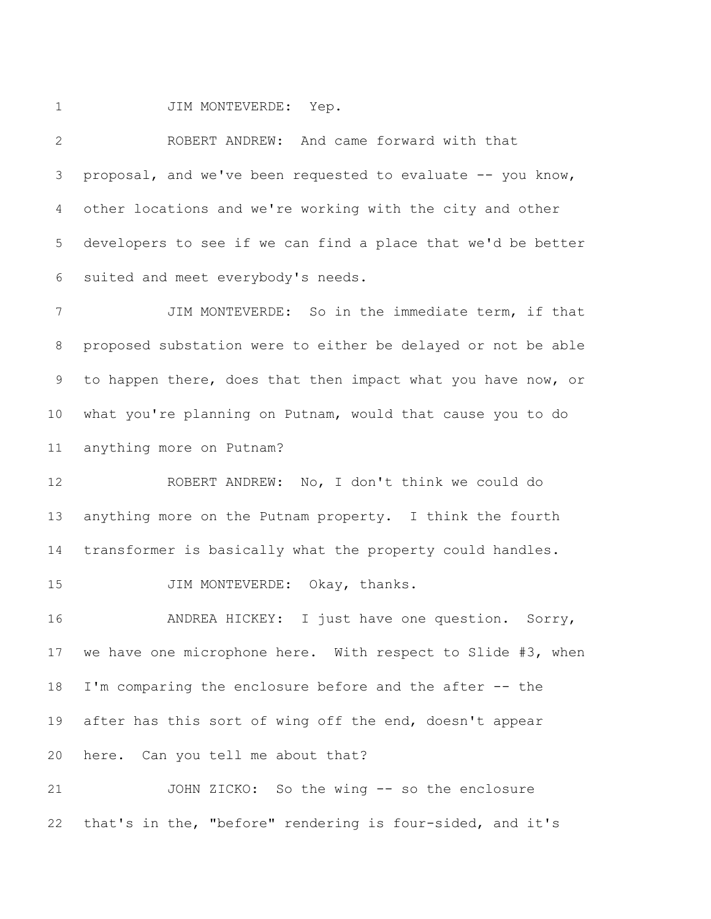1 JIM MONTEVERDE: Yep.

 ROBERT ANDREW: And came forward with that proposal, and we've been requested to evaluate -- you know, other locations and we're working with the city and other developers to see if we can find a place that we'd be better suited and meet everybody's needs.

 JIM MONTEVERDE: So in the immediate term, if that proposed substation were to either be delayed or not be able to happen there, does that then impact what you have now, or what you're planning on Putnam, would that cause you to do anything more on Putnam?

 ROBERT ANDREW: No, I don't think we could do anything more on the Putnam property. I think the fourth transformer is basically what the property could handles.

15 JIM MONTEVERDE: Okay, thanks.

 ANDREA HICKEY: I just have one question. Sorry, we have one microphone here. With respect to Slide #3, when I'm comparing the enclosure before and the after -- the after has this sort of wing off the end, doesn't appear here. Can you tell me about that?

 JOHN ZICKO: So the wing -- so the enclosure that's in the, "before" rendering is four-sided, and it's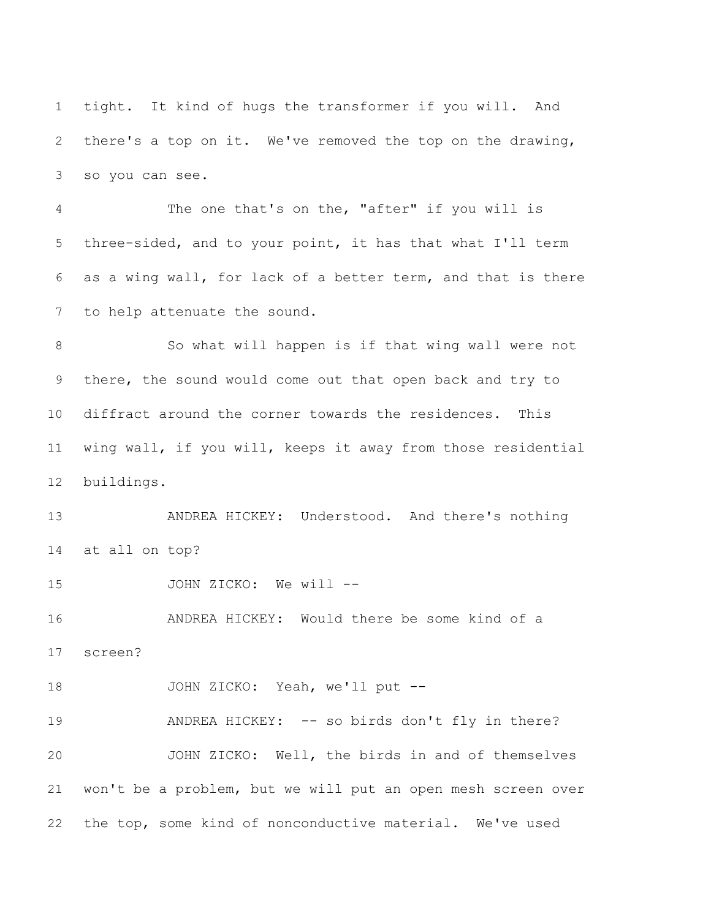tight. It kind of hugs the transformer if you will. And there's a top on it. We've removed the top on the drawing, so you can see.

 The one that's on the, "after" if you will is three-sided, and to your point, it has that what I'll term as a wing wall, for lack of a better term, and that is there to help attenuate the sound.

8 So what will happen is if that wing wall were not there, the sound would come out that open back and try to diffract around the corner towards the residences. This wing wall, if you will, keeps it away from those residential buildings.

 ANDREA HICKEY: Understood. And there's nothing at all on top?

15 JOHN ZICKO: We will --ANDREA HICKEY: Would there be some kind of a

screen?

JOHN ZICKO: Yeah, we'll put --

19 ANDREA HICKEY: -- so birds don't fly in there? JOHN ZICKO: Well, the birds in and of themselves won't be a problem, but we will put an open mesh screen over the top, some kind of nonconductive material. We've used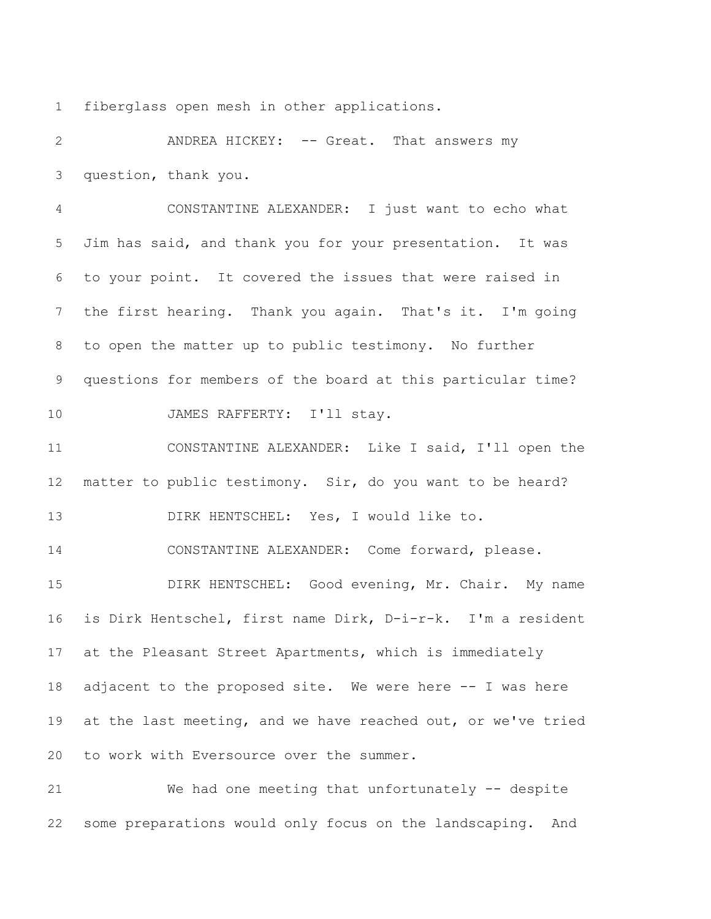fiberglass open mesh in other applications.

2 ANDREA HICKEY: -- Great. That answers my question, thank you.

 CONSTANTINE ALEXANDER: I just want to echo what Jim has said, and thank you for your presentation. It was to your point. It covered the issues that were raised in the first hearing. Thank you again. That's it. I'm going to open the matter up to public testimony. No further questions for members of the board at this particular time? JAMES RAFFERTY: I'll stay.

 CONSTANTINE ALEXANDER: Like I said, I'll open the matter to public testimony. Sir, do you want to be heard? DIRK HENTSCHEL: Yes, I would like to.

 CONSTANTINE ALEXANDER: Come forward, please. DIRK HENTSCHEL: Good evening, Mr. Chair. My name is Dirk Hentschel, first name Dirk, D-i-r-k. I'm a resident at the Pleasant Street Apartments, which is immediately 18 adjacent to the proposed site. We were here -- I was here at the last meeting, and we have reached out, or we've tried to work with Eversource over the summer.

 We had one meeting that unfortunately -- despite some preparations would only focus on the landscaping. And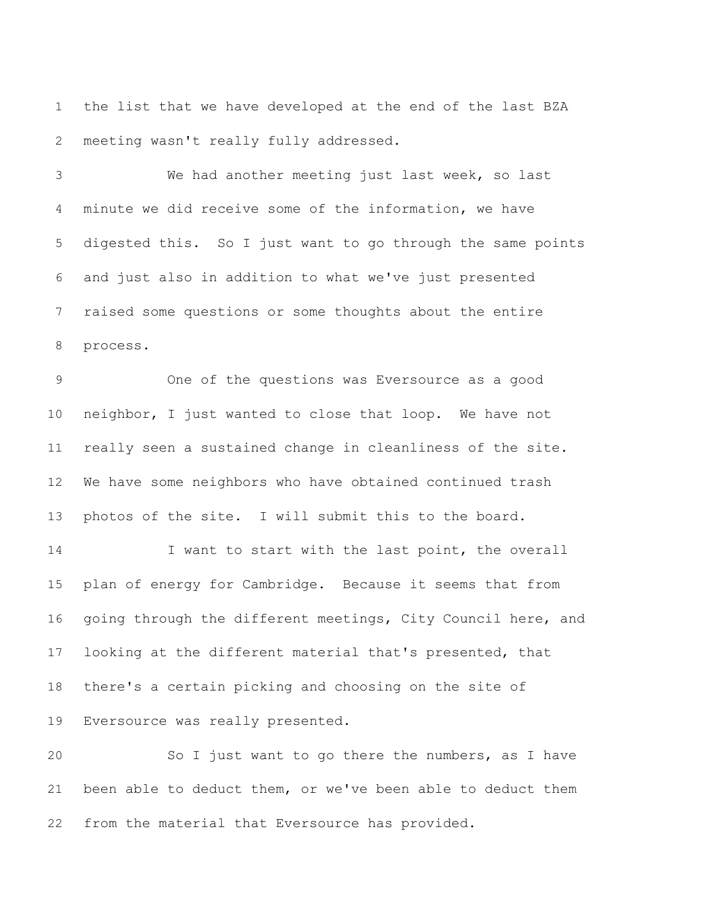the list that we have developed at the end of the last BZA meeting wasn't really fully addressed.

 We had another meeting just last week, so last minute we did receive some of the information, we have digested this. So I just want to go through the same points and just also in addition to what we've just presented raised some questions or some thoughts about the entire process.

 One of the questions was Eversource as a good neighbor, I just wanted to close that loop. We have not really seen a sustained change in cleanliness of the site. We have some neighbors who have obtained continued trash photos of the site. I will submit this to the board.

 I want to start with the last point, the overall plan of energy for Cambridge. Because it seems that from going through the different meetings, City Council here, and looking at the different material that's presented, that there's a certain picking and choosing on the site of Eversource was really presented.

 So I just want to go there the numbers, as I have been able to deduct them, or we've been able to deduct them from the material that Eversource has provided.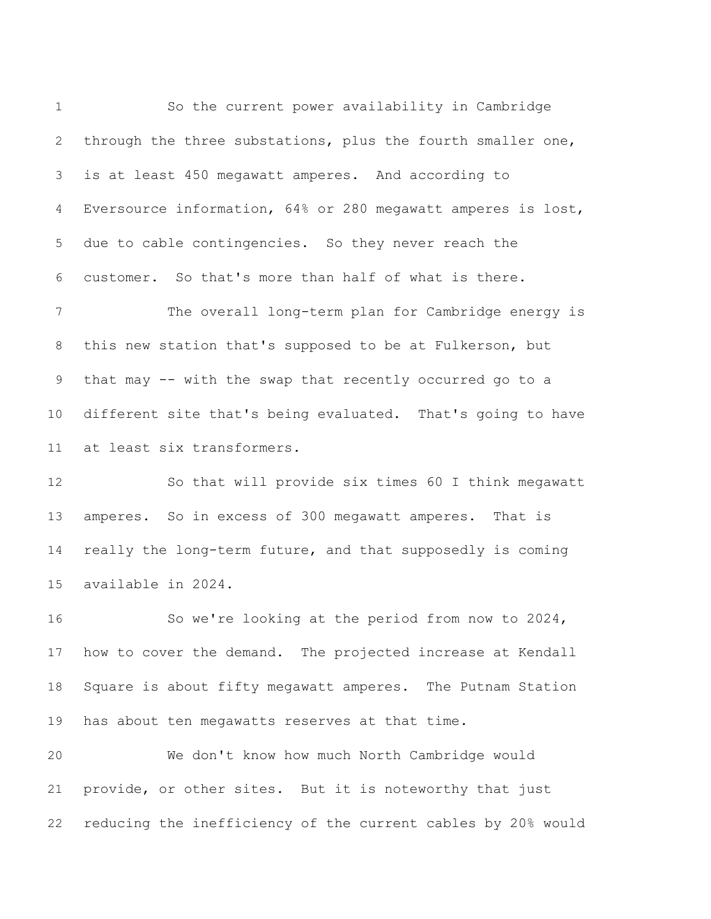So the current power availability in Cambridge through the three substations, plus the fourth smaller one, is at least 450 megawatt amperes. And according to Eversource information, 64% or 280 megawatt amperes is lost, due to cable contingencies. So they never reach the customer. So that's more than half of what is there. The overall long-term plan for Cambridge energy is this new station that's supposed to be at Fulkerson, but that may -- with the swap that recently occurred go to a different site that's being evaluated. That's going to have at least six transformers. So that will provide six times 60 I think megawatt amperes. So in excess of 300 megawatt amperes. That is really the long-term future, and that supposedly is coming

 So we're looking at the period from now to 2024, how to cover the demand. The projected increase at Kendall Square is about fifty megawatt amperes. The Putnam Station has about ten megawatts reserves at that time.

available in 2024.

 We don't know how much North Cambridge would provide, or other sites. But it is noteworthy that just reducing the inefficiency of the current cables by 20% would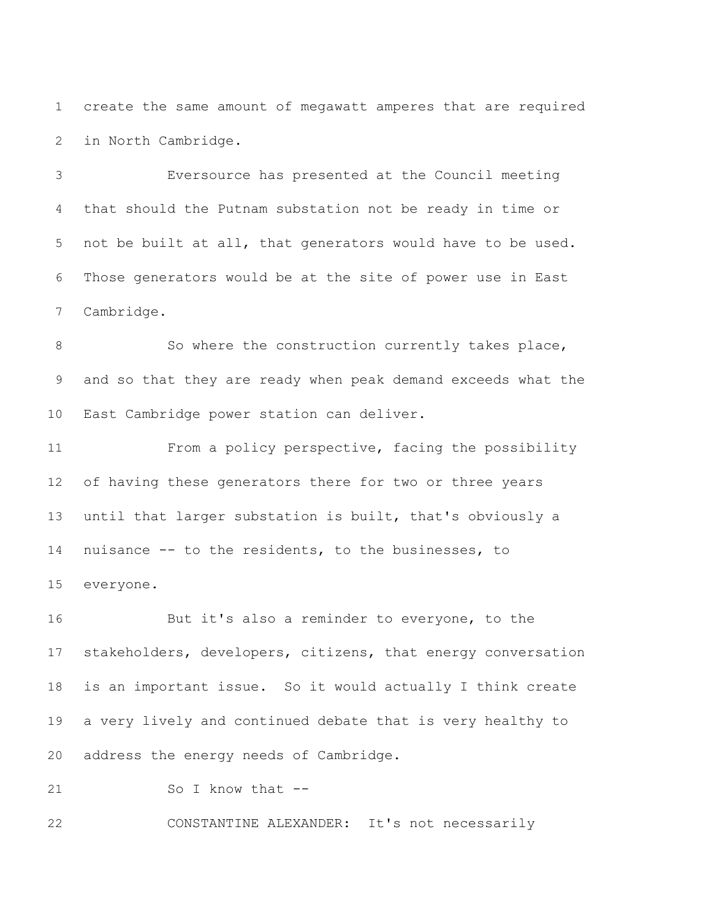create the same amount of megawatt amperes that are required in North Cambridge.

 Eversource has presented at the Council meeting that should the Putnam substation not be ready in time or not be built at all, that generators would have to be used. Those generators would be at the site of power use in East Cambridge.

8 So where the construction currently takes place, and so that they are ready when peak demand exceeds what the East Cambridge power station can deliver.

 From a policy perspective, facing the possibility of having these generators there for two or three years until that larger substation is built, that's obviously a nuisance -- to the residents, to the businesses, to everyone.

 But it's also a reminder to everyone, to the stakeholders, developers, citizens, that energy conversation is an important issue. So it would actually I think create a very lively and continued debate that is very healthy to address the energy needs of Cambridge.

21 So I know that --

CONSTANTINE ALEXANDER: It's not necessarily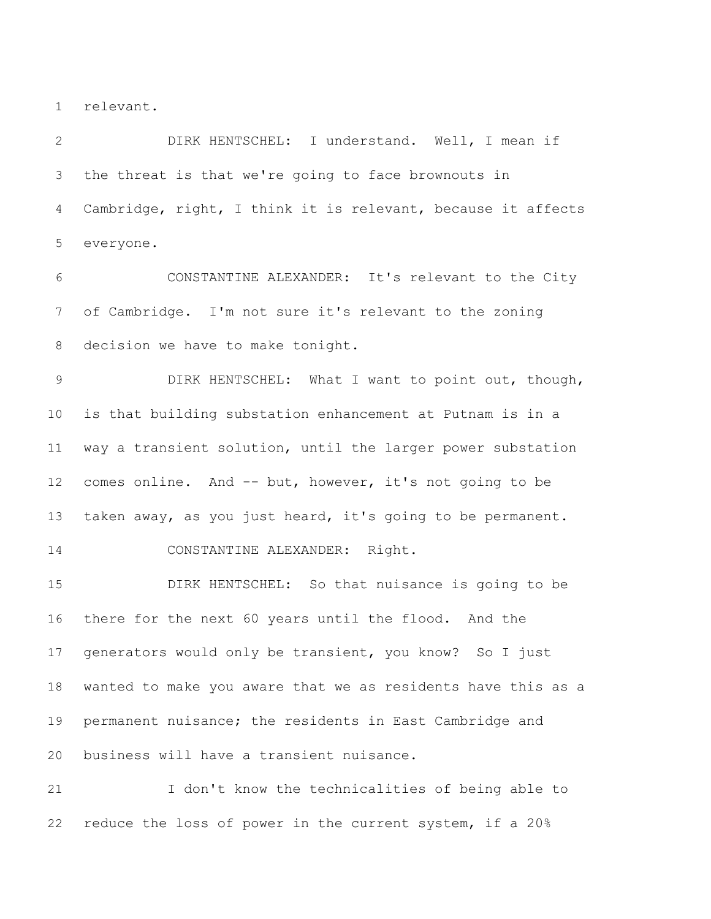relevant.

 DIRK HENTSCHEL: I understand. Well, I mean if the threat is that we're going to face brownouts in Cambridge, right, I think it is relevant, because it affects everyone.

 CONSTANTINE ALEXANDER: It's relevant to the City of Cambridge. I'm not sure it's relevant to the zoning decision we have to make tonight.

 DIRK HENTSCHEL: What I want to point out, though, is that building substation enhancement at Putnam is in a way a transient solution, until the larger power substation comes online. And -- but, however, it's not going to be taken away, as you just heard, it's going to be permanent. CONSTANTINE ALEXANDER: Right.

 DIRK HENTSCHEL: So that nuisance is going to be there for the next 60 years until the flood. And the generators would only be transient, you know? So I just wanted to make you aware that we as residents have this as a permanent nuisance; the residents in East Cambridge and business will have a transient nuisance.

 I don't know the technicalities of being able to reduce the loss of power in the current system, if a 20%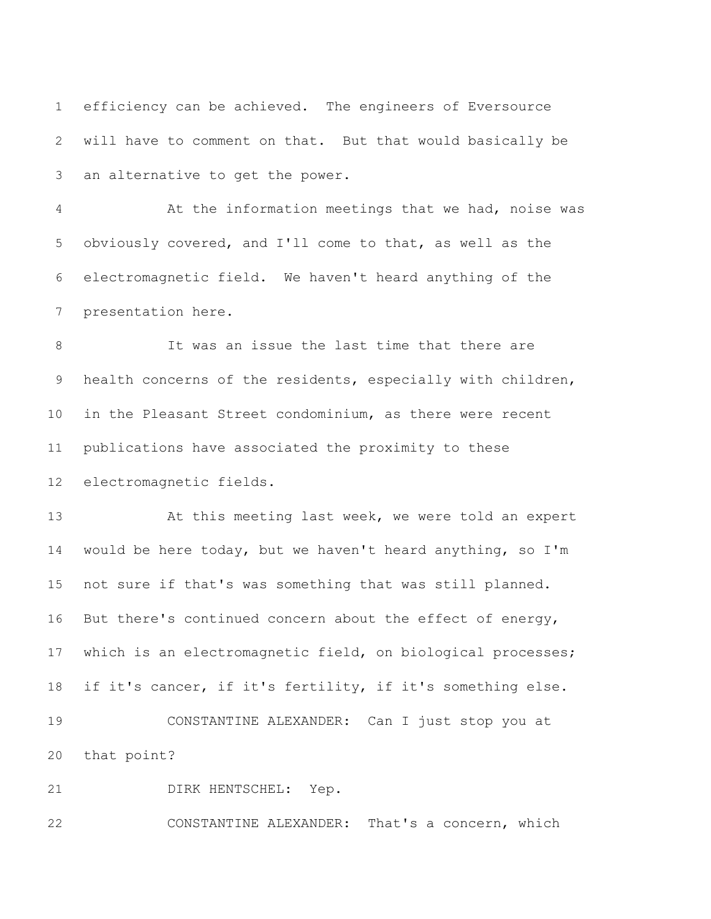efficiency can be achieved. The engineers of Eversource will have to comment on that. But that would basically be an alternative to get the power.

 At the information meetings that we had, noise was obviously covered, and I'll come to that, as well as the electromagnetic field. We haven't heard anything of the presentation here.

 It was an issue the last time that there are health concerns of the residents, especially with children, in the Pleasant Street condominium, as there were recent publications have associated the proximity to these electromagnetic fields.

13 At this meeting last week, we were told an expert would be here today, but we haven't heard anything, so I'm not sure if that's was something that was still planned. But there's continued concern about the effect of energy, which is an electromagnetic field, on biological processes; if it's cancer, if it's fertility, if it's something else. CONSTANTINE ALEXANDER: Can I just stop you at that point?

DIRK HENTSCHEL: Yep.

CONSTANTINE ALEXANDER: That's a concern, which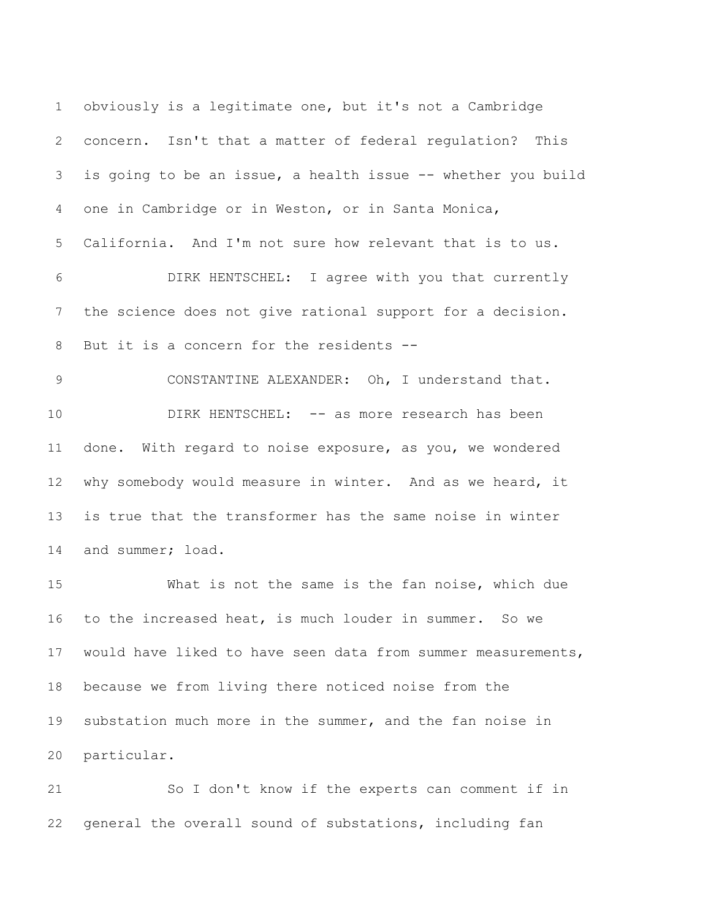obviously is a legitimate one, but it's not a Cambridge concern. Isn't that a matter of federal regulation? This is going to be an issue, a health issue -- whether you build one in Cambridge or in Weston, or in Santa Monica, California. And I'm not sure how relevant that is to us. DIRK HENTSCHEL: I agree with you that currently the science does not give rational support for a decision. 8 But it is a concern for the residents -- CONSTANTINE ALEXANDER: Oh, I understand that. DIRK HENTSCHEL: -- as more research has been done. With regard to noise exposure, as you, we wondered why somebody would measure in winter. And as we heard, it is true that the transformer has the same noise in winter and summer; load. What is not the same is the fan noise, which due to the increased heat, is much louder in summer. So we would have liked to have seen data from summer measurements,

 because we from living there noticed noise from the substation much more in the summer, and the fan noise in particular.

 So I don't know if the experts can comment if in general the overall sound of substations, including fan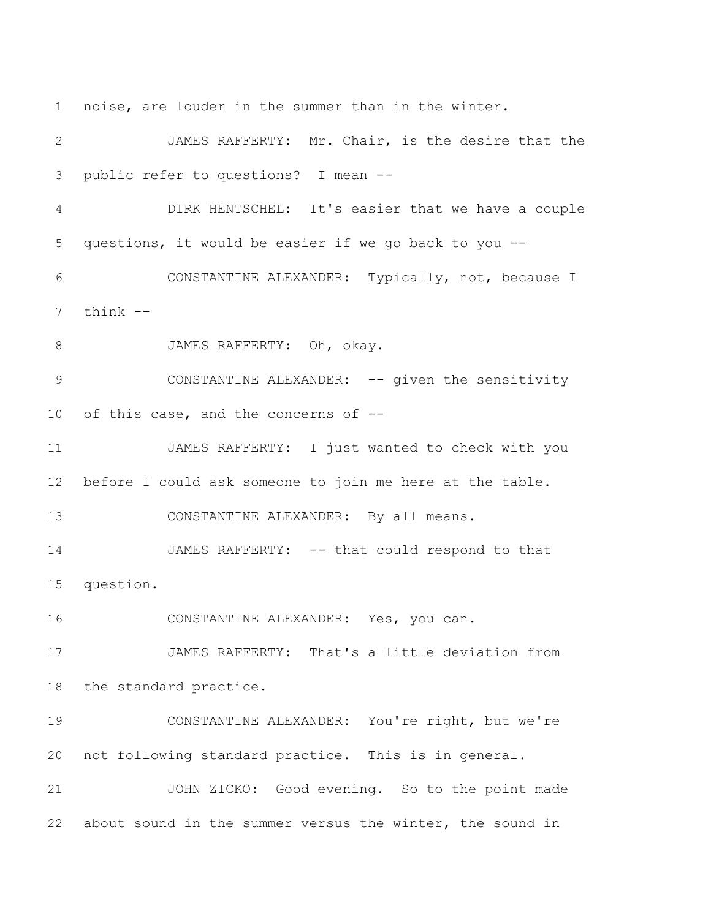noise, are louder in the summer than in the winter.

 JAMES RAFFERTY: Mr. Chair, is the desire that the public refer to questions? I mean -- DIRK HENTSCHEL: It's easier that we have a couple questions, it would be easier if we go back to you -- CONSTANTINE ALEXANDER: Typically, not, because I think -- 8 JAMES RAFFERTY: Oh, okay. 9 CONSTANTINE ALEXANDER: -- given the sensitivity of this case, and the concerns of -- JAMES RAFFERTY: I just wanted to check with you before I could ask someone to join me here at the table. CONSTANTINE ALEXANDER: By all means. 14 JAMES RAFFERTY: -- that could respond to that question. CONSTANTINE ALEXANDER: Yes, you can. JAMES RAFFERTY: That's a little deviation from the standard practice. CONSTANTINE ALEXANDER: You're right, but we're not following standard practice. This is in general. JOHN ZICKO: Good evening. So to the point made about sound in the summer versus the winter, the sound in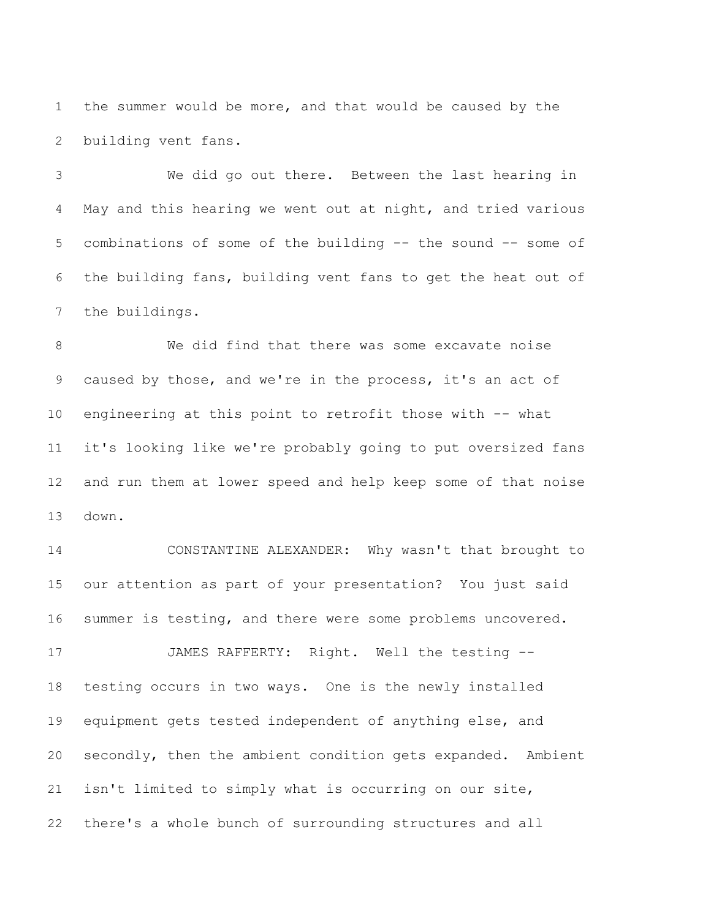the summer would be more, and that would be caused by the building vent fans.

 We did go out there. Between the last hearing in May and this hearing we went out at night, and tried various combinations of some of the building -- the sound -- some of the building fans, building vent fans to get the heat out of the buildings.

 We did find that there was some excavate noise caused by those, and we're in the process, it's an act of engineering at this point to retrofit those with -- what it's looking like we're probably going to put oversized fans and run them at lower speed and help keep some of that noise down.

 CONSTANTINE ALEXANDER: Why wasn't that brought to our attention as part of your presentation? You just said summer is testing, and there were some problems uncovered. JAMES RAFFERTY: Right. Well the testing --

 testing occurs in two ways. One is the newly installed equipment gets tested independent of anything else, and secondly, then the ambient condition gets expanded. Ambient isn't limited to simply what is occurring on our site, there's a whole bunch of surrounding structures and all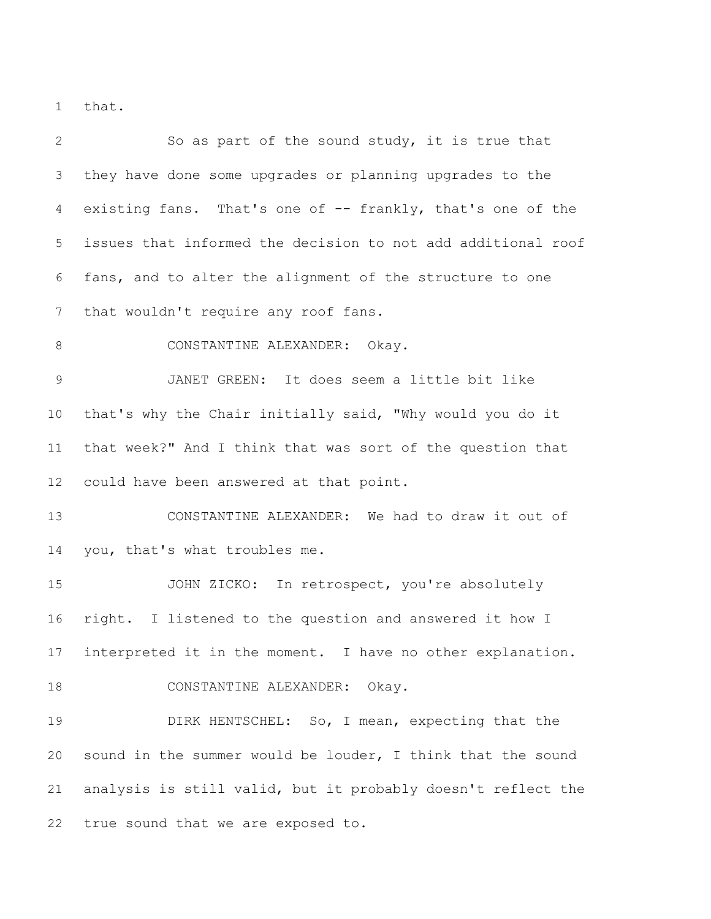that.

 So as part of the sound study, it is true that they have done some upgrades or planning upgrades to the existing fans. That's one of -- frankly, that's one of the issues that informed the decision to not add additional roof fans, and to alter the alignment of the structure to one that wouldn't require any roof fans. 8 CONSTANTINE ALEXANDER: Okay. JANET GREEN: It does seem a little bit like that's why the Chair initially said, "Why would you do it that week?" And I think that was sort of the question that could have been answered at that point. CONSTANTINE ALEXANDER: We had to draw it out of you, that's what troubles me. JOHN ZICKO: In retrospect, you're absolutely right. I listened to the question and answered it how I interpreted it in the moment. I have no other explanation. 18 CONSTANTINE ALEXANDER: Okay. DIRK HENTSCHEL: So, I mean, expecting that the sound in the summer would be louder, I think that the sound analysis is still valid, but it probably doesn't reflect the true sound that we are exposed to.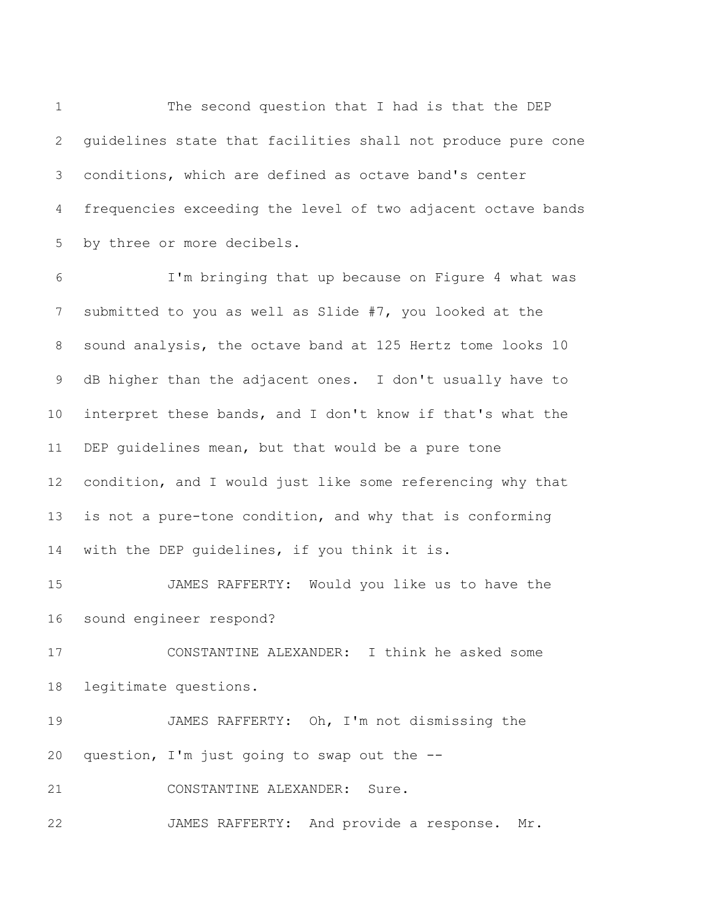The second question that I had is that the DEP guidelines state that facilities shall not produce pure cone conditions, which are defined as octave band's center frequencies exceeding the level of two adjacent octave bands by three or more decibels.

 I'm bringing that up because on Figure 4 what was submitted to you as well as Slide #7, you looked at the sound analysis, the octave band at 125 Hertz tome looks 10 dB higher than the adjacent ones. I don't usually have to interpret these bands, and I don't know if that's what the DEP guidelines mean, but that would be a pure tone condition, and I would just like some referencing why that is not a pure-tone condition, and why that is conforming with the DEP guidelines, if you think it is.

 JAMES RAFFERTY: Would you like us to have the sound engineer respond?

 CONSTANTINE ALEXANDER: I think he asked some legitimate questions.

 JAMES RAFFERTY: Oh, I'm not dismissing the question, I'm just going to swap out the --

CONSTANTINE ALEXANDER: Sure.

JAMES RAFFERTY: And provide a response. Mr.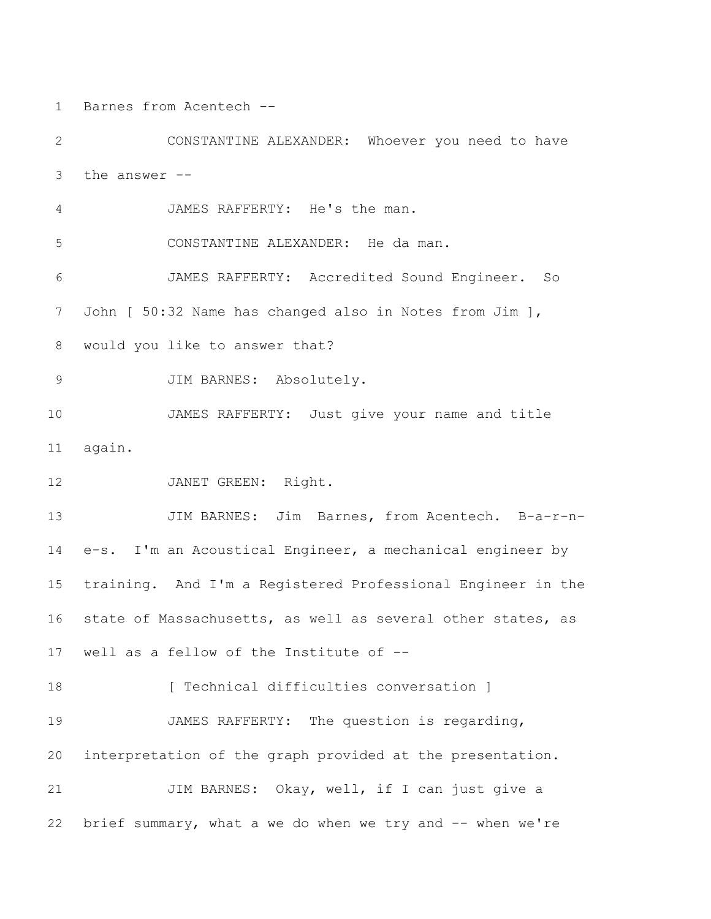Barnes from Acentech --

 CONSTANTINE ALEXANDER: Whoever you need to have the answer -- JAMES RAFFERTY: He's the man. CONSTANTINE ALEXANDER: He da man. JAMES RAFFERTY: Accredited Sound Engineer. So John [ 50:32 Name has changed also in Notes from Jim ], would you like to answer that? JIM BARNES: Absolutely. JAMES RAFFERTY: Just give your name and title again. 12 JANET GREEN: Right. 13 JIM BARNES: Jim Barnes, from Acentech. B-a-r-n- e-s. I'm an Acoustical Engineer, a mechanical engineer by training. And I'm a Registered Professional Engineer in the state of Massachusetts, as well as several other states, as well as a fellow of the Institute of -- **[** Technical difficulties conversation ] JAMES RAFFERTY: The question is regarding, interpretation of the graph provided at the presentation. 21 JIM BARNES: Okay, well, if I can just give a brief summary, what a we do when we try and -- when we're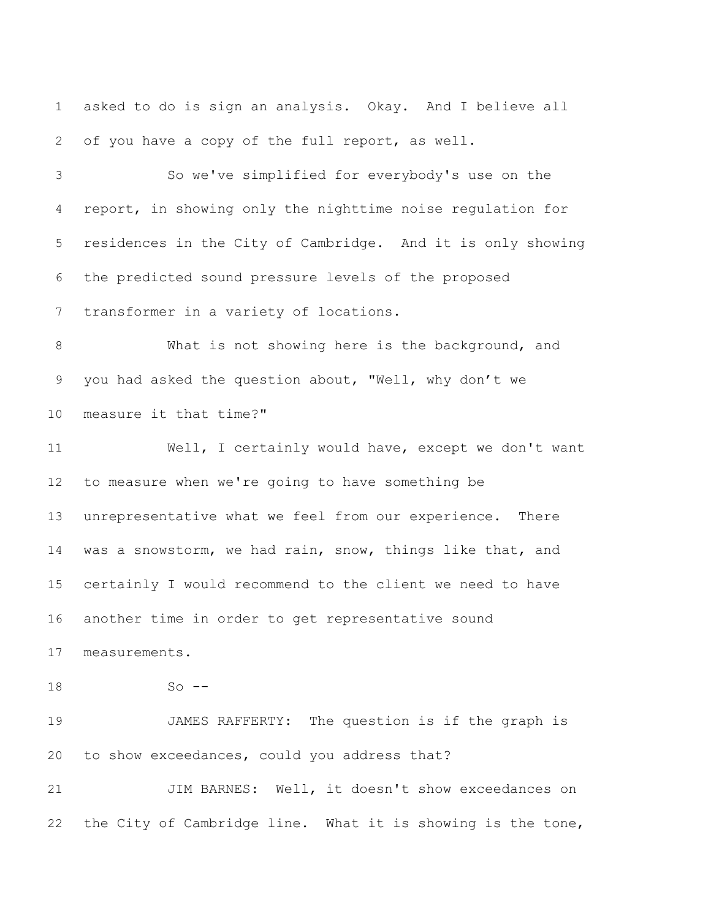asked to do is sign an analysis. Okay. And I believe all of you have a copy of the full report, as well.

 So we've simplified for everybody's use on the report, in showing only the nighttime noise regulation for residences in the City of Cambridge. And it is only showing the predicted sound pressure levels of the proposed transformer in a variety of locations.

 What is not showing here is the background, and you had asked the question about, "Well, why don't we measure it that time?"

 Well, I certainly would have, except we don't want to measure when we're going to have something be unrepresentative what we feel from our experience. There was a snowstorm, we had rain, snow, things like that, and certainly I would recommend to the client we need to have another time in order to get representative sound measurements.

So --

 JAMES RAFFERTY: The question is if the graph is to show exceedances, could you address that?

21 JIM BARNES: Well, it doesn't show exceedances on the City of Cambridge line. What it is showing is the tone,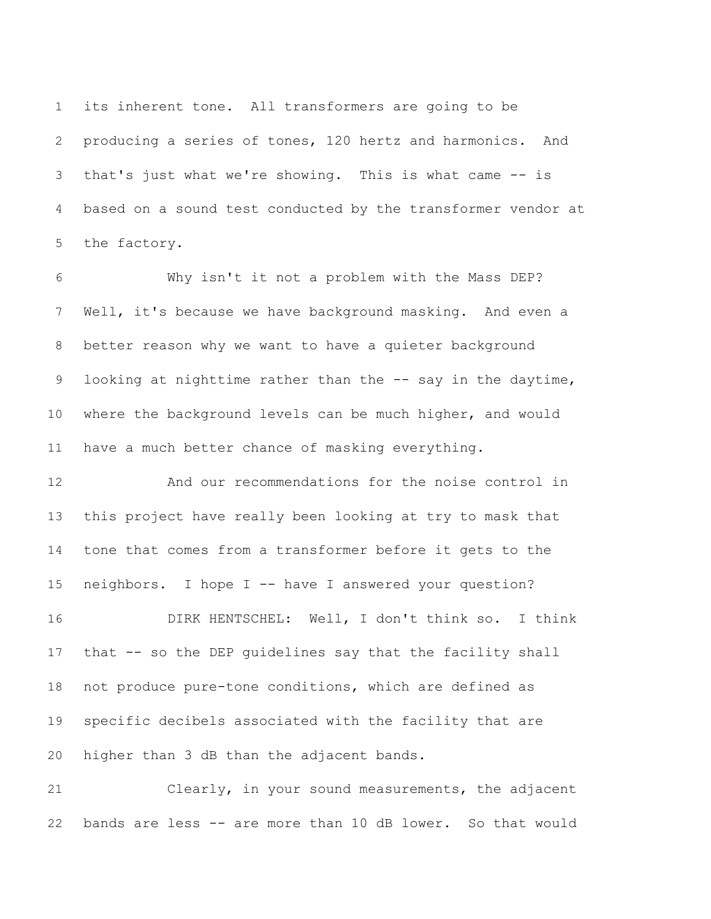its inherent tone. All transformers are going to be producing a series of tones, 120 hertz and harmonics. And that's just what we're showing. This is what came -- is based on a sound test conducted by the transformer vendor at the factory.

 Why isn't it not a problem with the Mass DEP? Well, it's because we have background masking. And even a better reason why we want to have a quieter background 9 looking at nighttime rather than the -- say in the daytime, where the background levels can be much higher, and would have a much better chance of masking everything.

 And our recommendations for the noise control in this project have really been looking at try to mask that tone that comes from a transformer before it gets to the neighbors. I hope I -- have I answered your question? DIRK HENTSCHEL: Well, I don't think so. I think that -- so the DEP guidelines say that the facility shall not produce pure-tone conditions, which are defined as specific decibels associated with the facility that are higher than 3 dB than the adjacent bands.

 Clearly, in your sound measurements, the adjacent bands are less -- are more than 10 dB lower. So that would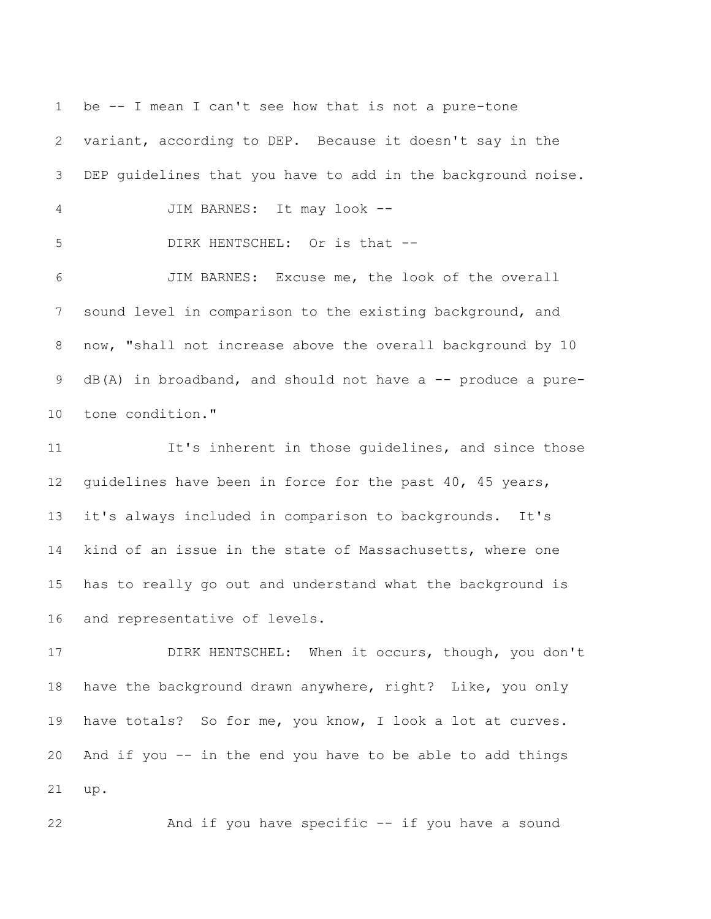be -- I mean I can't see how that is not a pure-tone variant, according to DEP. Because it doesn't say in the DEP guidelines that you have to add in the background noise. JIM BARNES: It may look -- DIRK HENTSCHEL: Or is that -- JIM BARNES: Excuse me, the look of the overall sound level in comparison to the existing background, and now, "shall not increase above the overall background by 10 9 dB(A) in broadband, and should not have a -- produce a pure- tone condition." 11 It's inherent in those quidelines, and since those

 guidelines have been in force for the past 40, 45 years, it's always included in comparison to backgrounds. It's kind of an issue in the state of Massachusetts, where one has to really go out and understand what the background is and representative of levels.

17 DIRK HENTSCHEL: When it occurs, though, you don't have the background drawn anywhere, right? Like, you only have totals? So for me, you know, I look a lot at curves. And if you -- in the end you have to be able to add things up.

And if you have specific -- if you have a sound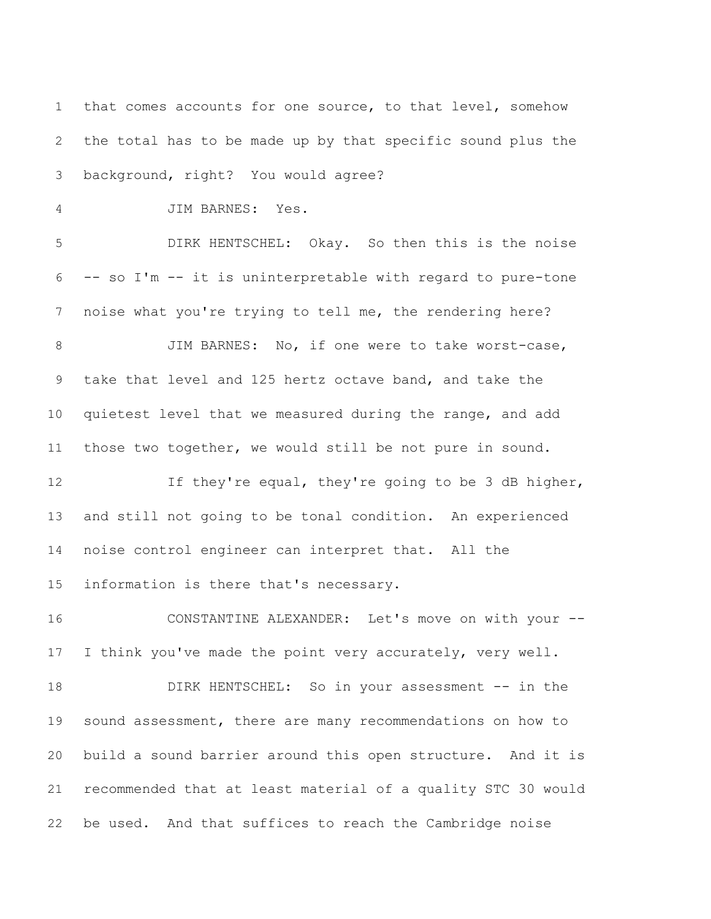that comes accounts for one source, to that level, somehow the total has to be made up by that specific sound plus the background, right? You would agree? JIM BARNES: Yes. DIRK HENTSCHEL: Okay. So then this is the noise -- so I'm -- it is uninterpretable with regard to pure-tone noise what you're trying to tell me, the rendering here? 8 JIM BARNES: No, if one were to take worst-case, take that level and 125 hertz octave band, and take the quietest level that we measured during the range, and add those two together, we would still be not pure in sound. 12 12 If they're equal, they're going to be 3 dB higher, and still not going to be tonal condition. An experienced noise control engineer can interpret that. All the information is there that's necessary. CONSTANTINE ALEXANDER: Let's move on with your -- I think you've made the point very accurately, very well. 18 DIRK HENTSCHEL: So in your assessment -- in the sound assessment, there are many recommendations on how to build a sound barrier around this open structure. And it is recommended that at least material of a quality STC 30 would

be used. And that suffices to reach the Cambridge noise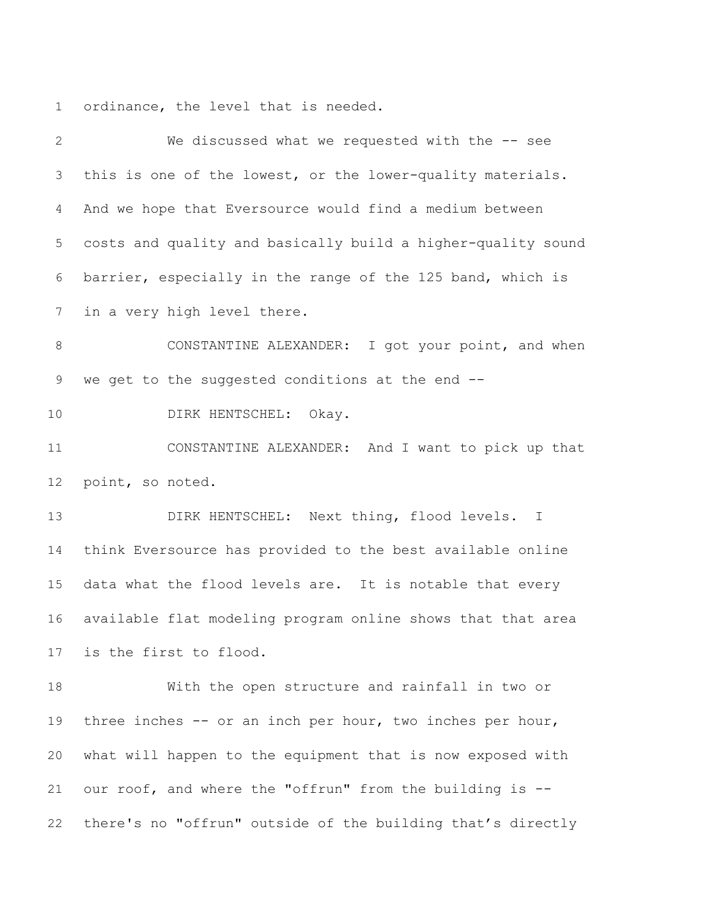ordinance, the level that is needed.

 We discussed what we requested with the -- see this is one of the lowest, or the lower-quality materials. And we hope that Eversource would find a medium between costs and quality and basically build a higher-quality sound barrier, especially in the range of the 125 band, which is in a very high level there. CONSTANTINE ALEXANDER: I got your point, and when we get to the suggested conditions at the end -- 10 DIRK HENTSCHEL: Okay. CONSTANTINE ALEXANDER: And I want to pick up that point, so noted. DIRK HENTSCHEL: Next thing, flood levels. I think Eversource has provided to the best available online data what the flood levels are. It is notable that every available flat modeling program online shows that that area is the first to flood. With the open structure and rainfall in two or three inches -- or an inch per hour, two inches per hour, what will happen to the equipment that is now exposed with our roof, and where the "offrun" from the building is -- there's no "offrun" outside of the building that's directly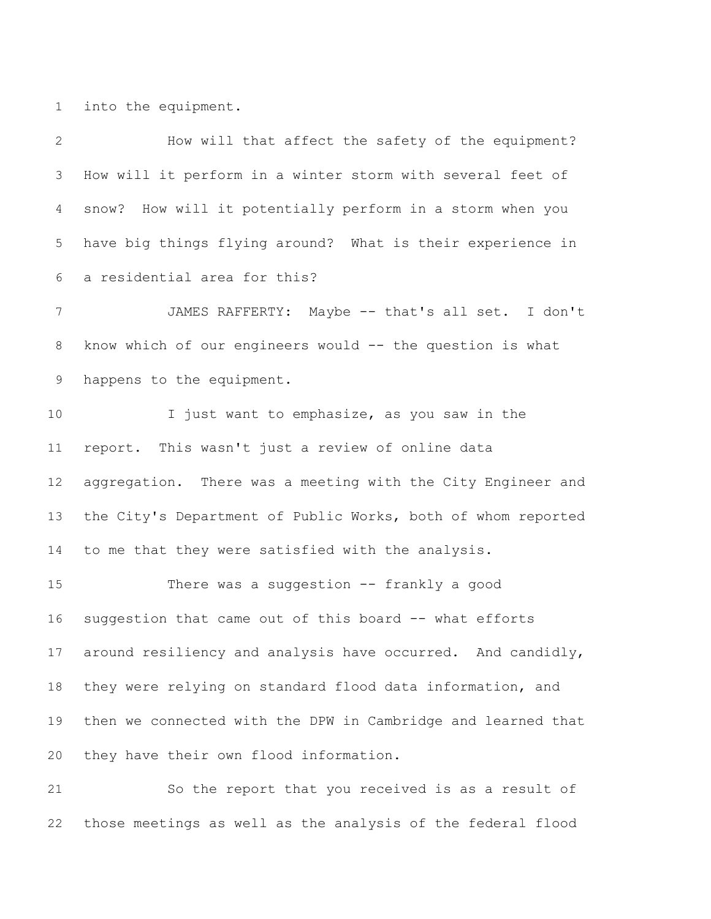into the equipment.

 How will that affect the safety of the equipment? How will it perform in a winter storm with several feet of snow? How will it potentially perform in a storm when you have big things flying around? What is their experience in a residential area for this? JAMES RAFFERTY: Maybe -- that's all set. I don't know which of our engineers would -- the question is what happens to the equipment. I just want to emphasize, as you saw in the report. This wasn't just a review of online data aggregation. There was a meeting with the City Engineer and the City's Department of Public Works, both of whom reported to me that they were satisfied with the analysis. There was a suggestion -- frankly a good suggestion that came out of this board -- what efforts around resiliency and analysis have occurred. And candidly, they were relying on standard flood data information, and then we connected with the DPW in Cambridge and learned that they have their own flood information. So the report that you received is as a result of

those meetings as well as the analysis of the federal flood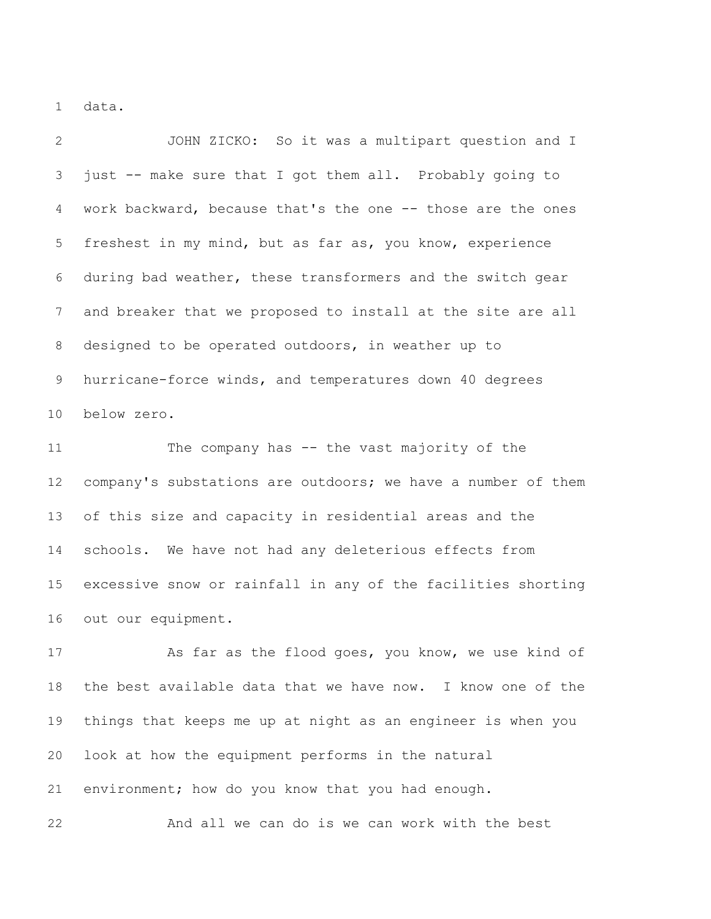data.

 JOHN ZICKO: So it was a multipart question and I just -- make sure that I got them all. Probably going to work backward, because that's the one -- those are the ones freshest in my mind, but as far as, you know, experience during bad weather, these transformers and the switch gear and breaker that we proposed to install at the site are all designed to be operated outdoors, in weather up to hurricane-force winds, and temperatures down 40 degrees below zero.

 The company has -- the vast majority of the company's substations are outdoors; we have a number of them of this size and capacity in residential areas and the schools. We have not had any deleterious effects from excessive snow or rainfall in any of the facilities shorting out our equipment.

17 As far as the flood goes, you know, we use kind of the best available data that we have now. I know one of the things that keeps me up at night as an engineer is when you look at how the equipment performs in the natural environment; how do you know that you had enough.

And all we can do is we can work with the best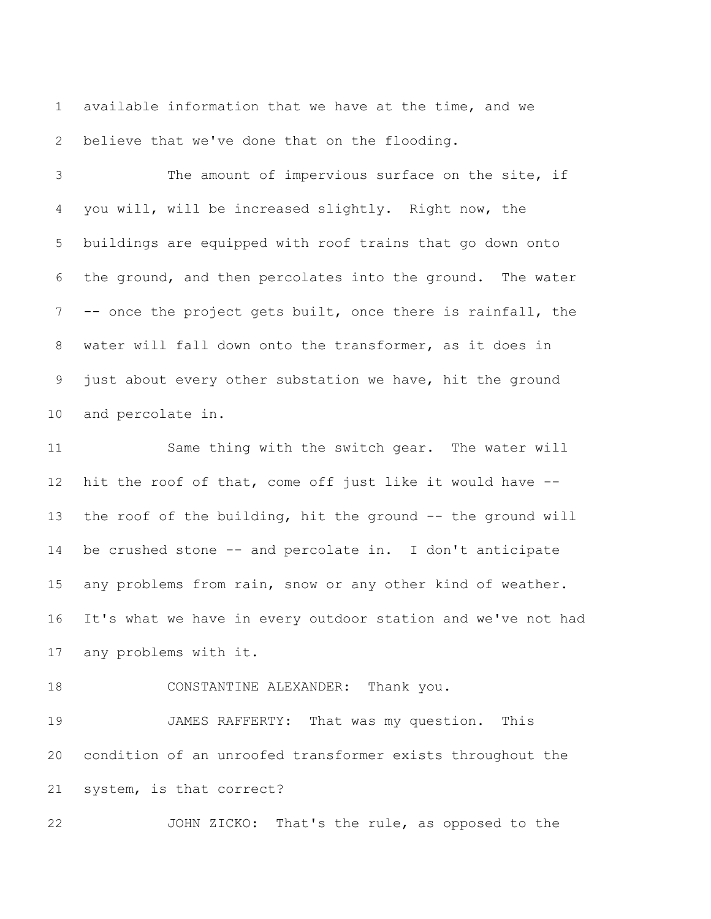available information that we have at the time, and we believe that we've done that on the flooding.

 The amount of impervious surface on the site, if you will, will be increased slightly. Right now, the buildings are equipped with roof trains that go down onto the ground, and then percolates into the ground. The water -- once the project gets built, once there is rainfall, the water will fall down onto the transformer, as it does in just about every other substation we have, hit the ground and percolate in.

 Same thing with the switch gear. The water will hit the roof of that, come off just like it would have -- 13 the roof of the building, hit the ground -- the ground will be crushed stone -- and percolate in. I don't anticipate any problems from rain, snow or any other kind of weather. It's what we have in every outdoor station and we've not had any problems with it.

18 CONSTANTINE ALEXANDER: Thank you.

 JAMES RAFFERTY: That was my question. This condition of an unroofed transformer exists throughout the system, is that correct?

JOHN ZICKO: That's the rule, as opposed to the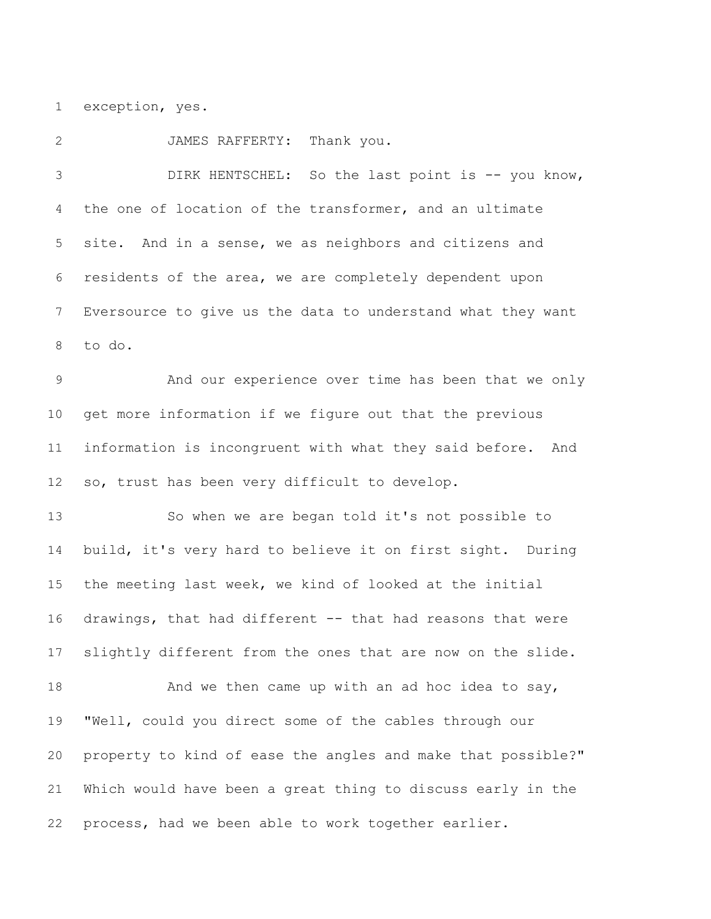exception, yes.

JAMES RAFFERTY: Thank you.

 DIRK HENTSCHEL: So the last point is -- you know, the one of location of the transformer, and an ultimate site. And in a sense, we as neighbors and citizens and residents of the area, we are completely dependent upon Eversource to give us the data to understand what they want to do.

 And our experience over time has been that we only get more information if we figure out that the previous information is incongruent with what they said before. And so, trust has been very difficult to develop.

 So when we are began told it's not possible to build, it's very hard to believe it on first sight. During the meeting last week, we kind of looked at the initial drawings, that had different -- that had reasons that were slightly different from the ones that are now on the slide. 18 And we then came up with an ad hoc idea to say, "Well, could you direct some of the cables through our property to kind of ease the angles and make that possible?" Which would have been a great thing to discuss early in the process, had we been able to work together earlier.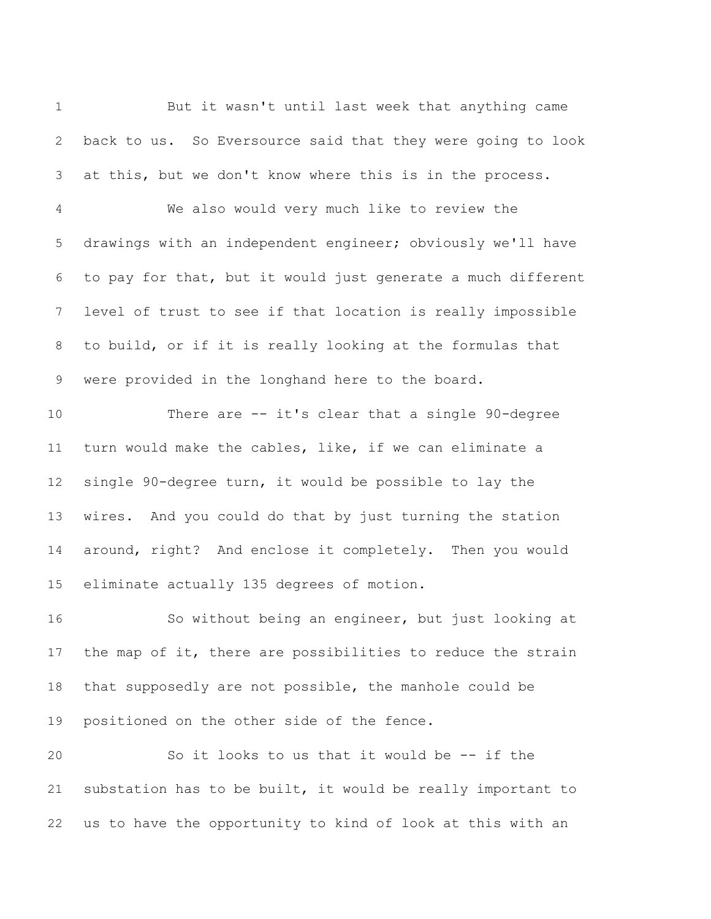But it wasn't until last week that anything came back to us. So Eversource said that they were going to look at this, but we don't know where this is in the process. We also would very much like to review the drawings with an independent engineer; obviously we'll have to pay for that, but it would just generate a much different level of trust to see if that location is really impossible to build, or if it is really looking at the formulas that were provided in the longhand here to the board. There are -- it's clear that a single 90-degree turn would make the cables, like, if we can eliminate a single 90-degree turn, it would be possible to lay the wires. And you could do that by just turning the station around, right? And enclose it completely. Then you would eliminate actually 135 degrees of motion. So without being an engineer, but just looking at 17 the map of it, there are possibilities to reduce the strain that supposedly are not possible, the manhole could be positioned on the other side of the fence. So it looks to us that it would be -- if the substation has to be built, it would be really important to

us to have the opportunity to kind of look at this with an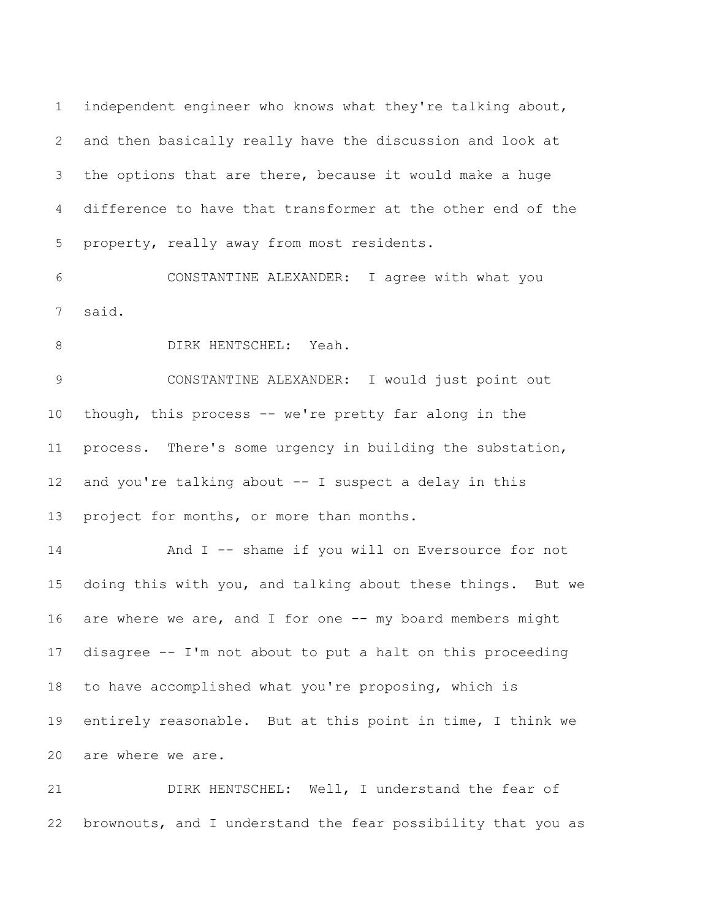independent engineer who knows what they're talking about, and then basically really have the discussion and look at the options that are there, because it would make a huge difference to have that transformer at the other end of the property, really away from most residents.

 CONSTANTINE ALEXANDER: I agree with what you said.

8 DIRK HENTSCHEL: Yeah.

 CONSTANTINE ALEXANDER: I would just point out though, this process -- we're pretty far along in the process. There's some urgency in building the substation, and you're talking about -- I suspect a delay in this 13 project for months, or more than months.

 And I -- shame if you will on Eversource for not doing this with you, and talking about these things. But we 16 are where we are, and I for one -- my board members might disagree -- I'm not about to put a halt on this proceeding to have accomplished what you're proposing, which is entirely reasonable. But at this point in time, I think we are where we are.

 DIRK HENTSCHEL: Well, I understand the fear of brownouts, and I understand the fear possibility that you as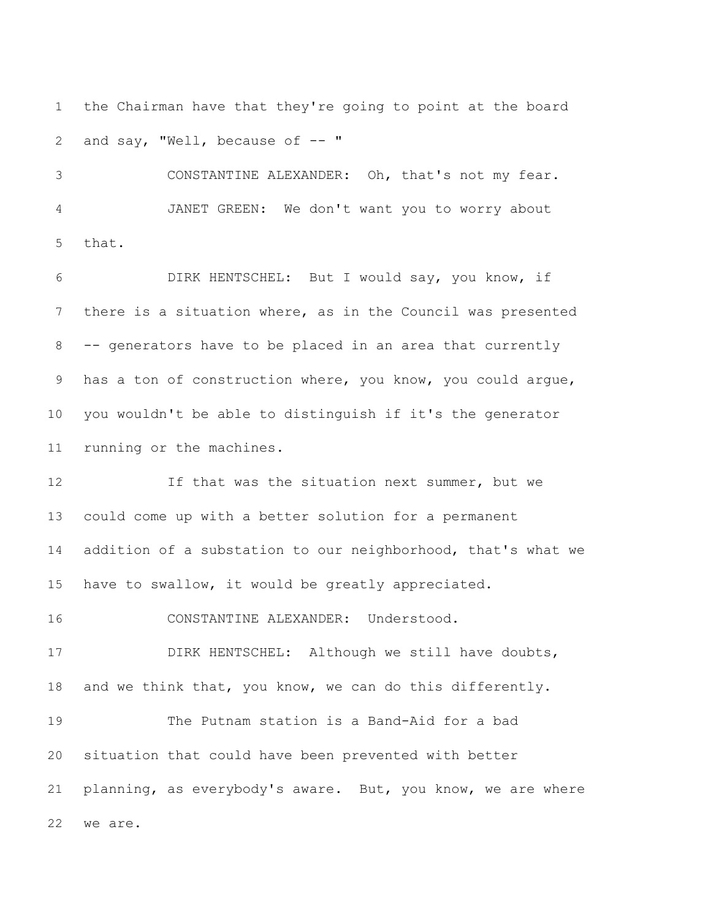the Chairman have that they're going to point at the board 2 and say, "Well, because of -- "

 CONSTANTINE ALEXANDER: Oh, that's not my fear. JANET GREEN: We don't want you to worry about that.

 DIRK HENTSCHEL: But I would say, you know, if there is a situation where, as in the Council was presented -- generators have to be placed in an area that currently has a ton of construction where, you know, you could argue, you wouldn't be able to distinguish if it's the generator running or the machines.

12 12 If that was the situation next summer, but we could come up with a better solution for a permanent addition of a substation to our neighborhood, that's what we have to swallow, it would be greatly appreciated.

CONSTANTINE ALEXANDER: Understood.

 DIRK HENTSCHEL: Although we still have doubts, and we think that, you know, we can do this differently.

 The Putnam station is a Band-Aid for a bad situation that could have been prevented with better planning, as everybody's aware. But, you know, we are where we are.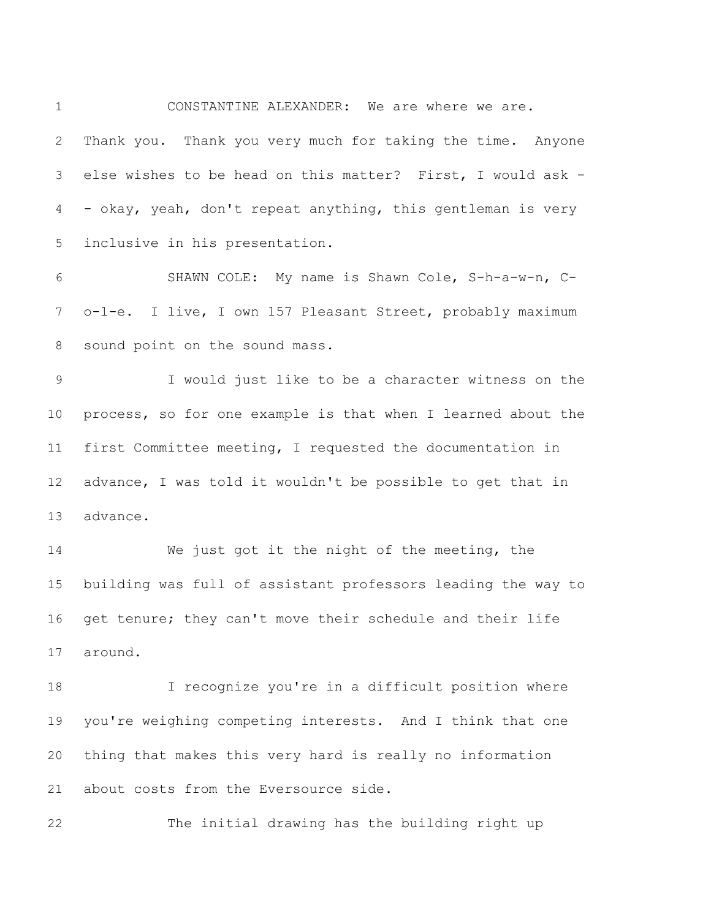CONSTANTINE ALEXANDER: We are where we are. Thank you. Thank you very much for taking the time. Anyone else wishes to be head on this matter? First, I would ask - - okay, yeah, don't repeat anything, this gentleman is very inclusive in his presentation.

 SHAWN COLE: My name is Shawn Cole, S-h-a-w-n, C- o-l-e. I live, I own 157 Pleasant Street, probably maximum sound point on the sound mass.

 I would just like to be a character witness on the process, so for one example is that when I learned about the first Committee meeting, I requested the documentation in advance, I was told it wouldn't be possible to get that in advance.

 We just got it the night of the meeting, the building was full of assistant professors leading the way to get tenure; they can't move their schedule and their life around.

 I recognize you're in a difficult position where you're weighing competing interests. And I think that one thing that makes this very hard is really no information about costs from the Eversource side.

The initial drawing has the building right up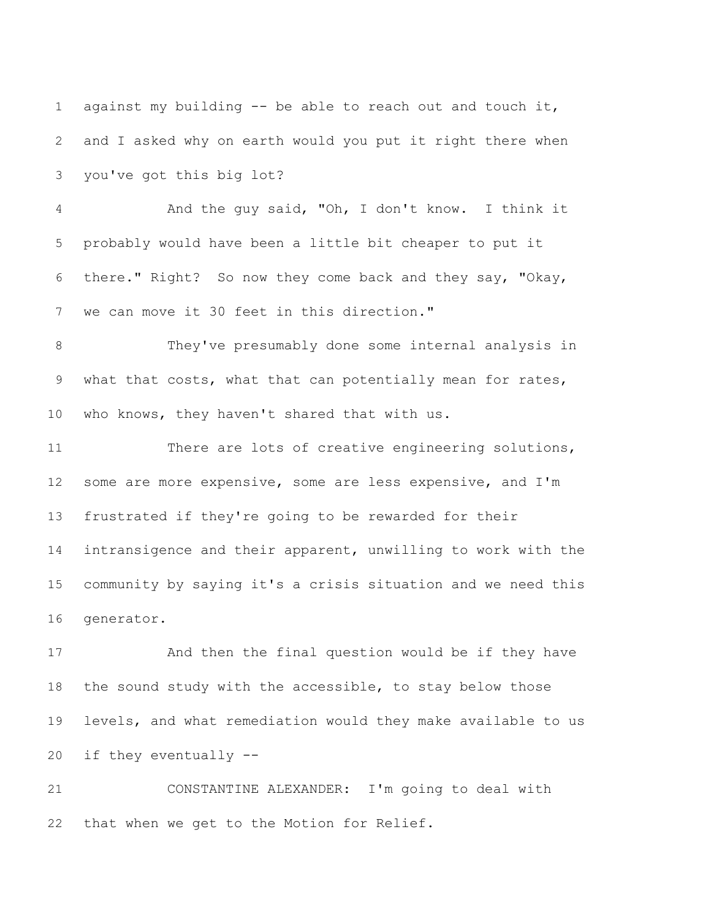against my building -- be able to reach out and touch it, and I asked why on earth would you put it right there when you've got this big lot? And the guy said, "Oh, I don't know. I think it probably would have been a little bit cheaper to put it there." Right? So now they come back and they say, "Okay, we can move it 30 feet in this direction." They've presumably done some internal analysis in what that costs, what that can potentially mean for rates, who knows, they haven't shared that with us. There are lots of creative engineering solutions,

 some are more expensive, some are less expensive, and I'm frustrated if they're going to be rewarded for their intransigence and their apparent, unwilling to work with the community by saying it's a crisis situation and we need this generator.

 And then the final question would be if they have the sound study with the accessible, to stay below those levels, and what remediation would they make available to us if they eventually --

 CONSTANTINE ALEXANDER: I'm going to deal with that when we get to the Motion for Relief.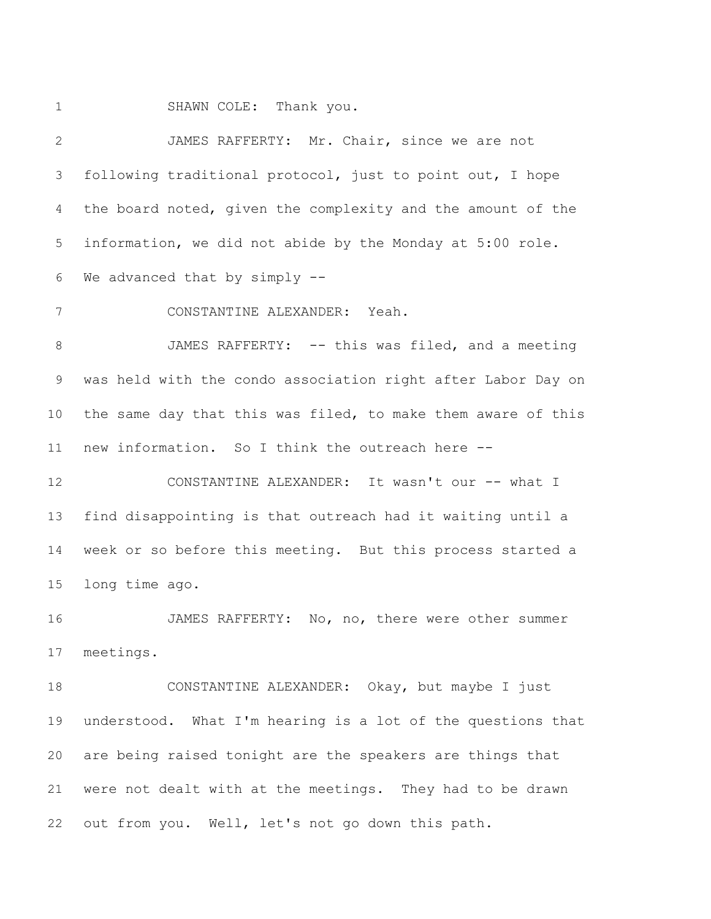1 SHAWN COLE: Thank you.

 JAMES RAFFERTY: Mr. Chair, since we are not following traditional protocol, just to point out, I hope the board noted, given the complexity and the amount of the information, we did not abide by the Monday at 5:00 role. We advanced that by simply --

CONSTANTINE ALEXANDER: Yeah.

 JAMES RAFFERTY: -- this was filed, and a meeting was held with the condo association right after Labor Day on the same day that this was filed, to make them aware of this new information. So I think the outreach here --

12 CONSTANTINE ALEXANDER: It wasn't our -- what I find disappointing is that outreach had it waiting until a week or so before this meeting. But this process started a long time ago.

 JAMES RAFFERTY: No, no, there were other summer meetings.

 CONSTANTINE ALEXANDER: Okay, but maybe I just understood. What I'm hearing is a lot of the questions that are being raised tonight are the speakers are things that were not dealt with at the meetings. They had to be drawn out from you. Well, let's not go down this path.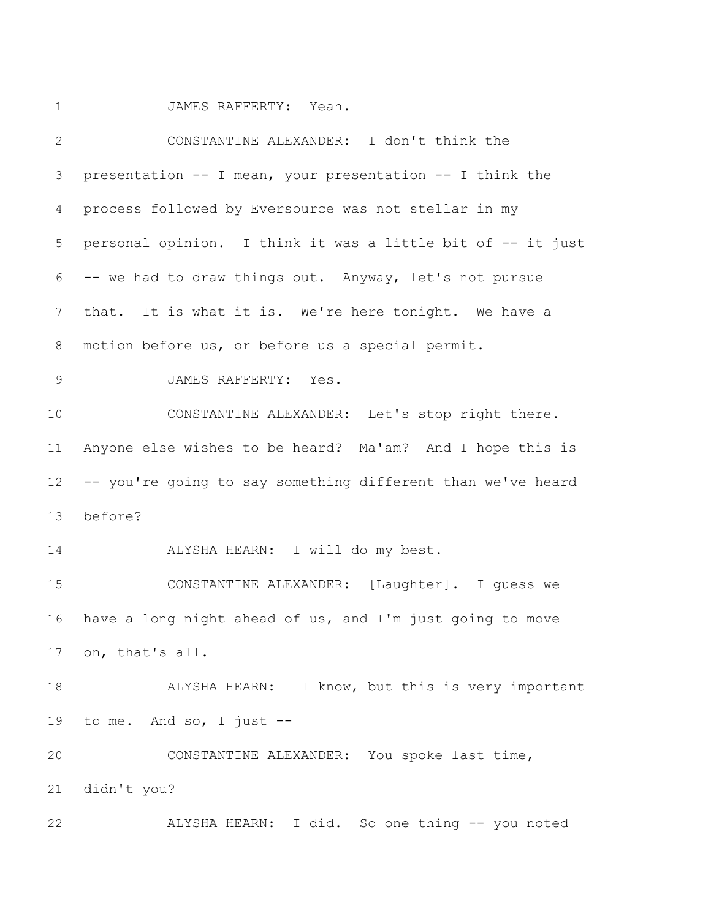JAMES RAFFERTY: Yeah.

| $\overline{2}$ | CONSTANTINE ALEXANDER: I don't think the                    |
|----------------|-------------------------------------------------------------|
| 3              | presentation -- I mean, your presentation -- I think the    |
| 4              | process followed by Eversource was not stellar in my        |
| 5              | personal opinion. I think it was a little bit of -- it just |
| 6              | -- we had to draw things out. Anyway, let's not pursue      |
| $7\phantom{.}$ | that. It is what it is. We're here tonight. We have a       |
| 8              | motion before us, or before us a special permit.            |
| 9              | JAMES RAFFERTY: Yes.                                        |
| 10             | CONSTANTINE ALEXANDER: Let's stop right there.              |
| 11             | Anyone else wishes to be heard? Ma'am? And I hope this is   |
| 12             | -- you're going to say something different than we've heard |
| 13             | before?                                                     |
| 14             | ALYSHA HEARN: I will do my best.                            |
| 15             | CONSTANTINE ALEXANDER: [Laughter]. I guess we               |
| 16             | have a long night ahead of us, and I'm just going to move   |
|                | 17 on, that's all.                                          |
| 18             | ALYSHA HEARN: I know, but this is very important            |
| 19             | to me. And so, I just $--$                                  |
| 20             | CONSTANTINE ALEXANDER: You spoke last time,                 |
| 21             | didn't you?                                                 |
| 22             | ALYSHA HEARN: I did. So one thing -- you noted              |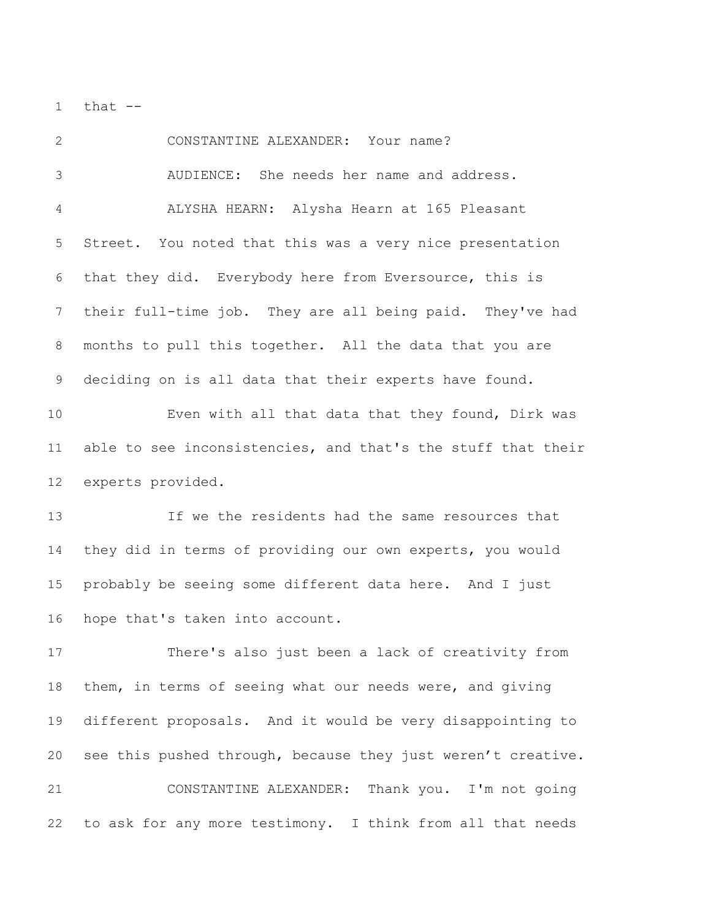1  $that$   $-$ 

 CONSTANTINE ALEXANDER: Your name? AUDIENCE: She needs her name and address. ALYSHA HEARN: Alysha Hearn at 165 Pleasant Street. You noted that this was a very nice presentation that they did. Everybody here from Eversource, this is their full-time job. They are all being paid. They've had months to pull this together. All the data that you are deciding on is all data that their experts have found. Even with all that data that they found, Dirk was able to see inconsistencies, and that's the stuff that their experts provided. If we the residents had the same resources that they did in terms of providing our own experts, you would probably be seeing some different data here. And I just hope that's taken into account. There's also just been a lack of creativity from them, in terms of seeing what our needs were, and giving different proposals. And it would be very disappointing to see this pushed through, because they just weren't creative. CONSTANTINE ALEXANDER: Thank you. I'm not going to ask for any more testimony. I think from all that needs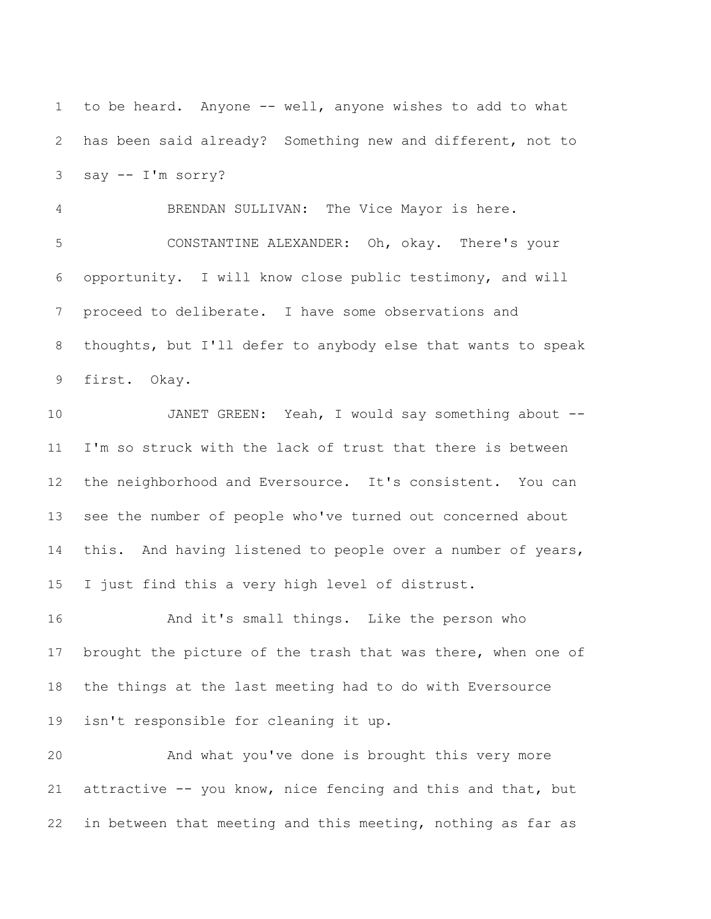to be heard. Anyone -- well, anyone wishes to add to what has been said already? Something new and different, not to say -- I'm sorry?

 BRENDAN SULLIVAN: The Vice Mayor is here. CONSTANTINE ALEXANDER: Oh, okay. There's your opportunity. I will know close public testimony, and will proceed to deliberate. I have some observations and thoughts, but I'll defer to anybody else that wants to speak first. Okay.

 JANET GREEN: Yeah, I would say something about -- I'm so struck with the lack of trust that there is between the neighborhood and Eversource. It's consistent. You can see the number of people who've turned out concerned about this. And having listened to people over a number of years, I just find this a very high level of distrust.

16 And it's small things. Like the person who 17 brought the picture of the trash that was there, when one of the things at the last meeting had to do with Eversource isn't responsible for cleaning it up.

 And what you've done is brought this very more attractive -- you know, nice fencing and this and that, but in between that meeting and this meeting, nothing as far as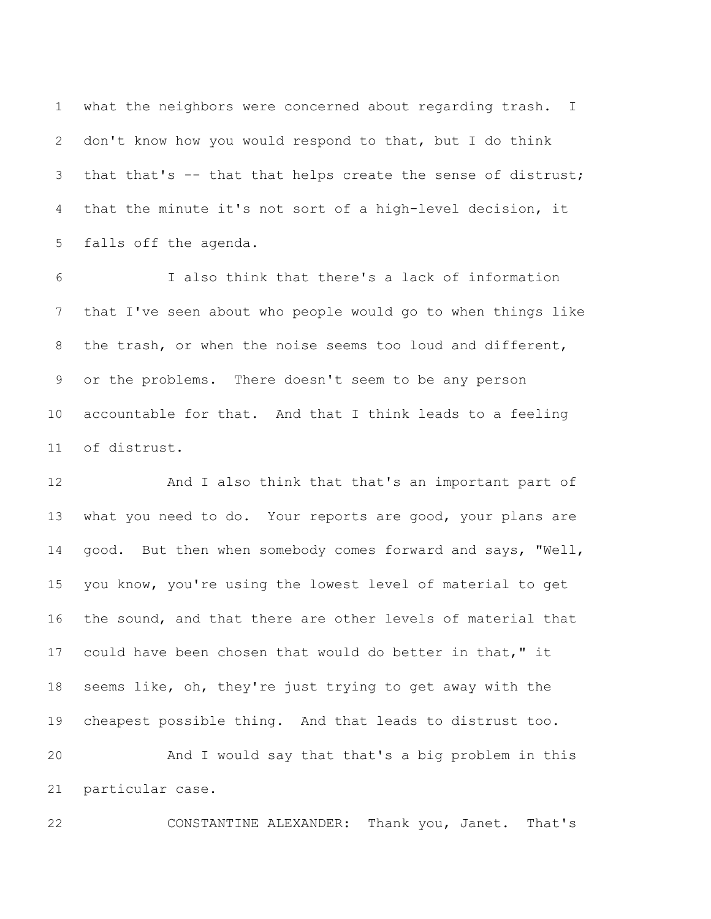what the neighbors were concerned about regarding trash. I don't know how you would respond to that, but I do think that that's -- that that helps create the sense of distrust; that the minute it's not sort of a high-level decision, it falls off the agenda.

 I also think that there's a lack of information that I've seen about who people would go to when things like the trash, or when the noise seems too loud and different, or the problems. There doesn't seem to be any person accountable for that. And that I think leads to a feeling of distrust.

 And I also think that that's an important part of what you need to do. Your reports are good, your plans are 14 good. But then when somebody comes forward and says, "Well, you know, you're using the lowest level of material to get the sound, and that there are other levels of material that could have been chosen that would do better in that," it seems like, oh, they're just trying to get away with the cheapest possible thing. And that leads to distrust too. And I would say that that's a big problem in this particular case.

CONSTANTINE ALEXANDER: Thank you, Janet. That's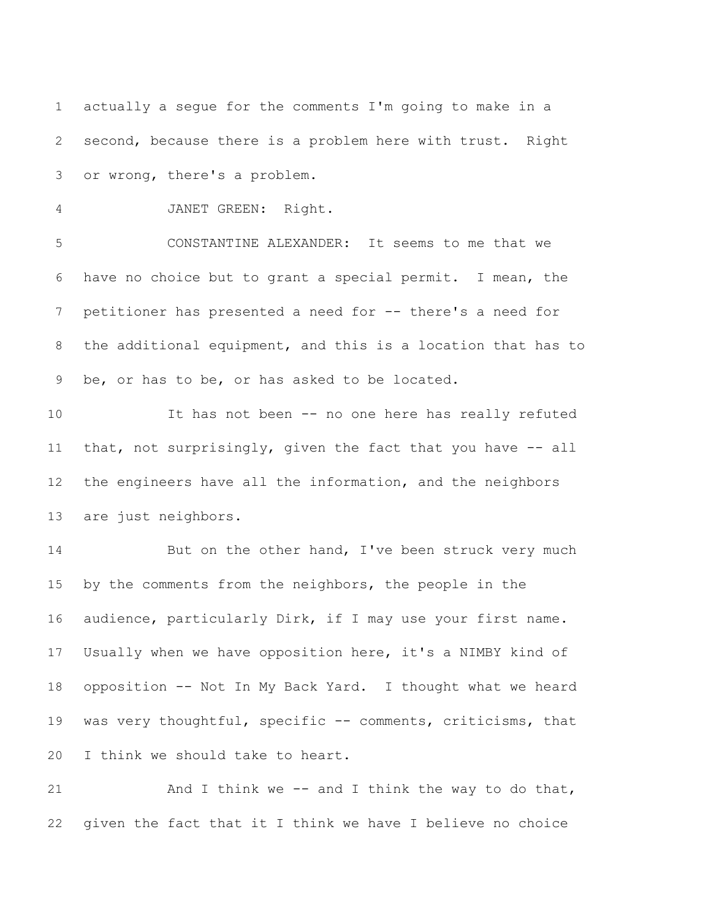actually a segue for the comments I'm going to make in a second, because there is a problem here with trust. Right or wrong, there's a problem.

JANET GREEN: Right.

 CONSTANTINE ALEXANDER: It seems to me that we have no choice but to grant a special permit. I mean, the petitioner has presented a need for -- there's a need for the additional equipment, and this is a location that has to be, or has to be, or has asked to be located.

 It has not been -- no one here has really refuted 11 that, not surprisingly, given the fact that you have -- all the engineers have all the information, and the neighbors are just neighbors.

14 But on the other hand, I've been struck very much by the comments from the neighbors, the people in the audience, particularly Dirk, if I may use your first name. Usually when we have opposition here, it's a NIMBY kind of opposition -- Not In My Back Yard. I thought what we heard was very thoughtful, specific -- comments, criticisms, that I think we should take to heart.

21 And I think we -- and I think the way to do that, given the fact that it I think we have I believe no choice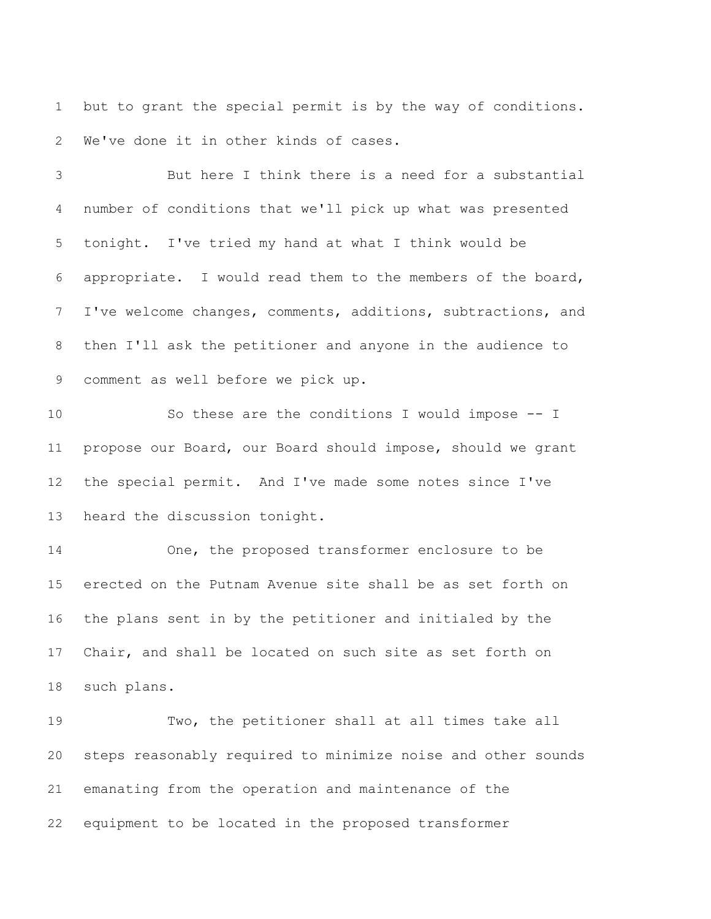but to grant the special permit is by the way of conditions. We've done it in other kinds of cases.

 But here I think there is a need for a substantial number of conditions that we'll pick up what was presented tonight. I've tried my hand at what I think would be appropriate. I would read them to the members of the board, I've welcome changes, comments, additions, subtractions, and then I'll ask the petitioner and anyone in the audience to comment as well before we pick up.

 So these are the conditions I would impose -- I propose our Board, our Board should impose, should we grant the special permit. And I've made some notes since I've heard the discussion tonight.

 One, the proposed transformer enclosure to be erected on the Putnam Avenue site shall be as set forth on the plans sent in by the petitioner and initialed by the Chair, and shall be located on such site as set forth on such plans.

 Two, the petitioner shall at all times take all steps reasonably required to minimize noise and other sounds emanating from the operation and maintenance of the equipment to be located in the proposed transformer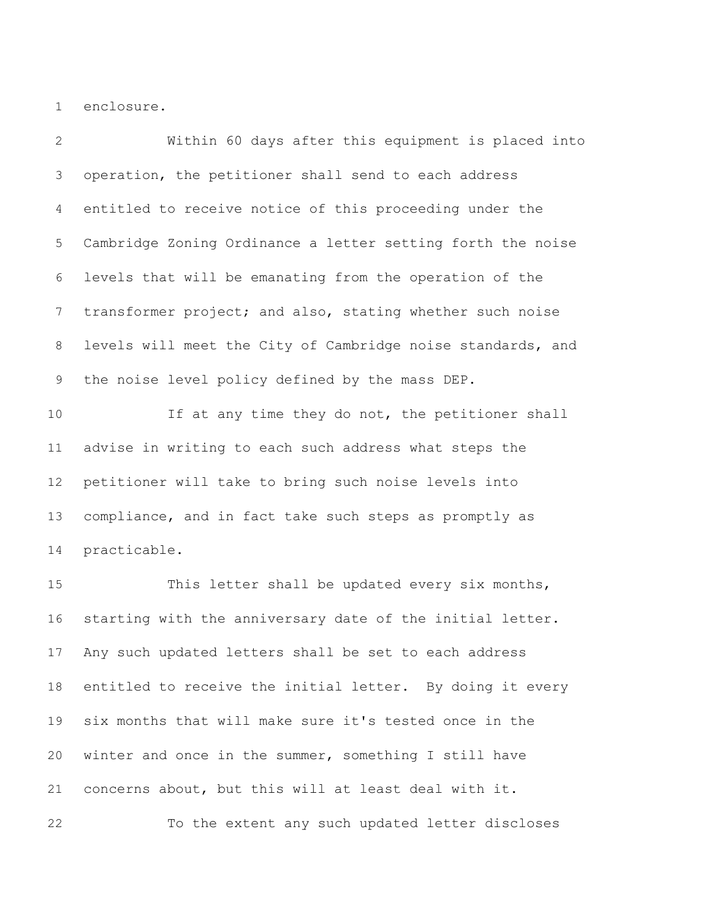enclosure.

 Within 60 days after this equipment is placed into operation, the petitioner shall send to each address entitled to receive notice of this proceeding under the Cambridge Zoning Ordinance a letter setting forth the noise levels that will be emanating from the operation of the transformer project; and also, stating whether such noise levels will meet the City of Cambridge noise standards, and the noise level policy defined by the mass DEP.

10 10 If at any time they do not, the petitioner shall advise in writing to each such address what steps the petitioner will take to bring such noise levels into compliance, and in fact take such steps as promptly as practicable.

15 This letter shall be updated every six months, starting with the anniversary date of the initial letter. Any such updated letters shall be set to each address entitled to receive the initial letter. By doing it every six months that will make sure it's tested once in the winter and once in the summer, something I still have concerns about, but this will at least deal with it.

To the extent any such updated letter discloses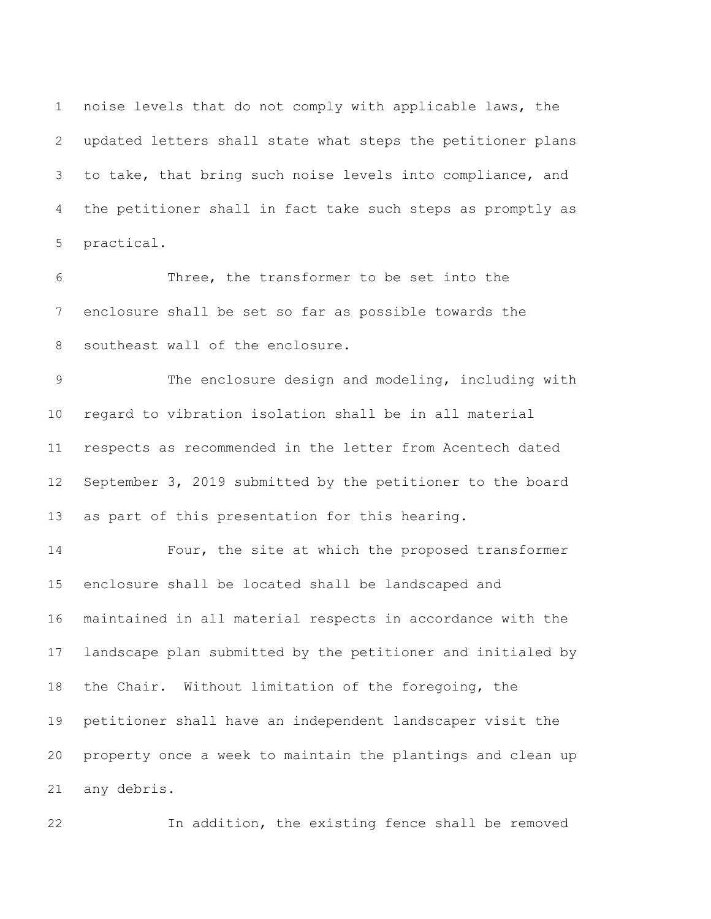noise levels that do not comply with applicable laws, the updated letters shall state what steps the petitioner plans to take, that bring such noise levels into compliance, and the petitioner shall in fact take such steps as promptly as practical.

 Three, the transformer to be set into the enclosure shall be set so far as possible towards the southeast wall of the enclosure.

 The enclosure design and modeling, including with regard to vibration isolation shall be in all material respects as recommended in the letter from Acentech dated September 3, 2019 submitted by the petitioner to the board as part of this presentation for this hearing.

 Four, the site at which the proposed transformer enclosure shall be located shall be landscaped and maintained in all material respects in accordance with the landscape plan submitted by the petitioner and initialed by the Chair. Without limitation of the foregoing, the petitioner shall have an independent landscaper visit the property once a week to maintain the plantings and clean up any debris.

In addition, the existing fence shall be removed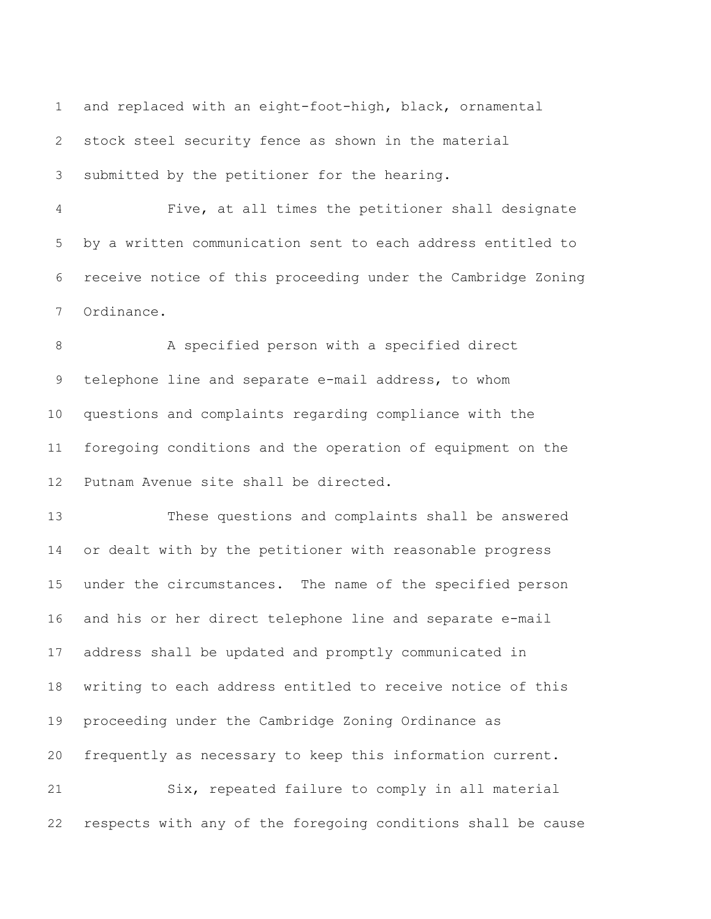and replaced with an eight-foot-high, black, ornamental stock steel security fence as shown in the material submitted by the petitioner for the hearing.

 Five, at all times the petitioner shall designate by a written communication sent to each address entitled to receive notice of this proceeding under the Cambridge Zoning Ordinance.

 A specified person with a specified direct telephone line and separate e-mail address, to whom questions and complaints regarding compliance with the foregoing conditions and the operation of equipment on the Putnam Avenue site shall be directed.

 These questions and complaints shall be answered or dealt with by the petitioner with reasonable progress under the circumstances. The name of the specified person and his or her direct telephone line and separate e-mail address shall be updated and promptly communicated in writing to each address entitled to receive notice of this proceeding under the Cambridge Zoning Ordinance as frequently as necessary to keep this information current. Six, repeated failure to comply in all material respects with any of the foregoing conditions shall be cause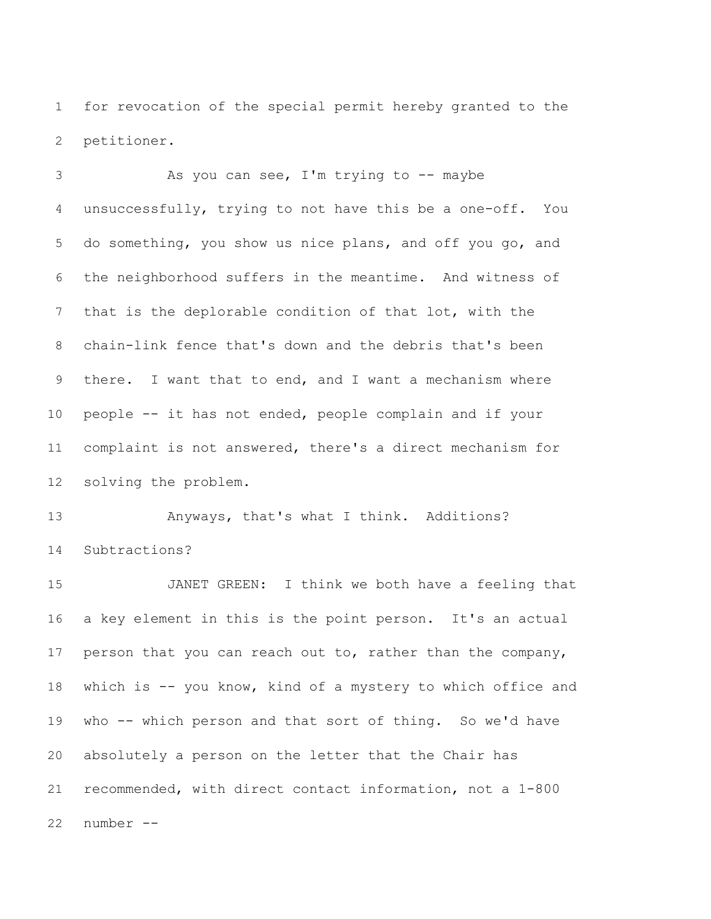for revocation of the special permit hereby granted to the petitioner.

 As you can see, I'm trying to -- maybe unsuccessfully, trying to not have this be a one-off. You do something, you show us nice plans, and off you go, and the neighborhood suffers in the meantime. And witness of that is the deplorable condition of that lot, with the chain-link fence that's down and the debris that's been there. I want that to end, and I want a mechanism where people -- it has not ended, people complain and if your complaint is not answered, there's a direct mechanism for solving the problem.

 Anyways, that's what I think. Additions? Subtractions?

 JANET GREEN: I think we both have a feeling that a key element in this is the point person. It's an actual person that you can reach out to, rather than the company, which is -- you know, kind of a mystery to which office and who -- which person and that sort of thing. So we'd have absolutely a person on the letter that the Chair has recommended, with direct contact information, not a 1-800 number --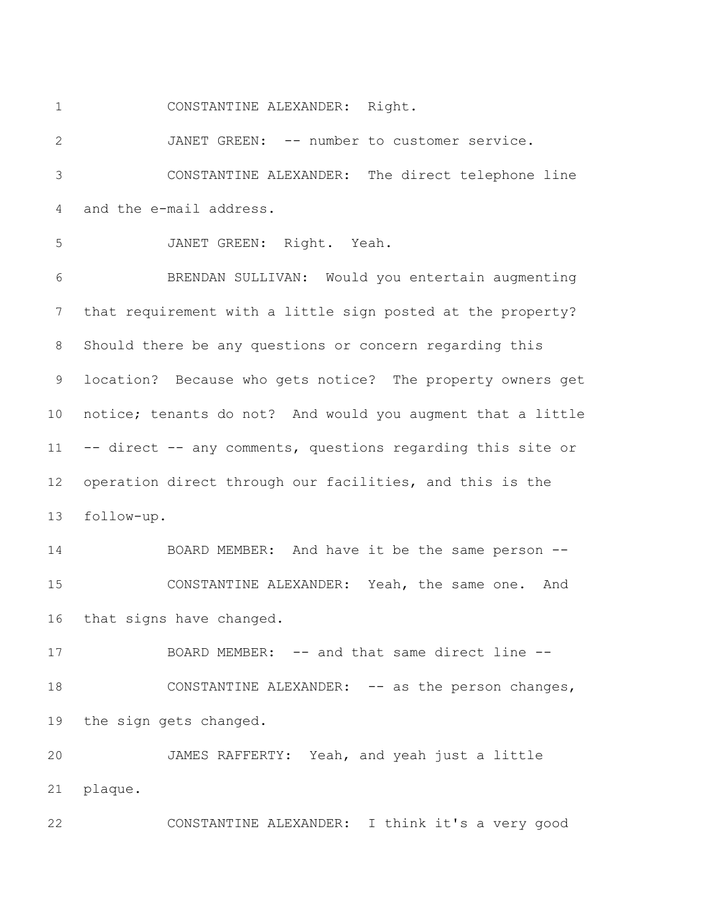CONSTANTINE ALEXANDER: Right.

 JANET GREEN: -- number to customer service. CONSTANTINE ALEXANDER: The direct telephone line and the e-mail address.

 JANET GREEN: Right. Yeah. BRENDAN SULLIVAN: Would you entertain augmenting that requirement with a little sign posted at the property? Should there be any questions or concern regarding this location? Because who gets notice? The property owners get notice; tenants do not? And would you augment that a little -- direct -- any comments, questions regarding this site or operation direct through our facilities, and this is the follow-up.

 BOARD MEMBER: And have it be the same person -- CONSTANTINE ALEXANDER: Yeah, the same one. And that signs have changed.

17 BOARD MEMBER: -- and that same direct line --18 CONSTANTINE ALEXANDER: -- as the person changes, the sign gets changed.

 JAMES RAFFERTY: Yeah, and yeah just a little plaque.

CONSTANTINE ALEXANDER: I think it's a very good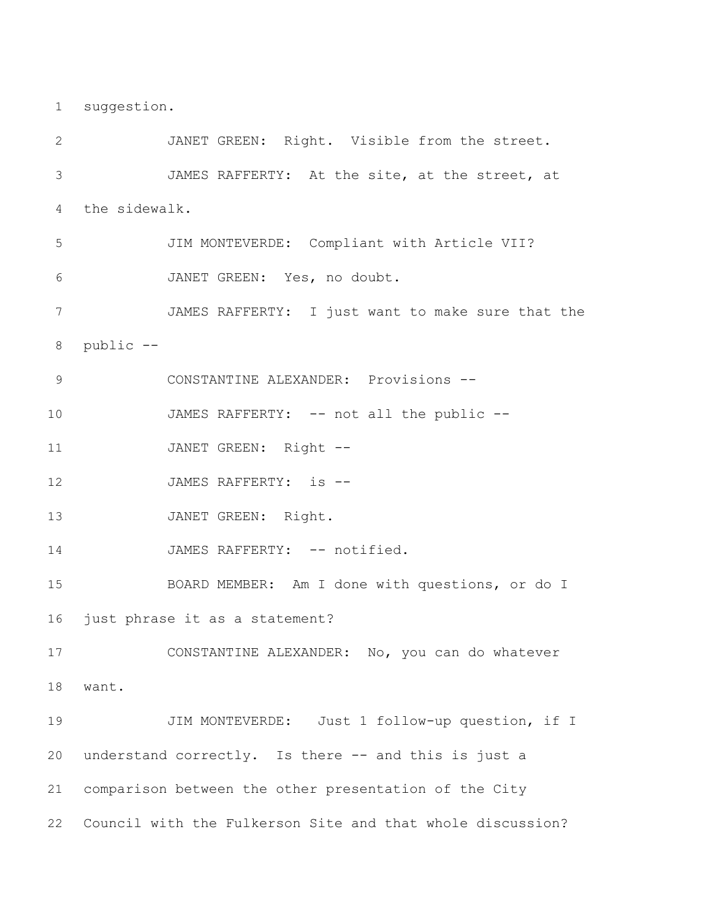suggestion.

 JANET GREEN: Right. Visible from the street. JAMES RAFFERTY: At the site, at the street, at the sidewalk. JIM MONTEVERDE: Compliant with Article VII? JANET GREEN: Yes, no doubt. JAMES RAFFERTY: I just want to make sure that the public -- CONSTANTINE ALEXANDER: Provisions -- 10 JAMES RAFFERTY: -- not all the public --11 JANET GREEN: Right --12 JAMES RAFFERTY: is --13 JANET GREEN: Right. 14 JAMES RAFFERTY: -- notified. BOARD MEMBER: Am I done with questions, or do I just phrase it as a statement? CONSTANTINE ALEXANDER: No, you can do whatever want. JIM MONTEVERDE: Just 1 follow-up question, if I understand correctly. Is there -- and this is just a comparison between the other presentation of the City Council with the Fulkerson Site and that whole discussion?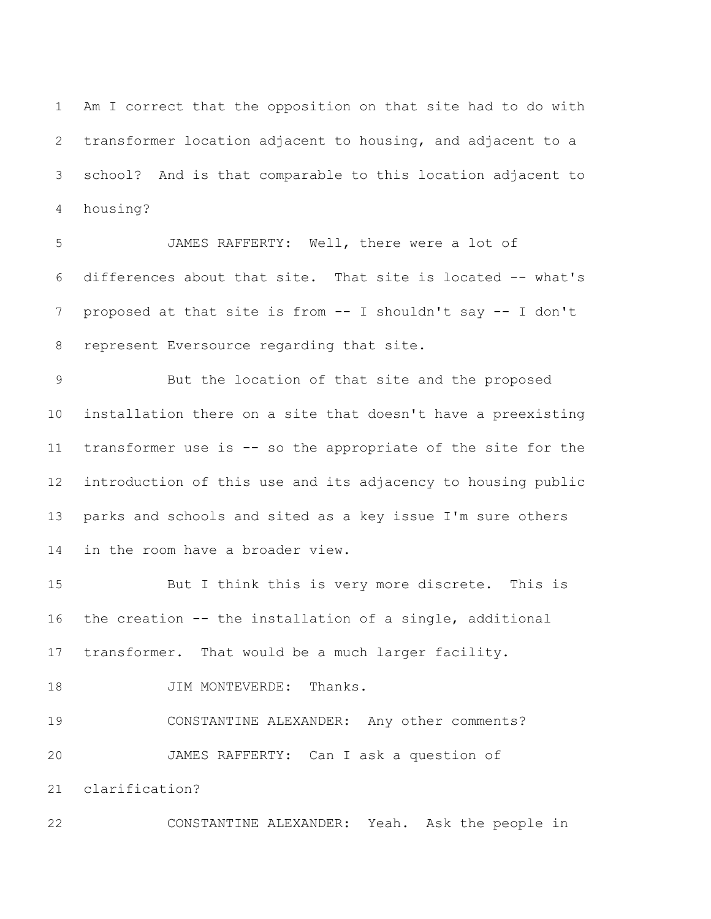Am I correct that the opposition on that site had to do with transformer location adjacent to housing, and adjacent to a school? And is that comparable to this location adjacent to housing?

 JAMES RAFFERTY: Well, there were a lot of differences about that site. That site is located -- what's proposed at that site is from -- I shouldn't say -- I don't represent Eversource regarding that site.

 But the location of that site and the proposed installation there on a site that doesn't have a preexisting transformer use is -- so the appropriate of the site for the introduction of this use and its adjacency to housing public parks and schools and sited as a key issue I'm sure others in the room have a broader view.

 But I think this is very more discrete. This is the creation -- the installation of a single, additional transformer. That would be a much larger facility. 18 JIM MONTEVERDE: Thanks. CONSTANTINE ALEXANDER: Any other comments? JAMES RAFFERTY: Can I ask a question of clarification?

CONSTANTINE ALEXANDER: Yeah. Ask the people in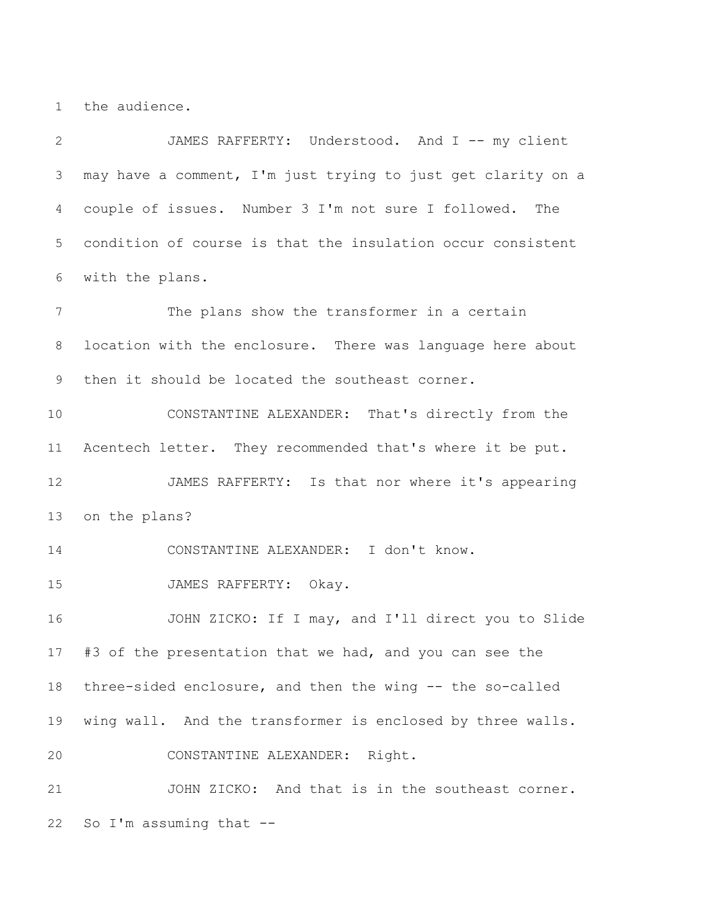the audience.

 JAMES RAFFERTY: Understood. And I -- my client may have a comment, I'm just trying to just get clarity on a couple of issues. Number 3 I'm not sure I followed. The condition of course is that the insulation occur consistent with the plans. The plans show the transformer in a certain location with the enclosure. There was language here about then it should be located the southeast corner. CONSTANTINE ALEXANDER: That's directly from the Acentech letter. They recommended that's where it be put. JAMES RAFFERTY: Is that nor where it's appearing on the plans? CONSTANTINE ALEXANDER: I don't know. JAMES RAFFERTY: Okay. JOHN ZICKO: If I may, and I'll direct you to Slide #3 of the presentation that we had, and you can see the three-sided enclosure, and then the wing -- the so-called wing wall. And the transformer is enclosed by three walls. CONSTANTINE ALEXANDER: Right. JOHN ZICKO: And that is in the southeast corner. So I'm assuming that --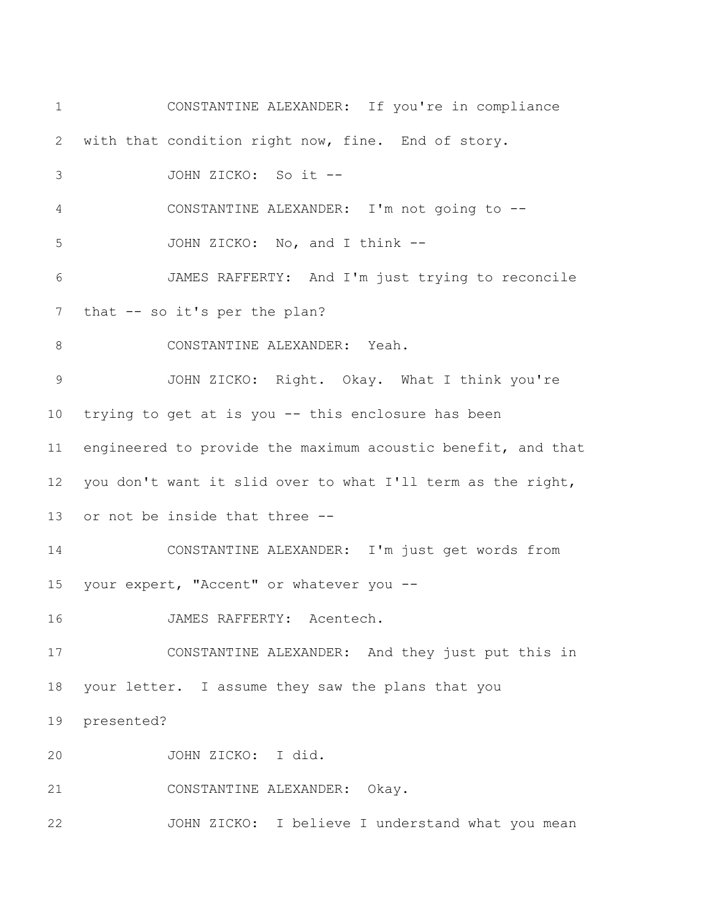CONSTANTINE ALEXANDER: If you're in compliance with that condition right now, fine. End of story. JOHN ZICKO: So it -- CONSTANTINE ALEXANDER: I'm not going to -- JOHN ZICKO: No, and I think -- JAMES RAFFERTY: And I'm just trying to reconcile 7 that -- so it's per the plan? 8 CONSTANTINE ALEXANDER: Yeah. JOHN ZICKO: Right. Okay. What I think you're trying to get at is you -- this enclosure has been engineered to provide the maximum acoustic benefit, and that you don't want it slid over to what I'll term as the right, or not be inside that three -- CONSTANTINE ALEXANDER: I'm just get words from 15 your expert, "Accent" or whatever you -- JAMES RAFFERTY: Acentech. CONSTANTINE ALEXANDER: And they just put this in your letter. I assume they saw the plans that you presented? JOHN ZICKO: I did. CONSTANTINE ALEXANDER: Okay. JOHN ZICKO: I believe I understand what you mean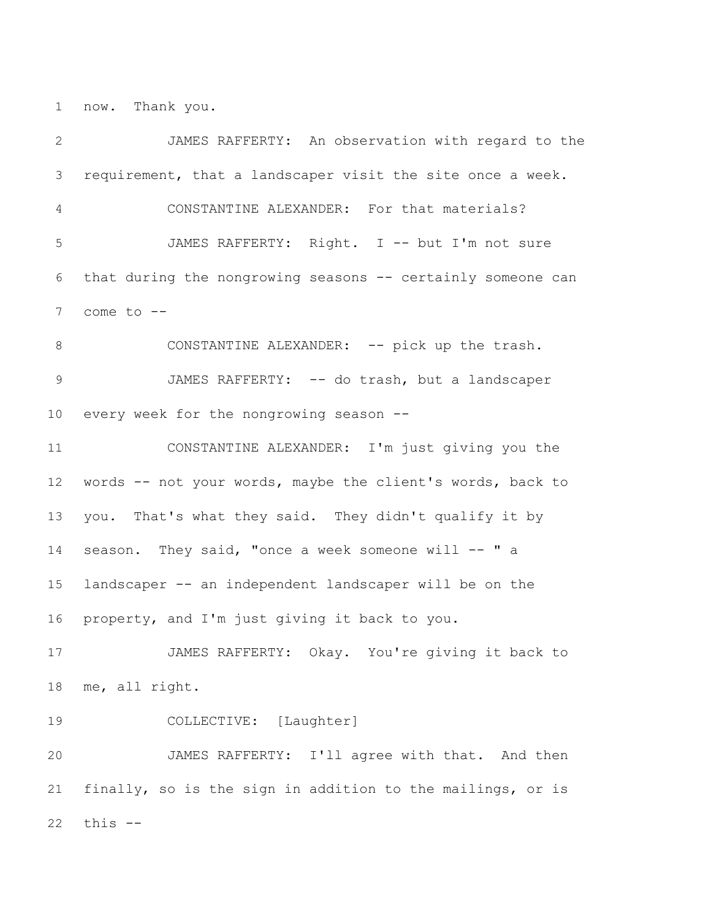now. Thank you.

 JAMES RAFFERTY: An observation with regard to the requirement, that a landscaper visit the site once a week. CONSTANTINE ALEXANDER: For that materials? JAMES RAFFERTY: Right. I -- but I'm not sure that during the nongrowing seasons -- certainly someone can come to -- 8 CONSTANTINE ALEXANDER: -- pick up the trash. 9 JAMES RAFFERTY: -- do trash, but a landscaper every week for the nongrowing season -- CONSTANTINE ALEXANDER: I'm just giving you the words -- not your words, maybe the client's words, back to you. That's what they said. They didn't qualify it by 14 season. They said, "once a week someone will -- " a landscaper -- an independent landscaper will be on the property, and I'm just giving it back to you. JAMES RAFFERTY: Okay. You're giving it back to me, all right. COLLECTIVE: [Laughter] JAMES RAFFERTY: I'll agree with that. And then finally, so is the sign in addition to the mailings, or is this --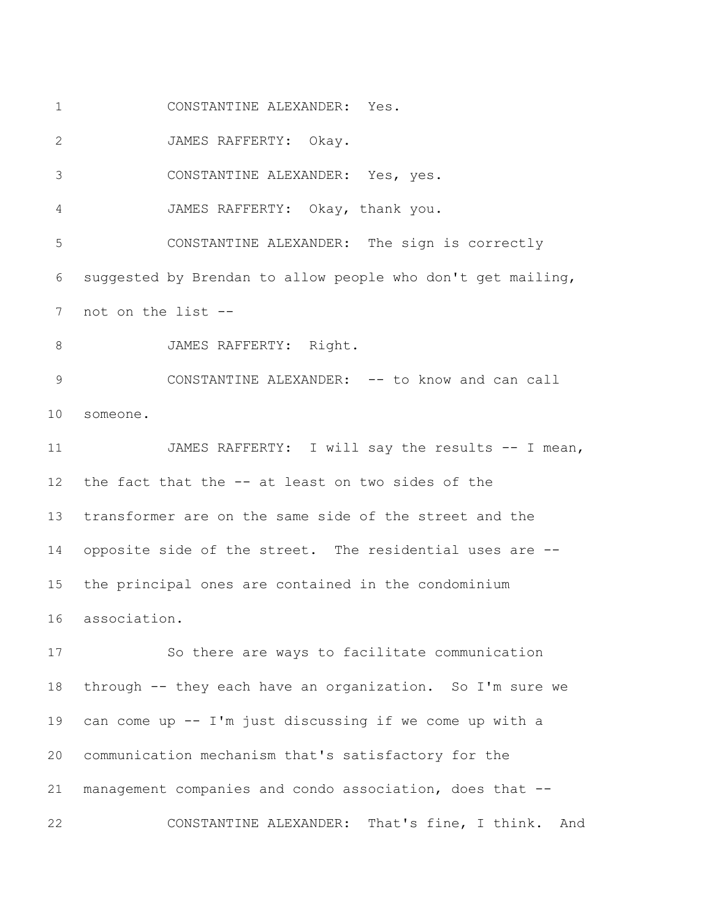CONSTANTINE ALEXANDER: Yes.

JAMES RAFFERTY: Okay.

CONSTANTINE ALEXANDER: Yes, yes.

JAMES RAFFERTY: Okay, thank you.

 CONSTANTINE ALEXANDER: The sign is correctly suggested by Brendan to allow people who don't get mailing, not on the list --

8 JAMES RAFFERTY: Right.

9 CONSTANTINE ALEXANDER: -- to know and can call someone.

 JAMES RAFFERTY: I will say the results -- I mean, the fact that the -- at least on two sides of the transformer are on the same side of the street and the opposite side of the street. The residential uses are -- the principal ones are contained in the condominium association.

 So there are ways to facilitate communication through -- they each have an organization. So I'm sure we can come up -- I'm just discussing if we come up with a communication mechanism that's satisfactory for the management companies and condo association, does that -- CONSTANTINE ALEXANDER: That's fine, I think. And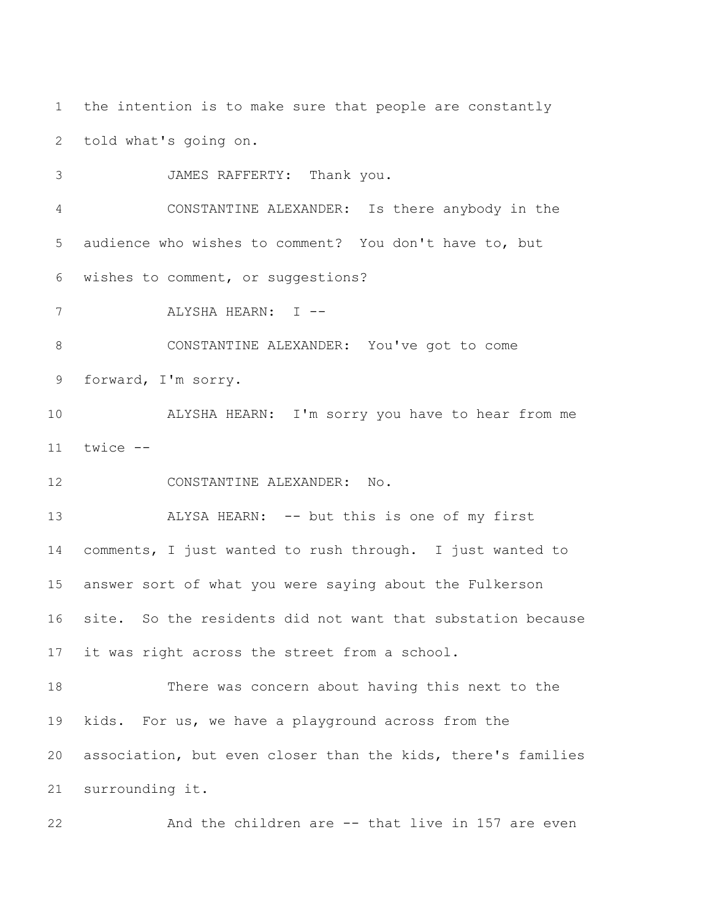the intention is to make sure that people are constantly told what's going on.

JAMES RAFFERTY: Thank you.

 CONSTANTINE ALEXANDER: Is there anybody in the audience who wishes to comment? You don't have to, but wishes to comment, or suggestions?

7 ALYSHA HEARN: I --

 CONSTANTINE ALEXANDER: You've got to come forward, I'm sorry.

 ALYSHA HEARN: I'm sorry you have to hear from me twice --

CONSTANTINE ALEXANDER: No.

13 ALYSA HEARN: -- but this is one of my first

 comments, I just wanted to rush through. I just wanted to answer sort of what you were saying about the Fulkerson site. So the residents did not want that substation because it was right across the street from a school.

 There was concern about having this next to the kids. For us, we have a playground across from the association, but even closer than the kids, there's families surrounding it.

And the children are -- that live in 157 are even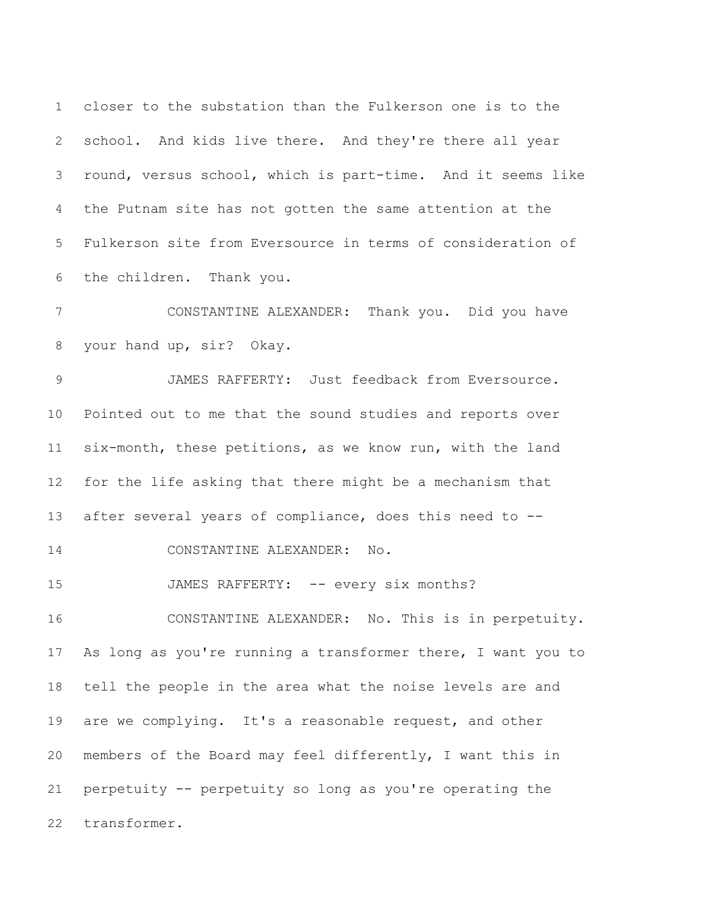closer to the substation than the Fulkerson one is to the school. And kids live there. And they're there all year round, versus school, which is part-time. And it seems like the Putnam site has not gotten the same attention at the Fulkerson site from Eversource in terms of consideration of the children. Thank you.

 CONSTANTINE ALEXANDER: Thank you. Did you have your hand up, sir? Okay.

 JAMES RAFFERTY: Just feedback from Eversource. Pointed out to me that the sound studies and reports over six-month, these petitions, as we know run, with the land for the life asking that there might be a mechanism that after several years of compliance, does this need to --

14 CONSTANTINE ALEXANDER: No.

15 JAMES RAFFERTY: -- every six months?

 CONSTANTINE ALEXANDER: No. This is in perpetuity. As long as you're running a transformer there, I want you to tell the people in the area what the noise levels are and are we complying. It's a reasonable request, and other members of the Board may feel differently, I want this in perpetuity -- perpetuity so long as you're operating the transformer.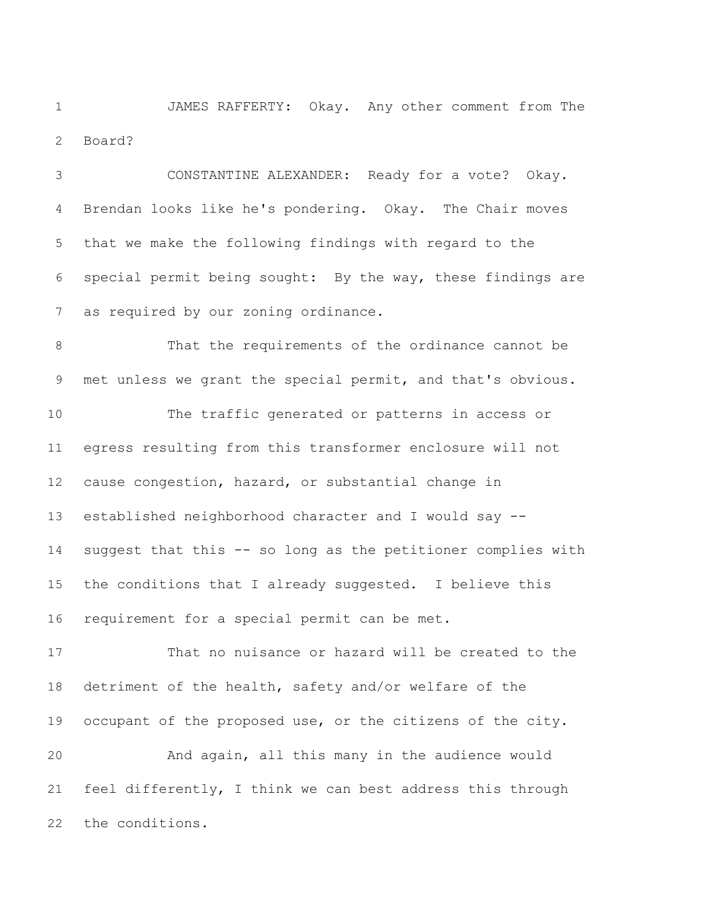JAMES RAFFERTY: Okay. Any other comment from The Board?

 CONSTANTINE ALEXANDER: Ready for a vote? Okay. Brendan looks like he's pondering. Okay. The Chair moves that we make the following findings with regard to the special permit being sought: By the way, these findings are as required by our zoning ordinance.

 That the requirements of the ordinance cannot be met unless we grant the special permit, and that's obvious. The traffic generated or patterns in access or egress resulting from this transformer enclosure will not

 cause congestion, hazard, or substantial change in established neighborhood character and I would say -- suggest that this -- so long as the petitioner complies with the conditions that I already suggested. I believe this requirement for a special permit can be met.

 That no nuisance or hazard will be created to the detriment of the health, safety and/or welfare of the occupant of the proposed use, or the citizens of the city. And again, all this many in the audience would

 feel differently, I think we can best address this through the conditions.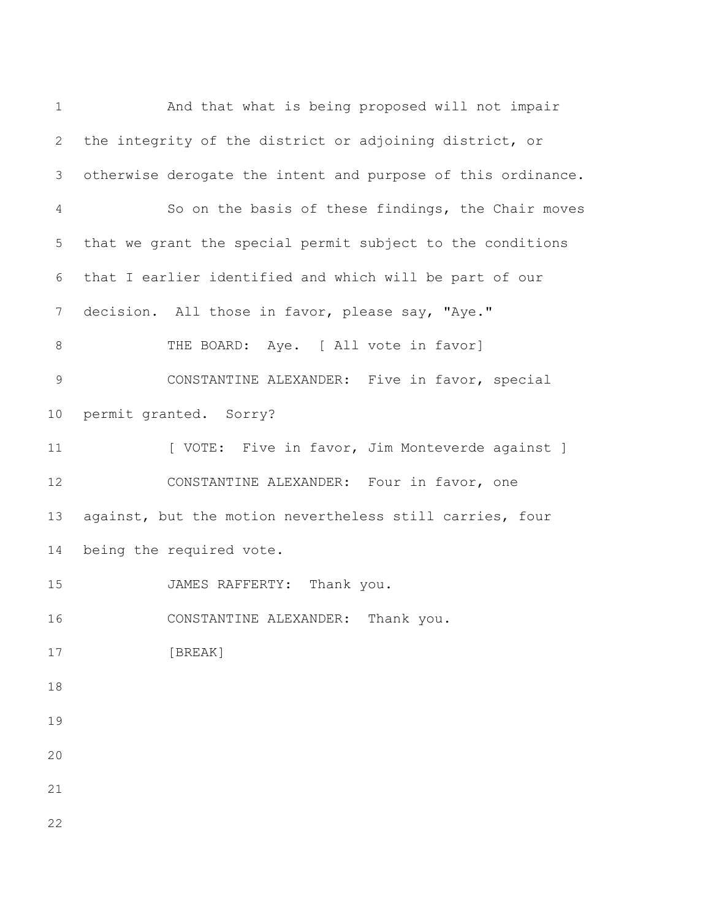And that what is being proposed will not impair the integrity of the district or adjoining district, or otherwise derogate the intent and purpose of this ordinance. So on the basis of these findings, the Chair moves that we grant the special permit subject to the conditions that I earlier identified and which will be part of our decision. All those in favor, please say, "Aye." 8 THE BOARD: Aye. [ All vote in favor] CONSTANTINE ALEXANDER: Five in favor, special permit granted. Sorry? 11 [ VOTE: Five in favor, Jim Monteverde against ] CONSTANTINE ALEXANDER: Four in favor, one against, but the motion nevertheless still carries, four being the required vote. JAMES RAFFERTY: Thank you. CONSTANTINE ALEXANDER: Thank you. [BREAK]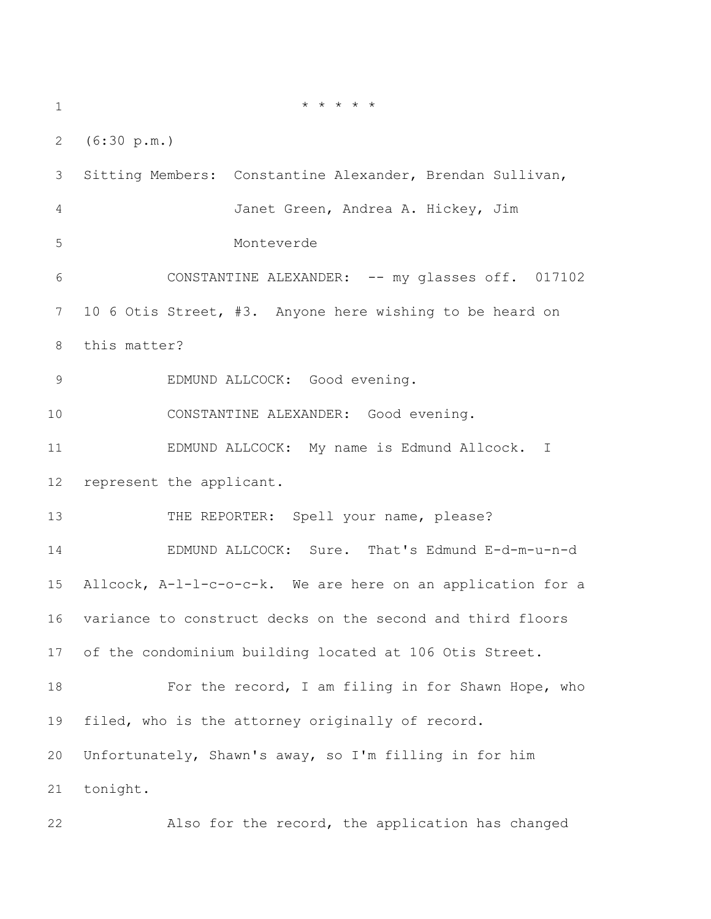$* * * * * * * *$  (6:30 p.m.) Sitting Members: Constantine Alexander, Brendan Sullivan, Janet Green, Andrea A. Hickey, Jim Monteverde CONSTANTINE ALEXANDER: -- my glasses off. 017102 10 6 Otis Street, #3. Anyone here wishing to be heard on this matter? 9 EDMUND ALLCOCK: Good evening. CONSTANTINE ALEXANDER: Good evening. EDMUND ALLCOCK: My name is Edmund Allcock. I represent the applicant. 13 THE REPORTER: Spell your name, please? EDMUND ALLCOCK: Sure. That's Edmund E-d-m-u-n-d Allcock, A-l-l-c-o-c-k. We are here on an application for a variance to construct decks on the second and third floors of the condominium building located at 106 Otis Street. 18 For the record, I am filing in for Shawn Hope, who filed, who is the attorney originally of record. Unfortunately, Shawn's away, so I'm filling in for him tonight. Also for the record, the application has changed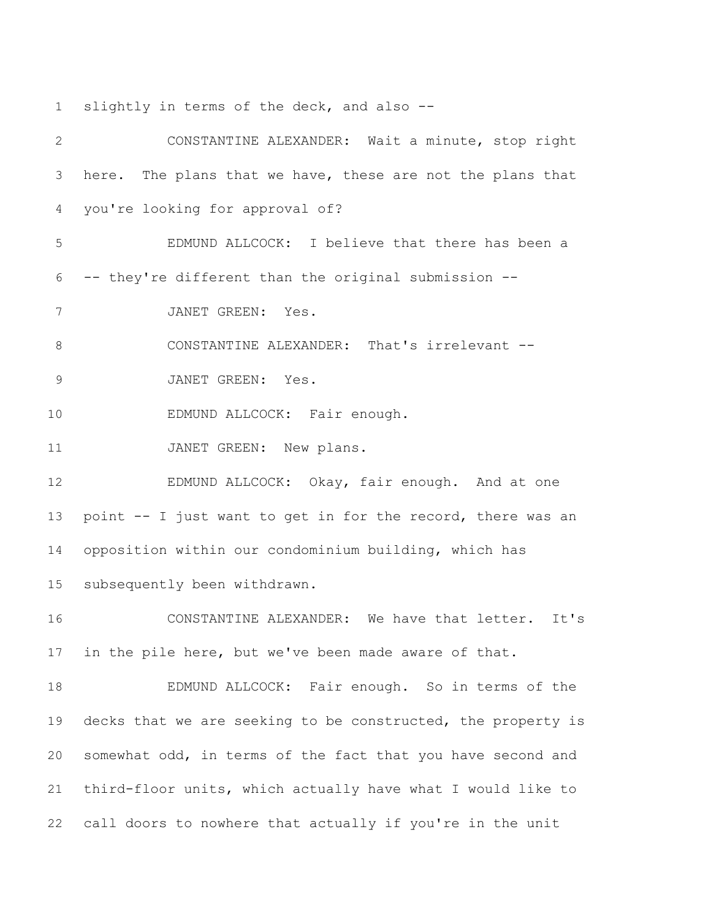slightly in terms of the deck, and also --

 CONSTANTINE ALEXANDER: Wait a minute, stop right here. The plans that we have, these are not the plans that you're looking for approval of? EDMUND ALLCOCK: I believe that there has been a -- they're different than the original submission -- JANET GREEN: Yes. 8 CONSTANTINE ALEXANDER: That's irrelevant -- JANET GREEN: Yes. 10 EDMUND ALLCOCK: Fair enough. 11 JANET GREEN: New plans. 12 EDMUND ALLCOCK: Okay, fair enough. And at one point -- I just want to get in for the record, there was an opposition within our condominium building, which has subsequently been withdrawn. CONSTANTINE ALEXANDER: We have that letter. It's in the pile here, but we've been made aware of that. EDMUND ALLCOCK: Fair enough. So in terms of the 19 decks that we are seeking to be constructed, the property is somewhat odd, in terms of the fact that you have second and third-floor units, which actually have what I would like to call doors to nowhere that actually if you're in the unit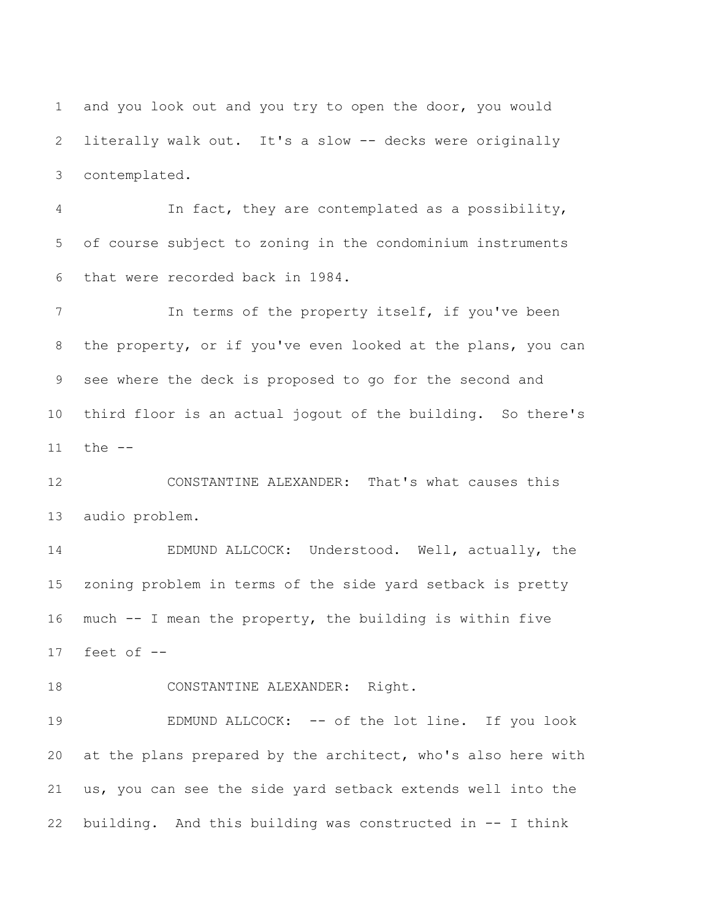and you look out and you try to open the door, you would literally walk out. It's a slow -- decks were originally contemplated.

 In fact, they are contemplated as a possibility, of course subject to zoning in the condominium instruments that were recorded back in 1984.

 In terms of the property itself, if you've been the property, or if you've even looked at the plans, you can see where the deck is proposed to go for the second and third floor is an actual jogout of the building. So there's the --

 CONSTANTINE ALEXANDER: That's what causes this audio problem.

 EDMUND ALLCOCK: Understood. Well, actually, the zoning problem in terms of the side yard setback is pretty much -- I mean the property, the building is within five feet of --

18 CONSTANTINE ALEXANDER: Right.

19 EDMUND ALLCOCK: -- of the lot line. If you look at the plans prepared by the architect, who's also here with us, you can see the side yard setback extends well into the building. And this building was constructed in -- I think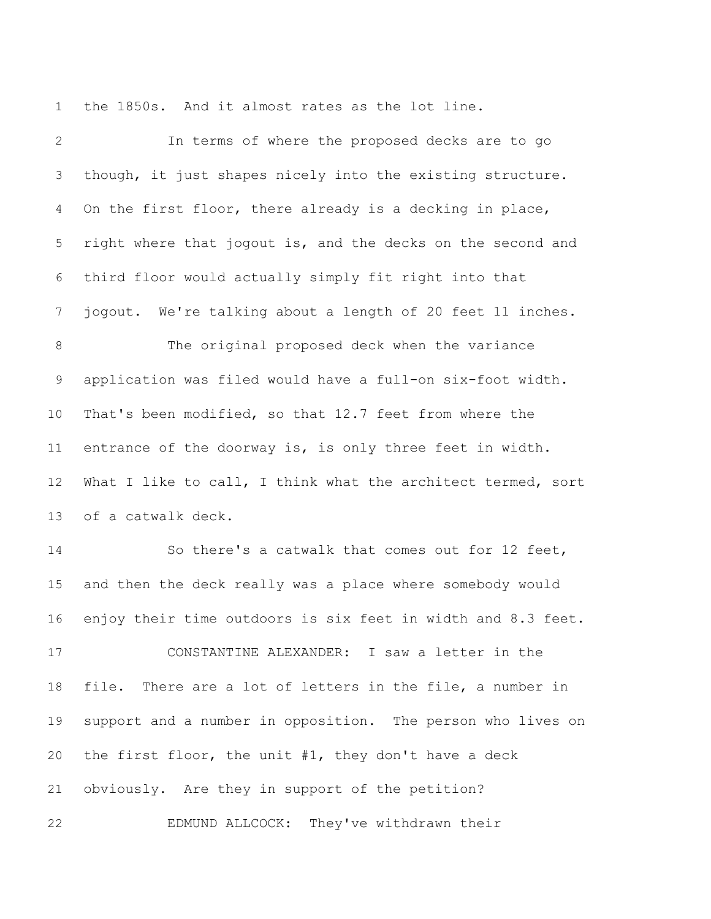the 1850s. And it almost rates as the lot line.

 In terms of where the proposed decks are to go though, it just shapes nicely into the existing structure. On the first floor, there already is a decking in place, right where that jogout is, and the decks on the second and third floor would actually simply fit right into that jogout. We're talking about a length of 20 feet 11 inches. The original proposed deck when the variance application was filed would have a full-on six-foot width. That's been modified, so that 12.7 feet from where the entrance of the doorway is, is only three feet in width. What I like to call, I think what the architect termed, sort of a catwalk deck. So there's a catwalk that comes out for 12 feet, and then the deck really was a place where somebody would enjoy their time outdoors is six feet in width and 8.3 feet. CONSTANTINE ALEXANDER: I saw a letter in the file. There are a lot of letters in the file, a number in support and a number in opposition. The person who lives on the first floor, the unit #1, they don't have a deck obviously. Are they in support of the petition? EDMUND ALLCOCK: They've withdrawn their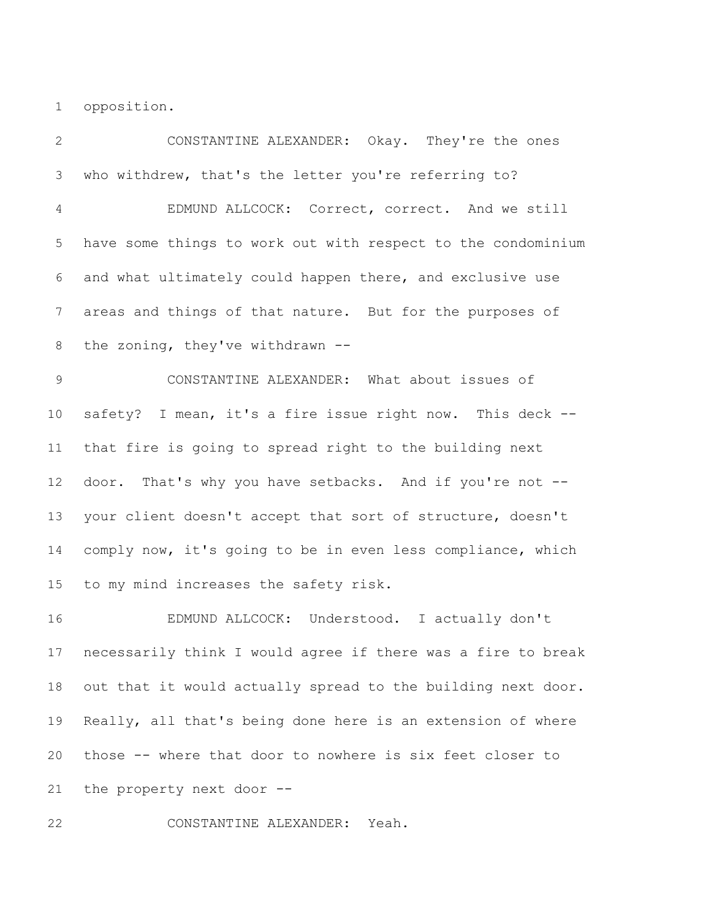opposition.

 CONSTANTINE ALEXANDER: Okay. They're the ones who withdrew, that's the letter you're referring to? EDMUND ALLCOCK: Correct, correct. And we still have some things to work out with respect to the condominium and what ultimately could happen there, and exclusive use areas and things of that nature. But for the purposes of the zoning, they've withdrawn -- CONSTANTINE ALEXANDER: What about issues of safety? I mean, it's a fire issue right now. This deck -- that fire is going to spread right to the building next door. That's why you have setbacks. And if you're not -- your client doesn't accept that sort of structure, doesn't comply now, it's going to be in even less compliance, which to my mind increases the safety risk. EDMUND ALLCOCK: Understood. I actually don't necessarily think I would agree if there was a fire to break out that it would actually spread to the building next door. Really, all that's being done here is an extension of where those -- where that door to nowhere is six feet closer to the property next door --

CONSTANTINE ALEXANDER: Yeah.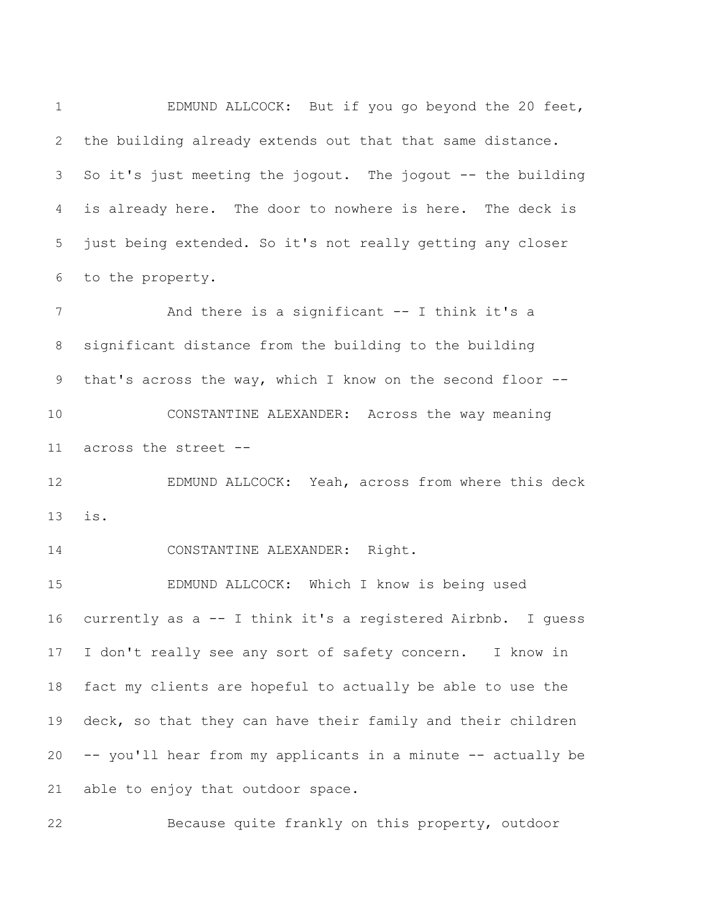EDMUND ALLCOCK: But if you go beyond the 20 feet, the building already extends out that that same distance. So it's just meeting the jogout. The jogout -- the building is already here. The door to nowhere is here. The deck is just being extended. So it's not really getting any closer to the property.

 And there is a significant -- I think it's a significant distance from the building to the building that's across the way, which I know on the second floor -- CONSTANTINE ALEXANDER: Across the way meaning

across the street --

 EDMUND ALLCOCK: Yeah, across from where this deck is.

CONSTANTINE ALEXANDER: Right.

 EDMUND ALLCOCK: Which I know is being used currently as a -- I think it's a registered Airbnb. I guess I don't really see any sort of safety concern. I know in fact my clients are hopeful to actually be able to use the 19 deck, so that they can have their family and their children -- you'll hear from my applicants in a minute -- actually be able to enjoy that outdoor space.

Because quite frankly on this property, outdoor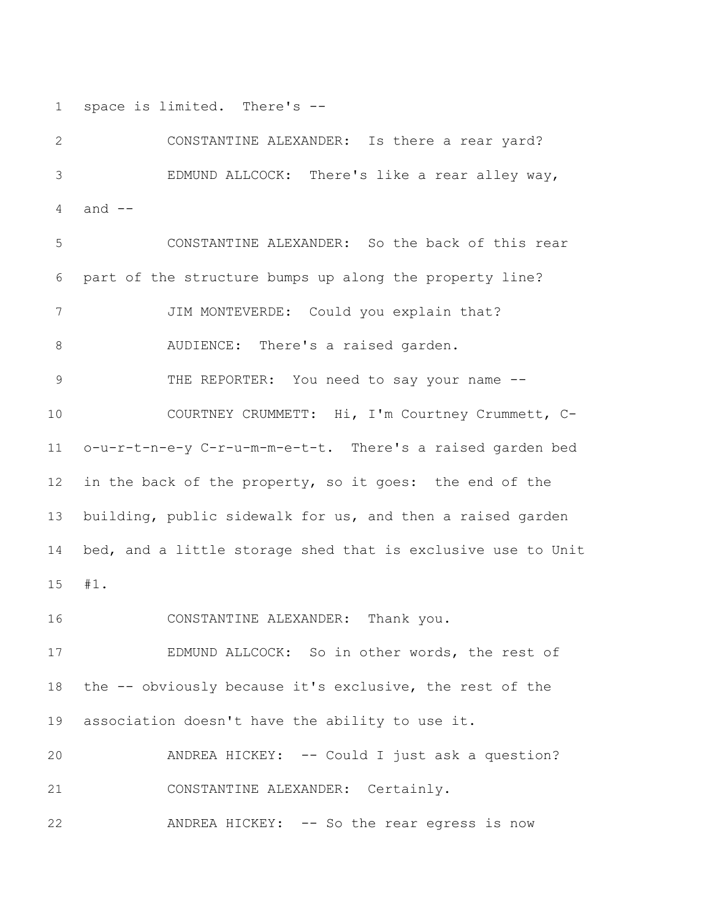space is limited. There's --

 CONSTANTINE ALEXANDER: Is there a rear yard? EDMUND ALLCOCK: There's like a rear alley way, and --

 CONSTANTINE ALEXANDER: So the back of this rear part of the structure bumps up along the property line? JIM MONTEVERDE: Could you explain that? AUDIENCE: There's a raised garden. 9 THE REPORTER: You need to say your name -- COURTNEY CRUMMETT: Hi, I'm Courtney Crummett, C- o-u-r-t-n-e-y C-r-u-m-m-e-t-t. There's a raised garden bed in the back of the property, so it goes: the end of the building, public sidewalk for us, and then a raised garden bed, and a little storage shed that is exclusive use to Unit #1.

CONSTANTINE ALEXANDER: Thank you.

 EDMUND ALLCOCK: So in other words, the rest of the -- obviously because it's exclusive, the rest of the association doesn't have the ability to use it.

 ANDREA HICKEY: -- Could I just ask a question? CONSTANTINE ALEXANDER: Certainly.

ANDREA HICKEY: -- So the rear egress is now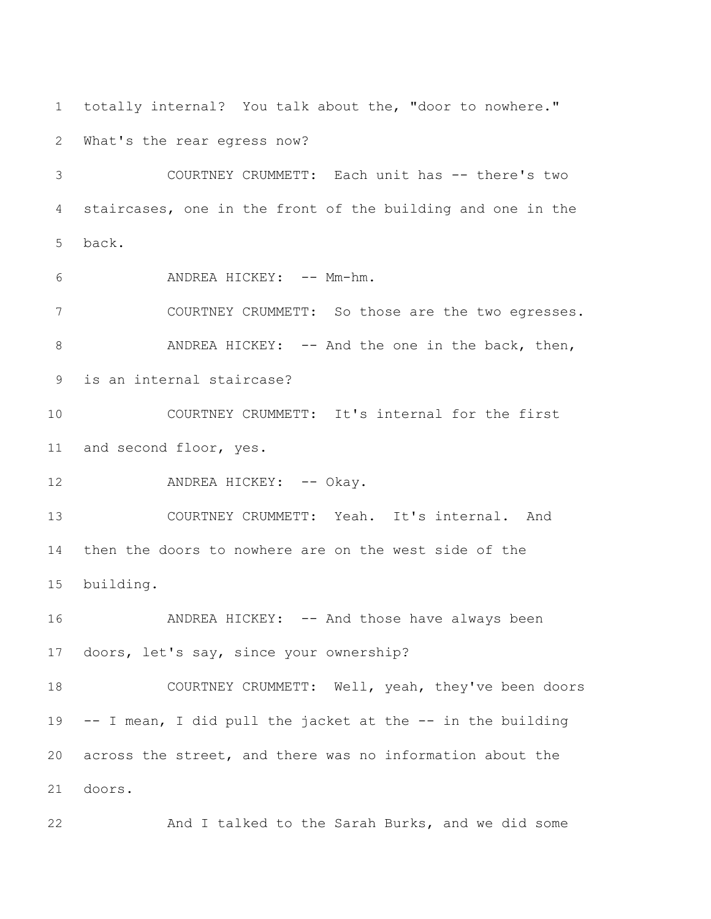totally internal? You talk about the, "door to nowhere."

What's the rear egress now?

 COURTNEY CRUMMETT: Each unit has -- there's two staircases, one in the front of the building and one in the back.

6 ANDREA HICKEY: -- Mm-hm.

 COURTNEY CRUMMETT: So those are the two egresses. 8 ANDREA HICKEY: -- And the one in the back, then, is an internal staircase?

 COURTNEY CRUMMETT: It's internal for the first and second floor, yes.

12 ANDREA HICKEY: -- Okay.

 COURTNEY CRUMMETT: Yeah. It's internal. And then the doors to nowhere are on the west side of the building.

 ANDREA HICKEY: -- And those have always been doors, let's say, since your ownership?

 COURTNEY CRUMMETT: Well, yeah, they've been doors -- I mean, I did pull the jacket at the -- in the building across the street, and there was no information about the doors.

And I talked to the Sarah Burks, and we did some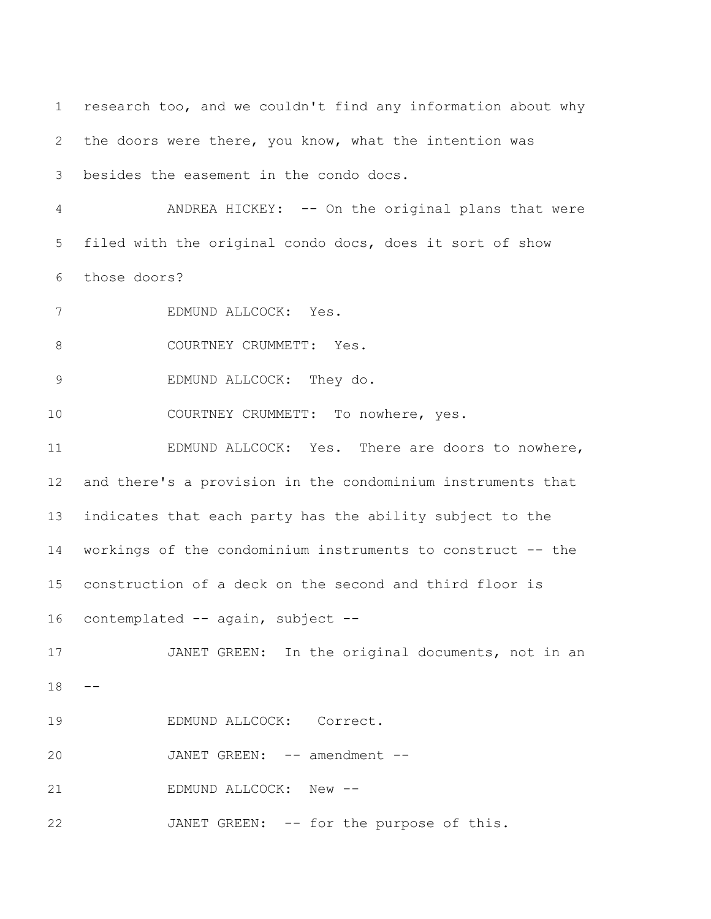research too, and we couldn't find any information about why the doors were there, you know, what the intention was besides the easement in the condo docs. ANDREA HICKEY: -- On the original plans that were filed with the original condo docs, does it sort of show those doors? EDMUND ALLCOCK: Yes. 8 COURTNEY CRUMMETT: Yes. EDMUND ALLCOCK: They do. 10 COURTNEY CRUMMETT: To nowhere, yes. EDMUND ALLCOCK: Yes. There are doors to nowhere, and there's a provision in the condominium instruments that indicates that each party has the ability subject to the workings of the condominium instruments to construct -- the construction of a deck on the second and third floor is 16 contemplated -- again, subject -- JANET GREEN: In the original documents, not in an  $18 - -$  EDMUND ALLCOCK: Correct. 20 JANET GREEN: -- amendment --21 EDMUND ALLCOCK: New --JANET GREEN: -- for the purpose of this.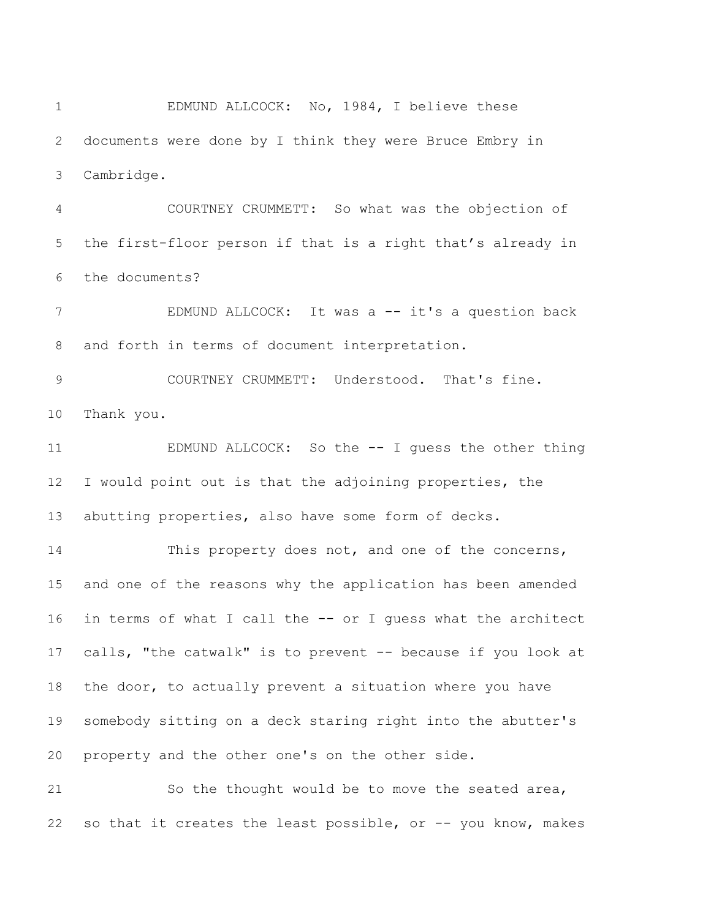EDMUND ALLCOCK: No, 1984, I believe these documents were done by I think they were Bruce Embry in Cambridge.

 COURTNEY CRUMMETT: So what was the objection of the first-floor person if that is a right that's already in the documents?

7 EDMUND ALLCOCK: It was a -- it's a question back and forth in terms of document interpretation.

 COURTNEY CRUMMETT: Understood. That's fine. Thank you.

 EDMUND ALLCOCK: So the -- I guess the other thing I would point out is that the adjoining properties, the abutting properties, also have some form of decks.

 This property does not, and one of the concerns, and one of the reasons why the application has been amended in terms of what I call the -- or I guess what the architect calls, "the catwalk" is to prevent -- because if you look at the door, to actually prevent a situation where you have somebody sitting on a deck staring right into the abutter's property and the other one's on the other side.

 So the thought would be to move the seated area, so that it creates the least possible, or -- you know, makes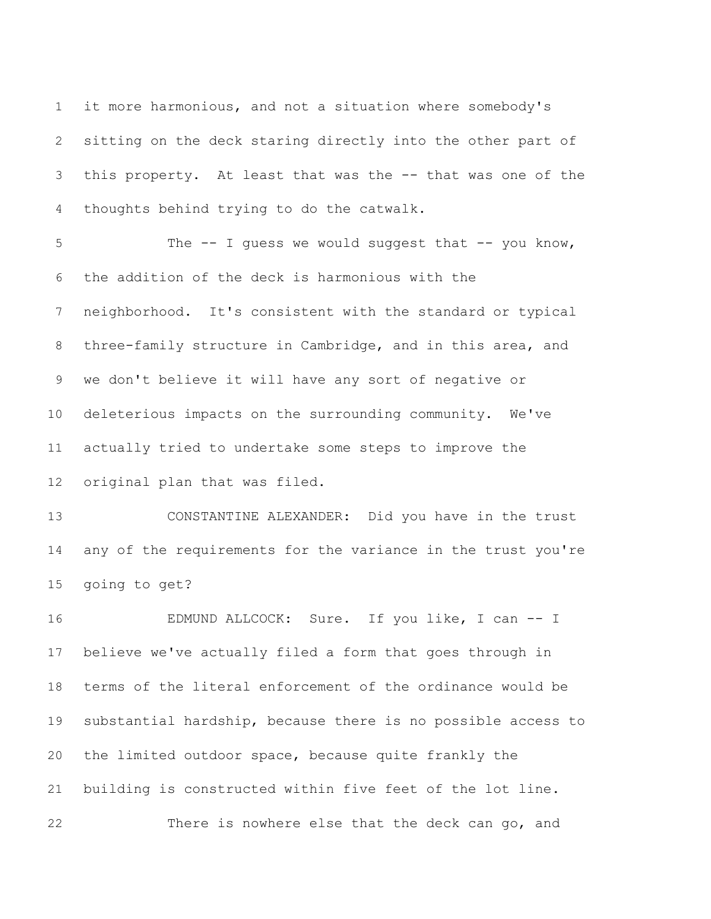it more harmonious, and not a situation where somebody's sitting on the deck staring directly into the other part of this property. At least that was the -- that was one of the thoughts behind trying to do the catwalk.

5 The -- I guess we would suggest that -- you know, the addition of the deck is harmonious with the neighborhood. It's consistent with the standard or typical three-family structure in Cambridge, and in this area, and we don't believe it will have any sort of negative or deleterious impacts on the surrounding community. We've actually tried to undertake some steps to improve the original plan that was filed.

 CONSTANTINE ALEXANDER: Did you have in the trust any of the requirements for the variance in the trust you're going to get?

 EDMUND ALLCOCK: Sure. If you like, I can -- I believe we've actually filed a form that goes through in terms of the literal enforcement of the ordinance would be substantial hardship, because there is no possible access to the limited outdoor space, because quite frankly the building is constructed within five feet of the lot line. There is nowhere else that the deck can go, and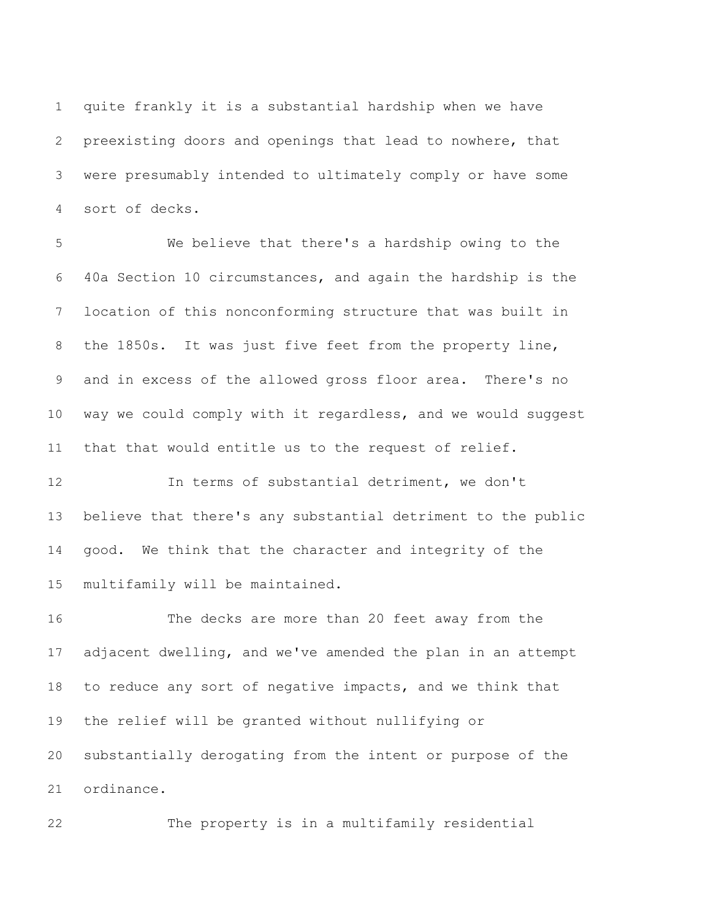quite frankly it is a substantial hardship when we have preexisting doors and openings that lead to nowhere, that were presumably intended to ultimately comply or have some sort of decks.

 We believe that there's a hardship owing to the 40a Section 10 circumstances, and again the hardship is the location of this nonconforming structure that was built in the 1850s. It was just five feet from the property line, and in excess of the allowed gross floor area. There's no way we could comply with it regardless, and we would suggest that that would entitle us to the request of relief.

 In terms of substantial detriment, we don't believe that there's any substantial detriment to the public good. We think that the character and integrity of the multifamily will be maintained.

 The decks are more than 20 feet away from the adjacent dwelling, and we've amended the plan in an attempt to reduce any sort of negative impacts, and we think that the relief will be granted without nullifying or substantially derogating from the intent or purpose of the ordinance.

The property is in a multifamily residential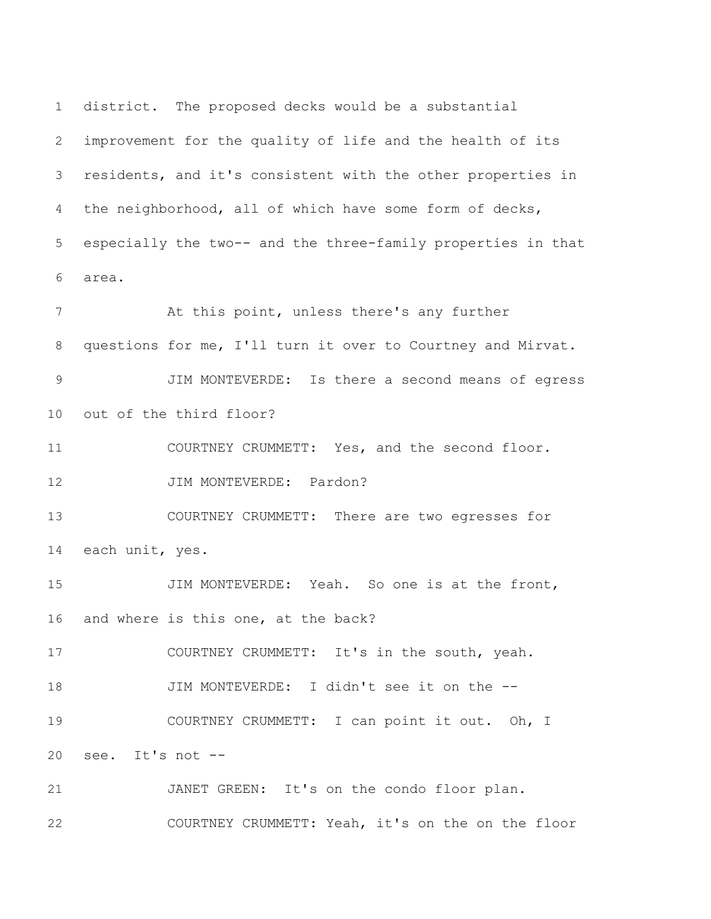district. The proposed decks would be a substantial improvement for the quality of life and the health of its residents, and it's consistent with the other properties in the neighborhood, all of which have some form of decks, especially the two-- and the three-family properties in that area.

 At this point, unless there's any further questions for me, I'll turn it over to Courtney and Mirvat. JIM MONTEVERDE: Is there a second means of egress out of the third floor? COURTNEY CRUMMETT: Yes, and the second floor. 12 JIM MONTEVERDE: Pardon? COURTNEY CRUMMETT: There are two egresses for each unit, yes. JIM MONTEVERDE: Yeah. So one is at the front, and where is this one, at the back? COURTNEY CRUMMETT: It's in the south, yeah. JIM MONTEVERDE: I didn't see it on the -- COURTNEY CRUMMETT: I can point it out. Oh, I see. It's not -- JANET GREEN: It's on the condo floor plan. COURTNEY CRUMMETT: Yeah, it's on the on the floor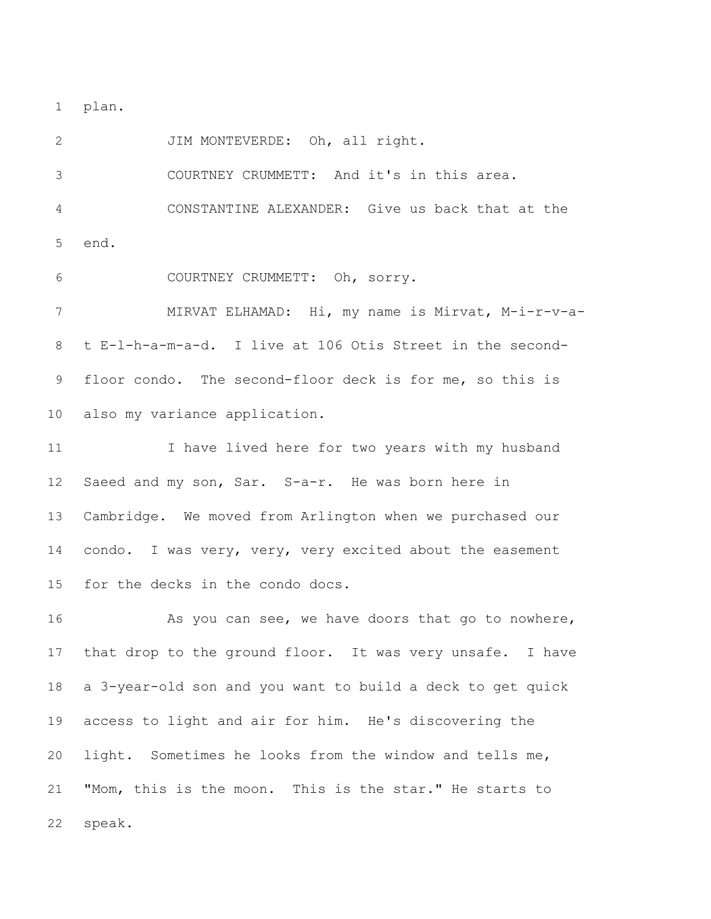plan.

2 JIM MONTEVERDE: Oh, all right. COURTNEY CRUMMETT: And it's in this area. CONSTANTINE ALEXANDER: Give us back that at the end.

COURTNEY CRUMMETT: Oh, sorry.

 MIRVAT ELHAMAD: Hi, my name is Mirvat, M-i-r-v-a- t E-l-h-a-m-a-d. I live at 106 Otis Street in the second- floor condo. The second-floor deck is for me, so this is also my variance application.

 I have lived here for two years with my husband Saeed and my son, Sar. S-a-r. He was born here in Cambridge. We moved from Arlington when we purchased our 14 condo. I was very, very, very excited about the easement for the decks in the condo docs.

16 As you can see, we have doors that go to nowhere, that drop to the ground floor. It was very unsafe. I have a 3-year-old son and you want to build a deck to get quick access to light and air for him. He's discovering the light. Sometimes he looks from the window and tells me, "Mom, this is the moon. This is the star." He starts to speak.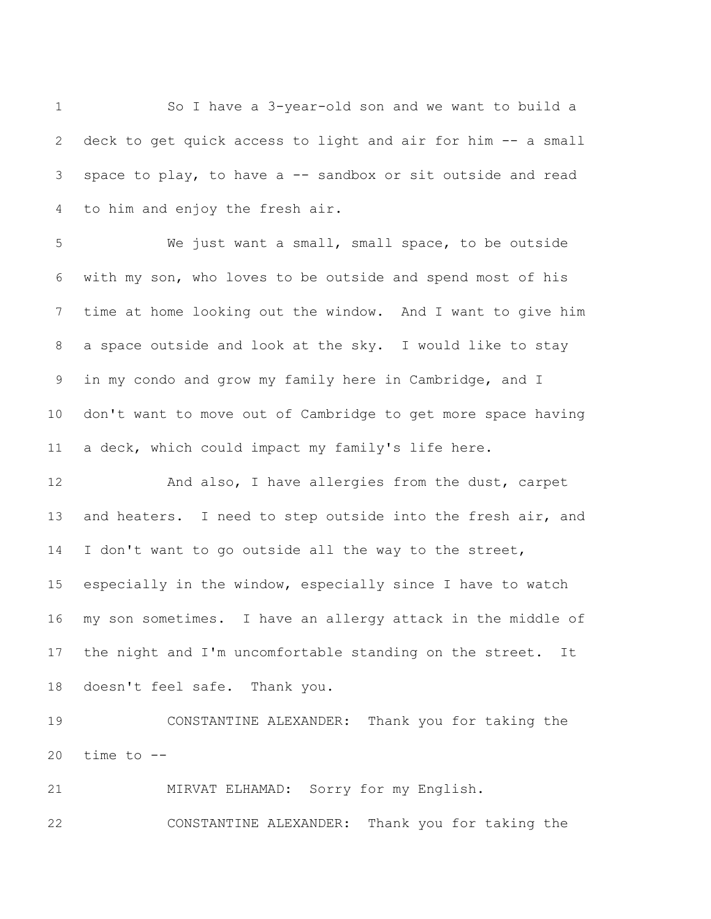So I have a 3-year-old son and we want to build a deck to get quick access to light and air for him -- a small space to play, to have a -- sandbox or sit outside and read to him and enjoy the fresh air.

 We just want a small, small space, to be outside with my son, who loves to be outside and spend most of his time at home looking out the window. And I want to give him a space outside and look at the sky. I would like to stay in my condo and grow my family here in Cambridge, and I don't want to move out of Cambridge to get more space having a deck, which could impact my family's life here.

 And also, I have allergies from the dust, carpet 13 and heaters. I need to step outside into the fresh air, and 14 I don't want to go outside all the way to the street, especially in the window, especially since I have to watch my son sometimes. I have an allergy attack in the middle of the night and I'm uncomfortable standing on the street. It doesn't feel safe. Thank you.

 CONSTANTINE ALEXANDER: Thank you for taking the 20 time to  $-$ 

MIRVAT ELHAMAD: Sorry for my English.

CONSTANTINE ALEXANDER: Thank you for taking the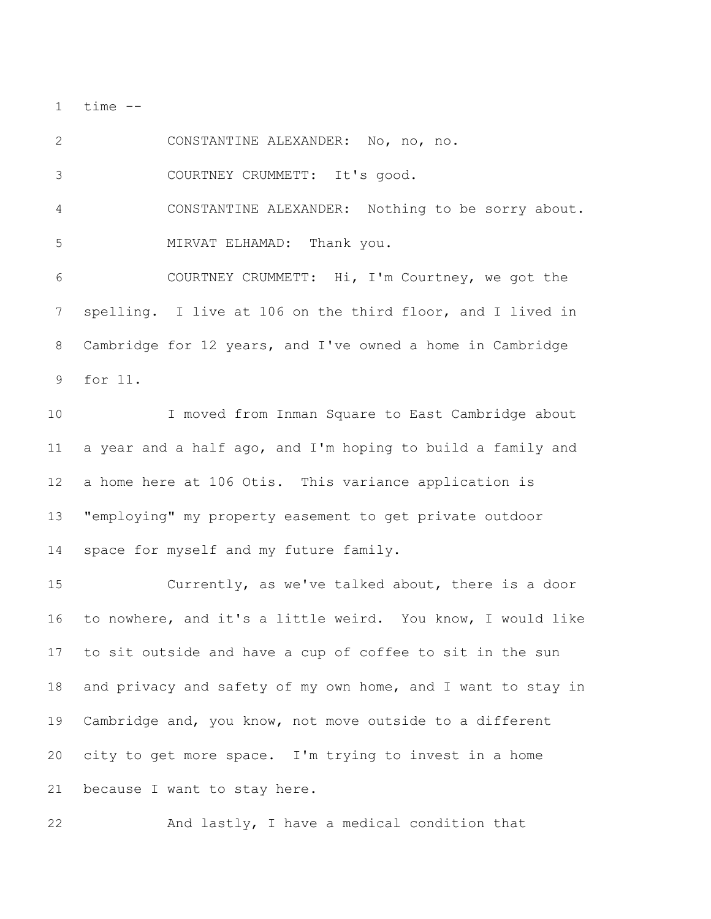time  $-$ 

 CONSTANTINE ALEXANDER: No, no, no. COURTNEY CRUMMETT: It's good. CONSTANTINE ALEXANDER: Nothing to be sorry about. MIRVAT ELHAMAD: Thank you. COURTNEY CRUMMETT: Hi, I'm Courtney, we got the spelling. I live at 106 on the third floor, and I lived in Cambridge for 12 years, and I've owned a home in Cambridge for 11.

 I moved from Inman Square to East Cambridge about a year and a half ago, and I'm hoping to build a family and a home here at 106 Otis. This variance application is "employing" my property easement to get private outdoor space for myself and my future family.

 Currently, as we've talked about, there is a door to nowhere, and it's a little weird. You know, I would like to sit outside and have a cup of coffee to sit in the sun 18 and privacy and safety of my own home, and I want to stay in Cambridge and, you know, not move outside to a different city to get more space. I'm trying to invest in a home because I want to stay here.

And lastly, I have a medical condition that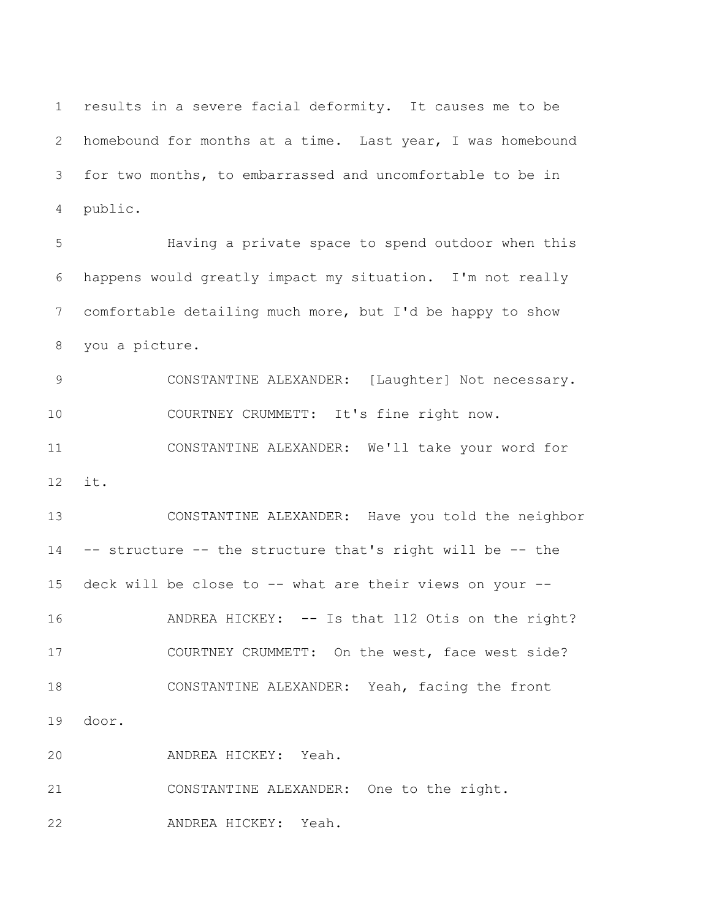results in a severe facial deformity. It causes me to be homebound for months at a time. Last year, I was homebound for two months, to embarrassed and uncomfortable to be in public.

 Having a private space to spend outdoor when this happens would greatly impact my situation. I'm not really comfortable detailing much more, but I'd be happy to show you a picture.

 CONSTANTINE ALEXANDER: [Laughter] Not necessary. COURTNEY CRUMMETT: It's fine right now. CONSTANTINE ALEXANDER: We'll take your word for it.

 CONSTANTINE ALEXANDER: Have you told the neighbor -- structure -- the structure that's right will be -- the deck will be close to -- what are their views on your -- ANDREA HICKEY: -- Is that 112 Otis on the right? COURTNEY CRUMMETT: On the west, face west side? CONSTANTINE ALEXANDER: Yeah, facing the front door. ANDREA HICKEY: Yeah. CONSTANTINE ALEXANDER: One to the right.

ANDREA HICKEY: Yeah.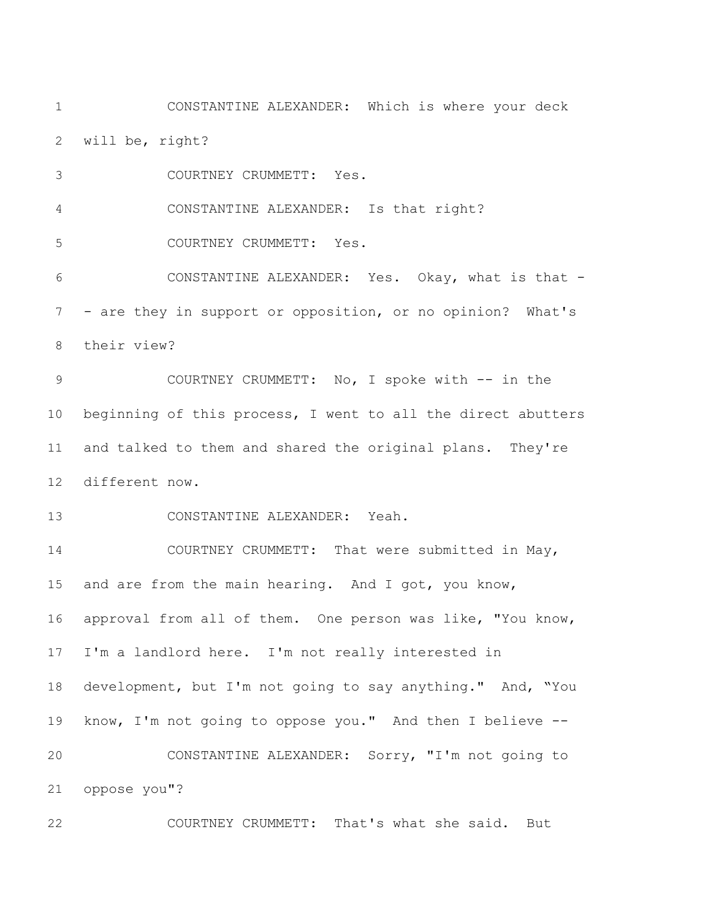CONSTANTINE ALEXANDER: Which is where your deck will be, right?

COURTNEY CRUMMETT: Yes.

CONSTANTINE ALEXANDER: Is that right?

COURTNEY CRUMMETT: Yes.

 CONSTANTINE ALEXANDER: Yes. Okay, what is that - - are they in support or opposition, or no opinion? What's their view?

9 COURTNEY CRUMMETT: No, I spoke with -- in the beginning of this process, I went to all the direct abutters and talked to them and shared the original plans. They're different now.

CONSTANTINE ALEXANDER: Yeah.

14 COURTNEY CRUMMETT: That were submitted in May, 15 and are from the main hearing. And I got, you know, approval from all of them. One person was like, "You know, I'm a landlord here. I'm not really interested in development, but I'm not going to say anything." And, "You know, I'm not going to oppose you." And then I believe -- CONSTANTINE ALEXANDER: Sorry, "I'm not going to oppose you"?

COURTNEY CRUMMETT: That's what she said. But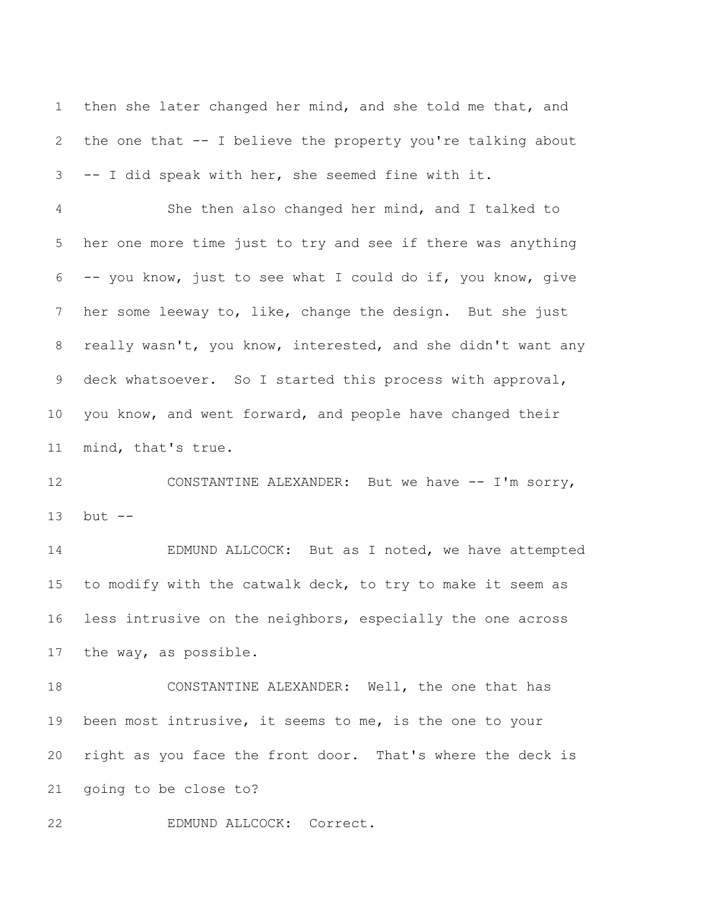then she later changed her mind, and she told me that, and the one that -- I believe the property you're talking about -- I did speak with her, she seemed fine with it.

 She then also changed her mind, and I talked to her one more time just to try and see if there was anything -- you know, just to see what I could do if, you know, give her some leeway to, like, change the design. But she just really wasn't, you know, interested, and she didn't want any deck whatsoever. So I started this process with approval, you know, and went forward, and people have changed their mind, that's true.

 CONSTANTINE ALEXANDER: But we have -- I'm sorry, but --

 EDMUND ALLCOCK: But as I noted, we have attempted to modify with the catwalk deck, to try to make it seem as less intrusive on the neighbors, especially the one across the way, as possible.

 CONSTANTINE ALEXANDER: Well, the one that has been most intrusive, it seems to me, is the one to your right as you face the front door. That's where the deck is going to be close to?

EDMUND ALLCOCK: Correct.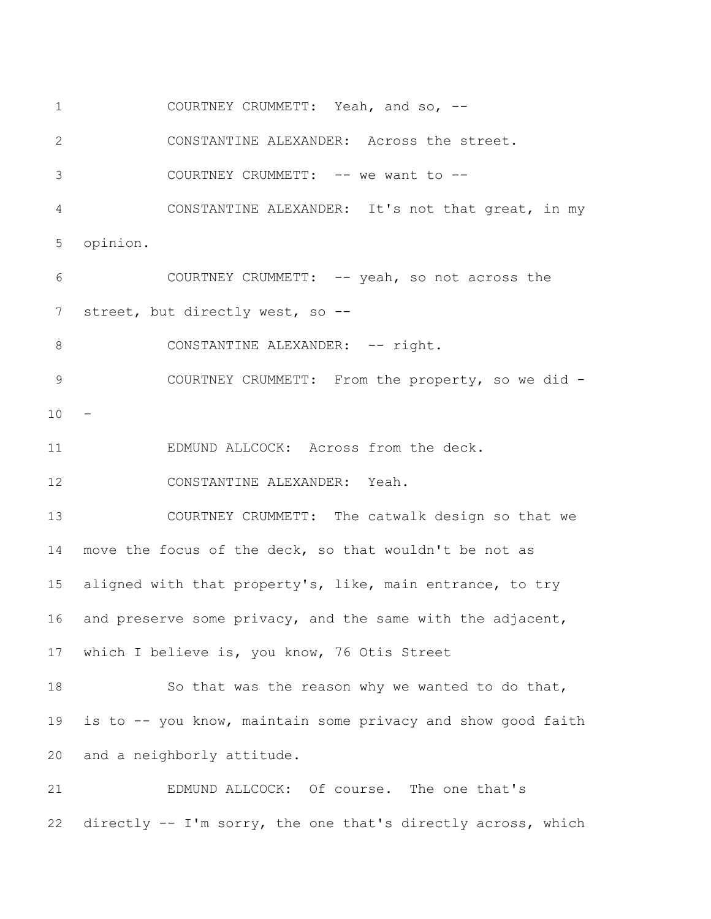COURTNEY CRUMMETT: Yeah, and so, --

CONSTANTINE ALEXANDER: Across the street.

3 COURTNEY CRUMMETT: -- we want to --

 CONSTANTINE ALEXANDER: It's not that great, in my opinion.

 COURTNEY CRUMMETT: -- yeah, so not across the 7 street, but directly west, so --

8 CONSTANTINE ALEXANDER: -- right.

 COURTNEY CRUMMETT: From the property, so we did - -

EDMUND ALLCOCK: Across from the deck.

CONSTANTINE ALEXANDER: Yeah.

 COURTNEY CRUMMETT: The catwalk design so that we move the focus of the deck, so that wouldn't be not as aligned with that property's, like, main entrance, to try and preserve some privacy, and the same with the adjacent, which I believe is, you know, 76 Otis Street

18 So that was the reason why we wanted to do that, is to -- you know, maintain some privacy and show good faith and a neighborly attitude.

 EDMUND ALLCOCK: Of course. The one that's directly -- I'm sorry, the one that's directly across, which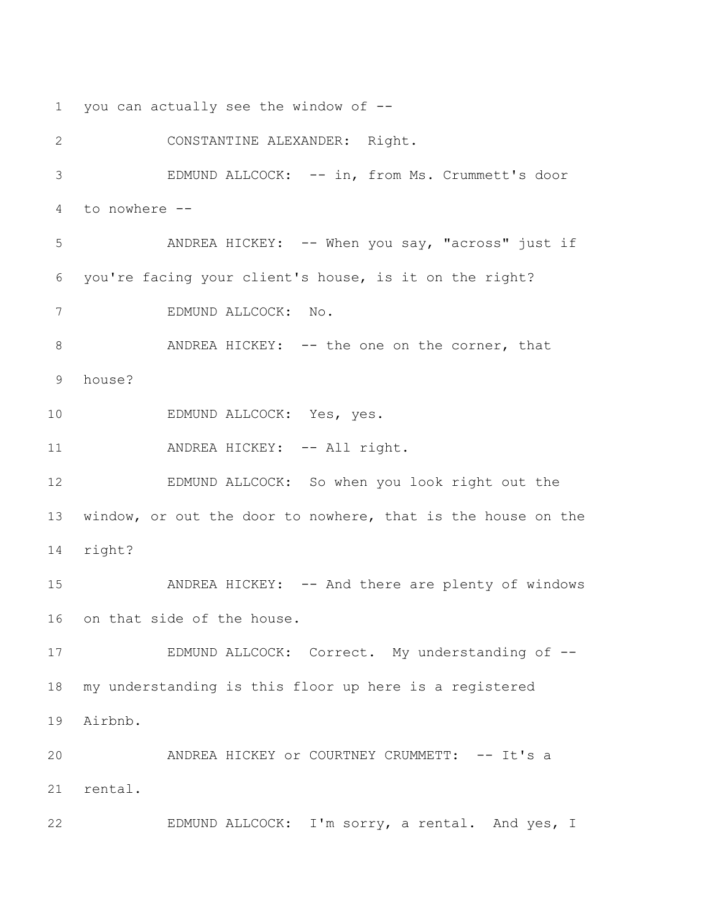you can actually see the window of --

 CONSTANTINE ALEXANDER: Right. EDMUND ALLCOCK: -- in, from Ms. Crummett's door to nowhere -- ANDREA HICKEY: -- When you say, "across" just if you're facing your client's house, is it on the right? EDMUND ALLCOCK: No. 8 ANDREA HICKEY: -- the one on the corner, that house? EDMUND ALLCOCK: Yes, yes. 11 ANDREA HICKEY: -- All right. EDMUND ALLCOCK: So when you look right out the window, or out the door to nowhere, that is the house on the right? 15 ANDREA HICKEY: -- And there are plenty of windows on that side of the house. 17 EDMUND ALLCOCK: Correct. My understanding of -- my understanding is this floor up here is a registered Airbnb. 20 ANDREA HICKEY Or COURTNEY CRUMMETT: -- It's a rental. EDMUND ALLCOCK: I'm sorry, a rental. And yes, I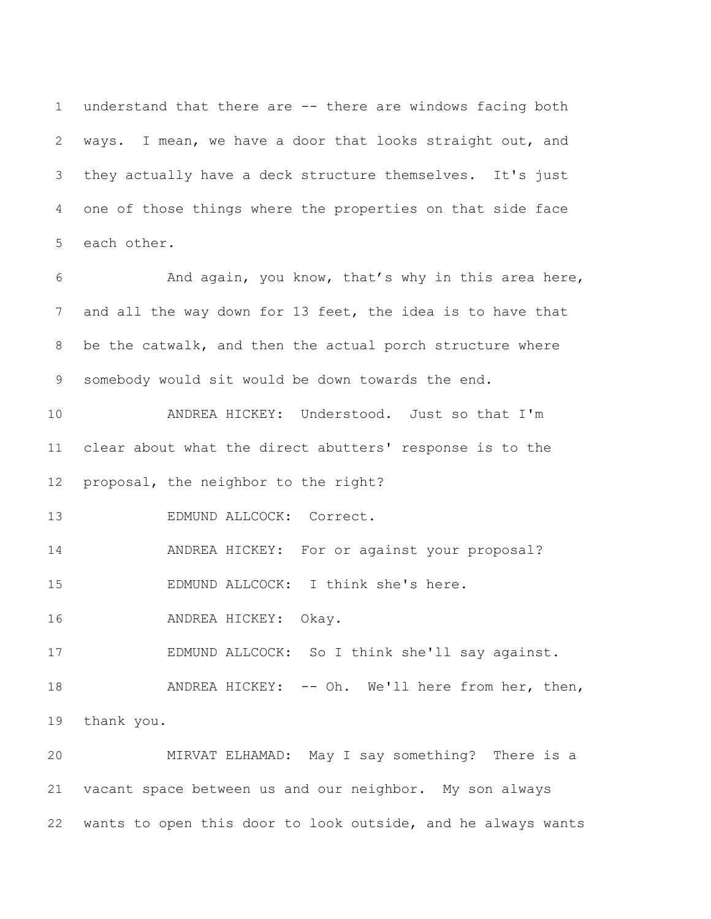understand that there are -- there are windows facing both ways. I mean, we have a door that looks straight out, and they actually have a deck structure themselves. It's just one of those things where the properties on that side face each other.

 And again, you know, that's why in this area here, and all the way down for 13 feet, the idea is to have that be the catwalk, and then the actual porch structure where somebody would sit would be down towards the end.

 ANDREA HICKEY: Understood. Just so that I'm clear about what the direct abutters' response is to the proposal, the neighbor to the right?

EDMUND ALLCOCK: Correct.

ANDREA HICKEY: For or against your proposal?

EDMUND ALLCOCK: I think she's here.

ANDREA HICKEY: Okay.

EDMUND ALLCOCK: So I think she'll say against.

18 ANDREA HICKEY: -- Oh. We'll here from her, then, thank you.

 MIRVAT ELHAMAD: May I say something? There is a vacant space between us and our neighbor. My son always wants to open this door to look outside, and he always wants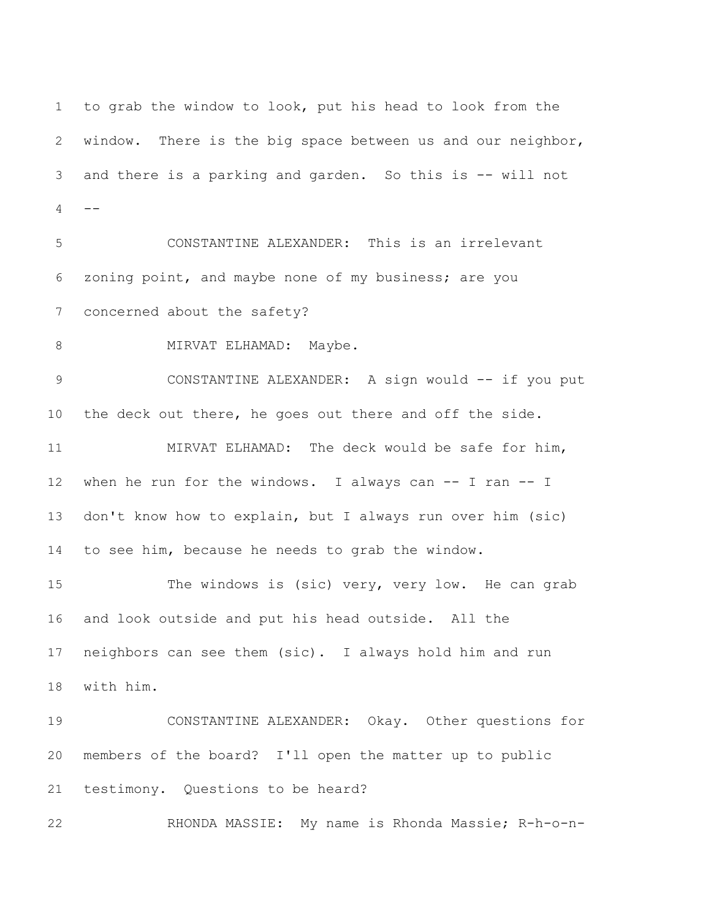to grab the window to look, put his head to look from the window. There is the big space between us and our neighbor, and there is a parking and garden. So this is -- will not  $-$  CONSTANTINE ALEXANDER: This is an irrelevant zoning point, and maybe none of my business; are you concerned about the safety? 8 MIRVAT ELHAMAD: Maybe. 9 CONSTANTINE ALEXANDER: A sign would -- if you put the deck out there, he goes out there and off the side. MIRVAT ELHAMAD: The deck would be safe for him, when he run for the windows. I always can -- I ran -- I don't know how to explain, but I always run over him (sic) to see him, because he needs to grab the window. 15 The windows is (sic) very, very low. He can grab and look outside and put his head outside. All the neighbors can see them (sic). I always hold him and run with him. CONSTANTINE ALEXANDER: Okay. Other questions for members of the board? I'll open the matter up to public testimony. Questions to be heard? RHONDA MASSIE: My name is Rhonda Massie; R-h-o-n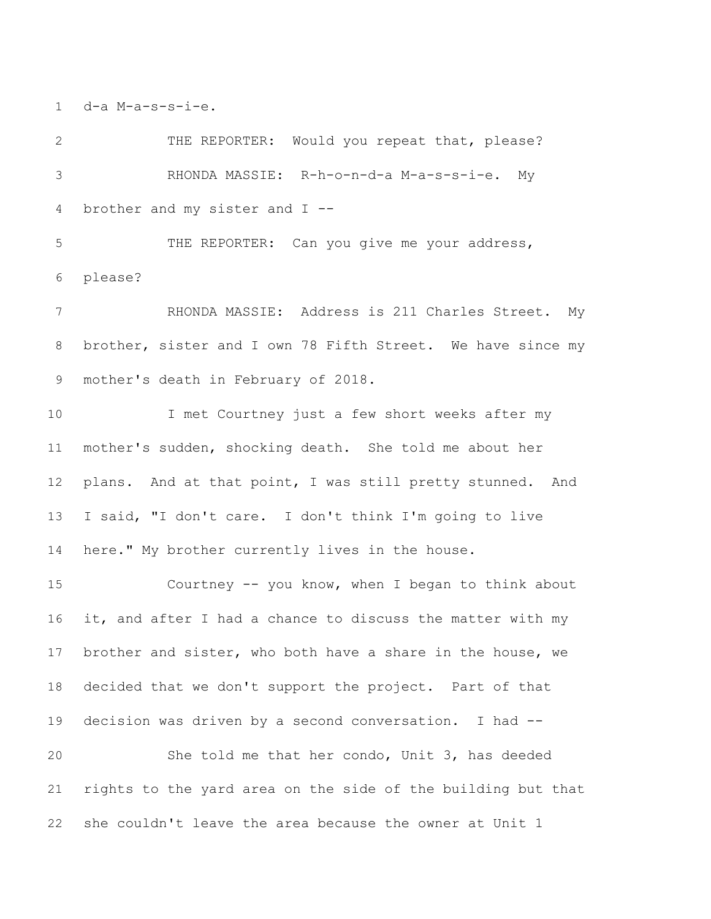d-a M-a-s-s-i-e.

2 THE REPORTER: Would you repeat that, please? RHONDA MASSIE: R-h-o-n-d-a M-a-s-s-i-e. My brother and my sister and I --

 THE REPORTER: Can you give me your address, please?

 RHONDA MASSIE: Address is 211 Charles Street. My brother, sister and I own 78 Fifth Street. We have since my mother's death in February of 2018.

 I met Courtney just a few short weeks after my mother's sudden, shocking death. She told me about her plans. And at that point, I was still pretty stunned. And I said, "I don't care. I don't think I'm going to live here." My brother currently lives in the house.

 Courtney -- you know, when I began to think about it, and after I had a chance to discuss the matter with my brother and sister, who both have a share in the house, we decided that we don't support the project. Part of that decision was driven by a second conversation. I had -- She told me that her condo, Unit 3, has deeded rights to the yard area on the side of the building but that she couldn't leave the area because the owner at Unit 1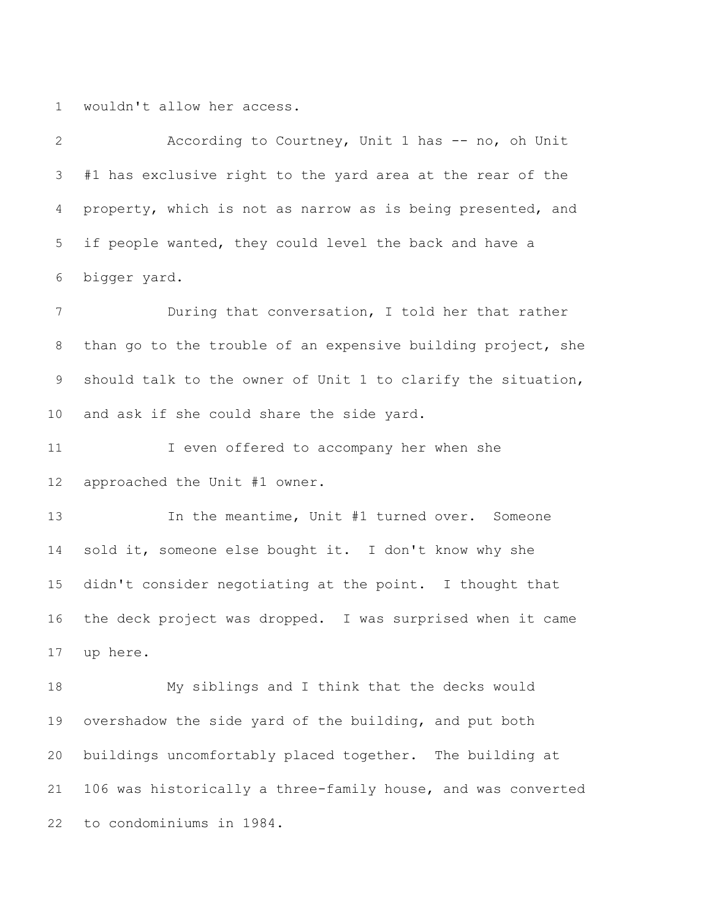wouldn't allow her access.

 According to Courtney, Unit 1 has -- no, oh Unit #1 has exclusive right to the yard area at the rear of the property, which is not as narrow as is being presented, and if people wanted, they could level the back and have a bigger yard.

 During that conversation, I told her that rather than go to the trouble of an expensive building project, she should talk to the owner of Unit 1 to clarify the situation, and ask if she could share the side yard.

11 I even offered to accompany her when she approached the Unit #1 owner.

 In the meantime, Unit #1 turned over. Someone 14 sold it, someone else bought it. I don't know why she didn't consider negotiating at the point. I thought that the deck project was dropped. I was surprised when it came up here.

 My siblings and I think that the decks would overshadow the side yard of the building, and put both buildings uncomfortably placed together. The building at 106 was historically a three-family house, and was converted to condominiums in 1984.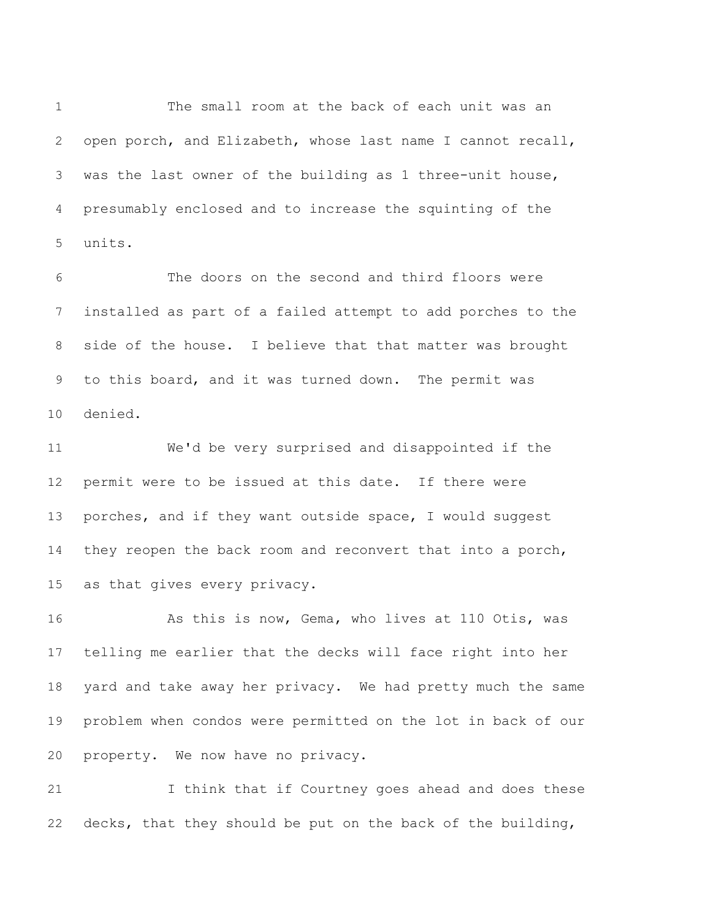The small room at the back of each unit was an open porch, and Elizabeth, whose last name I cannot recall, was the last owner of the building as 1 three-unit house, presumably enclosed and to increase the squinting of the units.

 The doors on the second and third floors were installed as part of a failed attempt to add porches to the side of the house. I believe that that matter was brought to this board, and it was turned down. The permit was denied.

 We'd be very surprised and disappointed if the permit were to be issued at this date. If there were porches, and if they want outside space, I would suggest they reopen the back room and reconvert that into a porch, as that gives every privacy.

 As this is now, Gema, who lives at 110 Otis, was telling me earlier that the decks will face right into her yard and take away her privacy. We had pretty much the same problem when condos were permitted on the lot in back of our property. We now have no privacy.

 I think that if Courtney goes ahead and does these decks, that they should be put on the back of the building,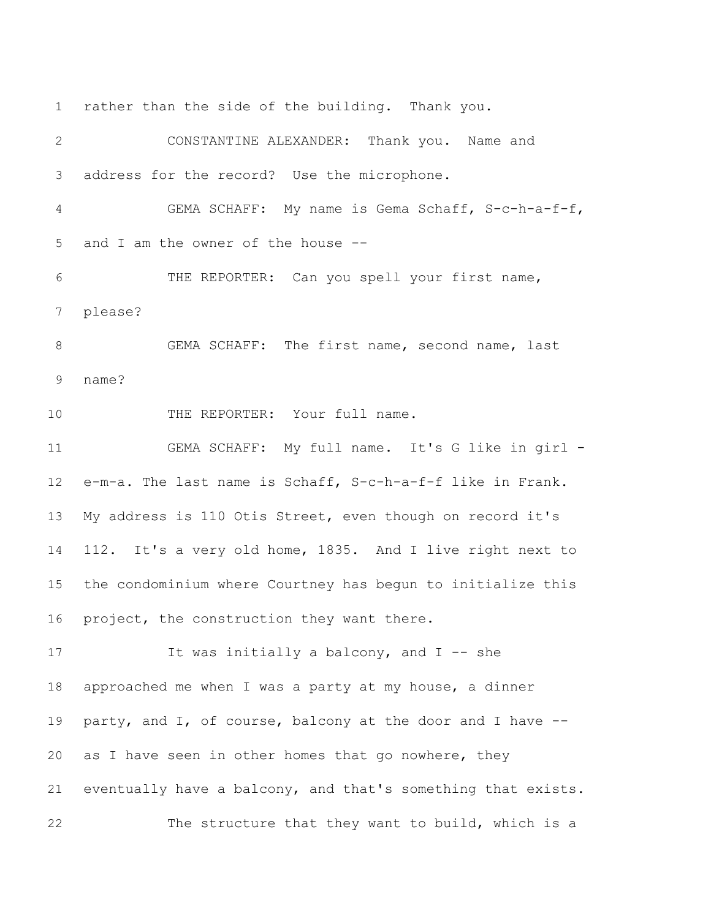CONSTANTINE ALEXANDER: Thank you. Name and address for the record? Use the microphone. GEMA SCHAFF: My name is Gema Schaff, S-c-h-a-f-f, and I am the owner of the house -- THE REPORTER: Can you spell your first name, please? GEMA SCHAFF: The first name, second name, last name? 10 THE REPORTER: Your full name. GEMA SCHAFF: My full name. It's G like in girl - e-m-a. The last name is Schaff, S-c-h-a-f-f like in Frank. My address is 110 Otis Street, even though on record it's 112. It's a very old home, 1835. And I live right next to the condominium where Courtney has begun to initialize this project, the construction they want there. 17 17 It was initially a balcony, and I -- she approached me when I was a party at my house, a dinner party, and I, of course, balcony at the door and I have -- as I have seen in other homes that go nowhere, they eventually have a balcony, and that's something that exists.

The structure that they want to build, which is a

rather than the side of the building. Thank you.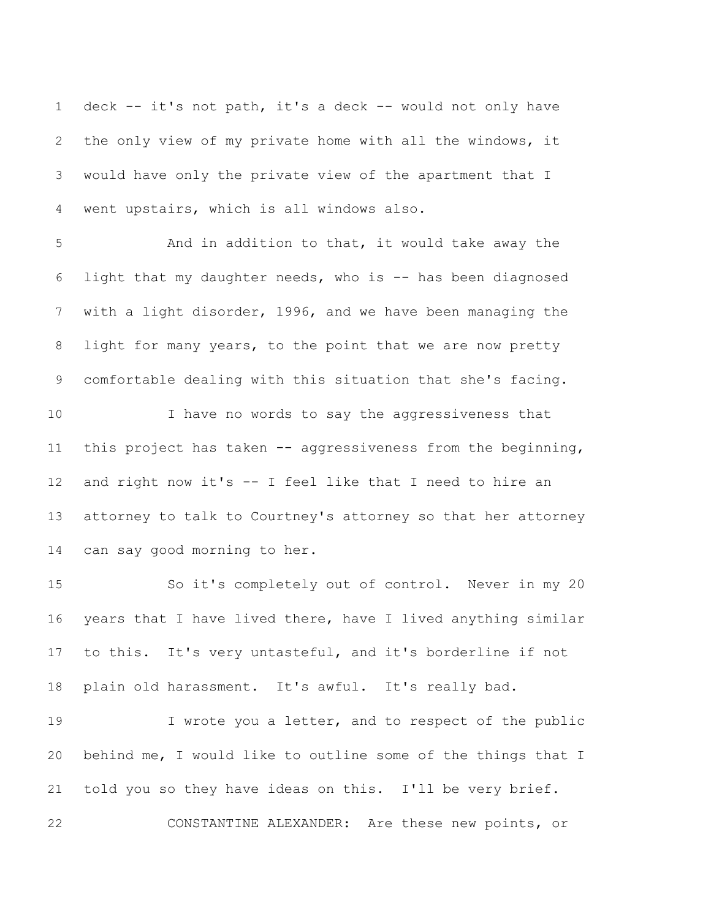deck -- it's not path, it's a deck -- would not only have the only view of my private home with all the windows, it would have only the private view of the apartment that I went upstairs, which is all windows also.

 And in addition to that, it would take away the light that my daughter needs, who is -- has been diagnosed with a light disorder, 1996, and we have been managing the light for many years, to the point that we are now pretty comfortable dealing with this situation that she's facing.

 I have no words to say the aggressiveness that this project has taken -- aggressiveness from the beginning, and right now it's -- I feel like that I need to hire an attorney to talk to Courtney's attorney so that her attorney can say good morning to her.

 So it's completely out of control. Never in my 20 years that I have lived there, have I lived anything similar to this. It's very untasteful, and it's borderline if not plain old harassment. It's awful. It's really bad.

 I wrote you a letter, and to respect of the public behind me, I would like to outline some of the things that I told you so they have ideas on this. I'll be very brief.

CONSTANTINE ALEXANDER: Are these new points, or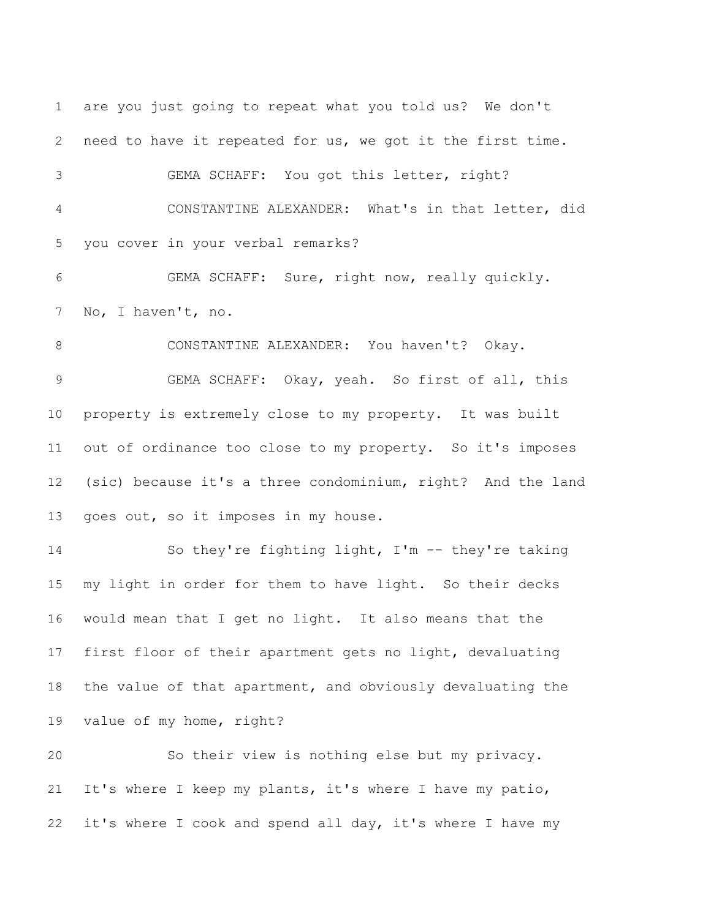are you just going to repeat what you told us? We don't need to have it repeated for us, we got it the first time. GEMA SCHAFF: You got this letter, right? CONSTANTINE ALEXANDER: What's in that letter, did you cover in your verbal remarks? GEMA SCHAFF: Sure, right now, really quickly. No, I haven't, no. 8 CONSTANTINE ALEXANDER: You haven't? Okay. GEMA SCHAFF: Okay, yeah. So first of all, this property is extremely close to my property. It was built out of ordinance too close to my property. So it's imposes (sic) because it's a three condominium, right? And the land goes out, so it imposes in my house. So they're fighting light, I'm -- they're taking my light in order for them to have light. So their decks would mean that I get no light. It also means that the first floor of their apartment gets no light, devaluating the value of that apartment, and obviously devaluating the value of my home, right? So their view is nothing else but my privacy. It's where I keep my plants, it's where I have my patio,

it's where I cook and spend all day, it's where I have my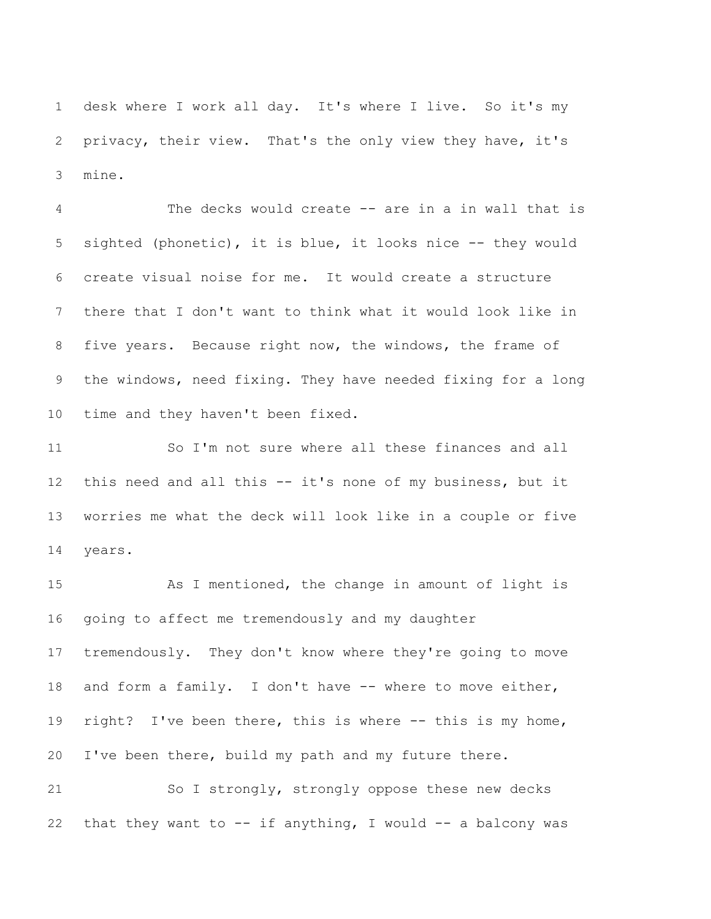desk where I work all day. It's where I live. So it's my privacy, their view. That's the only view they have, it's mine.

 The decks would create -- are in a in wall that is sighted (phonetic), it is blue, it looks nice -- they would create visual noise for me. It would create a structure there that I don't want to think what it would look like in five years. Because right now, the windows, the frame of the windows, need fixing. They have needed fixing for a long time and they haven't been fixed.

 So I'm not sure where all these finances and all this need and all this -- it's none of my business, but it worries me what the deck will look like in a couple or five years.

15 As I mentioned, the change in amount of light is going to affect me tremendously and my daughter tremendously. They don't know where they're going to move and form a family. I don't have -- where to move either, right? I've been there, this is where -- this is my home, I've been there, build my path and my future there.

 So I strongly, strongly oppose these new decks 22 that they want to  $--$  if anything, I would  $--$  a balcony was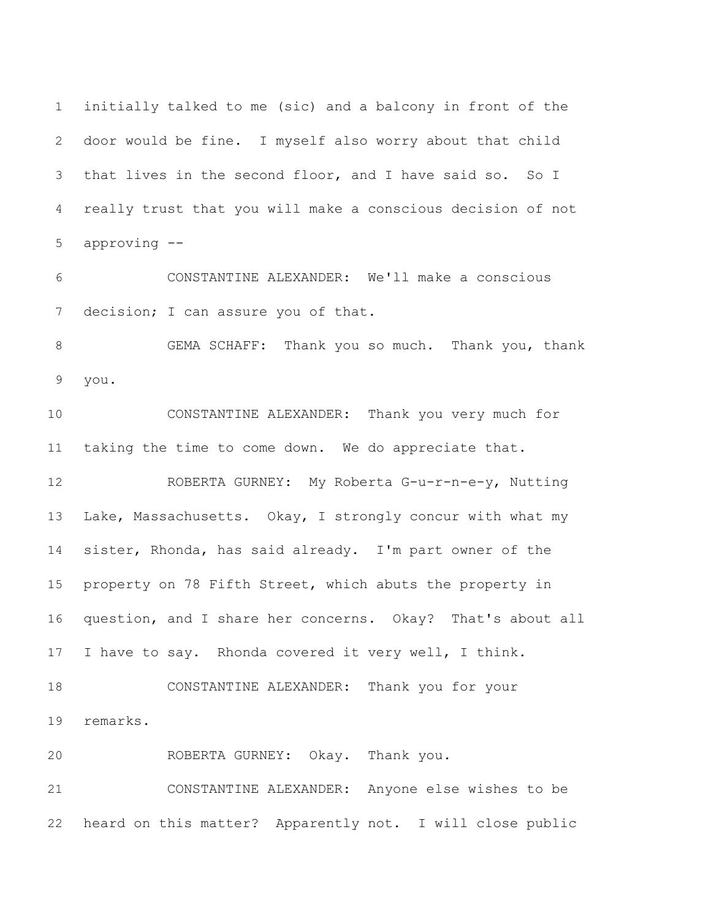initially talked to me (sic) and a balcony in front of the door would be fine. I myself also worry about that child that lives in the second floor, and I have said so. So I really trust that you will make a conscious decision of not approving --

 CONSTANTINE ALEXANDER: We'll make a conscious 7 decision; I can assure you of that.

 GEMA SCHAFF: Thank you so much. Thank you, thank you.

 CONSTANTINE ALEXANDER: Thank you very much for taking the time to come down. We do appreciate that.

 ROBERTA GURNEY: My Roberta G-u-r-n-e-y, Nutting Lake, Massachusetts. Okay, I strongly concur with what my sister, Rhonda, has said already. I'm part owner of the property on 78 Fifth Street, which abuts the property in question, and I share her concerns. Okay? That's about all 17 I have to say. Rhonda covered it very well, I think. CONSTANTINE ALEXANDER: Thank you for your

remarks.

ROBERTA GURNEY: Okay. Thank you.

 CONSTANTINE ALEXANDER: Anyone else wishes to be heard on this matter? Apparently not. I will close public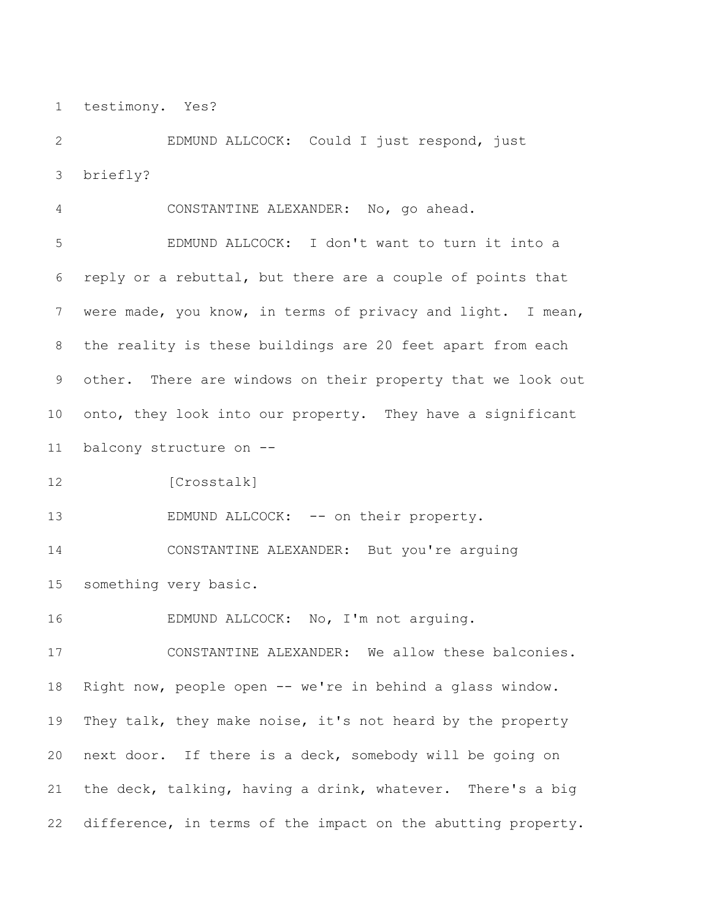testimony. Yes?

 EDMUND ALLCOCK: Could I just respond, just briefly?

 CONSTANTINE ALEXANDER: No, go ahead. EDMUND ALLCOCK: I don't want to turn it into a reply or a rebuttal, but there are a couple of points that were made, you know, in terms of privacy and light. I mean, the reality is these buildings are 20 feet apart from each other. There are windows on their property that we look out onto, they look into our property. They have a significant balcony structure on --

[Crosstalk]

13 EDMUND ALLCOCK: -- on their property.

 CONSTANTINE ALEXANDER: But you're arguing something very basic.

EDMUND ALLCOCK: No, I'm not arguing.

 CONSTANTINE ALEXANDER: We allow these balconies. Right now, people open -- we're in behind a glass window. They talk, they make noise, it's not heard by the property next door. If there is a deck, somebody will be going on the deck, talking, having a drink, whatever. There's a big difference, in terms of the impact on the abutting property.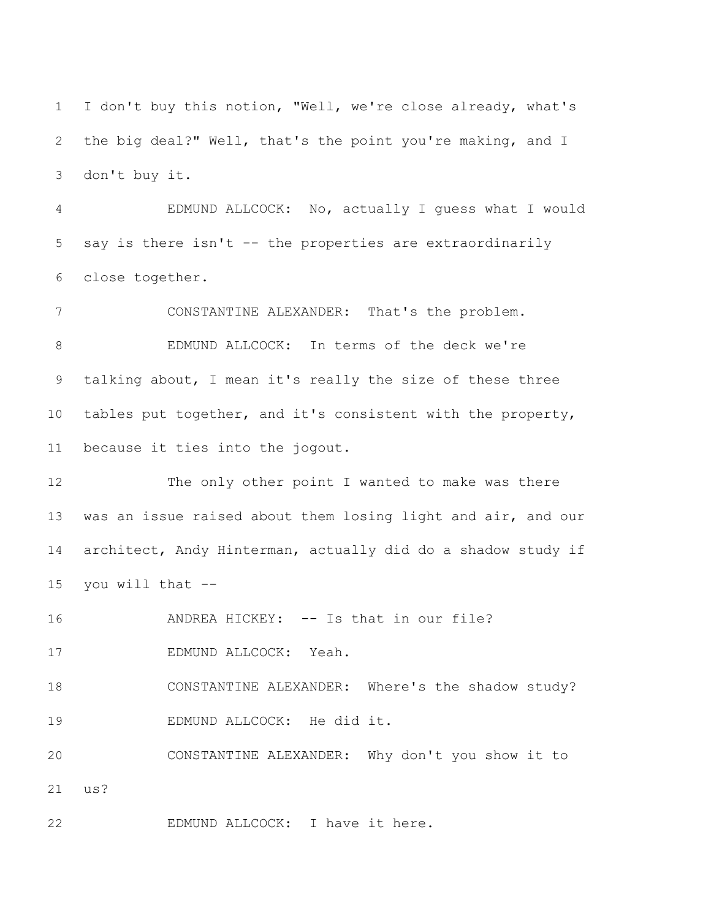I don't buy this notion, "Well, we're close already, what's the big deal?" Well, that's the point you're making, and I don't buy it.

 EDMUND ALLCOCK: No, actually I guess what I would say is there isn't -- the properties are extraordinarily close together.

 CONSTANTINE ALEXANDER: That's the problem. EDMUND ALLCOCK: In terms of the deck we're talking about, I mean it's really the size of these three tables put together, and it's consistent with the property, because it ties into the jogout.

 The only other point I wanted to make was there was an issue raised about them losing light and air, and our architect, Andy Hinterman, actually did do a shadow study if you will that --

16 ANDREA HICKEY: -- Is that in our file?

EDMUND ALLCOCK: Yeah.

 CONSTANTINE ALEXANDER: Where's the shadow study? EDMUND ALLCOCK: He did it.

 CONSTANTINE ALEXANDER: Why don't you show it to us?

EDMUND ALLCOCK: I have it here.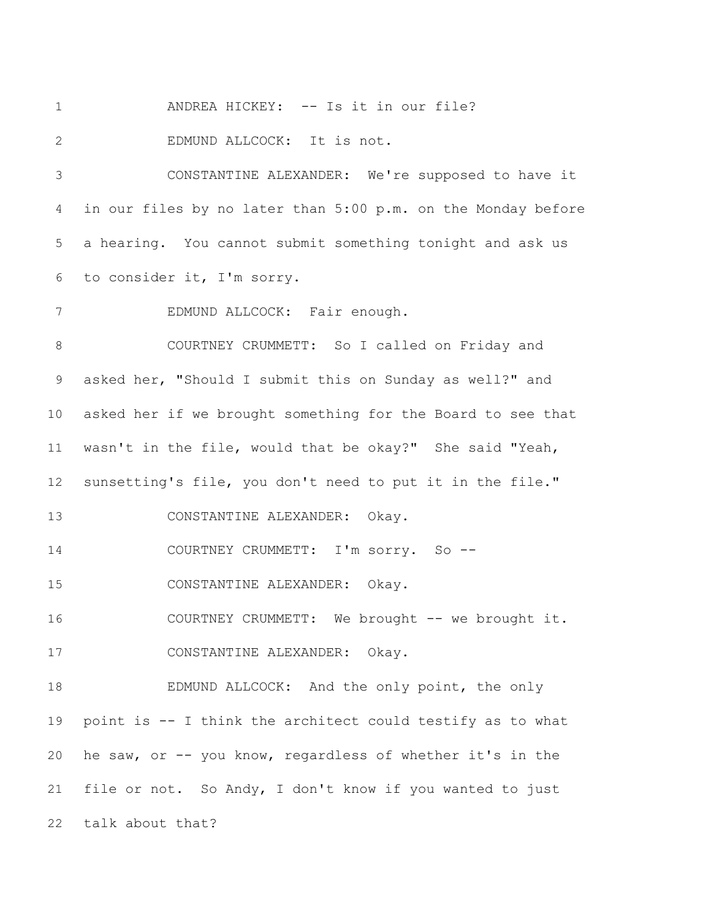1 ANDREA HICKEY: -- Is it in our file? EDMUND ALLCOCK: It is not. CONSTANTINE ALEXANDER: We're supposed to have it in our files by no later than 5:00 p.m. on the Monday before a hearing. You cannot submit something tonight and ask us to consider it, I'm sorry. EDMUND ALLCOCK: Fair enough. COURTNEY CRUMMETT: So I called on Friday and asked her, "Should I submit this on Sunday as well?" and asked her if we brought something for the Board to see that wasn't in the file, would that be okay?" She said "Yeah, sunsetting's file, you don't need to put it in the file." CONSTANTINE ALEXANDER: Okay. 14 COURTNEY CRUMMETT: I'm sorry. So -- CONSTANTINE ALEXANDER: Okay. 16 COURTNEY CRUMMETT: We brought -- we brought it. CONSTANTINE ALEXANDER: Okay. EDMUND ALLCOCK: And the only point, the only point is -- I think the architect could testify as to what he saw, or -- you know, regardless of whether it's in the file or not. So Andy, I don't know if you wanted to just talk about that?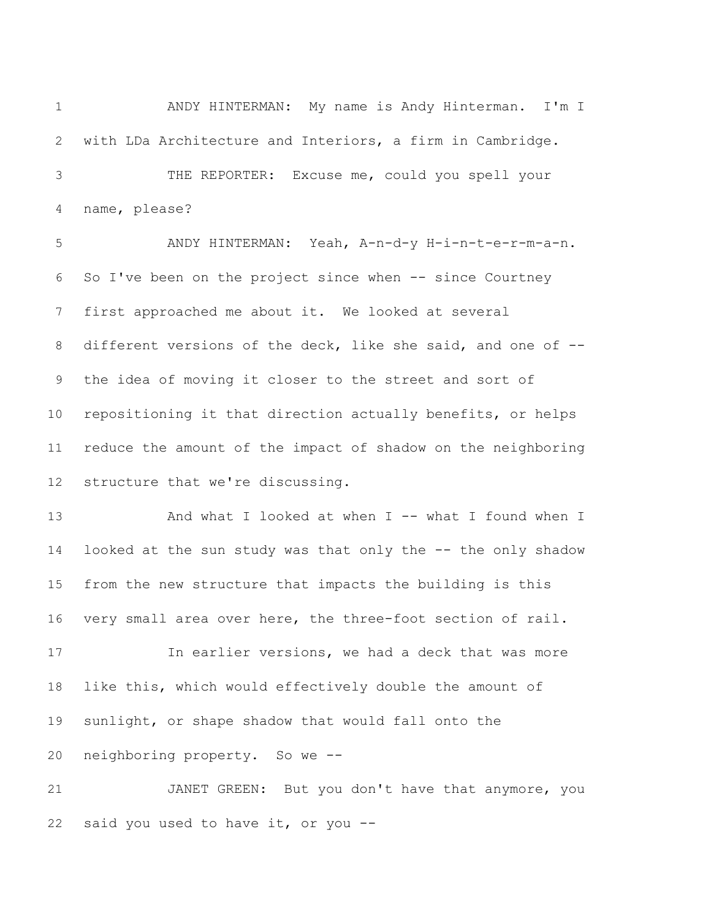ANDY HINTERMAN: My name is Andy Hinterman. I'm I with LDa Architecture and Interiors, a firm in Cambridge. THE REPORTER: Excuse me, could you spell your name, please?

 ANDY HINTERMAN: Yeah, A-n-d-y H-i-n-t-e-r-m-a-n. So I've been on the project since when -- since Courtney first approached me about it. We looked at several different versions of the deck, like she said, and one of -- the idea of moving it closer to the street and sort of repositioning it that direction actually benefits, or helps reduce the amount of the impact of shadow on the neighboring structure that we're discussing.

13 And what I looked at when I -- what I found when I looked at the sun study was that only the -- the only shadow from the new structure that impacts the building is this very small area over here, the three-foot section of rail.

 In earlier versions, we had a deck that was more like this, which would effectively double the amount of sunlight, or shape shadow that would fall onto the neighboring property. So we --

 JANET GREEN: But you don't have that anymore, you said you used to have it, or you --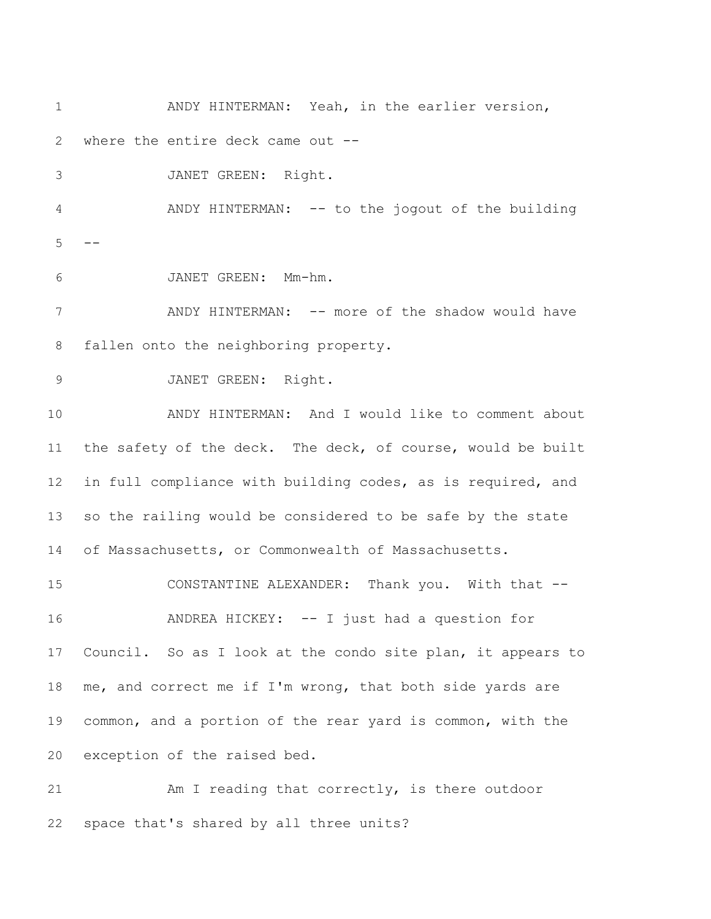ANDY HINTERMAN: Yeah, in the earlier version, where the entire deck came out -- JANET GREEN: Right. ANDY HINTERMAN: -- to the jogout of the building  $5 -$  JANET GREEN: Mm-hm. 7 ANDY HINTERMAN: -- more of the shadow would have fallen onto the neighboring property. JANET GREEN: Right. ANDY HINTERMAN: And I would like to comment about 11 the safety of the deck. The deck, of course, would be built in full compliance with building codes, as is required, and so the railing would be considered to be safe by the state of Massachusetts, or Commonwealth of Massachusetts. CONSTANTINE ALEXANDER: Thank you. With that -- ANDREA HICKEY: -- I just had a question for Council. So as I look at the condo site plan, it appears to me, and correct me if I'm wrong, that both side yards are common, and a portion of the rear yard is common, with the exception of the raised bed. Am I reading that correctly, is there outdoor

space that's shared by all three units?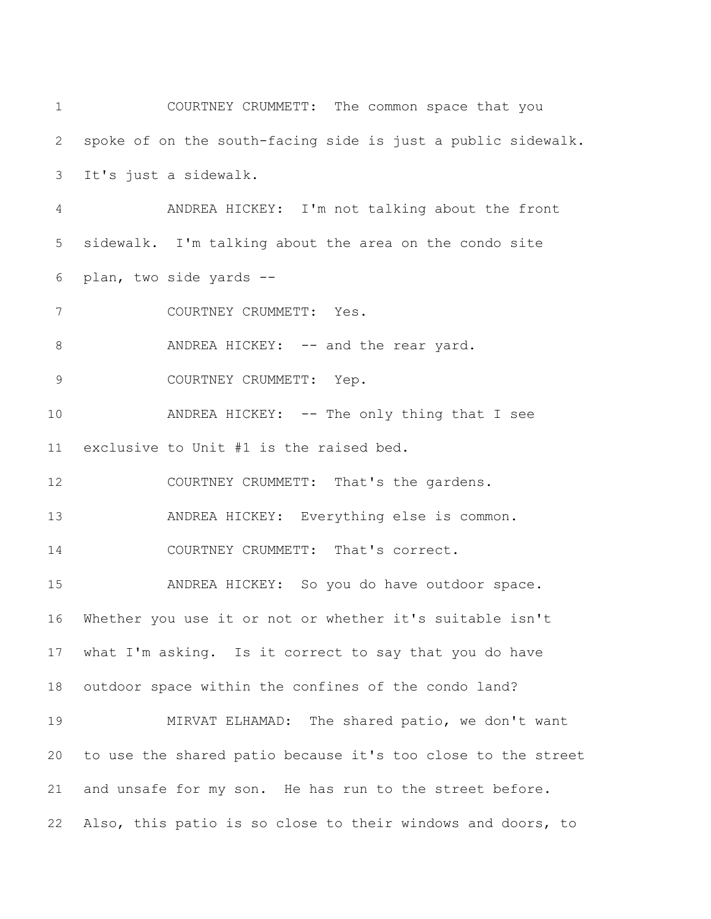| $\mathbf 1$    | COURTNEY CRUMMETT: The common space that you                 |
|----------------|--------------------------------------------------------------|
| $\mathbf{2}$   | spoke of on the south-facing side is just a public sidewalk. |
| 3              | It's just a sidewalk.                                        |
| 4              | ANDREA HICKEY: I'm not talking about the front               |
| 5              | sidewalk. I'm talking about the area on the condo site       |
| 6              | plan, two side yards --                                      |
| 7              | COURTNEY CRUMMETT: Yes.                                      |
| 8              | ANDREA HICKEY: -- and the rear yard.                         |
| $\overline{9}$ | COURTNEY CRUMMETT: Yep.                                      |
| 10             | ANDREA HICKEY: -- The only thing that I see                  |
| 11             | exclusive to Unit #1 is the raised bed.                      |
| 12             | COURTNEY CRUMMETT: That's the gardens.                       |
| 13             | ANDREA HICKEY: Everything else is common.                    |
| 14             | COURTNEY CRUMMETT: That's correct.                           |
| 15             | ANDREA HICKEY: So you do have outdoor space.                 |
| 16             | Whether you use it or not or whether it's suitable isn't     |
| 17             | what I'm asking. Is it correct to say that you do have       |
| 18             | outdoor space within the confines of the condo land?         |
| 19             | MIRVAT ELHAMAD: The shared patio, we don't want              |
| 20             | to use the shared patio because it's too close to the street |
| 21             | and unsafe for my son. He has run to the street before.      |
| 22             | Also, this patio is so close to their windows and doors, to  |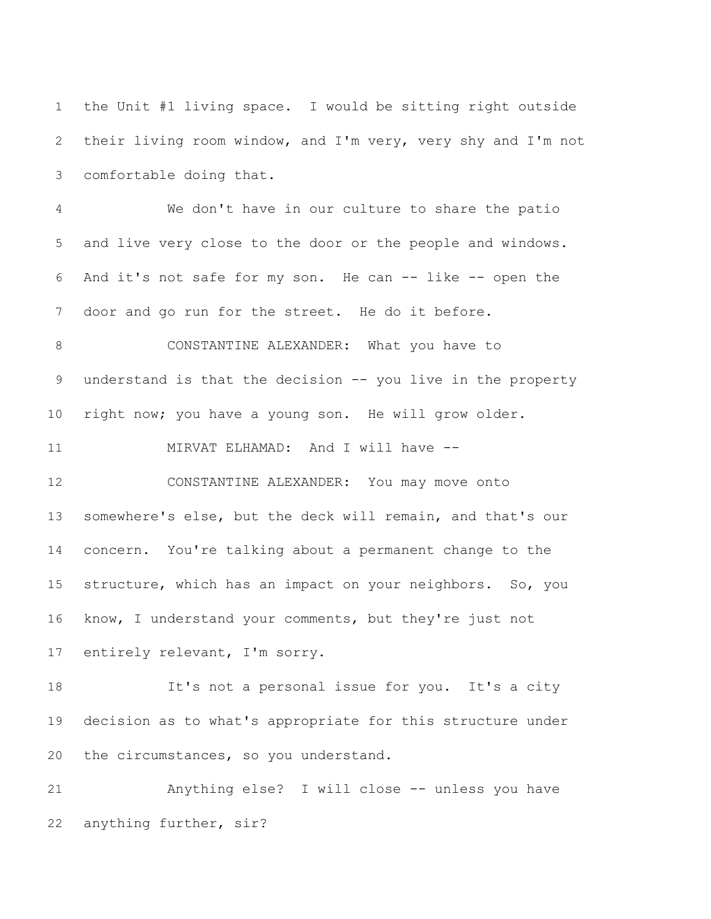the Unit #1 living space. I would be sitting right outside their living room window, and I'm very, very shy and I'm not comfortable doing that.

 We don't have in our culture to share the patio and live very close to the door or the people and windows. And it's not safe for my son. He can -- like -- open the door and go run for the street. He do it before.

 CONSTANTINE ALEXANDER: What you have to 9 understand is that the decision -- you live in the property right now; you have a young son. He will grow older.

11 MIRVAT ELHAMAD: And I will have --

 CONSTANTINE ALEXANDER: You may move onto somewhere's else, but the deck will remain, and that's our concern. You're talking about a permanent change to the structure, which has an impact on your neighbors. So, you know, I understand your comments, but they're just not entirely relevant, I'm sorry.

 It's not a personal issue for you. It's a city decision as to what's appropriate for this structure under the circumstances, so you understand.

 Anything else? I will close -- unless you have anything further, sir?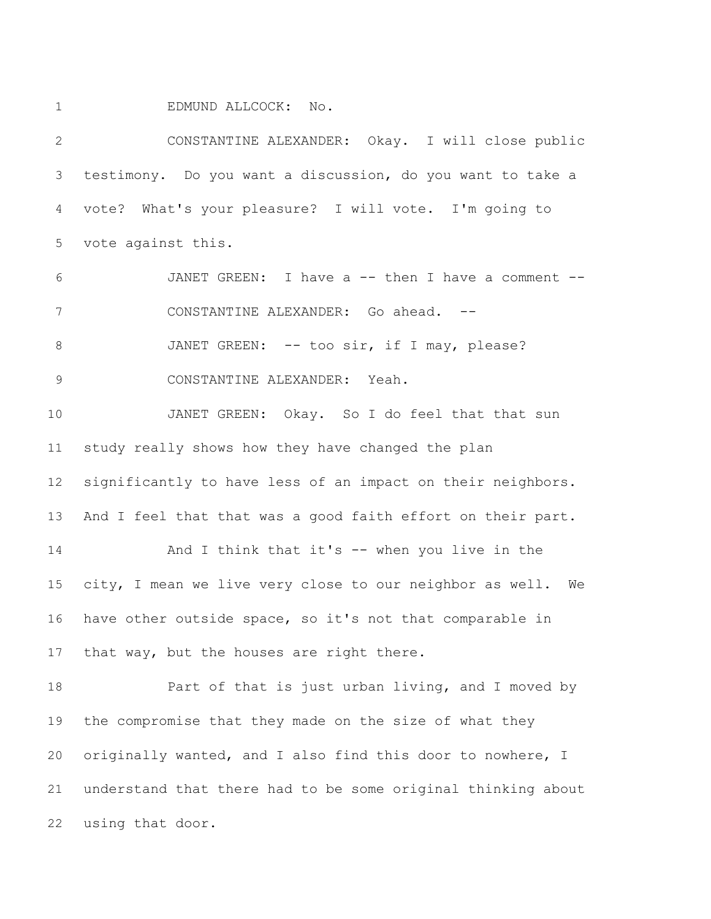EDMUND ALLCOCK: No.

 CONSTANTINE ALEXANDER: Okay. I will close public testimony. Do you want a discussion, do you want to take a vote? What's your pleasure? I will vote. I'm going to vote against this.

 JANET GREEN: I have a -- then I have a comment -- CONSTANTINE ALEXANDER: Go ahead. -- 8 JANET GREEN: -- too sir, if I may, please?

CONSTANTINE ALEXANDER: Yeah.

 JANET GREEN: Okay. So I do feel that that sun study really shows how they have changed the plan significantly to have less of an impact on their neighbors. 13 And I feel that that was a good faith effort on their part. And I think that it's -- when you live in the city, I mean we live very close to our neighbor as well. We have other outside space, so it's not that comparable in 17 that way, but the houses are right there.

 Part of that is just urban living, and I moved by the compromise that they made on the size of what they originally wanted, and I also find this door to nowhere, I understand that there had to be some original thinking about using that door.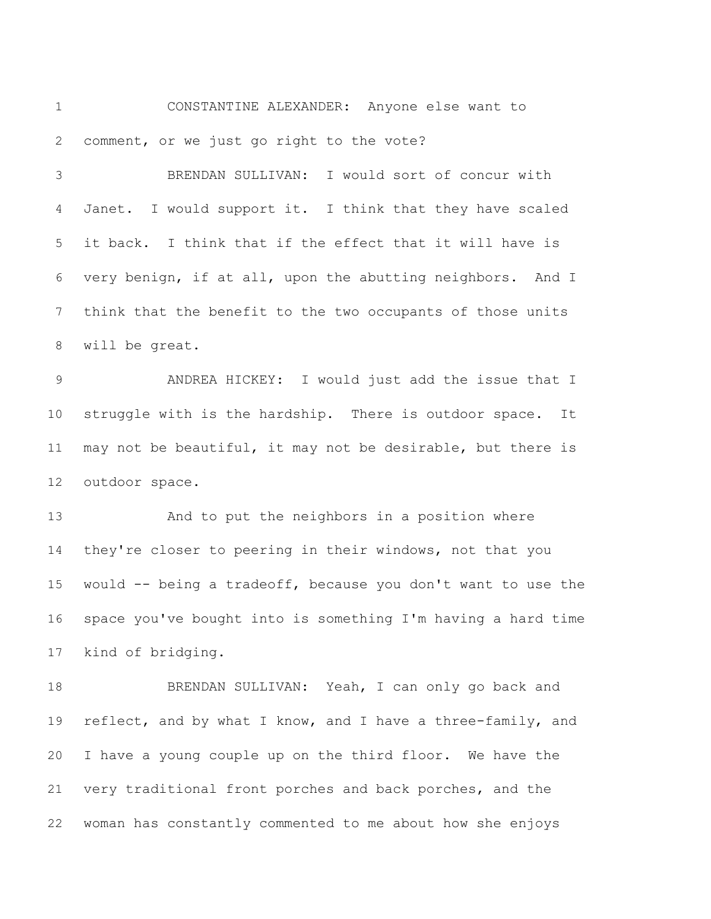CONSTANTINE ALEXANDER: Anyone else want to comment, or we just go right to the vote?

 BRENDAN SULLIVAN: I would sort of concur with Janet. I would support it. I think that they have scaled it back. I think that if the effect that it will have is very benign, if at all, upon the abutting neighbors. And I think that the benefit to the two occupants of those units will be great.

 ANDREA HICKEY: I would just add the issue that I struggle with is the hardship. There is outdoor space. It may not be beautiful, it may not be desirable, but there is outdoor space.

 And to put the neighbors in a position where they're closer to peering in their windows, not that you would -- being a tradeoff, because you don't want to use the space you've bought into is something I'm having a hard time kind of bridging.

 BRENDAN SULLIVAN: Yeah, I can only go back and 19 reflect, and by what I know, and I have a three-family, and I have a young couple up on the third floor. We have the very traditional front porches and back porches, and the woman has constantly commented to me about how she enjoys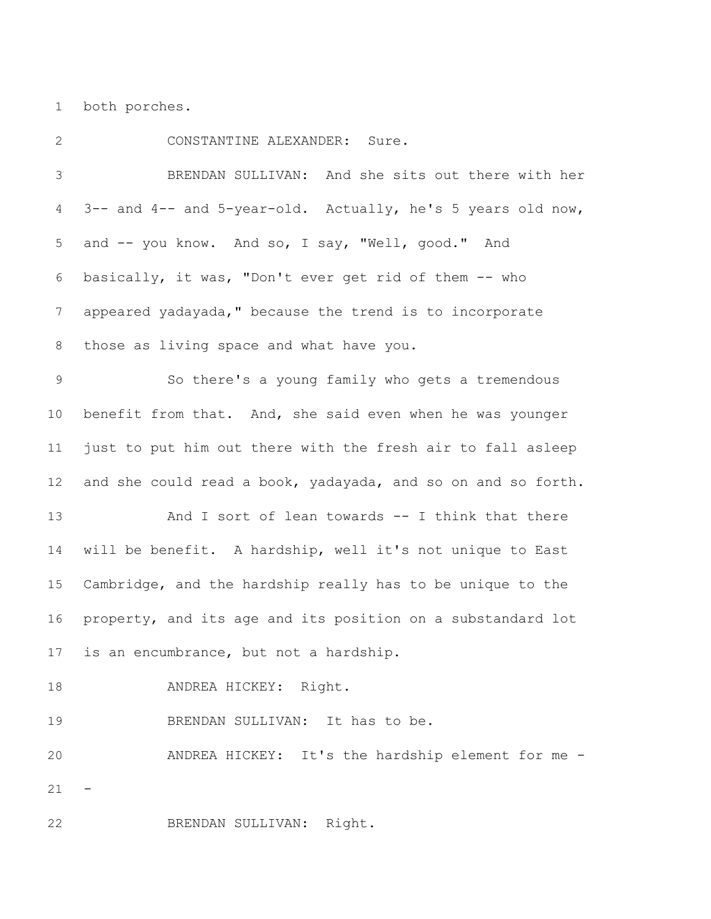both porches.

 CONSTANTINE ALEXANDER: Sure. BRENDAN SULLIVAN: And she sits out there with her 3-- and 4-- and 5-year-old. Actually, he's 5 years old now, and -- you know. And so, I say, "Well, good." And basically, it was, "Don't ever get rid of them -- who appeared yadayada," because the trend is to incorporate those as living space and what have you. So there's a young family who gets a tremendous benefit from that. And, she said even when he was younger just to put him out there with the fresh air to fall asleep and she could read a book, yadayada, and so on and so forth. And I sort of lean towards -- I think that there will be benefit. A hardship, well it's not unique to East Cambridge, and the hardship really has to be unique to the property, and its age and its position on a substandard lot is an encumbrance, but not a hardship. 18 ANDREA HICKEY: Right. 19 BRENDAN SULLIVAN: It has to be. ANDREA HICKEY: It's the hardship element for me - BRENDAN SULLIVAN: Right.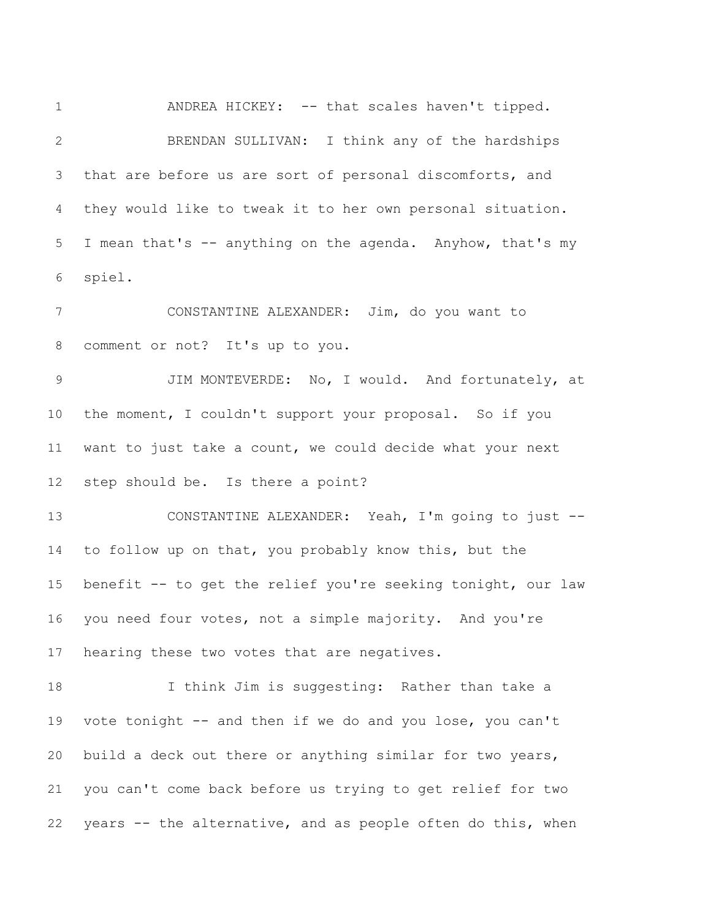ANDREA HICKEY: -- that scales haven't tipped. BRENDAN SULLIVAN: I think any of the hardships that are before us are sort of personal discomforts, and they would like to tweak it to her own personal situation. I mean that's -- anything on the agenda. Anyhow, that's my spiel. CONSTANTINE ALEXANDER: Jim, do you want to comment or not? It's up to you. JIM MONTEVERDE: No, I would. And fortunately, at the moment, I couldn't support your proposal. So if you want to just take a count, we could decide what your next step should be. Is there a point? CONSTANTINE ALEXANDER: Yeah, I'm going to just -- to follow up on that, you probably know this, but the benefit -- to get the relief you're seeking tonight, our law you need four votes, not a simple majority. And you're hearing these two votes that are negatives. I think Jim is suggesting: Rather than take a vote tonight -- and then if we do and you lose, you can't build a deck out there or anything similar for two years, you can't come back before us trying to get relief for two years -- the alternative, and as people often do this, when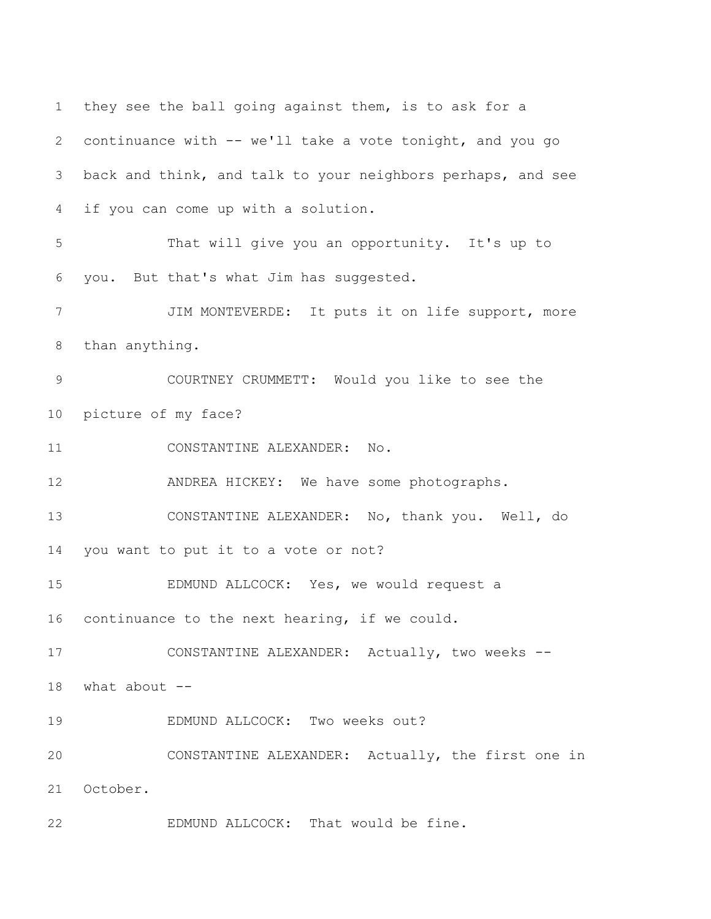they see the ball going against them, is to ask for a continuance with -- we'll take a vote tonight, and you go back and think, and talk to your neighbors perhaps, and see if you can come up with a solution. That will give you an opportunity. It's up to you. But that's what Jim has suggested. JIM MONTEVERDE: It puts it on life support, more than anything. COURTNEY CRUMMETT: Would you like to see the picture of my face? CONSTANTINE ALEXANDER: No. ANDREA HICKEY: We have some photographs. CONSTANTINE ALEXANDER: No, thank you. Well, do you want to put it to a vote or not? EDMUND ALLCOCK: Yes, we would request a continuance to the next hearing, if we could. CONSTANTINE ALEXANDER: Actually, two weeks -- what about -- EDMUND ALLCOCK: Two weeks out? CONSTANTINE ALEXANDER: Actually, the first one in October. EDMUND ALLCOCK: That would be fine.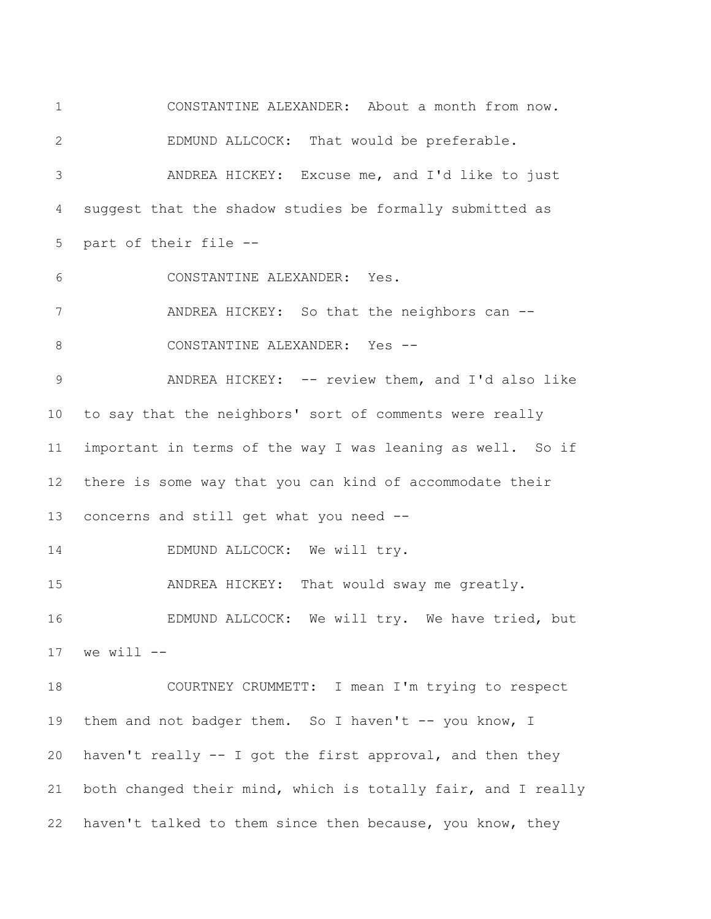CONSTANTINE ALEXANDER: About a month from now. EDMUND ALLCOCK: That would be preferable. ANDREA HICKEY: Excuse me, and I'd like to just suggest that the shadow studies be formally submitted as part of their file -- CONSTANTINE ALEXANDER: Yes. ANDREA HICKEY: So that the neighbors can -- 8 CONSTANTINE ALEXANDER: Yes --9 ANDREA HICKEY: -- review them, and I'd also like to say that the neighbors' sort of comments were really important in terms of the way I was leaning as well. So if there is some way that you can kind of accommodate their concerns and still get what you need -- 14 EDMUND ALLCOCK: We will try. ANDREA HICKEY: That would sway me greatly. EDMUND ALLCOCK: We will try. We have tried, but we will  $--$  COURTNEY CRUMMETT: I mean I'm trying to respect 19 them and not badger them. So I haven't -- you know, I haven't really -- I got the first approval, and then they both changed their mind, which is totally fair, and I really haven't talked to them since then because, you know, they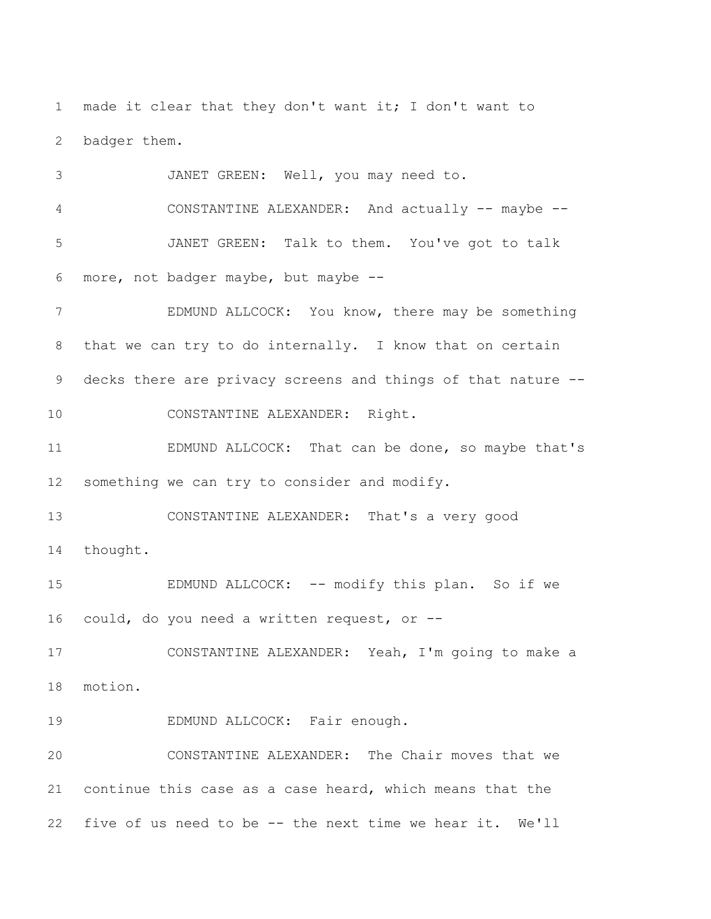made it clear that they don't want it; I don't want to badger them.

 JANET GREEN: Well, you may need to. CONSTANTINE ALEXANDER: And actually -- maybe -- JANET GREEN: Talk to them. You've got to talk more, not badger maybe, but maybe --

 EDMUND ALLCOCK: You know, there may be something that we can try to do internally. I know that on certain decks there are privacy screens and things of that nature -- CONSTANTINE ALEXANDER: Right.

 EDMUND ALLCOCK: That can be done, so maybe that's something we can try to consider and modify.

 CONSTANTINE ALEXANDER: That's a very good thought.

15 EDMUND ALLCOCK: -- modify this plan. So if we could, do you need a written request, or --

 CONSTANTINE ALEXANDER: Yeah, I'm going to make a motion.

19 EDMUND ALLCOCK: Fair enough.

 CONSTANTINE ALEXANDER: The Chair moves that we continue this case as a case heard, which means that the five of us need to be -- the next time we hear it. We'll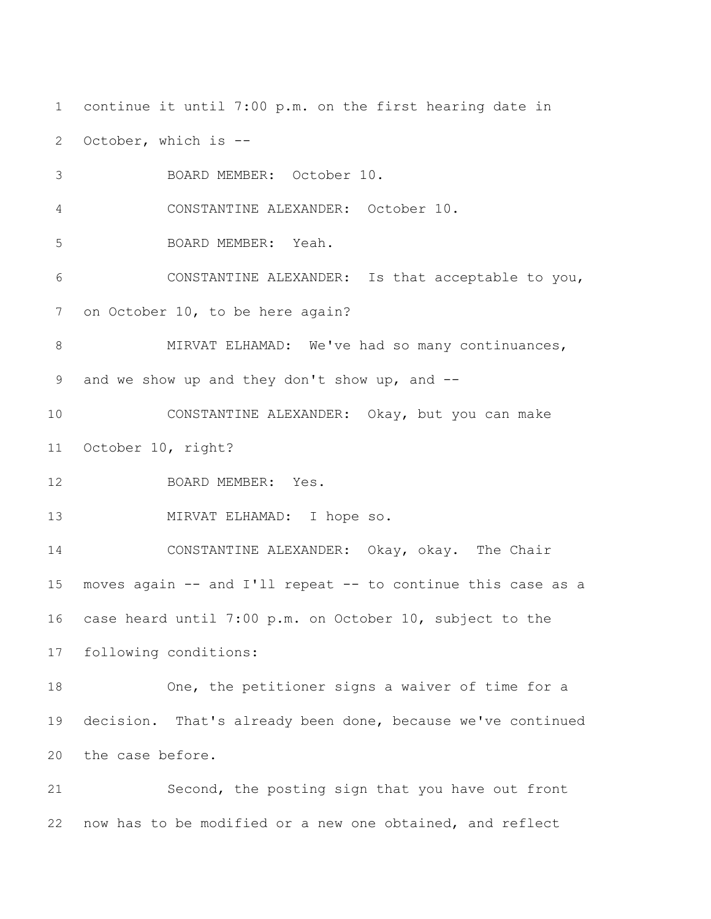continue it until 7:00 p.m. on the first hearing date in October, which is -- BOARD MEMBER: October 10. CONSTANTINE ALEXANDER: October 10. BOARD MEMBER: Yeah. CONSTANTINE ALEXANDER: Is that acceptable to you, on October 10, to be here again? 8 MIRVAT ELHAMAD: We've had so many continuances, and we show up and they don't show up, and -- CONSTANTINE ALEXANDER: Okay, but you can make October 10, right? BOARD MEMBER: Yes. MIRVAT ELHAMAD: I hope so. CONSTANTINE ALEXANDER: Okay, okay. The Chair moves again -- and I'll repeat -- to continue this case as a case heard until 7:00 p.m. on October 10, subject to the following conditions: One, the petitioner signs a waiver of time for a decision. That's already been done, because we've continued the case before. Second, the posting sign that you have out front now has to be modified or a new one obtained, and reflect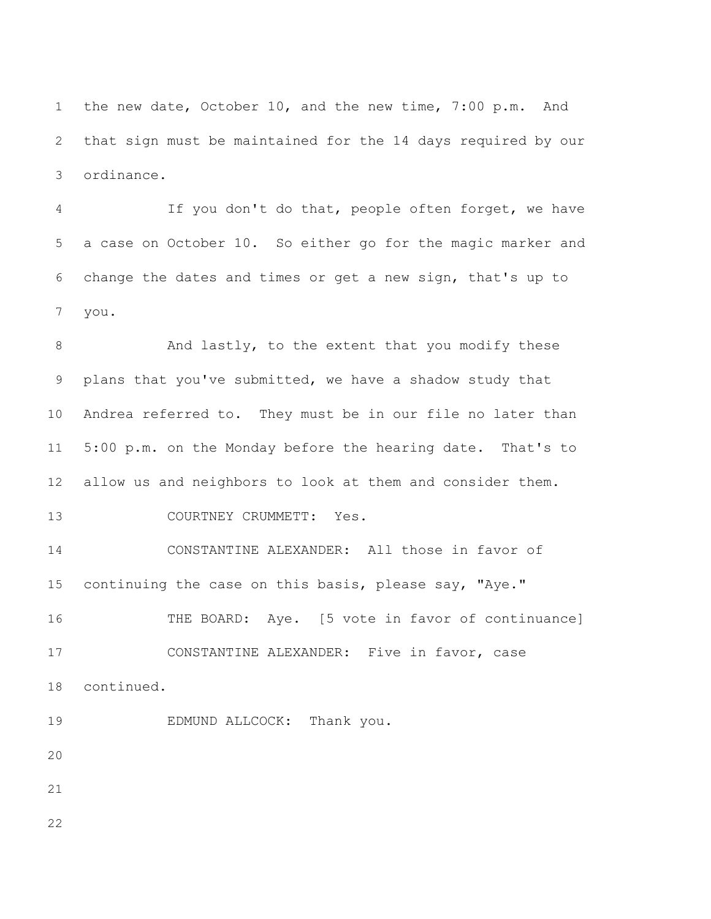the new date, October 10, and the new time, 7:00 p.m. And that sign must be maintained for the 14 days required by our ordinance.

 If you don't do that, people often forget, we have a case on October 10. So either go for the magic marker and change the dates and times or get a new sign, that's up to you.

8 And lastly, to the extent that you modify these plans that you've submitted, we have a shadow study that Andrea referred to. They must be in our file no later than 5:00 p.m. on the Monday before the hearing date. That's to allow us and neighbors to look at them and consider them. 13 COURTNEY CRUMMETT: Yes. CONSTANTINE ALEXANDER: All those in favor of 15 continuing the case on this basis, please say, "Aye." THE BOARD: Aye. [5 vote in favor of continuance]

 CONSTANTINE ALEXANDER: Five in favor, case continued.

EDMUND ALLCOCK: Thank you.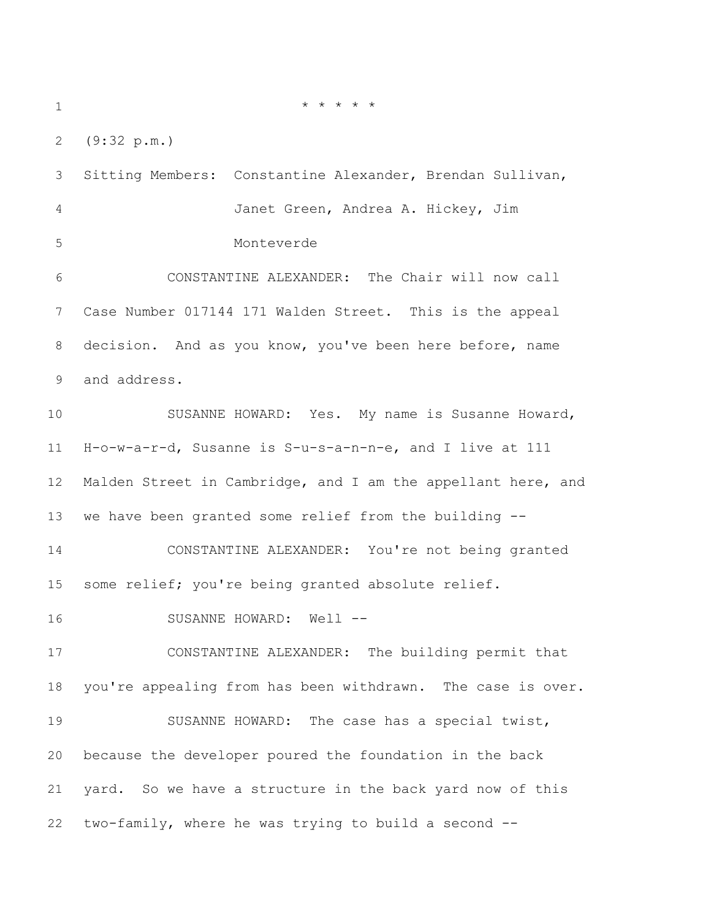$* * * * * * *$ 

(9:32 p.m.)

 Sitting Members: Constantine Alexander, Brendan Sullivan, Janet Green, Andrea A. Hickey, Jim Monteverde

 CONSTANTINE ALEXANDER: The Chair will now call Case Number 017144 171 Walden Street. This is the appeal decision. And as you know, you've been here before, name and address.

 SUSANNE HOWARD: Yes. My name is Susanne Howard, H-o-w-a-r-d, Susanne is S-u-s-a-n-n-e, and I live at 111 Malden Street in Cambridge, and I am the appellant here, and we have been granted some relief from the building --

 CONSTANTINE ALEXANDER: You're not being granted 15 some relief; you're being granted absolute relief.

16 SUSANNE HOWARD: Well --

 CONSTANTINE ALEXANDER: The building permit that you're appealing from has been withdrawn. The case is over. SUSANNE HOWARD: The case has a special twist, because the developer poured the foundation in the back yard. So we have a structure in the back yard now of this two-family, where he was trying to build a second --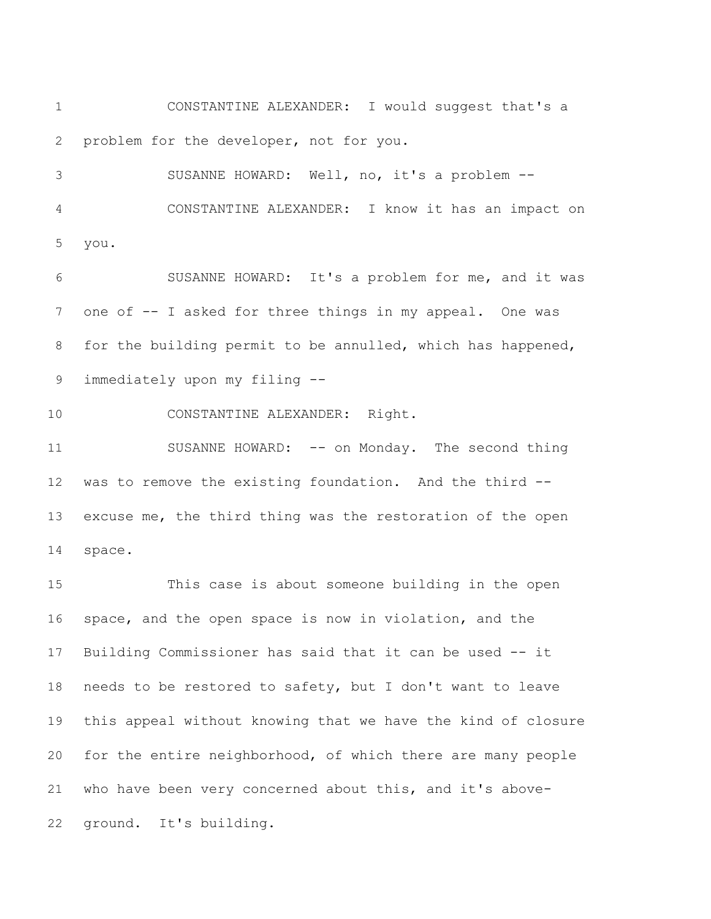CONSTANTINE ALEXANDER: I would suggest that's a problem for the developer, not for you.

 SUSANNE HOWARD: Well, no, it's a problem -- CONSTANTINE ALEXANDER: I know it has an impact on you.

 SUSANNE HOWARD: It's a problem for me, and it was one of -- I asked for three things in my appeal. One was for the building permit to be annulled, which has happened, immediately upon my filing --

CONSTANTINE ALEXANDER: Right.

 SUSANNE HOWARD: -- on Monday. The second thing was to remove the existing foundation. And the third -- excuse me, the third thing was the restoration of the open space.

 This case is about someone building in the open space, and the open space is now in violation, and the Building Commissioner has said that it can be used -- it needs to be restored to safety, but I don't want to leave this appeal without knowing that we have the kind of closure for the entire neighborhood, of which there are many people who have been very concerned about this, and it's above-ground. It's building.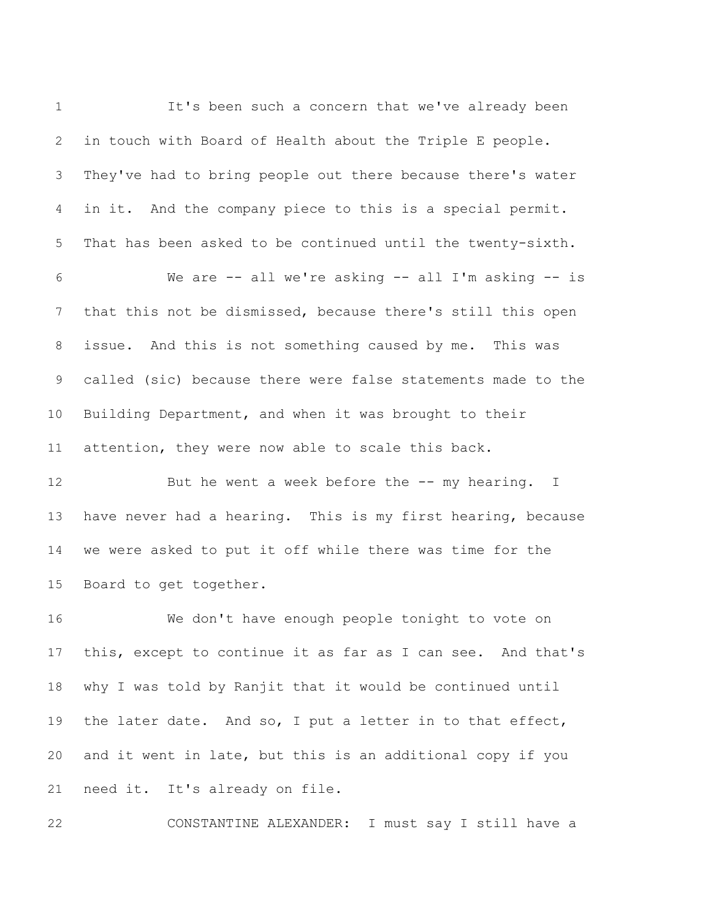It's been such a concern that we've already been in touch with Board of Health about the Triple E people. They've had to bring people out there because there's water in it. And the company piece to this is a special permit. That has been asked to be continued until the twenty-sixth. We are -- all we're asking -- all I'm asking -- is that this not be dismissed, because there's still this open issue. And this is not something caused by me. This was called (sic) because there were false statements made to the Building Department, and when it was brought to their attention, they were now able to scale this back. 12 But he went a week before the -- my hearing. I have never had a hearing. This is my first hearing, because we were asked to put it off while there was time for the Board to get together. We don't have enough people tonight to vote on this, except to continue it as far as I can see. And that's why I was told by Ranjit that it would be continued until the later date. And so, I put a letter in to that effect, and it went in late, but this is an additional copy if you need it. It's already on file.

CONSTANTINE ALEXANDER: I must say I still have a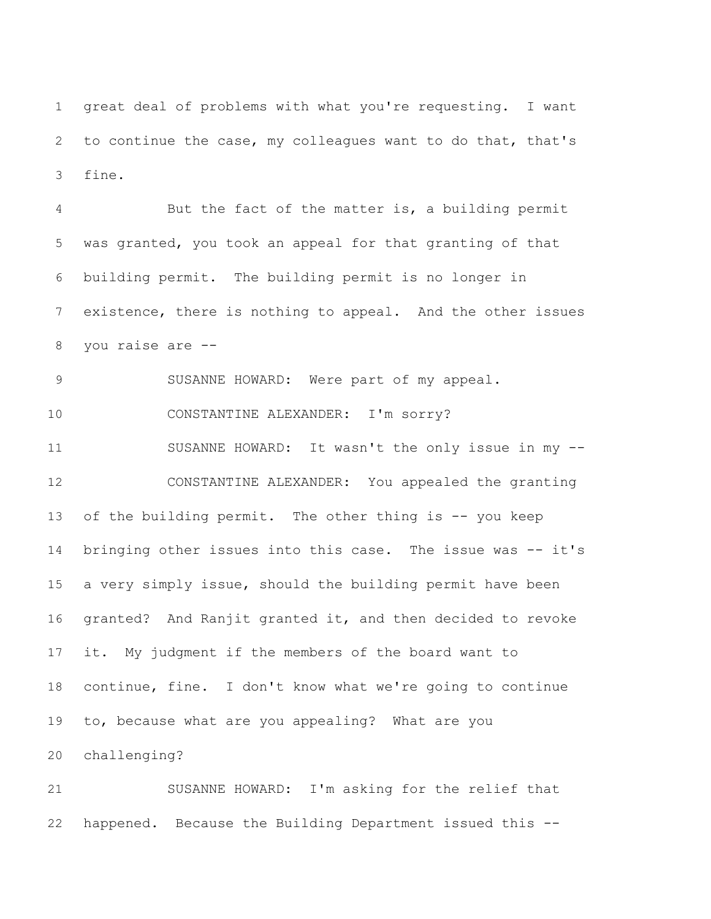great deal of problems with what you're requesting. I want to continue the case, my colleagues want to do that, that's fine.

 But the fact of the matter is, a building permit was granted, you took an appeal for that granting of that building permit. The building permit is no longer in existence, there is nothing to appeal. And the other issues you raise are -- SUSANNE HOWARD: Were part of my appeal. CONSTANTINE ALEXANDER: I'm sorry? SUSANNE HOWARD: It wasn't the only issue in my -- CONSTANTINE ALEXANDER: You appealed the granting of the building permit. The other thing is -- you keep bringing other issues into this case. The issue was -- it's a very simply issue, should the building permit have been granted? And Ranjit granted it, and then decided to revoke it. My judgment if the members of the board want to continue, fine. I don't know what we're going to continue to, because what are you appealing? What are you challenging?

 SUSANNE HOWARD: I'm asking for the relief that happened. Because the Building Department issued this --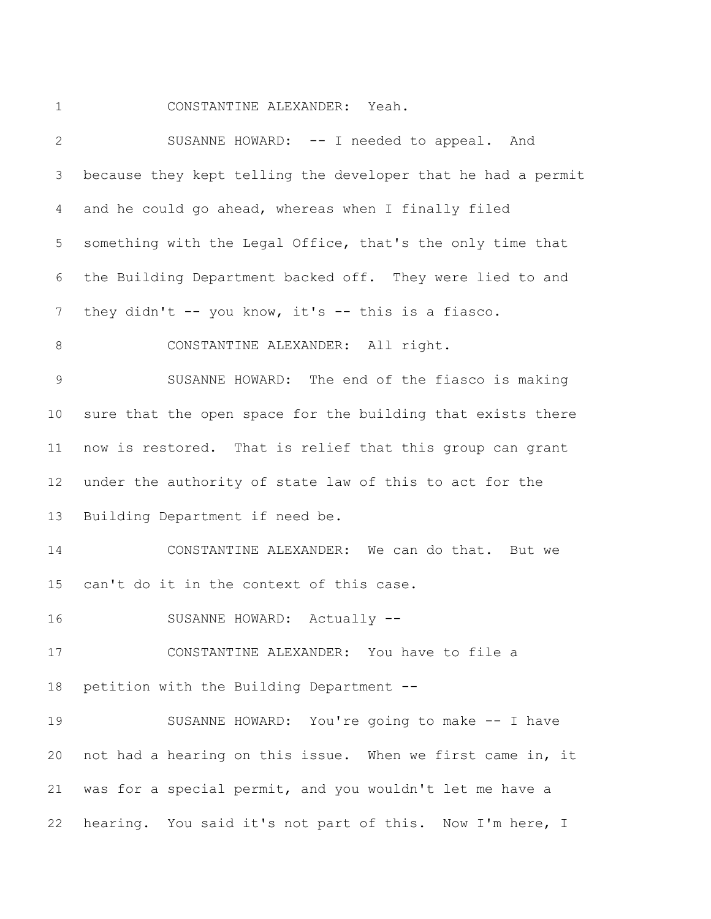CONSTANTINE ALEXANDER: Yeah.

| $\overline{2}$ | SUSANNE HOWARD: -- I needed to appeal. And                   |
|----------------|--------------------------------------------------------------|
| 3              | because they kept telling the developer that he had a permit |
| $\overline{4}$ | and he could go ahead, whereas when I finally filed          |
| 5              | something with the Legal Office, that's the only time that   |
| 6              | the Building Department backed off. They were lied to and    |
| 7              | they didn't -- you know, it's -- this is a fiasco.           |
| $\,8\,$        | CONSTANTINE ALEXANDER: All right.                            |
| $\mathcal{G}$  | SUSANNE HOWARD: The end of the fiasco is making              |
| 10             | sure that the open space for the building that exists there  |
| 11             | now is restored. That is relief that this group can grant    |
| 12             | under the authority of state law of this to act for the      |
| 13             | Building Department if need be.                              |
| 14             | CONSTANTINE ALEXANDER: We can do that. But we                |
| 15             | can't do it in the context of this case.                     |
| 16             | SUSANNE HOWARD: Actually --                                  |
| 17             | CONSTANTINE ALEXANDER: You have to file a                    |
| 18             | petition with the Building Department --                     |
| 19             | SUSANNE HOWARD: You're going to make -- I have               |
| 20             | not had a hearing on this issue. When we first came in, it   |
| 21             | was for a special permit, and you wouldn't let me have a     |
| 22             | hearing. You said it's not part of this. Now I'm here, I     |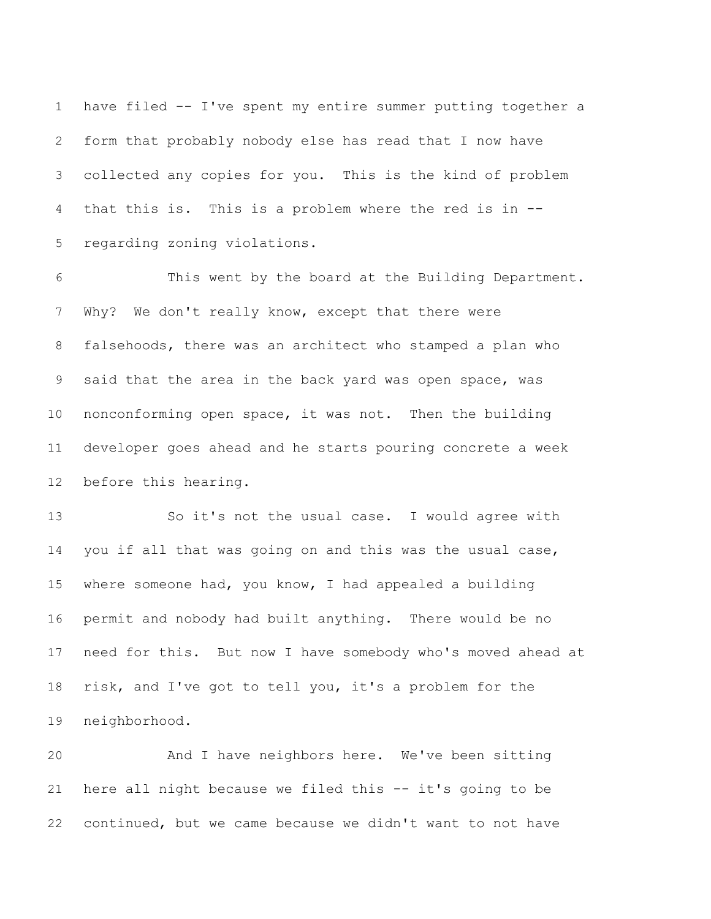have filed -- I've spent my entire summer putting together a form that probably nobody else has read that I now have collected any copies for you. This is the kind of problem that this is. This is a problem where the red is in -- regarding zoning violations.

 This went by the board at the Building Department. Why? We don't really know, except that there were falsehoods, there was an architect who stamped a plan who said that the area in the back yard was open space, was nonconforming open space, it was not. Then the building developer goes ahead and he starts pouring concrete a week before this hearing.

 So it's not the usual case. I would agree with you if all that was going on and this was the usual case, where someone had, you know, I had appealed a building permit and nobody had built anything. There would be no need for this. But now I have somebody who's moved ahead at risk, and I've got to tell you, it's a problem for the neighborhood.

 And I have neighbors here. We've been sitting here all night because we filed this -- it's going to be continued, but we came because we didn't want to not have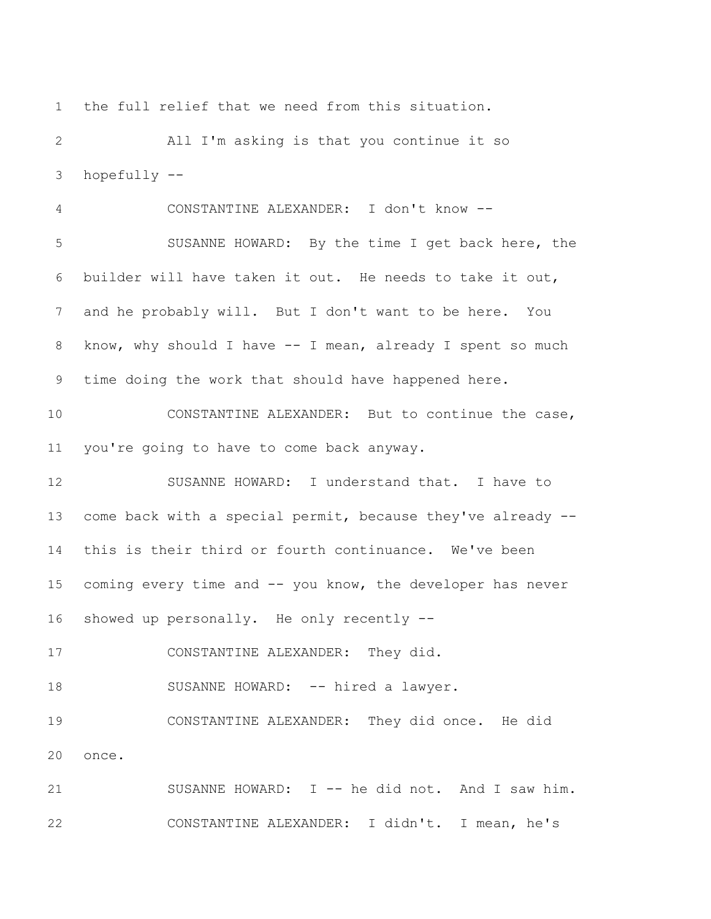the full relief that we need from this situation.

 All I'm asking is that you continue it so hopefully --

 CONSTANTINE ALEXANDER: I don't know -- SUSANNE HOWARD: By the time I get back here, the builder will have taken it out. He needs to take it out, and he probably will. But I don't want to be here. You 8 know, why should I have -- I mean, already I spent so much time doing the work that should have happened here. CONSTANTINE ALEXANDER: But to continue the case, you're going to have to come back anyway. SUSANNE HOWARD: I understand that. I have to

 come back with a special permit, because they've already -- this is their third or fourth continuance. We've been coming every time and -- you know, the developer has never showed up personally. He only recently --

CONSTANTINE ALEXANDER: They did.

18 SUSANNE HOWARD: -- hired a lawyer.

 CONSTANTINE ALEXANDER: They did once. He did once.

 SUSANNE HOWARD: I -- he did not. And I saw him. CONSTANTINE ALEXANDER: I didn't. I mean, he's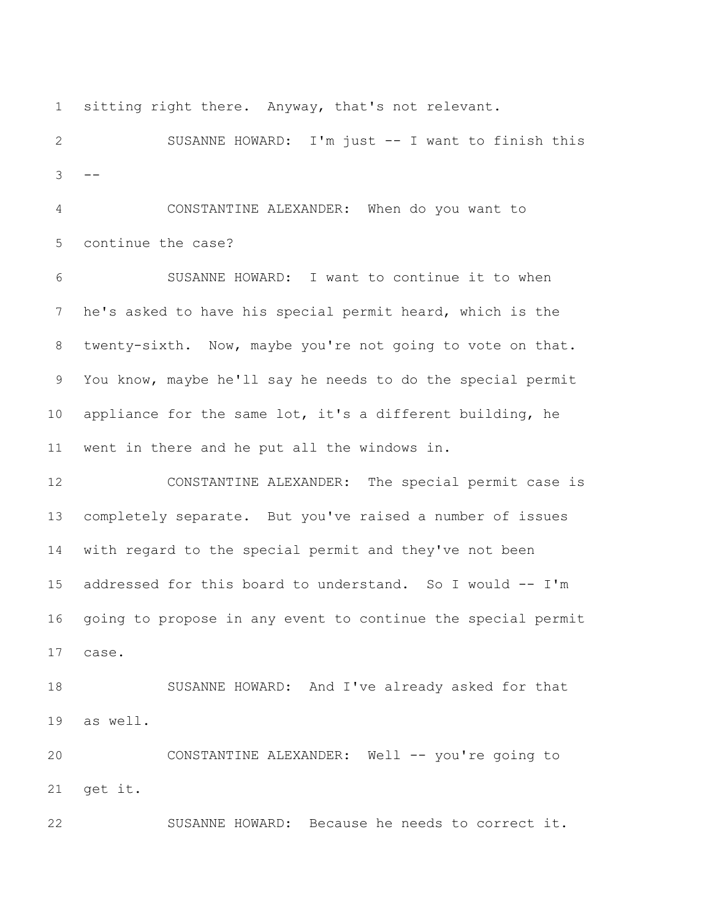sitting right there. Anyway, that's not relevant.

 SUSANNE HOWARD: I'm just -- I want to finish this  $3 - -$ 

 CONSTANTINE ALEXANDER: When do you want to continue the case?

 SUSANNE HOWARD: I want to continue it to when he's asked to have his special permit heard, which is the twenty-sixth. Now, maybe you're not going to vote on that. You know, maybe he'll say he needs to do the special permit appliance for the same lot, it's a different building, he went in there and he put all the windows in.

 CONSTANTINE ALEXANDER: The special permit case is completely separate. But you've raised a number of issues with regard to the special permit and they've not been addressed for this board to understand. So I would -- I'm going to propose in any event to continue the special permit case.

 SUSANNE HOWARD: And I've already asked for that as well.

 CONSTANTINE ALEXANDER: Well -- you're going to get it.

SUSANNE HOWARD: Because he needs to correct it.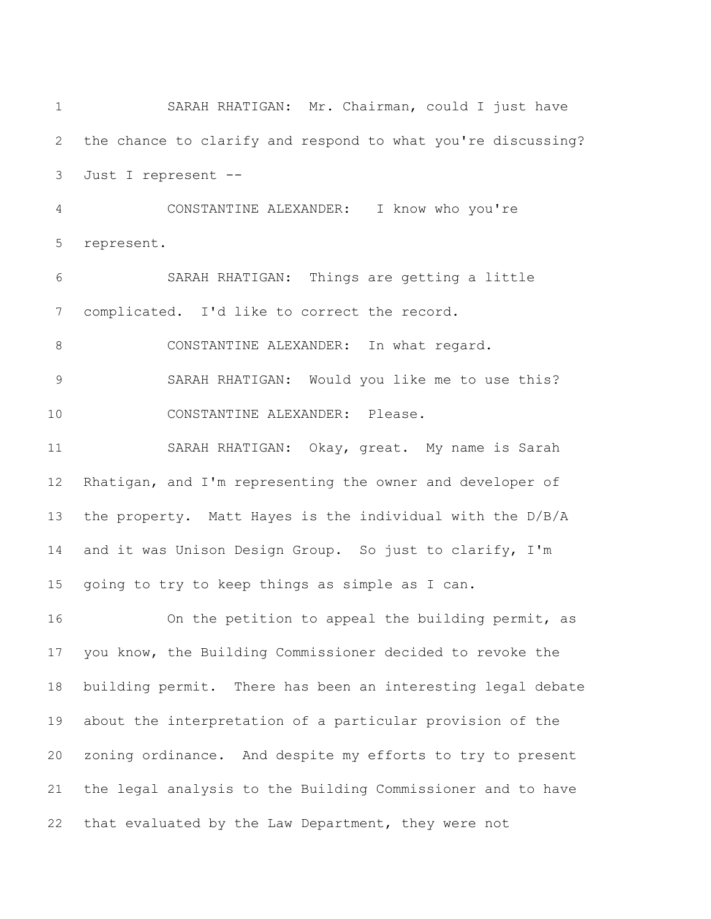SARAH RHATIGAN: Mr. Chairman, could I just have the chance to clarify and respond to what you're discussing? Just I represent -- CONSTANTINE ALEXANDER: I know who you're represent. SARAH RHATIGAN: Things are getting a little complicated. I'd like to correct the record. 8 CONSTANTINE ALEXANDER: In what regard. SARAH RHATIGAN: Would you like me to use this? CONSTANTINE ALEXANDER: Please. SARAH RHATIGAN: Okay, great. My name is Sarah Rhatigan, and I'm representing the owner and developer of the property. Matt Hayes is the individual with the D/B/A and it was Unison Design Group. So just to clarify, I'm going to try to keep things as simple as I can. On the petition to appeal the building permit, as you know, the Building Commissioner decided to revoke the building permit. There has been an interesting legal debate about the interpretation of a particular provision of the zoning ordinance. And despite my efforts to try to present the legal analysis to the Building Commissioner and to have that evaluated by the Law Department, they were not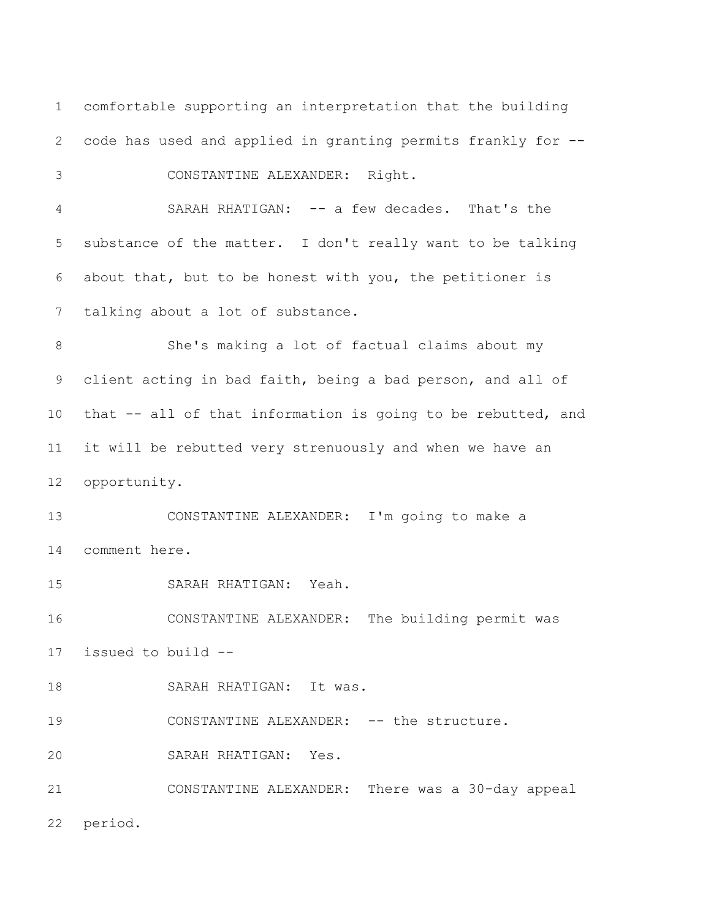comfortable supporting an interpretation that the building code has used and applied in granting permits frankly for -- CONSTANTINE ALEXANDER: Right. SARAH RHATIGAN: -- a few decades. That's the substance of the matter. I don't really want to be talking about that, but to be honest with you, the petitioner is talking about a lot of substance. She's making a lot of factual claims about my client acting in bad faith, being a bad person, and all of that -- all of that information is going to be rebutted, and it will be rebutted very strenuously and when we have an opportunity. CONSTANTINE ALEXANDER: I'm going to make a comment here. SARAH RHATIGAN: Yeah. CONSTANTINE ALEXANDER: The building permit was issued to build -- 18 SARAH RHATIGAN: It was. 19 CONSTANTINE ALEXANDER: -- the structure. SARAH RHATIGAN: Yes. CONSTANTINE ALEXANDER: There was a 30-day appeal period.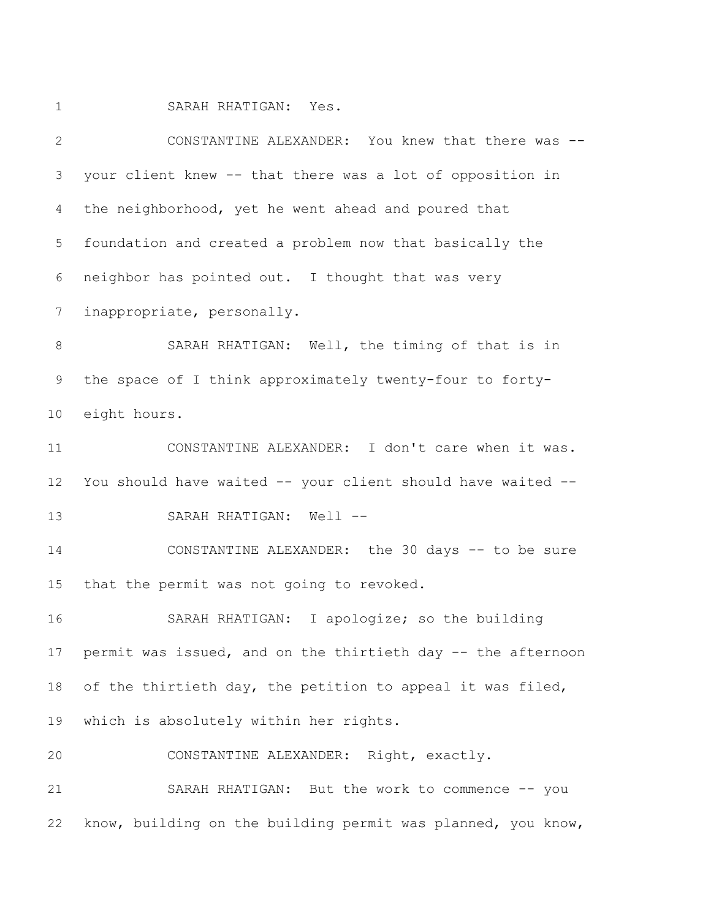SARAH RHATIGAN: Yes.

 CONSTANTINE ALEXANDER: You knew that there was -- your client knew -- that there was a lot of opposition in the neighborhood, yet he went ahead and poured that foundation and created a problem now that basically the neighbor has pointed out. I thought that was very inappropriate, personally. SARAH RHATIGAN: Well, the timing of that is in the space of I think approximately twenty-four to forty- eight hours. CONSTANTINE ALEXANDER: I don't care when it was. You should have waited -- your client should have waited -- SARAH RHATIGAN: Well -- CONSTANTINE ALEXANDER: the 30 days -- to be sure that the permit was not going to revoked. SARAH RHATIGAN: I apologize; so the building permit was issued, and on the thirtieth day -- the afternoon 18 of the thirtieth day, the petition to appeal it was filed, which is absolutely within her rights. CONSTANTINE ALEXANDER: Right, exactly. SARAH RHATIGAN: But the work to commence -- you know, building on the building permit was planned, you know,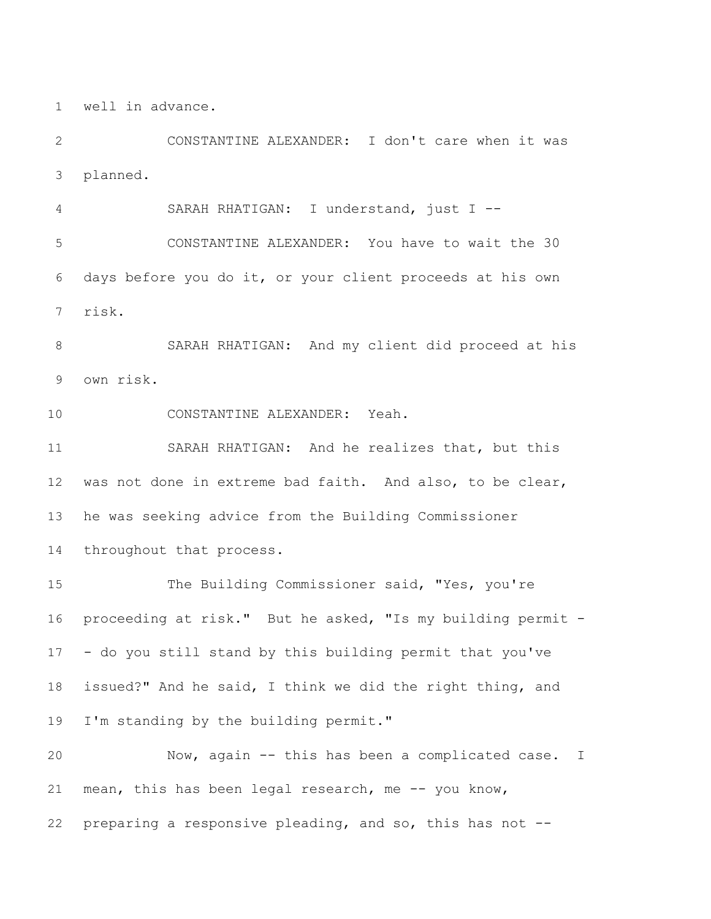well in advance.

 CONSTANTINE ALEXANDER: I don't care when it was planned.

SARAH RHATIGAN: I understand, just I --

 CONSTANTINE ALEXANDER: You have to wait the 30 days before you do it, or your client proceeds at his own risk.

 SARAH RHATIGAN: And my client did proceed at his own risk.

CONSTANTINE ALEXANDER: Yeah.

 SARAH RHATIGAN: And he realizes that, but this was not done in extreme bad faith. And also, to be clear, he was seeking advice from the Building Commissioner throughout that process.

 The Building Commissioner said, "Yes, you're proceeding at risk." But he asked, "Is my building permit - - do you still stand by this building permit that you've issued?" And he said, I think we did the right thing, and I'm standing by the building permit."

 Now, again -- this has been a complicated case. I mean, this has been legal research, me -- you know, preparing a responsive pleading, and so, this has not --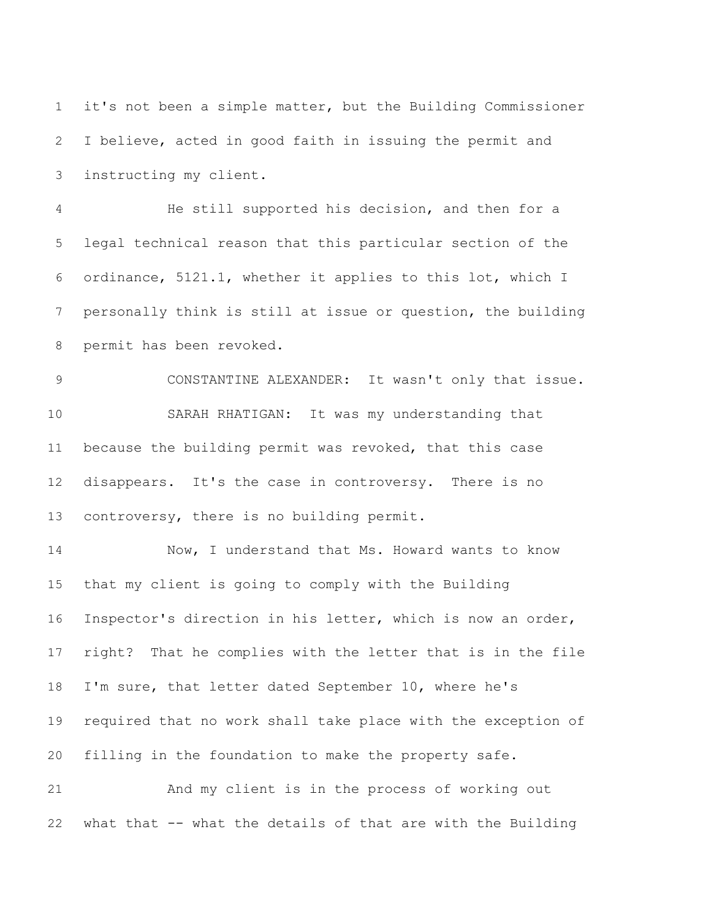it's not been a simple matter, but the Building Commissioner I believe, acted in good faith in issuing the permit and instructing my client.

 He still supported his decision, and then for a legal technical reason that this particular section of the ordinance, 5121.1, whether it applies to this lot, which I personally think is still at issue or question, the building permit has been revoked.

 CONSTANTINE ALEXANDER: It wasn't only that issue. SARAH RHATIGAN: It was my understanding that because the building permit was revoked, that this case disappears. It's the case in controversy. There is no controversy, there is no building permit.

 Now, I understand that Ms. Howard wants to know that my client is going to comply with the Building Inspector's direction in his letter, which is now an order, right? That he complies with the letter that is in the file I'm sure, that letter dated September 10, where he's required that no work shall take place with the exception of filling in the foundation to make the property safe.

 And my client is in the process of working out what that -- what the details of that are with the Building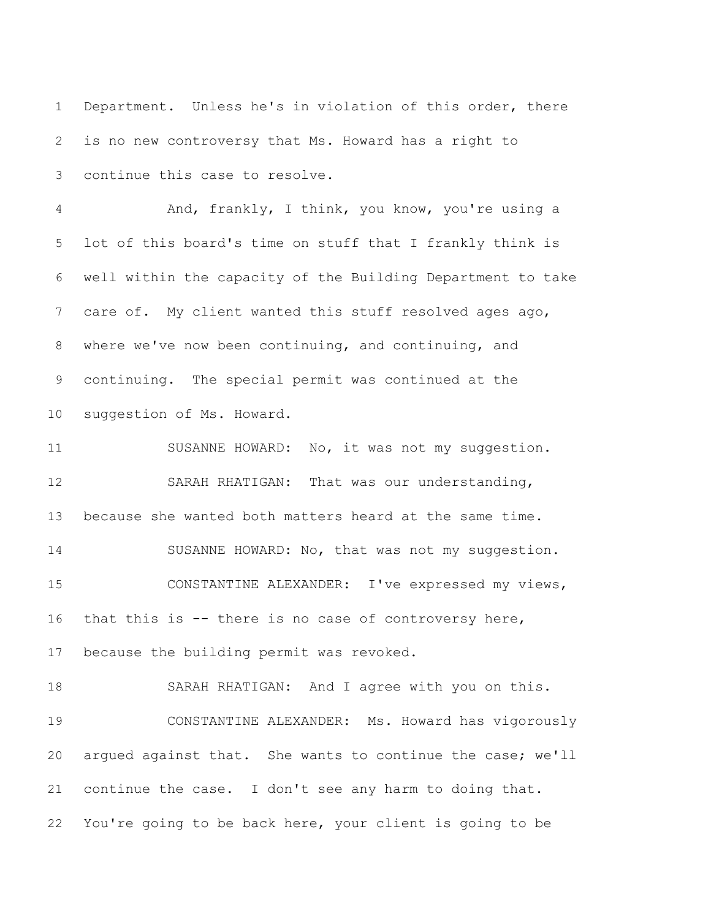Department. Unless he's in violation of this order, there is no new controversy that Ms. Howard has a right to continue this case to resolve.

 And, frankly, I think, you know, you're using a lot of this board's time on stuff that I frankly think is well within the capacity of the Building Department to take care of. My client wanted this stuff resolved ages ago, where we've now been continuing, and continuing, and continuing. The special permit was continued at the suggestion of Ms. Howard.

 SUSANNE HOWARD: No, it was not my suggestion. SARAH RHATIGAN: That was our understanding, because she wanted both matters heard at the same time. 14 SUSANNE HOWARD: No, that was not my suggestion. CONSTANTINE ALEXANDER: I've expressed my views, that this is -- there is no case of controversy here, because the building permit was revoked.

 SARAH RHATIGAN: And I agree with you on this. CONSTANTINE ALEXANDER: Ms. Howard has vigorously argued against that. She wants to continue the case; we'll continue the case. I don't see any harm to doing that. You're going to be back here, your client is going to be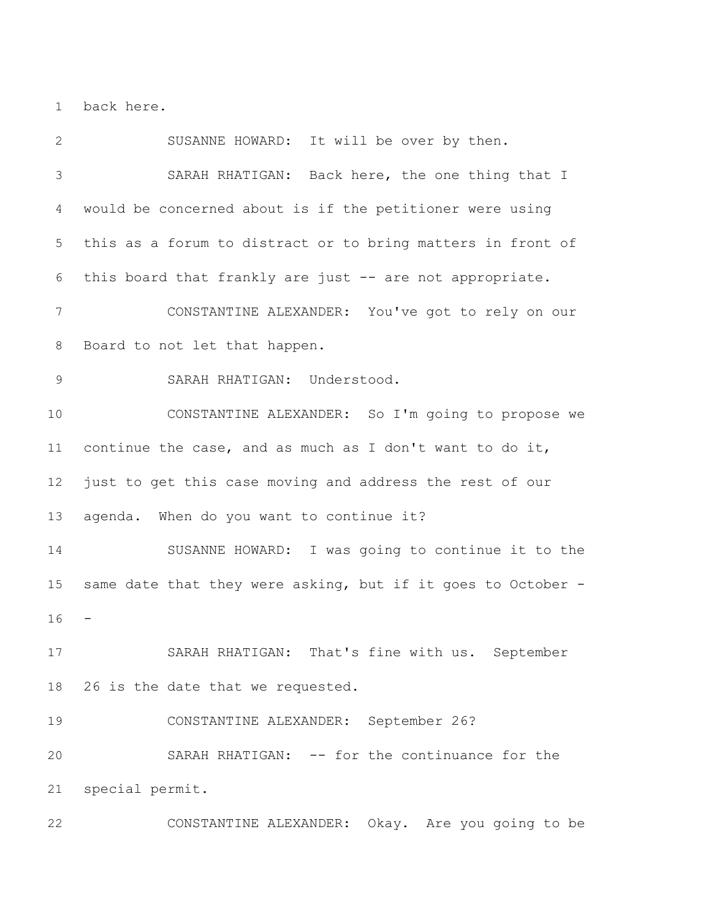back here.

 SUSANNE HOWARD: It will be over by then. SARAH RHATIGAN: Back here, the one thing that I would be concerned about is if the petitioner were using this as a forum to distract or to bring matters in front of this board that frankly are just -- are not appropriate. CONSTANTINE ALEXANDER: You've got to rely on our Board to not let that happen. SARAH RHATIGAN: Understood. CONSTANTINE ALEXANDER: So I'm going to propose we continue the case, and as much as I don't want to do it, just to get this case moving and address the rest of our agenda. When do you want to continue it? SUSANNE HOWARD: I was going to continue it to the same date that they were asking, but if it goes to October - SARAH RHATIGAN: That's fine with us. September 26 is the date that we requested. CONSTANTINE ALEXANDER: September 26? SARAH RHATIGAN: -- for the continuance for the special permit. CONSTANTINE ALEXANDER: Okay. Are you going to be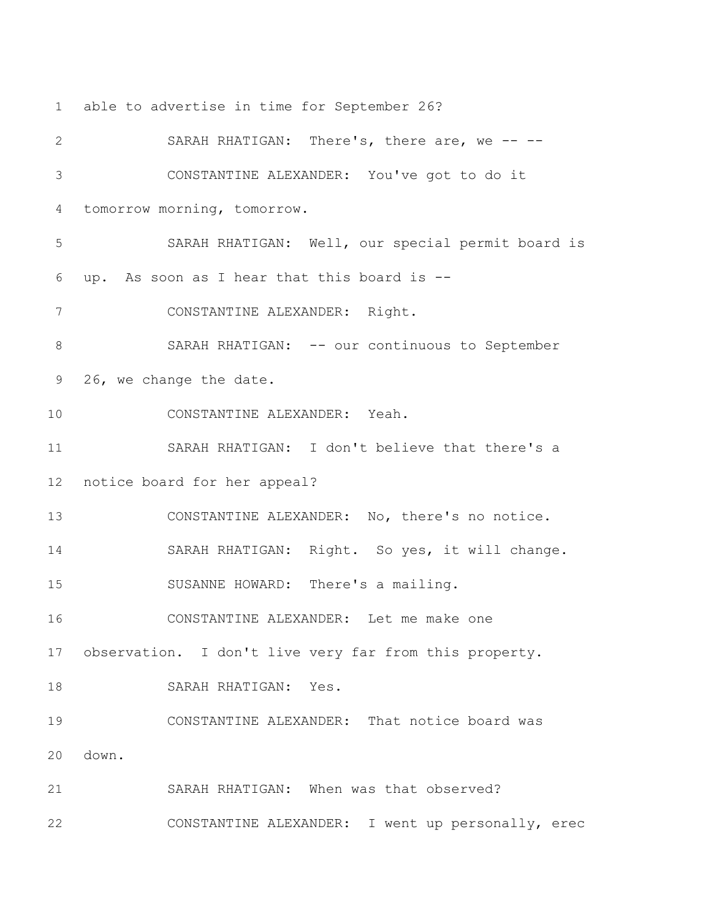able to advertise in time for September 26?

 SARAH RHATIGAN: There's, there are, we -- -- CONSTANTINE ALEXANDER: You've got to do it tomorrow morning, tomorrow. SARAH RHATIGAN: Well, our special permit board is up. As soon as I hear that this board is -- CONSTANTINE ALEXANDER: Right. 8 SARAH RHATIGAN: -- our continuous to September 26, we change the date. CONSTANTINE ALEXANDER: Yeah. SARAH RHATIGAN: I don't believe that there's a notice board for her appeal? CONSTANTINE ALEXANDER: No, there's no notice. SARAH RHATIGAN: Right. So yes, it will change. SUSANNE HOWARD: There's a mailing. CONSTANTINE ALEXANDER: Let me make one observation. I don't live very far from this property. SARAH RHATIGAN: Yes. CONSTANTINE ALEXANDER: That notice board was down. SARAH RHATIGAN: When was that observed? CONSTANTINE ALEXANDER: I went up personally, erec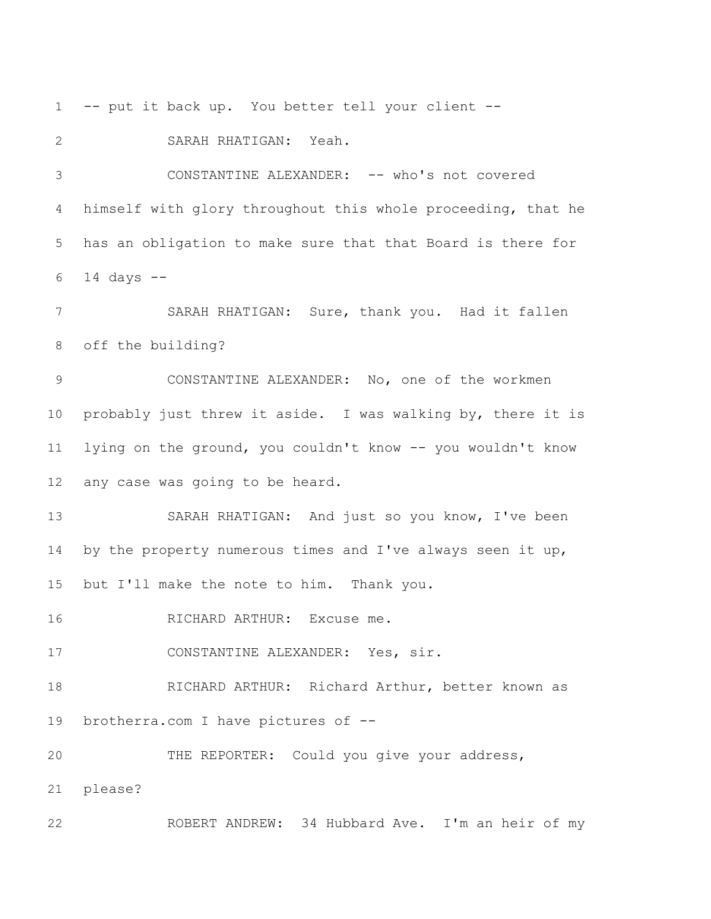-- put it back up. You better tell your client --

 SARAH RHATIGAN: Yeah. CONSTANTINE ALEXANDER: -- who's not covered himself with glory throughout this whole proceeding, that he has an obligation to make sure that that Board is there for 14 days --

 SARAH RHATIGAN: Sure, thank you. Had it fallen off the building?

 CONSTANTINE ALEXANDER: No, one of the workmen probably just threw it aside. I was walking by, there it is lying on the ground, you couldn't know -- you wouldn't know any case was going to be heard.

 SARAH RHATIGAN: And just so you know, I've been 14 by the property numerous times and I've always seen it up, but I'll make the note to him. Thank you.

RICHARD ARTHUR: Excuse me.

CONSTANTINE ALEXANDER: Yes, sir.

 RICHARD ARTHUR: Richard Arthur, better known as brotherra.com I have pictures of --

THE REPORTER: Could you give your address,

please?

ROBERT ANDREW: 34 Hubbard Ave. I'm an heir of my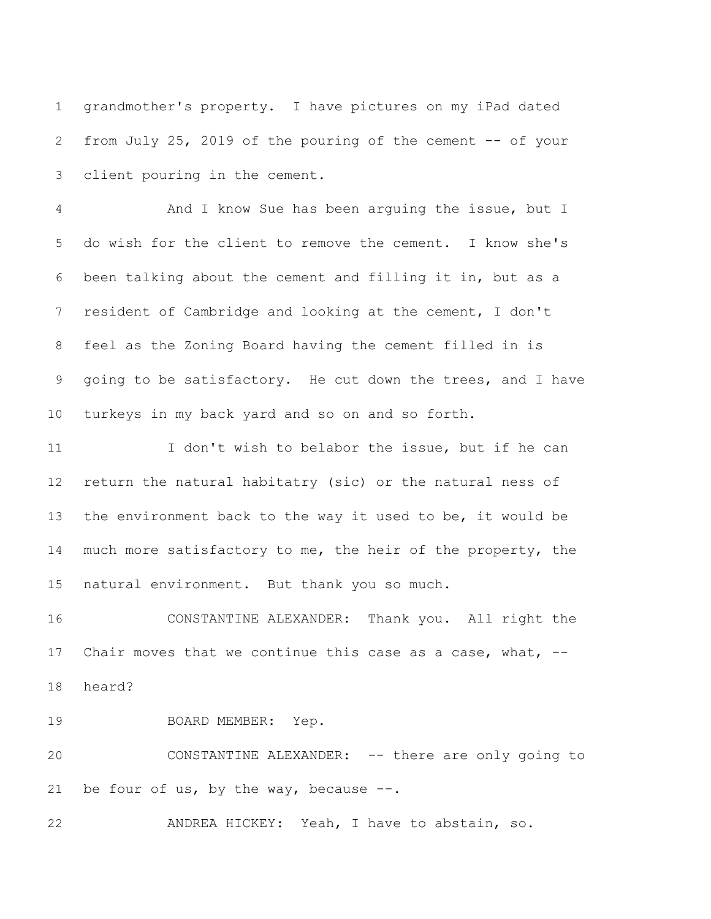grandmother's property. I have pictures on my iPad dated from July 25, 2019 of the pouring of the cement -- of your client pouring in the cement.

 And I know Sue has been arguing the issue, but I do wish for the client to remove the cement. I know she's been talking about the cement and filling it in, but as a resident of Cambridge and looking at the cement, I don't feel as the Zoning Board having the cement filled in is going to be satisfactory. He cut down the trees, and I have turkeys in my back yard and so on and so forth.

 I don't wish to belabor the issue, but if he can return the natural habitatry (sic) or the natural ness of the environment back to the way it used to be, it would be 14 much more satisfactory to me, the heir of the property, the natural environment. But thank you so much.

 CONSTANTINE ALEXANDER: Thank you. All right the Chair moves that we continue this case as a case, what, -- heard?

19 BOARD MEMBER: Yep.

 CONSTANTINE ALEXANDER: -- there are only going to 21 be four of us, by the way, because  $--.$ 

ANDREA HICKEY: Yeah, I have to abstain, so.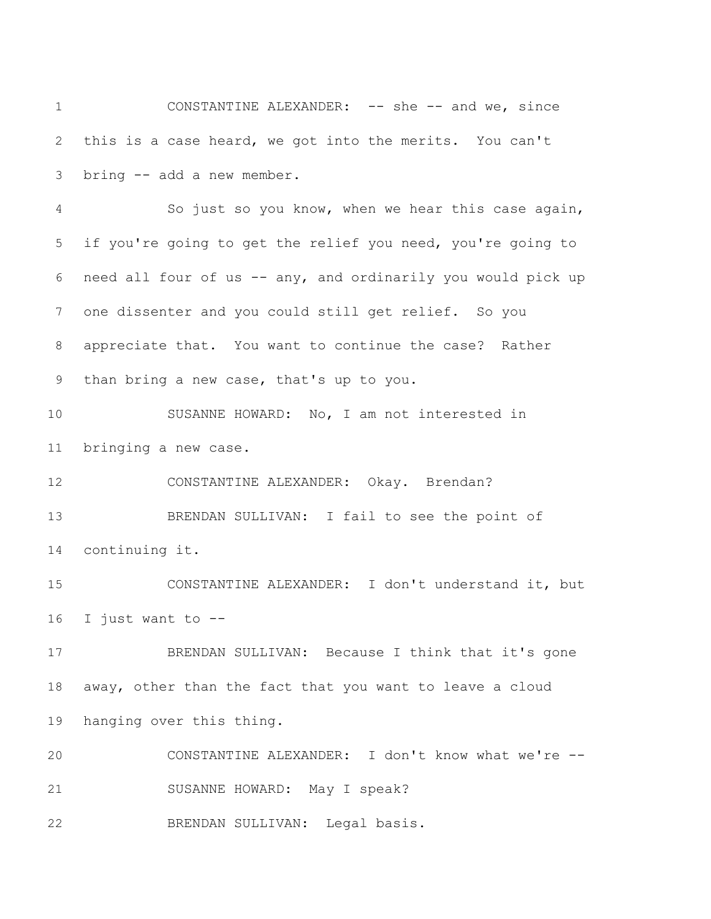CONSTANTINE ALEXANDER: -- she -- and we, since this is a case heard, we got into the merits. You can't bring -- add a new member. So just so you know, when we hear this case again, if you're going to get the relief you need, you're going to need all four of us -- any, and ordinarily you would pick up one dissenter and you could still get relief. So you appreciate that. You want to continue the case? Rather than bring a new case, that's up to you. SUSANNE HOWARD: No, I am not interested in bringing a new case. CONSTANTINE ALEXANDER: Okay. Brendan? 13 BRENDAN SULLIVAN: I fail to see the point of continuing it. CONSTANTINE ALEXANDER: I don't understand it, but I just want to -- BRENDAN SULLIVAN: Because I think that it's gone away, other than the fact that you want to leave a cloud hanging over this thing.

 CONSTANTINE ALEXANDER: I don't know what we're -- SUSANNE HOWARD: May I speak? BRENDAN SULLIVAN: Legal basis.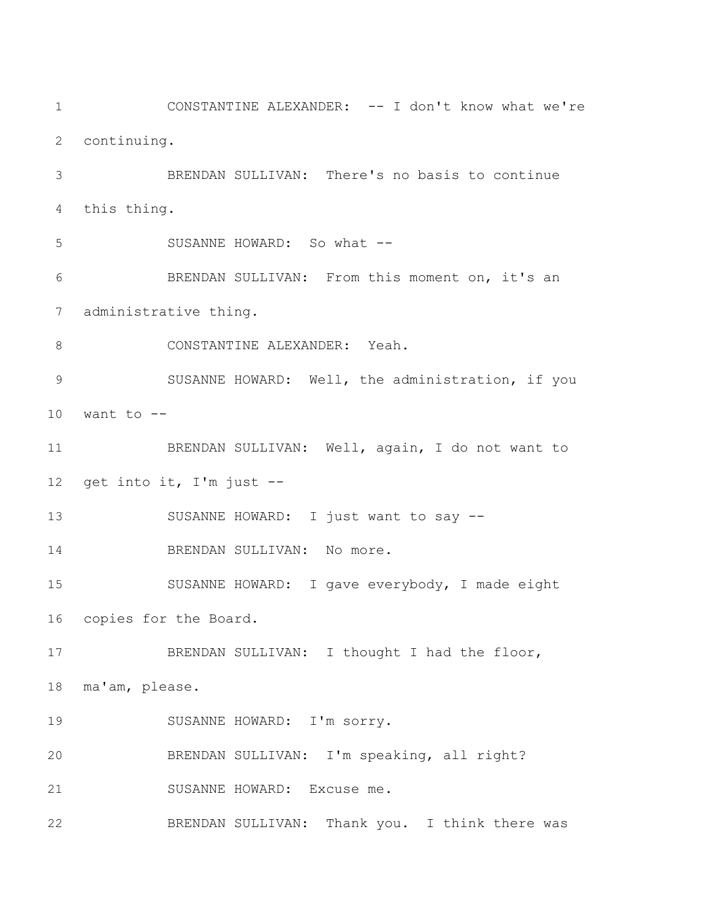CONSTANTINE ALEXANDER: -- I don't know what we're continuing. BRENDAN SULLIVAN: There's no basis to continue this thing. SUSANNE HOWARD: So what -- BRENDAN SULLIVAN: From this moment on, it's an administrative thing. 8 CONSTANTINE ALEXANDER: Yeah. 9 SUSANNE HOWARD: Well, the administration, if you want to  $-$  BRENDAN SULLIVAN: Well, again, I do not want to get into it, I'm just -- 13 SUSANNE HOWARD: I just want to say --14 BRENDAN SULLIVAN: No more. SUSANNE HOWARD: I gave everybody, I made eight copies for the Board. 17 BRENDAN SULLIVAN: I thought I had the floor, ma'am, please. 19 SUSANNE HOWARD: I'm sorry. BRENDAN SULLIVAN: I'm speaking, all right? SUSANNE HOWARD: Excuse me. BRENDAN SULLIVAN: Thank you. I think there was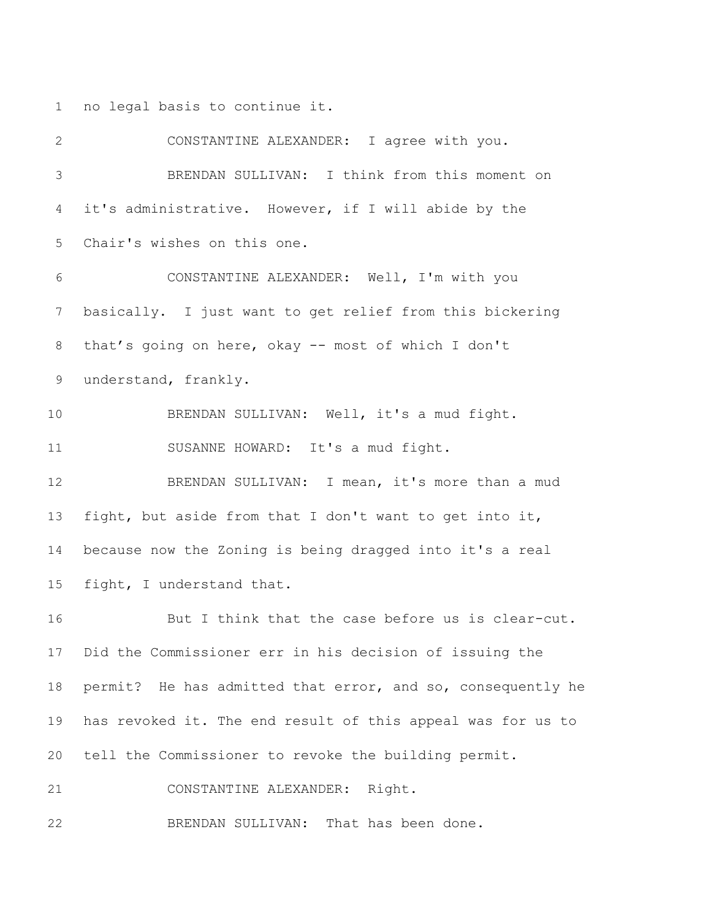no legal basis to continue it.

 CONSTANTINE ALEXANDER: I agree with you. BRENDAN SULLIVAN: I think from this moment on it's administrative. However, if I will abide by the Chair's wishes on this one. CONSTANTINE ALEXANDER: Well, I'm with you basically. I just want to get relief from this bickering that's going on here, okay -- most of which I don't understand, frankly. BRENDAN SULLIVAN: Well, it's a mud fight. SUSANNE HOWARD: It's a mud fight. 12 BRENDAN SULLIVAN: I mean, it's more than a mud fight, but aside from that I don't want to get into it, because now the Zoning is being dragged into it's a real fight, I understand that. But I think that the case before us is clear-cut. Did the Commissioner err in his decision of issuing the permit? He has admitted that error, and so, consequently he has revoked it. The end result of this appeal was for us to tell the Commissioner to revoke the building permit. CONSTANTINE ALEXANDER: Right. BRENDAN SULLIVAN: That has been done.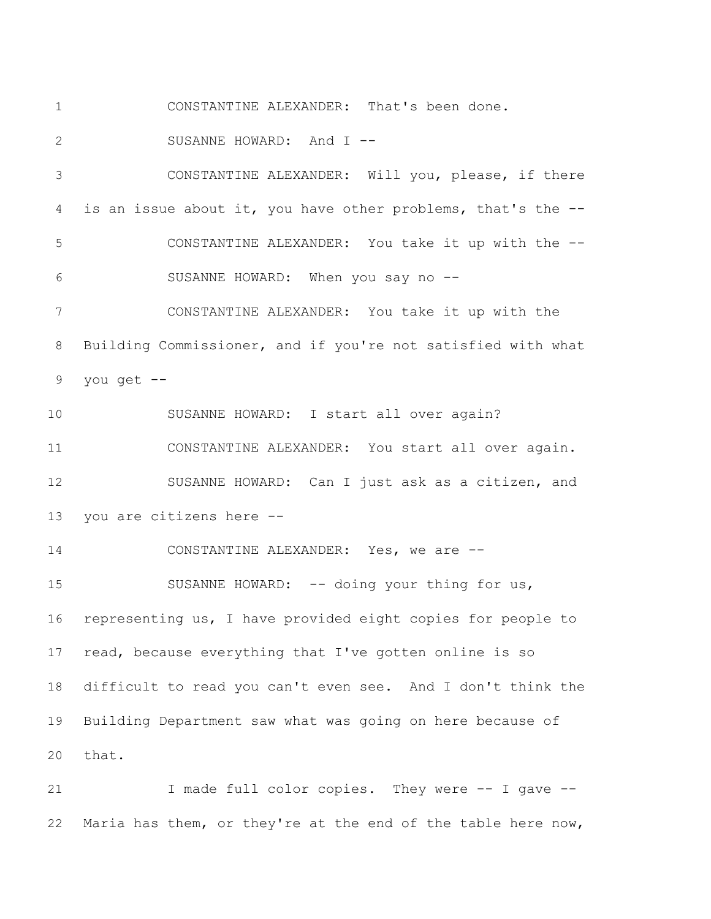CONSTANTINE ALEXANDER: That's been done.

2 SUSANNE HOWARD: And I --

 CONSTANTINE ALEXANDER: Will you, please, if there is an issue about it, you have other problems, that's the -- CONSTANTINE ALEXANDER: You take it up with the -- SUSANNE HOWARD: When you say no --

 CONSTANTINE ALEXANDER: You take it up with the Building Commissioner, and if you're not satisfied with what you get --

 SUSANNE HOWARD: I start all over again? CONSTANTINE ALEXANDER: You start all over again. SUSANNE HOWARD: Can I just ask as a citizen, and you are citizens here --

 CONSTANTINE ALEXANDER: Yes, we are -- 15 SUSANNE HOWARD: -- doing your thing for us, representing us, I have provided eight copies for people to read, because everything that I've gotten online is so difficult to read you can't even see. And I don't think the Building Department saw what was going on here because of that.

21 I made full color copies. They were -- I gave --Maria has them, or they're at the end of the table here now,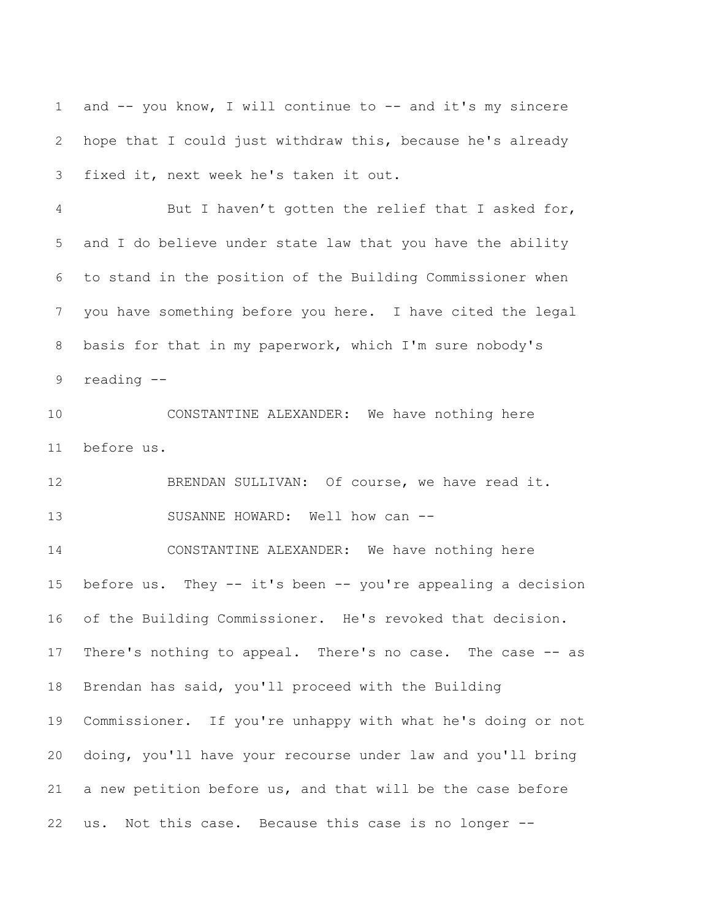1 and -- you know, I will continue to -- and it's my sincere hope that I could just withdraw this, because he's already fixed it, next week he's taken it out.

 But I haven't gotten the relief that I asked for, and I do believe under state law that you have the ability to stand in the position of the Building Commissioner when you have something before you here. I have cited the legal basis for that in my paperwork, which I'm sure nobody's reading --

 CONSTANTINE ALEXANDER: We have nothing here before us.

12 BRENDAN SULLIVAN: Of course, we have read it. 13 SUSANNE HOWARD: Well how can --

 CONSTANTINE ALEXANDER: We have nothing here before us. They -- it's been -- you're appealing a decision of the Building Commissioner. He's revoked that decision. There's nothing to appeal. There's no case. The case -- as Brendan has said, you'll proceed with the Building Commissioner. If you're unhappy with what he's doing or not doing, you'll have your recourse under law and you'll bring a new petition before us, and that will be the case before us. Not this case. Because this case is no longer --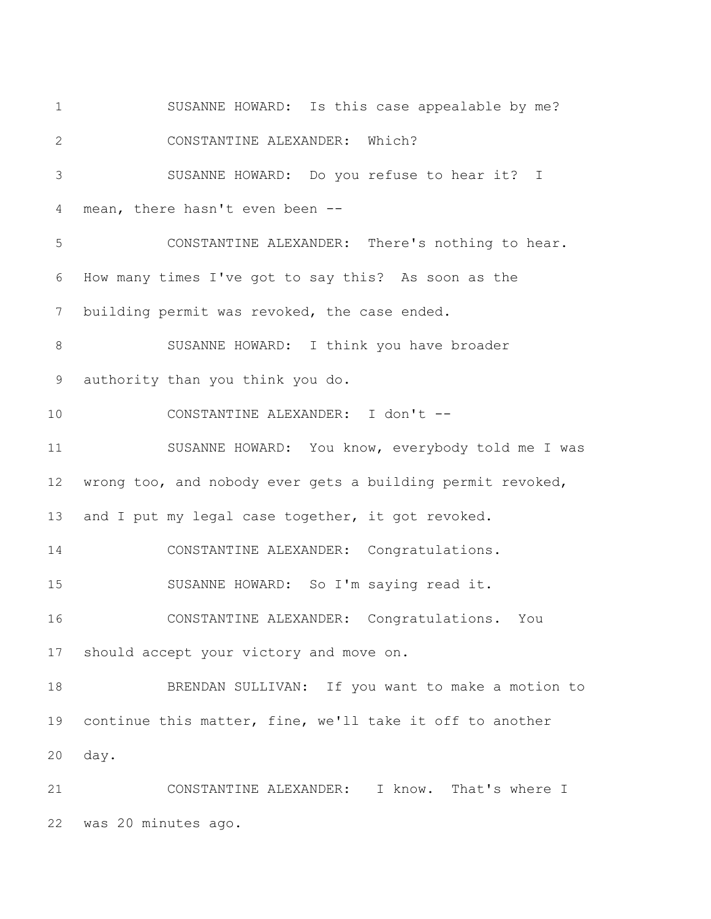SUSANNE HOWARD: Is this case appealable by me? CONSTANTINE ALEXANDER: Which? SUSANNE HOWARD: Do you refuse to hear it? I mean, there hasn't even been -- CONSTANTINE ALEXANDER: There's nothing to hear. How many times I've got to say this? As soon as the building permit was revoked, the case ended. SUSANNE HOWARD: I think you have broader authority than you think you do. CONSTANTINE ALEXANDER: I don't -- SUSANNE HOWARD: You know, everybody told me I was wrong too, and nobody ever gets a building permit revoked, 13 and I put my legal case together, it got revoked. CONSTANTINE ALEXANDER: Congratulations. SUSANNE HOWARD: So I'm saying read it. CONSTANTINE ALEXANDER: Congratulations. You should accept your victory and move on. BRENDAN SULLIVAN: If you want to make a motion to continue this matter, fine, we'll take it off to another day. CONSTANTINE ALEXANDER: I know. That's where I was 20 minutes ago.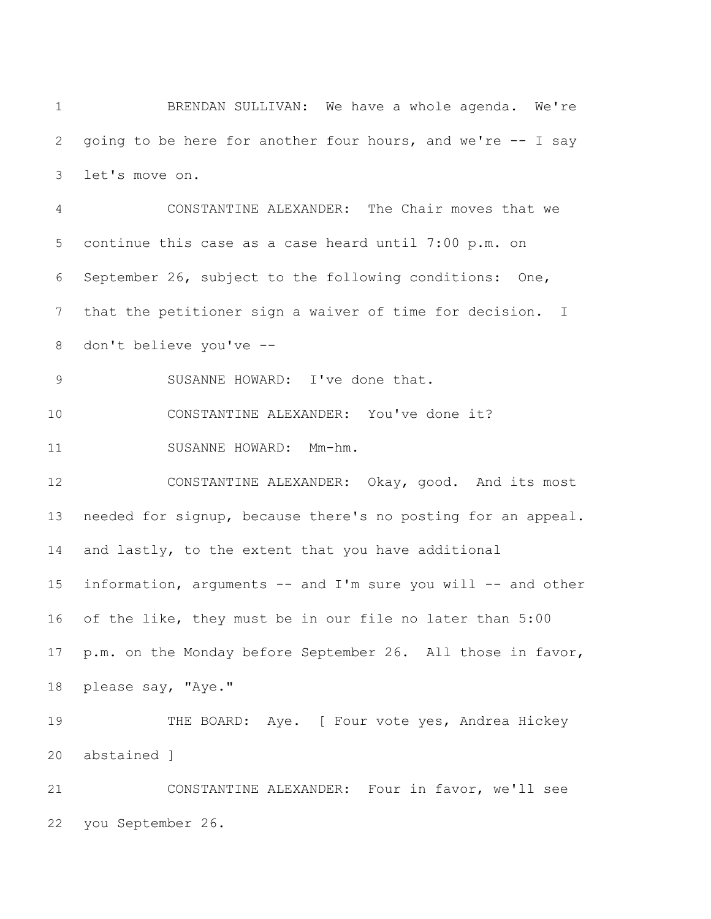BRENDAN SULLIVAN: We have a whole agenda. We're going to be here for another four hours, and we're -- I say let's move on.

 CONSTANTINE ALEXANDER: The Chair moves that we continue this case as a case heard until 7:00 p.m. on September 26, subject to the following conditions: One, that the petitioner sign a waiver of time for decision. I don't believe you've -- SUSANNE HOWARD: I've done that. CONSTANTINE ALEXANDER: You've done it? 11 SUSANNE HOWARD: Mm-hm. CONSTANTINE ALEXANDER: Okay, good. And its most needed for signup, because there's no posting for an appeal. and lastly, to the extent that you have additional information, arguments -- and I'm sure you will -- and other of the like, they must be in our file no later than 5:00 p.m. on the Monday before September 26. All those in favor, please say, "Aye." 19 THE BOARD: Aye. [ Four vote yes, Andrea Hickey abstained ] CONSTANTINE ALEXANDER: Four in favor, we'll see

you September 26.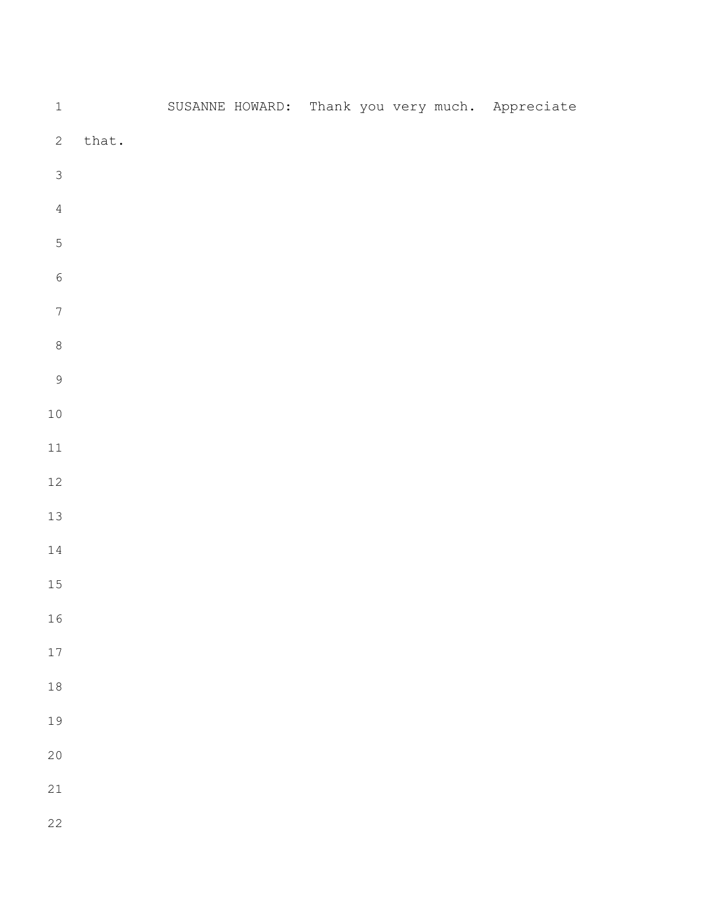| $\,1\,$          |       |  |  |  | SUSANNE HOWARD: Thank you very much. Appreciate |
|------------------|-------|--|--|--|-------------------------------------------------|
| $\mathbf{2}$     | that. |  |  |  |                                                 |
| $\mathfrak{Z}$   |       |  |  |  |                                                 |
| $\sqrt{4}$       |       |  |  |  |                                                 |
| $\mathbf 5$      |       |  |  |  |                                                 |
| $\sqrt{6}$       |       |  |  |  |                                                 |
| $\boldsymbol{7}$ |       |  |  |  |                                                 |
| $\,8\,$          |       |  |  |  |                                                 |
| $\overline{9}$   |       |  |  |  |                                                 |
| $1\,0$           |       |  |  |  |                                                 |
| $11\,$           |       |  |  |  |                                                 |
| $12\,$           |       |  |  |  |                                                 |
| 13               |       |  |  |  |                                                 |
| $1\,4$           |       |  |  |  |                                                 |
| $15\,$           |       |  |  |  |                                                 |
| 16               |       |  |  |  |                                                 |
| 17               |       |  |  |  |                                                 |
| $18$             |       |  |  |  |                                                 |
| 19               |       |  |  |  |                                                 |
| 20               |       |  |  |  |                                                 |
| 21               |       |  |  |  |                                                 |
| 22               |       |  |  |  |                                                 |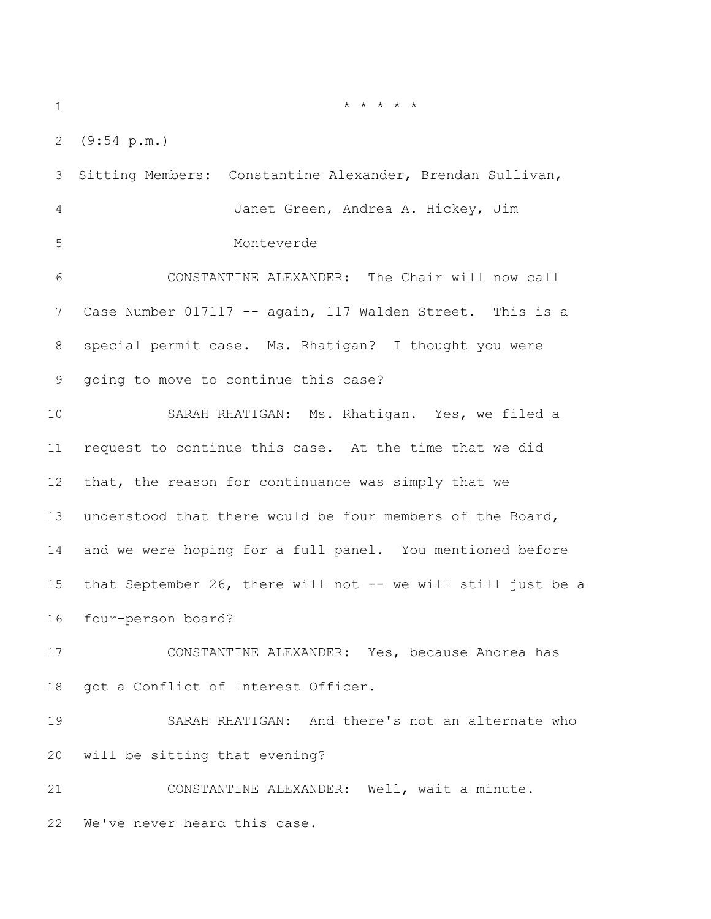(9:54 p.m.)

 Sitting Members: Constantine Alexander, Brendan Sullivan, Janet Green, Andrea A. Hickey, Jim Monteverde CONSTANTINE ALEXANDER: The Chair will now call Case Number 017117 -- again, 117 Walden Street. This is a special permit case. Ms. Rhatigan? I thought you were going to move to continue this case? SARAH RHATIGAN: Ms. Rhatigan. Yes, we filed a request to continue this case. At the time that we did that, the reason for continuance was simply that we understood that there would be four members of the Board, and we were hoping for a full panel. You mentioned before that September 26, there will not -- we will still just be a four-person board? CONSTANTINE ALEXANDER: Yes, because Andrea has got a Conflict of Interest Officer. SARAH RHATIGAN: And there's not an alternate who will be sitting that evening? CONSTANTINE ALEXANDER: Well, wait a minute. We've never heard this case.

\* \* \* \* \*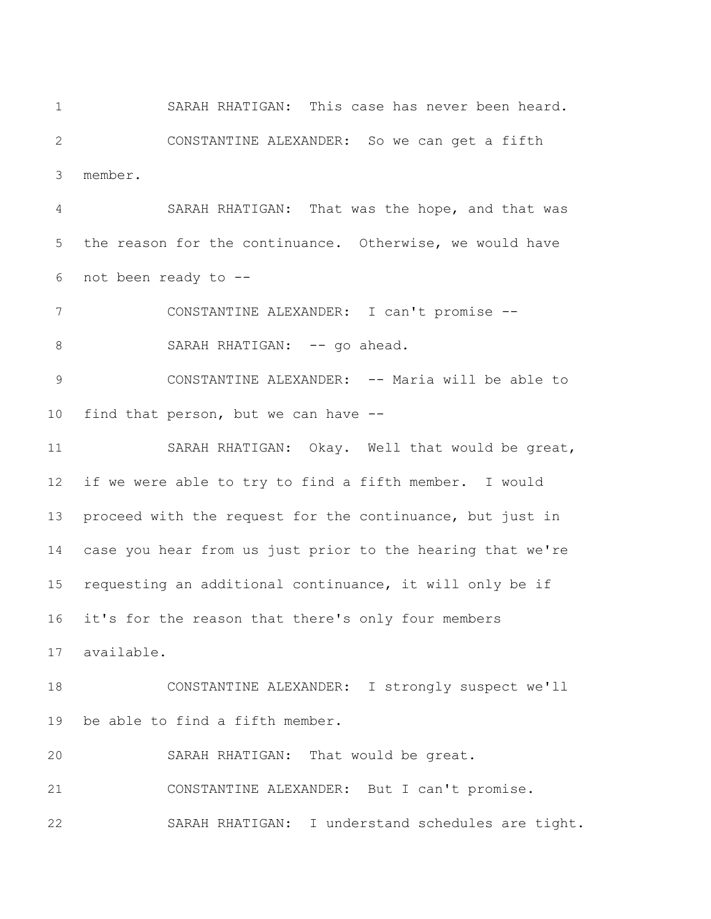SARAH RHATIGAN: This case has never been heard. CONSTANTINE ALEXANDER: So we can get a fifth member.

 SARAH RHATIGAN: That was the hope, and that was the reason for the continuance. Otherwise, we would have not been ready to --

 CONSTANTINE ALEXANDER: I can't promise -- 8 SARAH RHATIGAN: -- go ahead.

 CONSTANTINE ALEXANDER: -- Maria will be able to find that person, but we can have --

 SARAH RHATIGAN: Okay. Well that would be great, if we were able to try to find a fifth member. I would proceed with the request for the continuance, but just in case you hear from us just prior to the hearing that we're requesting an additional continuance, it will only be if it's for the reason that there's only four members

available.

 CONSTANTINE ALEXANDER: I strongly suspect we'll be able to find a fifth member.

SARAH RHATIGAN: That would be great.

CONSTANTINE ALEXANDER: But I can't promise.

SARAH RHATIGAN: I understand schedules are tight.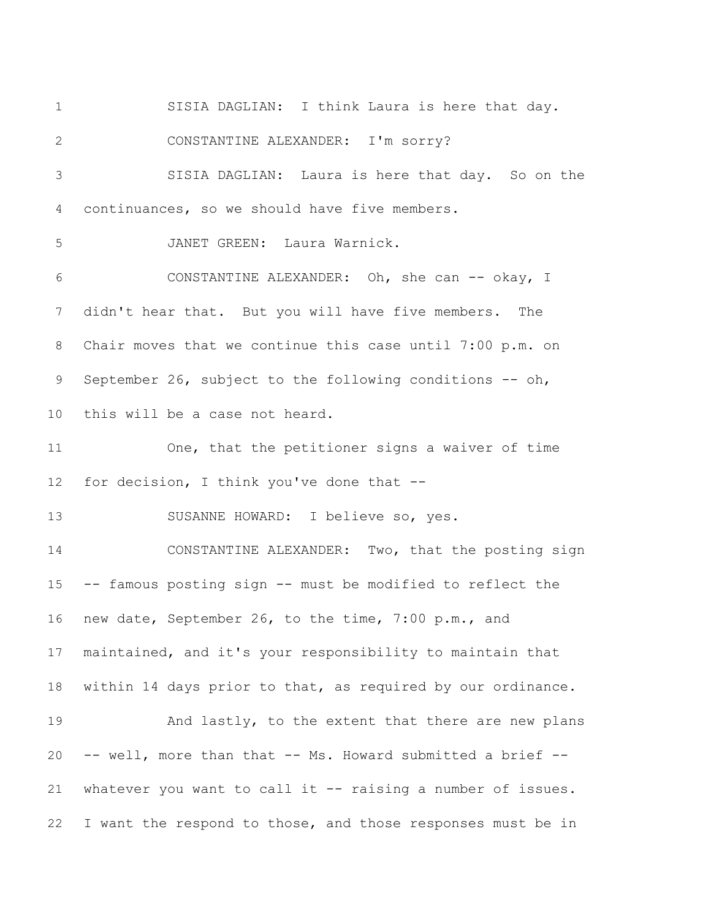SISIA DAGLIAN: I think Laura is here that day. CONSTANTINE ALEXANDER: I'm sorry? SISIA DAGLIAN: Laura is here that day. So on the continuances, so we should have five members. JANET GREEN: Laura Warnick. CONSTANTINE ALEXANDER: Oh, she can -- okay, I didn't hear that. But you will have five members. The Chair moves that we continue this case until 7:00 p.m. on September 26, subject to the following conditions -- oh, this will be a case not heard. One, that the petitioner signs a waiver of time 12 for decision, I think you've done that -- SUSANNE HOWARD: I believe so, yes. CONSTANTINE ALEXANDER: Two, that the posting sign -- famous posting sign -- must be modified to reflect the new date, September 26, to the time, 7:00 p.m., and maintained, and it's your responsibility to maintain that within 14 days prior to that, as required by our ordinance. 19 And lastly, to the extent that there are new plans -- well, more than that -- Ms. Howard submitted a brief -- whatever you want to call it -- raising a number of issues. I want the respond to those, and those responses must be in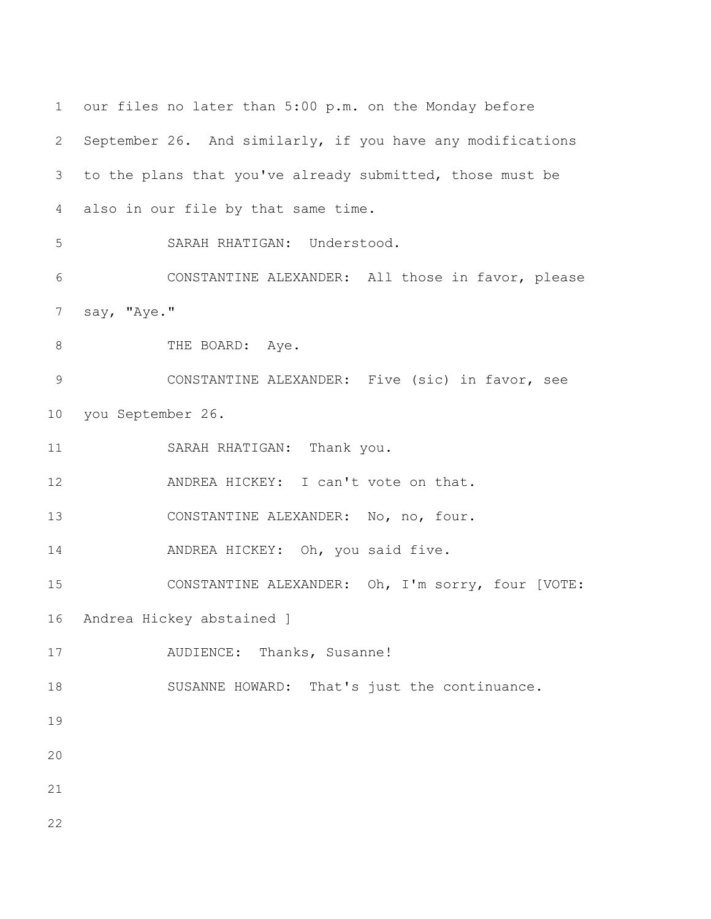```
1 our files no later than 5:00 p.m. on the Monday before 
2 September 26. And similarly, if you have any modifications 
3 to the plans that you've already submitted, those must be 
4 also in our file by that same time. 
5 SARAH RHATIGAN: Understood. 
6 CONSTANTINE ALEXANDER: All those in favor, please 
7 say, "Aye."
8 THE BOARD: Aye.
9 CONSTANTINE ALEXANDER: Five (sic) in favor, see 
10 you September 26. 
11 SARAH RHATIGAN: Thank you. 
12 ANDREA HICKEY: I can't vote on that.
13 CONSTANTINE ALEXANDER: No, no, four. 
14 ANDREA HICKEY: Oh, you said five.
15 CONSTANTINE ALEXANDER: Oh, I'm sorry, four [VOTE: 
16 Andrea Hickey abstained ] 
17 AUDIENCE: Thanks, Susanne! 
18 SUSANNE HOWARD: That's just the continuance. 
19
20
21
22
```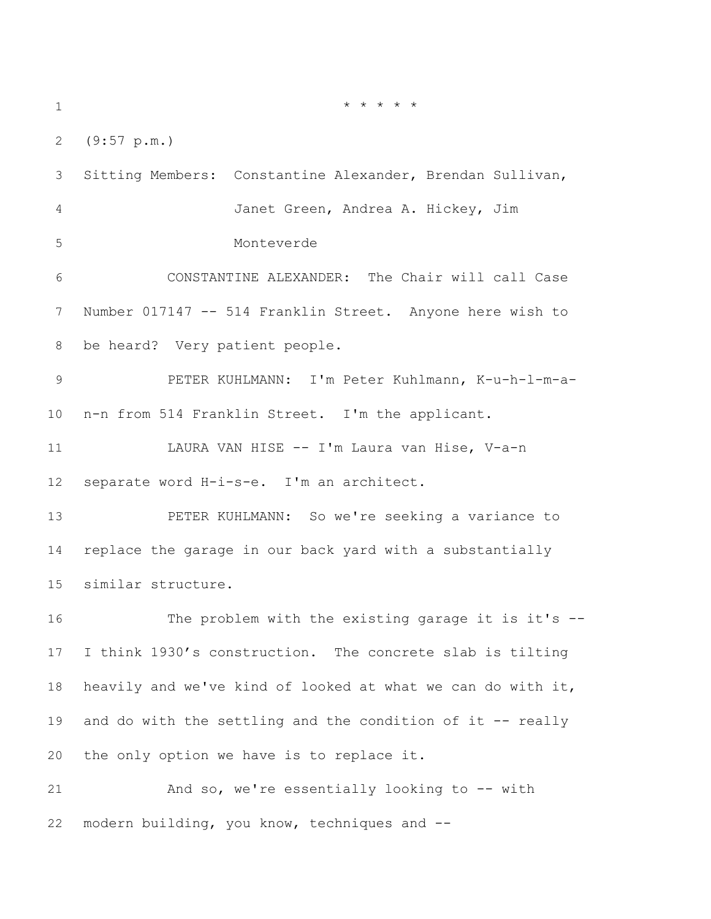\* \* \* \* \*

(9:57 p.m.)

 Sitting Members: Constantine Alexander, Brendan Sullivan, Janet Green, Andrea A. Hickey, Jim Monteverde CONSTANTINE ALEXANDER: The Chair will call Case Number 017147 -- 514 Franklin Street. Anyone here wish to be heard? Very patient people. PETER KUHLMANN: I'm Peter Kuhlmann, K-u-h-l-m-a- n-n from 514 Franklin Street. I'm the applicant. LAURA VAN HISE -- I'm Laura van Hise, V-a-n separate word H-i-s-e. I'm an architect. PETER KUHLMANN: So we're seeking a variance to replace the garage in our back yard with a substantially similar structure. The problem with the existing garage it is it's -- I think 1930's construction. The concrete slab is tilting heavily and we've kind of looked at what we can do with it, 19 and do with the settling and the condition of it -- really the only option we have is to replace it. And so, we're essentially looking to -- with modern building, you know, techniques and --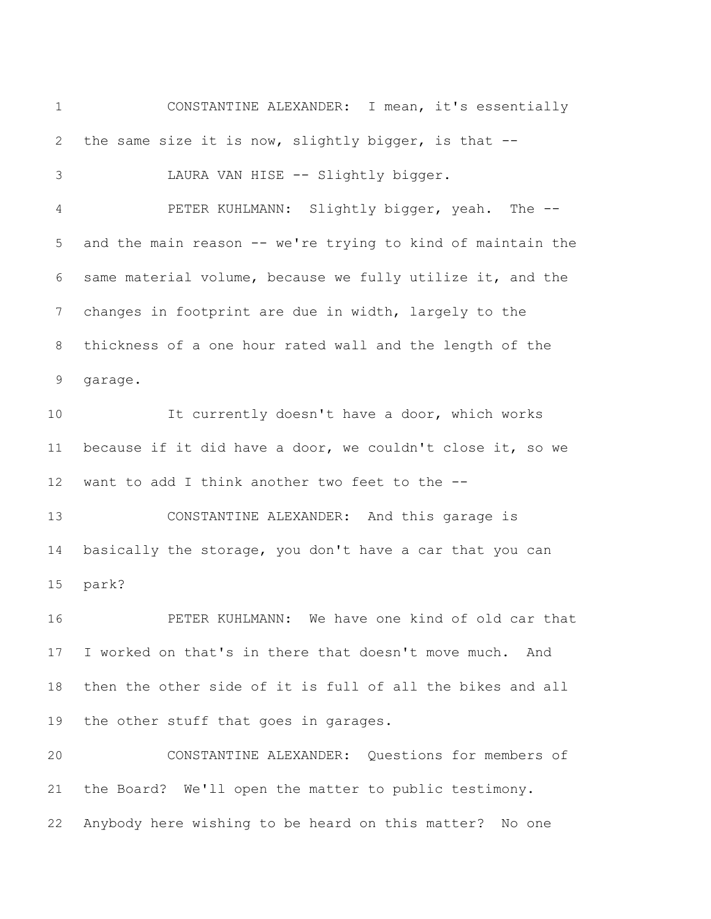CONSTANTINE ALEXANDER: I mean, it's essentially the same size it is now, slightly bigger, is that -- LAURA VAN HISE -- Slightly bigger. PETER KUHLMANN: Slightly bigger, yeah. The -- and the main reason -- we're trying to kind of maintain the same material volume, because we fully utilize it, and the changes in footprint are due in width, largely to the thickness of a one hour rated wall and the length of the garage. It currently doesn't have a door, which works because if it did have a door, we couldn't close it, so we want to add I think another two feet to the -- CONSTANTINE ALEXANDER: And this garage is basically the storage, you don't have a car that you can park? PETER KUHLMANN: We have one kind of old car that I worked on that's in there that doesn't move much. And then the other side of it is full of all the bikes and all the other stuff that goes in garages. CONSTANTINE ALEXANDER: Questions for members of the Board? We'll open the matter to public testimony. Anybody here wishing to be heard on this matter? No one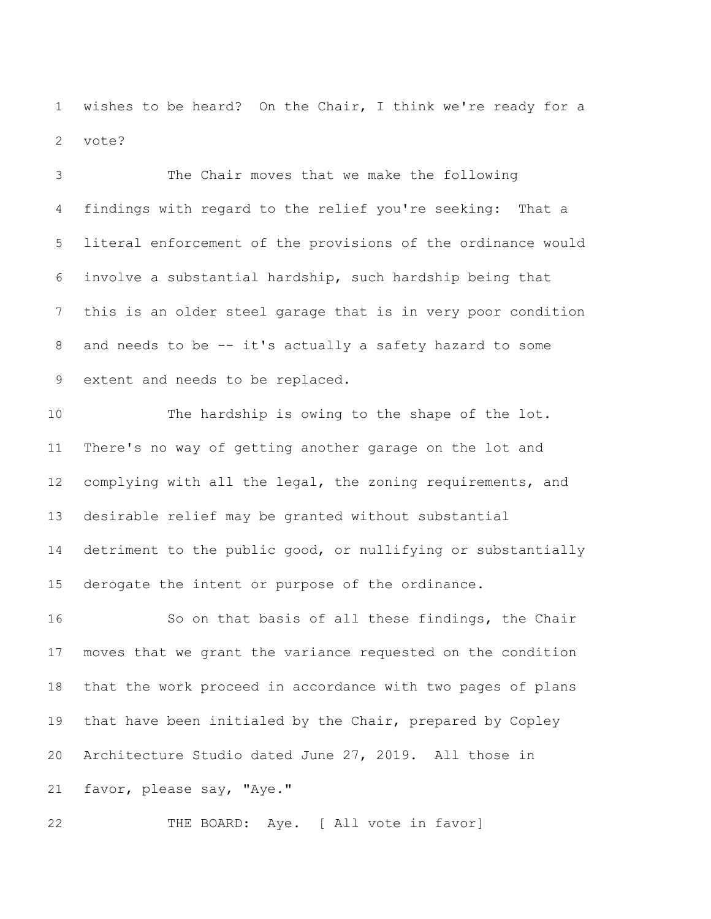wishes to be heard? On the Chair, I think we're ready for a vote?

 The Chair moves that we make the following findings with regard to the relief you're seeking: That a literal enforcement of the provisions of the ordinance would involve a substantial hardship, such hardship being that this is an older steel garage that is in very poor condition and needs to be -- it's actually a safety hazard to some extent and needs to be replaced.

 The hardship is owing to the shape of the lot. There's no way of getting another garage on the lot and complying with all the legal, the zoning requirements, and desirable relief may be granted without substantial detriment to the public good, or nullifying or substantially derogate the intent or purpose of the ordinance.

 So on that basis of all these findings, the Chair moves that we grant the variance requested on the condition that the work proceed in accordance with two pages of plans that have been initialed by the Chair, prepared by Copley Architecture Studio dated June 27, 2019. All those in favor, please say, "Aye."

22 THE BOARD: Aye. [ All vote in favor]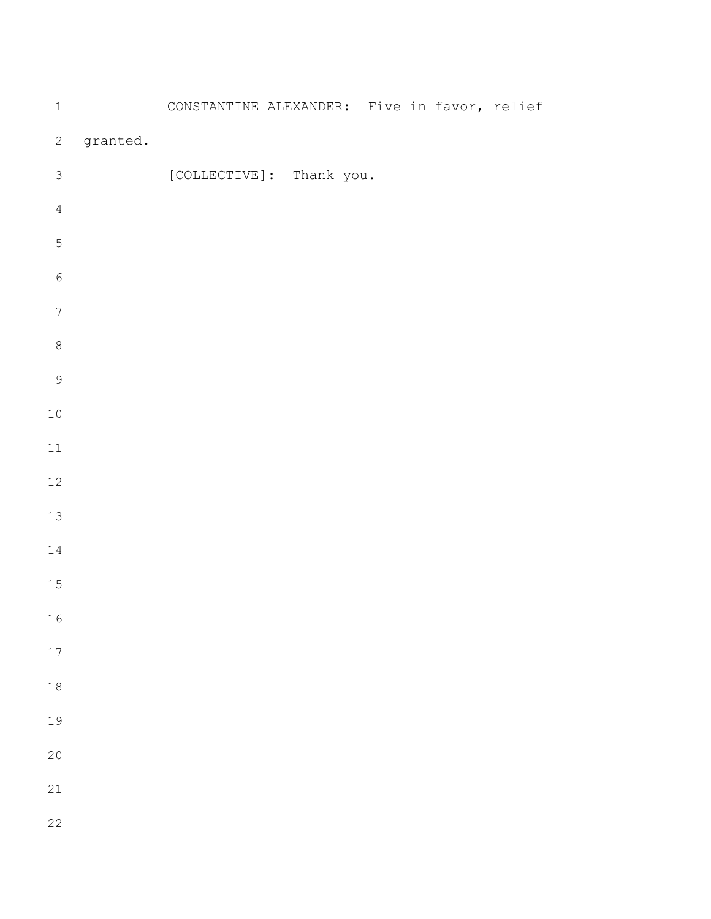| $\mathbf 1$      |          | CONSTANTINE ALEXANDER: Five in favor, relief |                          |  |  |
|------------------|----------|----------------------------------------------|--------------------------|--|--|
| $\mathbf{2}$     | granted. |                                              |                          |  |  |
| $\mathsf 3$      |          |                                              | [COLLECTIVE]: Thank you. |  |  |
| $\sqrt{4}$       |          |                                              |                          |  |  |
| $\mathsf S$      |          |                                              |                          |  |  |
| $\epsilon$       |          |                                              |                          |  |  |
| $\boldsymbol{7}$ |          |                                              |                          |  |  |
| $\,8\,$          |          |                                              |                          |  |  |
| $\mathsf 9$      |          |                                              |                          |  |  |
| $1\,0$           |          |                                              |                          |  |  |
| $11\,$           |          |                                              |                          |  |  |
| $12\,$           |          |                                              |                          |  |  |
| $13\,$           |          |                                              |                          |  |  |
| $1\,4$           |          |                                              |                          |  |  |
| $15\,$           |          |                                              |                          |  |  |
| 16               |          |                                              |                          |  |  |
| 17               |          |                                              |                          |  |  |
| $1\,8$           |          |                                              |                          |  |  |
| 19               |          |                                              |                          |  |  |
| 20               |          |                                              |                          |  |  |
| 21               |          |                                              |                          |  |  |
| 22               |          |                                              |                          |  |  |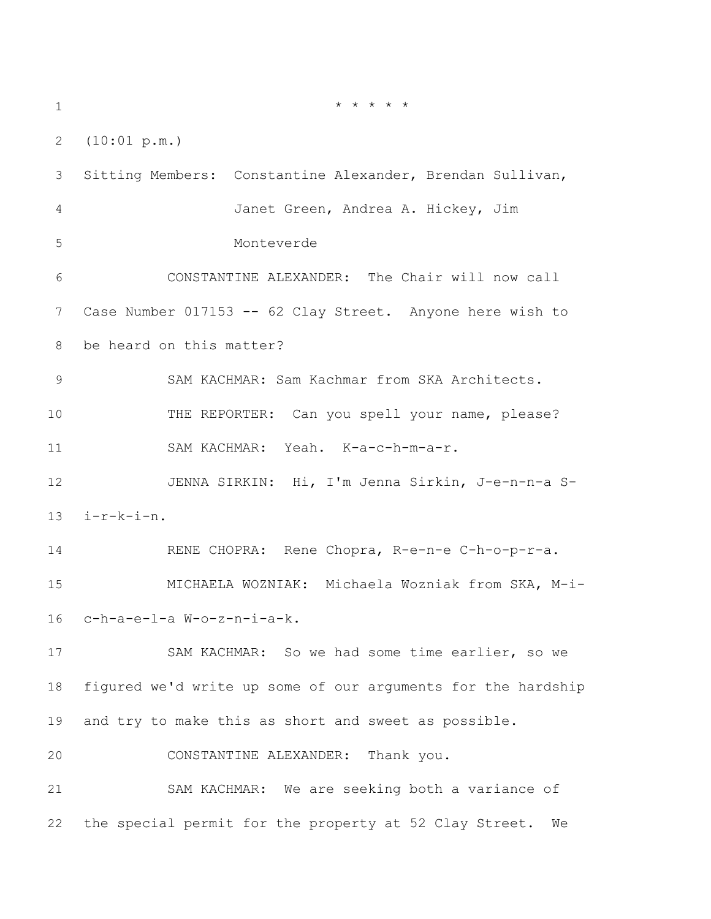\* \* \* \* \* (10:01 p.m.) Sitting Members: Constantine Alexander, Brendan Sullivan, Janet Green, Andrea A. Hickey, Jim Monteverde CONSTANTINE ALEXANDER: The Chair will now call Case Number 017153 -- 62 Clay Street. Anyone here wish to be heard on this matter? SAM KACHMAR: Sam Kachmar from SKA Architects. THE REPORTER: Can you spell your name, please? SAM KACHMAR: Yeah. K-a-c-h-m-a-r. JENNA SIRKIN: Hi, I'm Jenna Sirkin, J-e-n-n-a S- i-r-k-i-n. RENE CHOPRA: Rene Chopra, R-e-n-e C-h-o-p-r-a. MICHAELA WOZNIAK: Michaela Wozniak from SKA, M-i- c-h-a-e-l-a W-o-z-n-i-a-k. SAM KACHMAR: So we had some time earlier, so we figured we'd write up some of our arguments for the hardship and try to make this as short and sweet as possible. CONSTANTINE ALEXANDER: Thank you. SAM KACHMAR: We are seeking both a variance of the special permit for the property at 52 Clay Street. We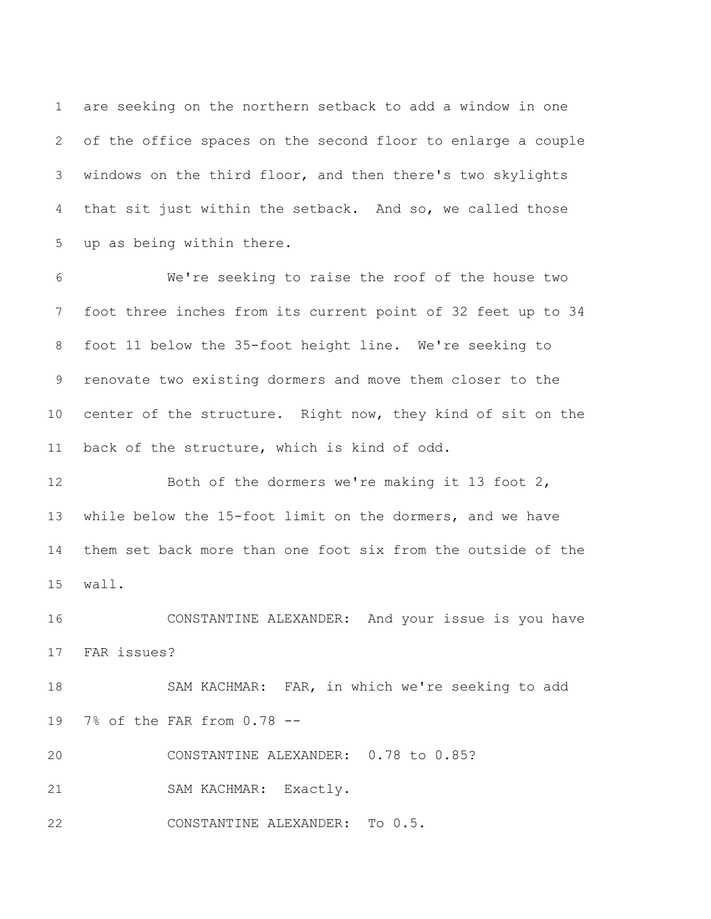are seeking on the northern setback to add a window in one of the office spaces on the second floor to enlarge a couple windows on the third floor, and then there's two skylights that sit just within the setback. And so, we called those up as being within there.

 We're seeking to raise the roof of the house two foot three inches from its current point of 32 feet up to 34 foot 11 below the 35-foot height line. We're seeking to renovate two existing dormers and move them closer to the center of the structure. Right now, they kind of sit on the back of the structure, which is kind of odd.

 Both of the dormers we're making it 13 foot 2, while below the 15-foot limit on the dormers, and we have them set back more than one foot six from the outside of the wall.

 CONSTANTINE ALEXANDER: And your issue is you have FAR issues?

 SAM KACHMAR: FAR, in which we're seeking to add 7% of the FAR from 0.78 --

CONSTANTINE ALEXANDER: 0.78 to 0.85?

SAM KACHMAR: Exactly.

CONSTANTINE ALEXANDER: To 0.5.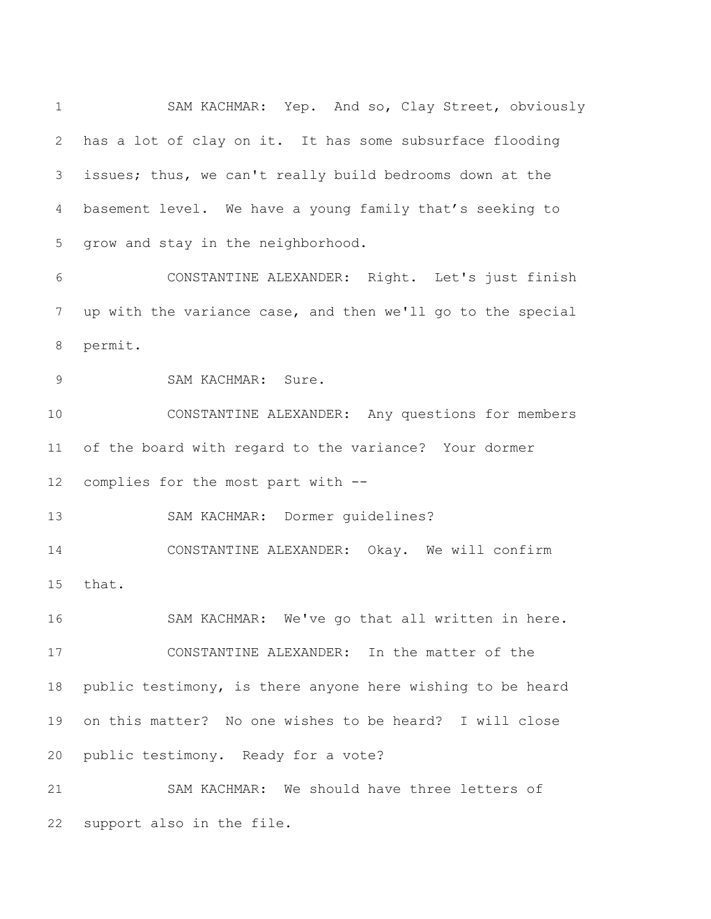SAM KACHMAR: Yep. And so, Clay Street, obviously has a lot of clay on it. It has some subsurface flooding issues; thus, we can't really build bedrooms down at the basement level. We have a young family that's seeking to grow and stay in the neighborhood. CONSTANTINE ALEXANDER: Right. Let's just finish up with the variance case, and then we'll go to the special permit. SAM KACHMAR: Sure. CONSTANTINE ALEXANDER: Any questions for members of the board with regard to the variance? Your dormer complies for the most part with -- SAM KACHMAR: Dormer guidelines? CONSTANTINE ALEXANDER: Okay. We will confirm that. SAM KACHMAR: We've go that all written in here. CONSTANTINE ALEXANDER: In the matter of the public testimony, is there anyone here wishing to be heard on this matter? No one wishes to be heard? I will close public testimony. Ready for a vote? SAM KACHMAR: We should have three letters of

support also in the file.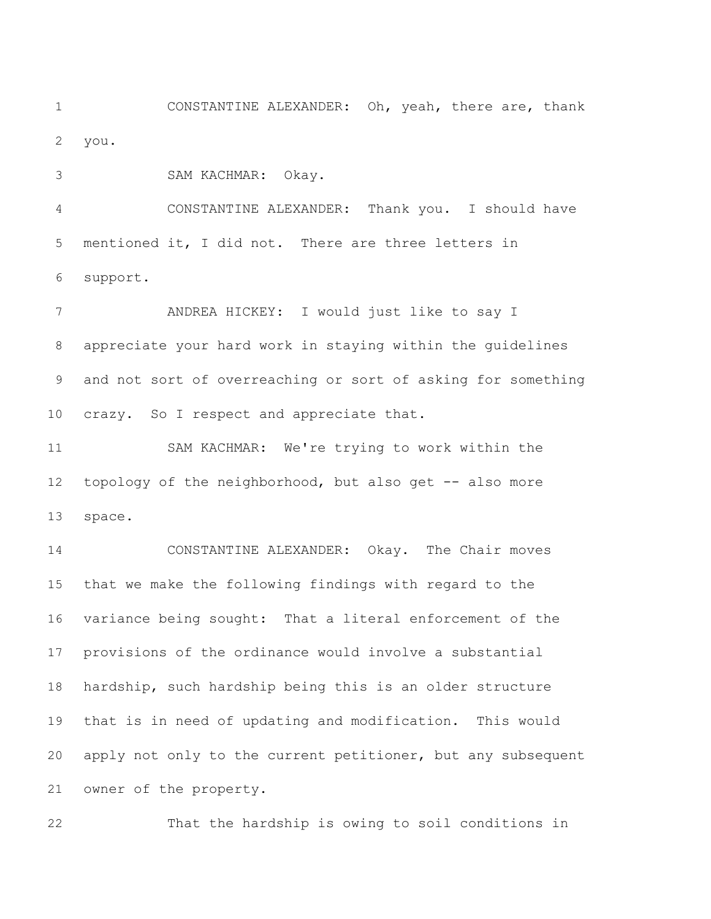CONSTANTINE ALEXANDER: Oh, yeah, there are, thank you.

SAM KACHMAR: Okay.

 CONSTANTINE ALEXANDER: Thank you. I should have mentioned it, I did not. There are three letters in support.

 ANDREA HICKEY: I would just like to say I appreciate your hard work in staying within the guidelines and not sort of overreaching or sort of asking for something crazy. So I respect and appreciate that.

 SAM KACHMAR: We're trying to work within the topology of the neighborhood, but also get -- also more space.

 CONSTANTINE ALEXANDER: Okay. The Chair moves that we make the following findings with regard to the variance being sought: That a literal enforcement of the provisions of the ordinance would involve a substantial hardship, such hardship being this is an older structure that is in need of updating and modification. This would apply not only to the current petitioner, but any subsequent owner of the property.

That the hardship is owing to soil conditions in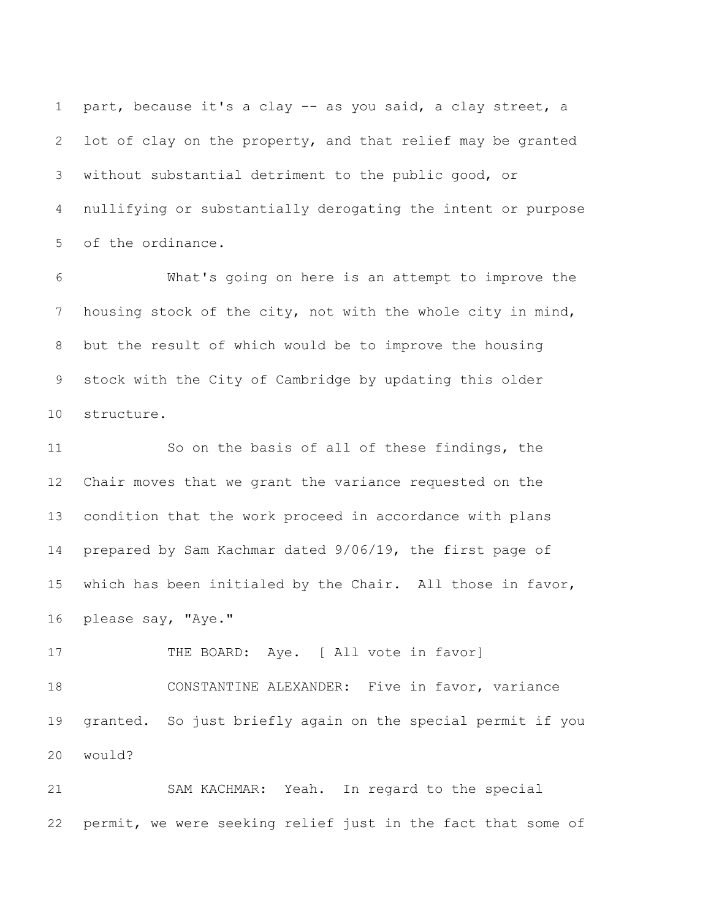part, because it's a clay -- as you said, a clay street, a lot of clay on the property, and that relief may be granted without substantial detriment to the public good, or nullifying or substantially derogating the intent or purpose of the ordinance.

 What's going on here is an attempt to improve the housing stock of the city, not with the whole city in mind, but the result of which would be to improve the housing stock with the City of Cambridge by updating this older structure.

 So on the basis of all of these findings, the Chair moves that we grant the variance requested on the condition that the work proceed in accordance with plans prepared by Sam Kachmar dated 9/06/19, the first page of which has been initialed by the Chair. All those in favor, please say, "Aye."

17 THE BOARD: Aye. [ All vote in favor] CONSTANTINE ALEXANDER: Five in favor, variance granted. So just briefly again on the special permit if you would?

 SAM KACHMAR: Yeah. In regard to the special permit, we were seeking relief just in the fact that some of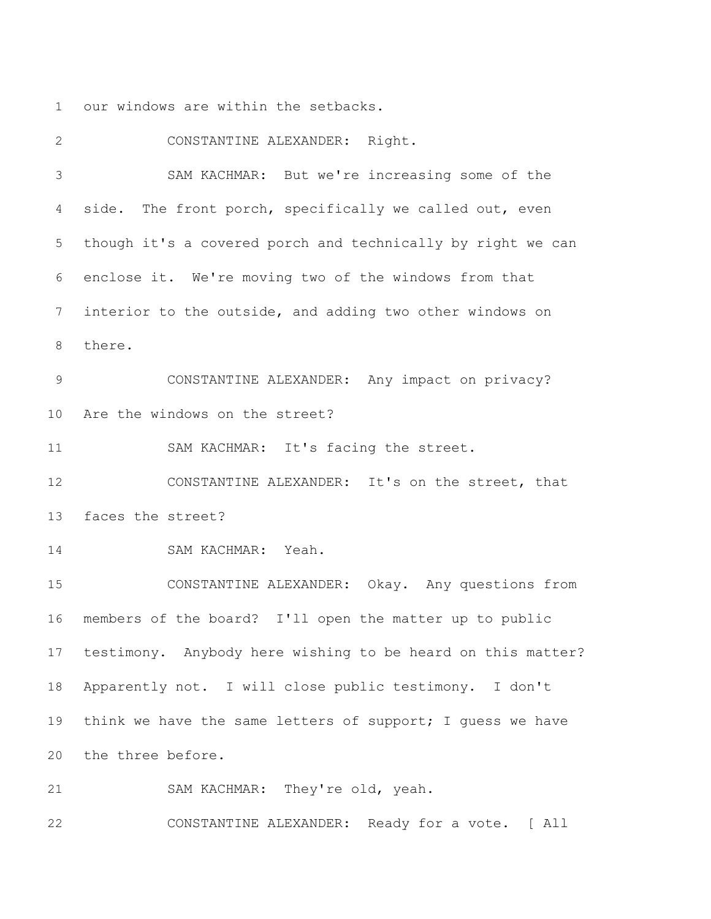our windows are within the setbacks.

 CONSTANTINE ALEXANDER: Right. SAM KACHMAR: But we're increasing some of the side. The front porch, specifically we called out, even though it's a covered porch and technically by right we can enclose it. We're moving two of the windows from that interior to the outside, and adding two other windows on there. CONSTANTINE ALEXANDER: Any impact on privacy? Are the windows on the street? 11 SAM KACHMAR: It's facing the street. CONSTANTINE ALEXANDER: It's on the street, that faces the street? SAM KACHMAR: Yeah. CONSTANTINE ALEXANDER: Okay. Any questions from members of the board? I'll open the matter up to public testimony. Anybody here wishing to be heard on this matter? Apparently not. I will close public testimony. I don't 19 think we have the same letters of support; I guess we have the three before. SAM KACHMAR: They're old, yeah.

CONSTANTINE ALEXANDER: Ready for a vote. [ All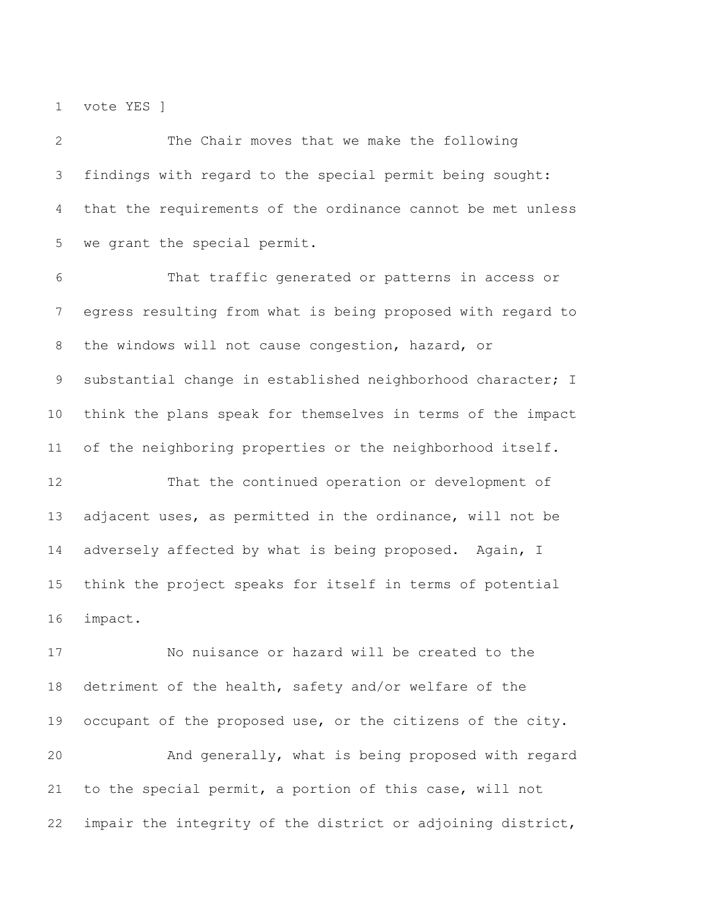vote YES ]

 The Chair moves that we make the following findings with regard to the special permit being sought: that the requirements of the ordinance cannot be met unless we grant the special permit.

 That traffic generated or patterns in access or egress resulting from what is being proposed with regard to the windows will not cause congestion, hazard, or substantial change in established neighborhood character; I think the plans speak for themselves in terms of the impact of the neighboring properties or the neighborhood itself.

 That the continued operation or development of adjacent uses, as permitted in the ordinance, will not be 14 adversely affected by what is being proposed. Again, I think the project speaks for itself in terms of potential impact.

 No nuisance or hazard will be created to the detriment of the health, safety and/or welfare of the occupant of the proposed use, or the citizens of the city. And generally, what is being proposed with regard to the special permit, a portion of this case, will not impair the integrity of the district or adjoining district,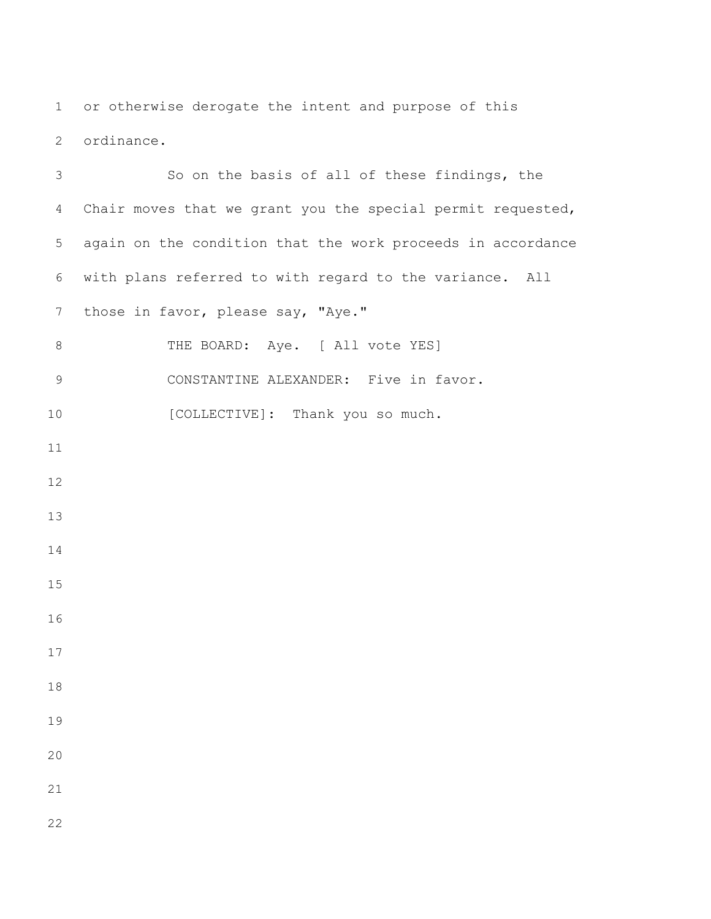or otherwise derogate the intent and purpose of this ordinance.

 So on the basis of all of these findings, the Chair moves that we grant you the special permit requested, again on the condition that the work proceeds in accordance with plans referred to with regard to the variance. All 7 those in favor, please say, "Aye." 8 THE BOARD: Aye. [ All vote YES] CONSTANTINE ALEXANDER: Five in favor. 10 [COLLECTIVE]: Thank you so much.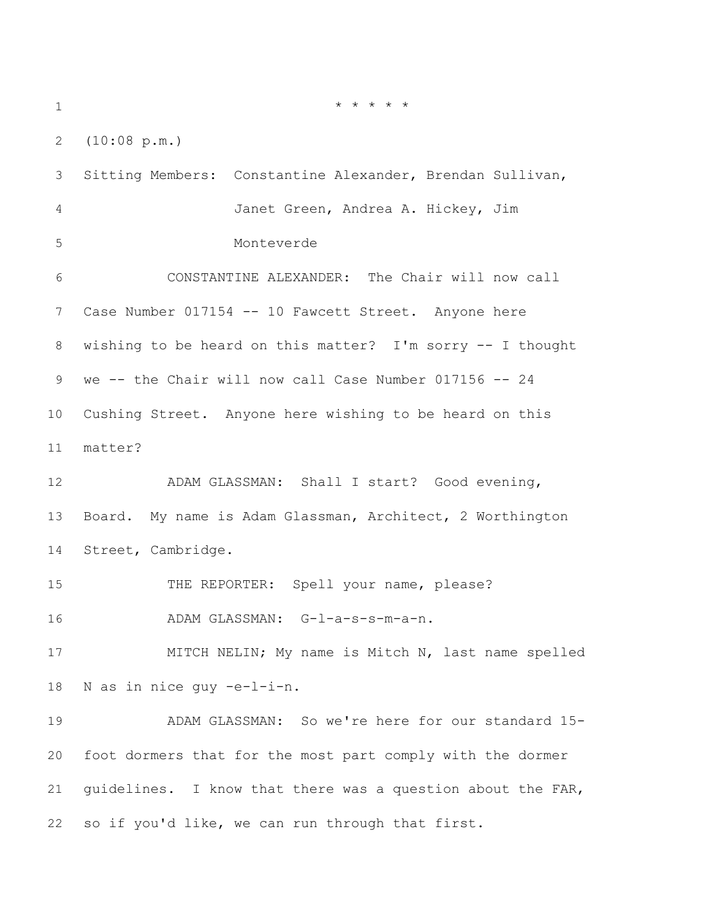\* \* \* \* \*

(10:08 p.m.)

 Sitting Members: Constantine Alexander, Brendan Sullivan, Janet Green, Andrea A. Hickey, Jim Monteverde CONSTANTINE ALEXANDER: The Chair will now call Case Number 017154 -- 10 Fawcett Street. Anyone here wishing to be heard on this matter? I'm sorry -- I thought we -- the Chair will now call Case Number 017156 -- 24 Cushing Street. Anyone here wishing to be heard on this matter? ADAM GLASSMAN: Shall I start? Good evening, Board. My name is Adam Glassman, Architect, 2 Worthington Street, Cambridge. 15 THE REPORTER: Spell your name, please? ADAM GLASSMAN: G-l-a-s-s-m-a-n. 17 MITCH NELIN; My name is Mitch N, last name spelled N as in nice guy -e-l-i-n. ADAM GLASSMAN: So we're here for our standard 15- foot dormers that for the most part comply with the dormer guidelines. I know that there was a question about the FAR, so if you'd like, we can run through that first.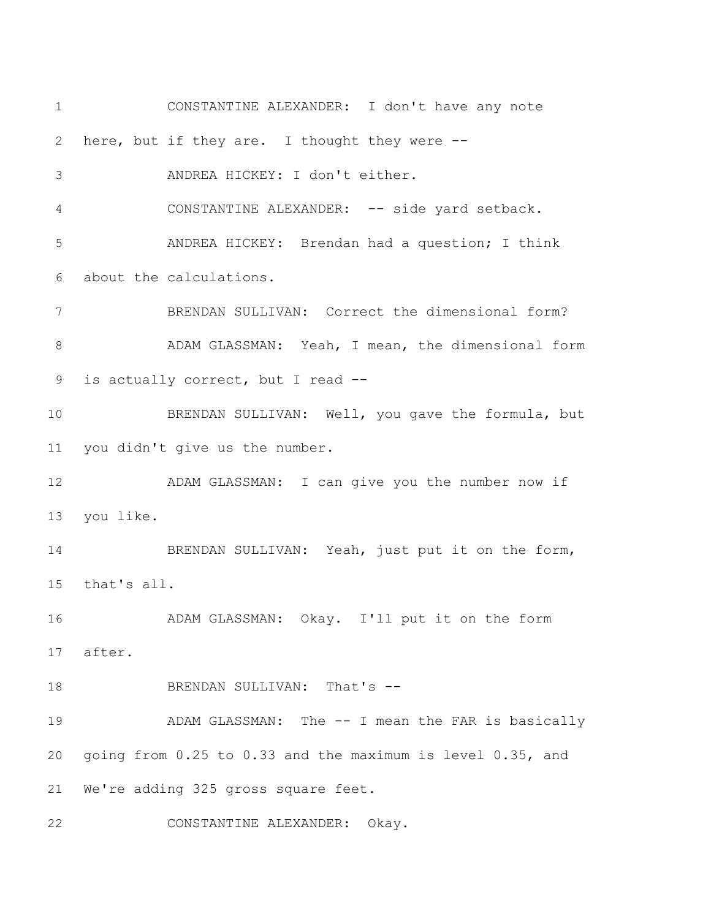CONSTANTINE ALEXANDER: I don't have any note here, but if they are. I thought they were -- ANDREA HICKEY: I don't either. CONSTANTINE ALEXANDER: -- side yard setback. ANDREA HICKEY: Brendan had a question; I think about the calculations. BRENDAN SULLIVAN: Correct the dimensional form? ADAM GLASSMAN: Yeah, I mean, the dimensional form is actually correct, but I read -- BRENDAN SULLIVAN: Well, you gave the formula, but you didn't give us the number. 12 ADAM GLASSMAN: I can give you the number now if you like. 14 BRENDAN SULLIVAN: Yeah, just put it on the form, that's all. ADAM GLASSMAN: Okay. I'll put it on the form after. 18 BRENDAN SULLIVAN: That's --19 ADAM GLASSMAN: The -- I mean the FAR is basically going from 0.25 to 0.33 and the maximum is level 0.35, and We're adding 325 gross square feet. CONSTANTINE ALEXANDER: Okay.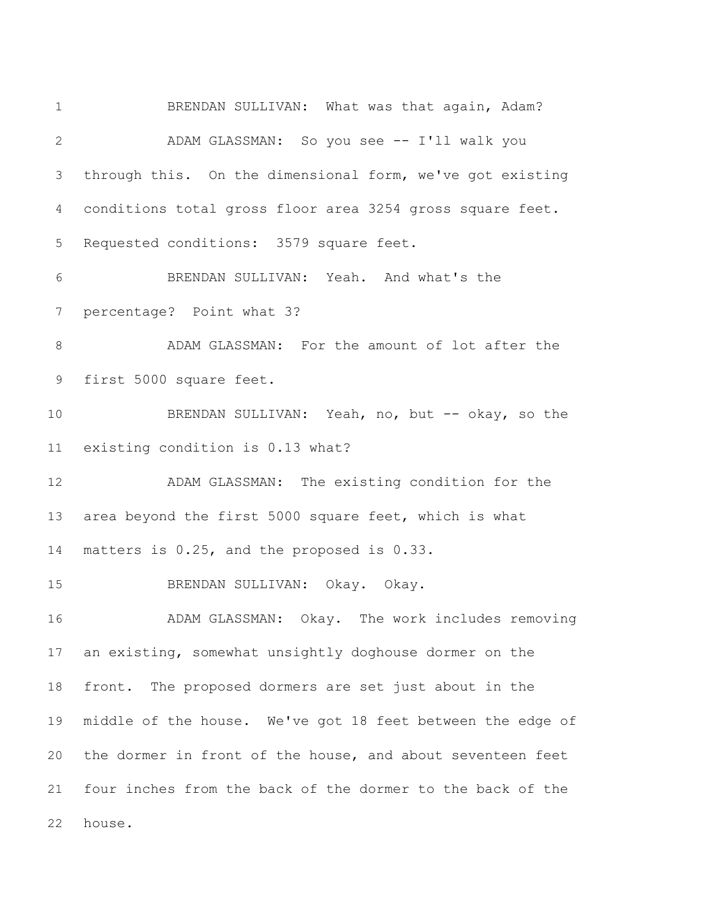BRENDAN SULLIVAN: What was that again, Adam? ADAM GLASSMAN: So you see -- I'll walk you through this. On the dimensional form, we've got existing conditions total gross floor area 3254 gross square feet. Requested conditions: 3579 square feet. BRENDAN SULLIVAN: Yeah. And what's the percentage? Point what 3? ADAM GLASSMAN: For the amount of lot after the first 5000 square feet. 10 BRENDAN SULLIVAN: Yeah, no, but -- okay, so the existing condition is 0.13 what? ADAM GLASSMAN: The existing condition for the area beyond the first 5000 square feet, which is what matters is 0.25, and the proposed is 0.33. BRENDAN SULLIVAN: Okay. Okay. ADAM GLASSMAN: Okay. The work includes removing an existing, somewhat unsightly doghouse dormer on the front. The proposed dormers are set just about in the middle of the house. We've got 18 feet between the edge of the dormer in front of the house, and about seventeen feet four inches from the back of the dormer to the back of the house.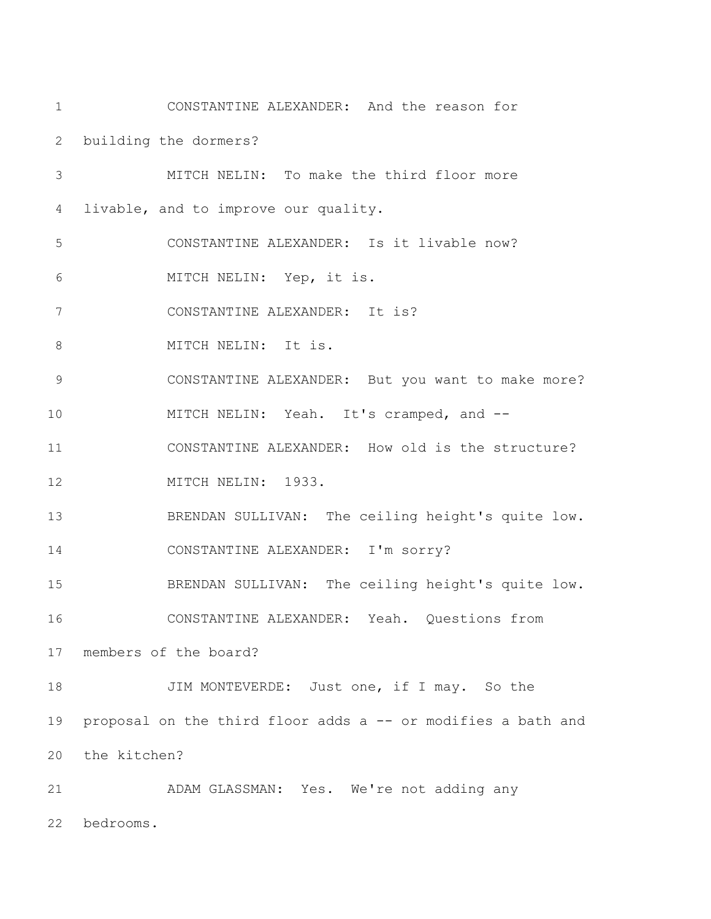CONSTANTINE ALEXANDER: And the reason for building the dormers? MITCH NELIN: To make the third floor more livable, and to improve our quality. CONSTANTINE ALEXANDER: Is it livable now? MITCH NELIN: Yep, it is. CONSTANTINE ALEXANDER: It is? 8 MITCH NELIN: It is. CONSTANTINE ALEXANDER: But you want to make more? MITCH NELIN: Yeah. It's cramped, and -- CONSTANTINE ALEXANDER: How old is the structure? 12 MITCH NELIN: 1933. BRENDAN SULLIVAN: The ceiling height's quite low. CONSTANTINE ALEXANDER: I'm sorry? BRENDAN SULLIVAN: The ceiling height's quite low. CONSTANTINE ALEXANDER: Yeah. Questions from members of the board? 18 JIM MONTEVERDE: Just one, if I may. So the proposal on the third floor adds a -- or modifies a bath and the kitchen? ADAM GLASSMAN: Yes. We're not adding any bedrooms.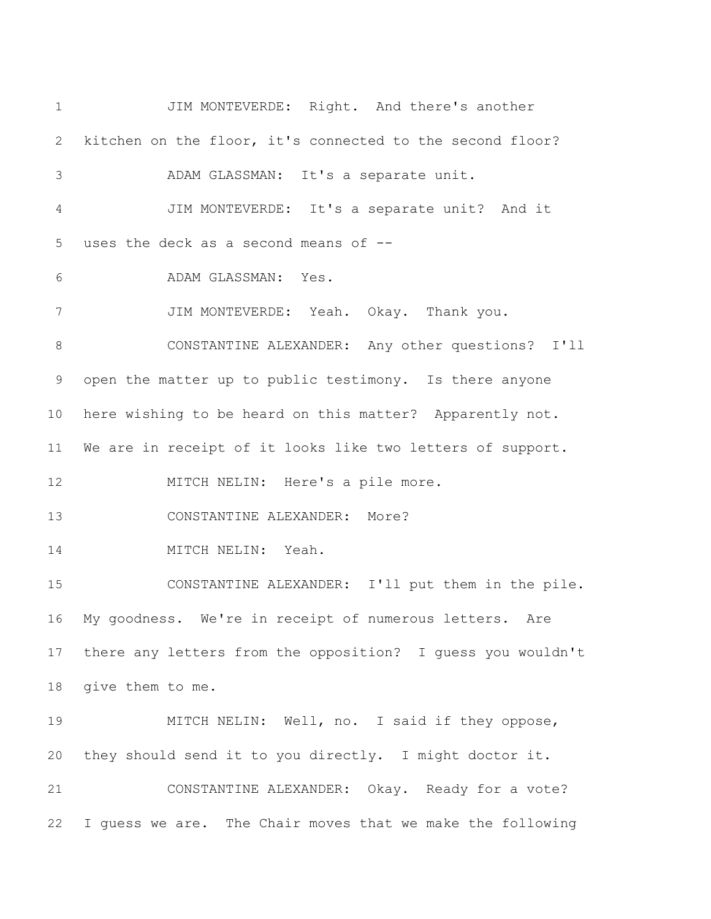JIM MONTEVERDE: Right. And there's another kitchen on the floor, it's connected to the second floor? ADAM GLASSMAN: It's a separate unit. JIM MONTEVERDE: It's a separate unit? And it uses the deck as a second means of -- ADAM GLASSMAN: Yes. JIM MONTEVERDE: Yeah. Okay. Thank you. CONSTANTINE ALEXANDER: Any other questions? I'll open the matter up to public testimony. Is there anyone here wishing to be heard on this matter? Apparently not. We are in receipt of it looks like two letters of support. 12 MITCH NELIN: Here's a pile more. CONSTANTINE ALEXANDER: More? 14 MITCH NELIN: Yeah. CONSTANTINE ALEXANDER: I'll put them in the pile. My goodness. We're in receipt of numerous letters. Are there any letters from the opposition? I guess you wouldn't give them to me. MITCH NELIN: Well, no. I said if they oppose, they should send it to you directly. I might doctor it. CONSTANTINE ALEXANDER: Okay. Ready for a vote? I guess we are. The Chair moves that we make the following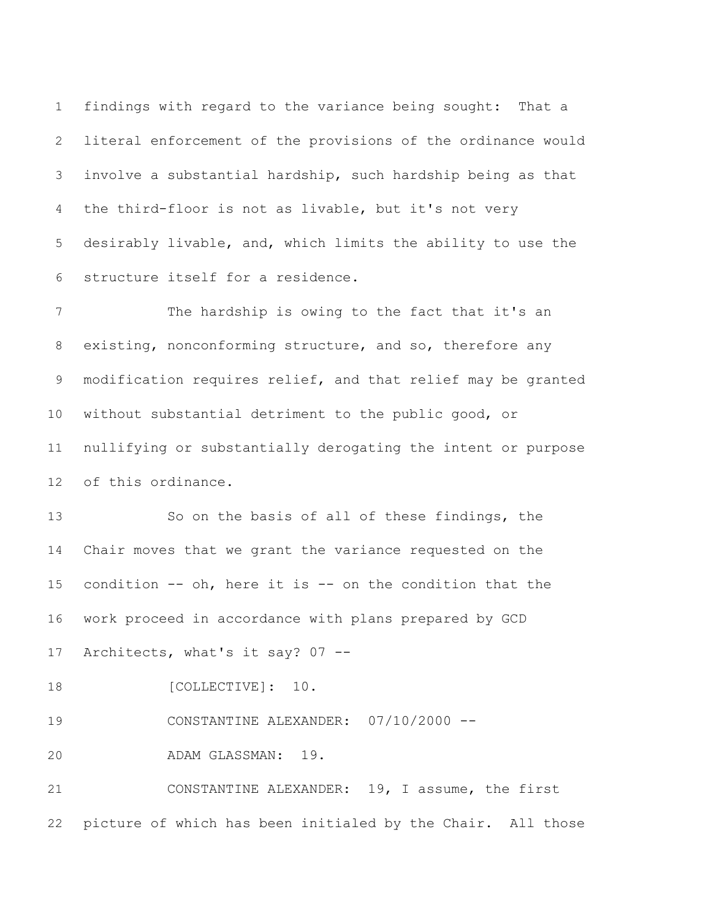findings with regard to the variance being sought: That a literal enforcement of the provisions of the ordinance would involve a substantial hardship, such hardship being as that the third-floor is not as livable, but it's not very desirably livable, and, which limits the ability to use the structure itself for a residence.

 The hardship is owing to the fact that it's an existing, nonconforming structure, and so, therefore any modification requires relief, and that relief may be granted without substantial detriment to the public good, or nullifying or substantially derogating the intent or purpose of this ordinance.

 So on the basis of all of these findings, the Chair moves that we grant the variance requested on the condition -- oh, here it is -- on the condition that the work proceed in accordance with plans prepared by GCD Architects, what's it say? 07 --

18 [COLLECTIVE]: 10.

CONSTANTINE ALEXANDER: 07/10/2000 --

ADAM GLASSMAN: 19.

 CONSTANTINE ALEXANDER: 19, I assume, the first picture of which has been initialed by the Chair. All those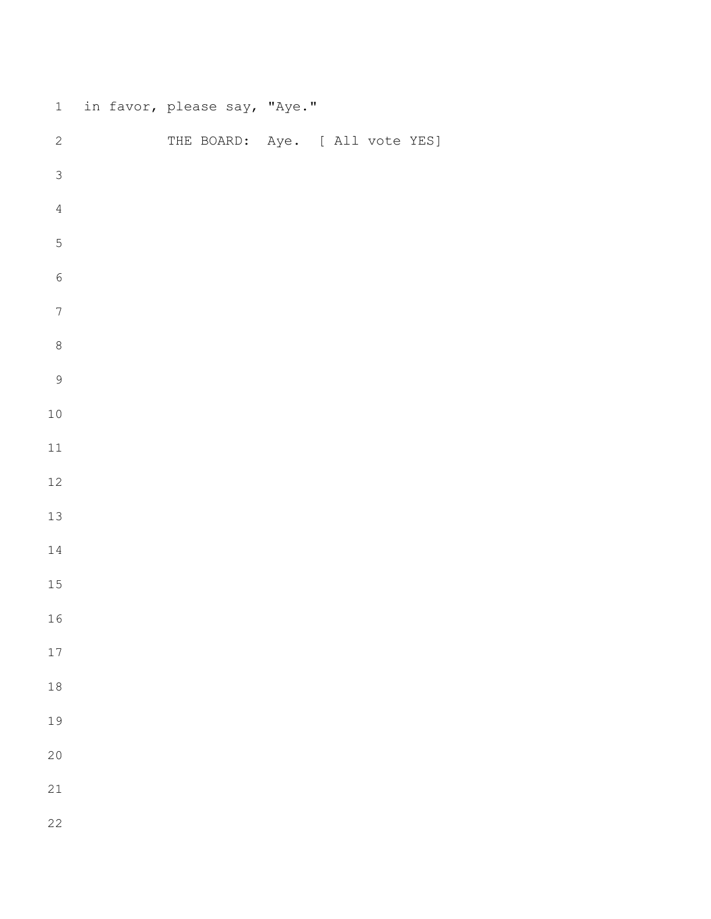| $\,1$            | in favor, please say, "Aye." |                                 |  |
|------------------|------------------------------|---------------------------------|--|
| $\sqrt{2}$       |                              | THE BOARD: Aye. [ All vote YES] |  |
| $\mathfrak{Z}$   |                              |                                 |  |
| $\overline{4}$   |                              |                                 |  |
| $\mathbf 5$      |                              |                                 |  |
| $\sqrt{6}$       |                              |                                 |  |
| $\boldsymbol{7}$ |                              |                                 |  |
| $\,8\,$          |                              |                                 |  |
| $\mathsf 9$      |                              |                                 |  |
| $1\,0$           |                              |                                 |  |
| $11\,$           |                              |                                 |  |
| $12\,$           |                              |                                 |  |
| $13\,$           |                              |                                 |  |
| $1\,4$           |                              |                                 |  |
| $15\,$           |                              |                                 |  |
| 16               |                              |                                 |  |
| $17\,$           |                              |                                 |  |
| $1\,8$           |                              |                                 |  |
| 19               |                              |                                 |  |
| 20               |                              |                                 |  |
| 21               |                              |                                 |  |
| 22               |                              |                                 |  |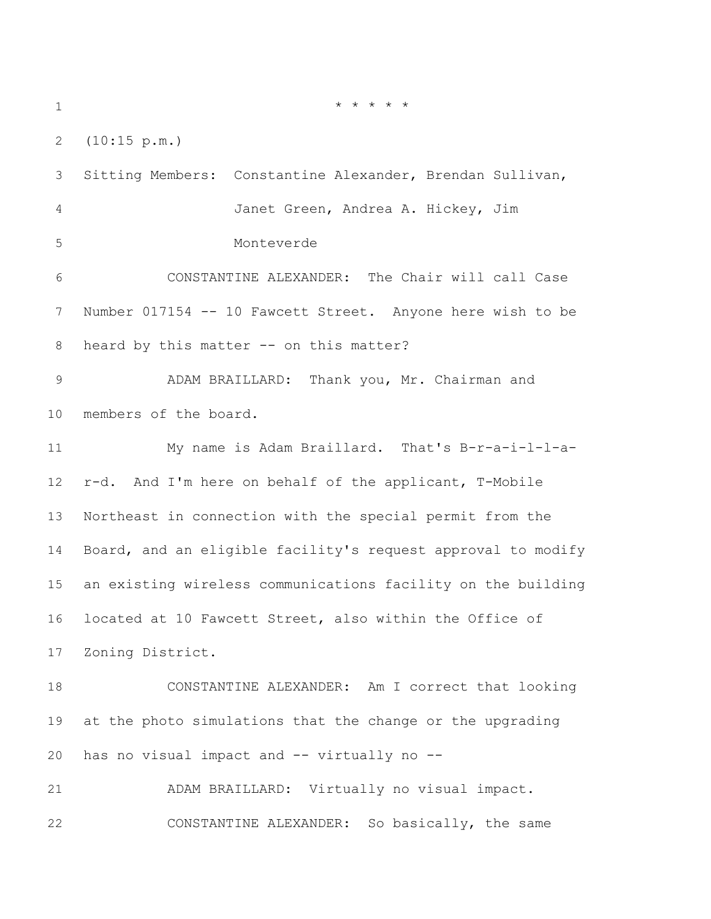\* \* \* \* \*

(10:15 p.m.)

 Sitting Members: Constantine Alexander, Brendan Sullivan, Janet Green, Andrea A. Hickey, Jim Monteverde CONSTANTINE ALEXANDER: The Chair will call Case Number 017154 -- 10 Fawcett Street. Anyone here wish to be 8 heard by this matter -- on this matter? ADAM BRAILLARD: Thank you, Mr. Chairman and members of the board. My name is Adam Braillard. That's B-r-a-i-l-l-a- r-d. And I'm here on behalf of the applicant, T-Mobile Northeast in connection with the special permit from the Board, and an eligible facility's request approval to modify an existing wireless communications facility on the building located at 10 Fawcett Street, also within the Office of Zoning District. CONSTANTINE ALEXANDER: Am I correct that looking at the photo simulations that the change or the upgrading has no visual impact and -- virtually no -- ADAM BRAILLARD: Virtually no visual impact. CONSTANTINE ALEXANDER: So basically, the same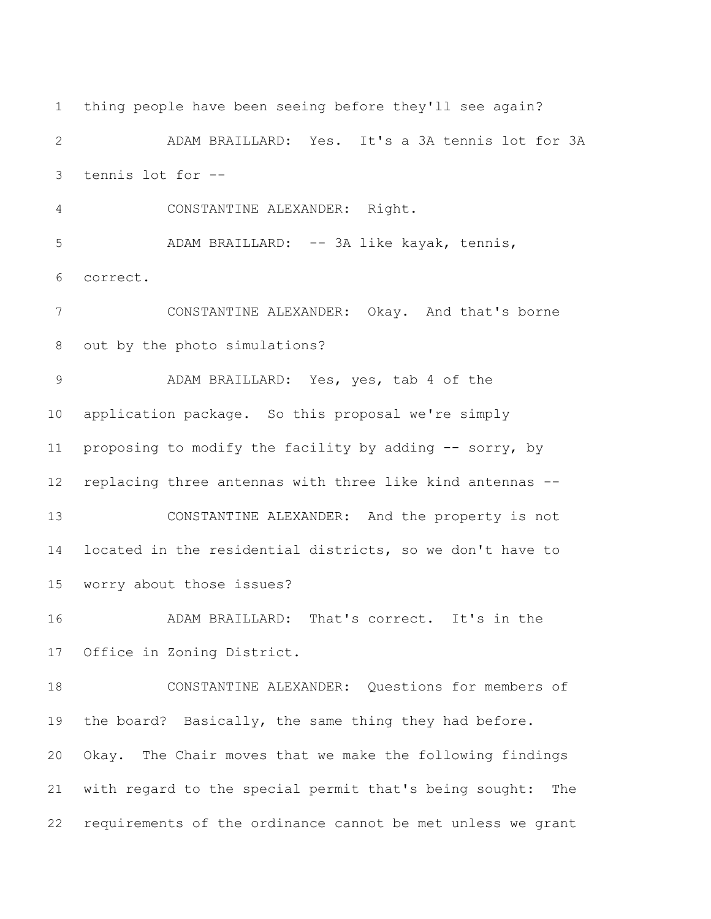thing people have been seeing before they'll see again? ADAM BRAILLARD: Yes. It's a 3A tennis lot for 3A tennis lot for -- CONSTANTINE ALEXANDER: Right. ADAM BRAILLARD: -- 3A like kayak, tennis, correct. CONSTANTINE ALEXANDER: Okay. And that's borne out by the photo simulations? ADAM BRAILLARD: Yes, yes, tab 4 of the application package. So this proposal we're simply proposing to modify the facility by adding -- sorry, by replacing three antennas with three like kind antennas -- CONSTANTINE ALEXANDER: And the property is not located in the residential districts, so we don't have to worry about those issues? ADAM BRAILLARD: That's correct. It's in the Office in Zoning District. CONSTANTINE ALEXANDER: Questions for members of 19 the board? Basically, the same thing they had before. Okay. The Chair moves that we make the following findings with regard to the special permit that's being sought: The requirements of the ordinance cannot be met unless we grant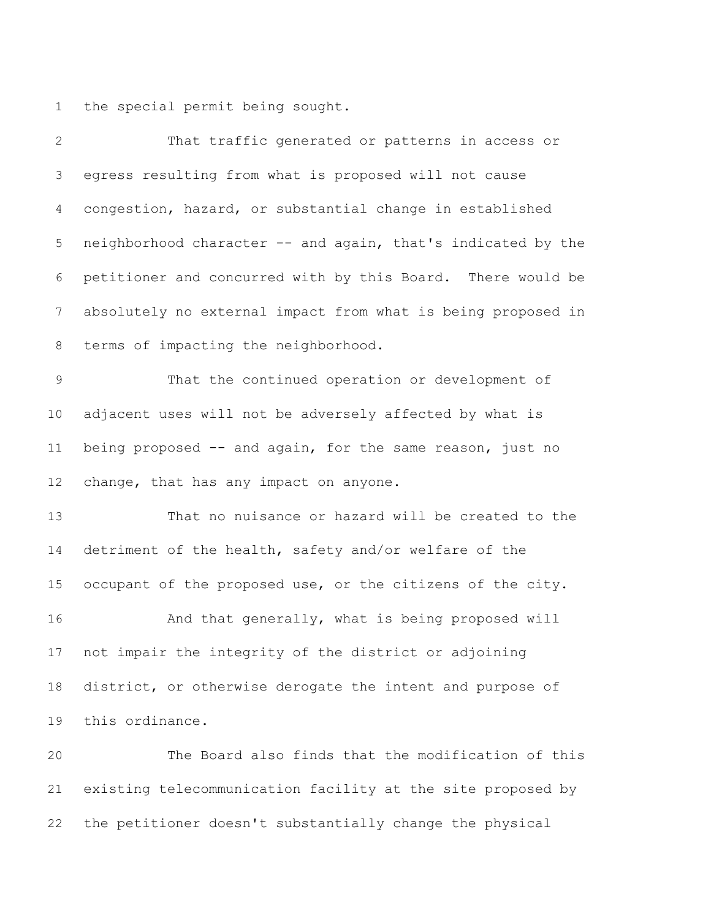the special permit being sought.

| $\overline{2}$ | That traffic generated or patterns in access or              |
|----------------|--------------------------------------------------------------|
| 3              | egress resulting from what is proposed will not cause        |
| $\overline{4}$ | congestion, hazard, or substantial change in established     |
| 5              | neighborhood character -- and again, that's indicated by the |
| 6              | petitioner and concurred with by this Board. There would be  |
| 7              | absolutely no external impact from what is being proposed in |
| 8              | terms of impacting the neighborhood.                         |
| $\mathcal{G}$  | That the continued operation or development of               |
| 10             | adjacent uses will not be adversely affected by what is      |
| 11             | being proposed -- and again, for the same reason, just no    |
| 12             | change, that has any impact on anyone.                       |
| 13             | That no nuisance or hazard will be created to the            |
| 14             | detriment of the health, safety and/or welfare of the        |
| 15             | occupant of the proposed use, or the citizens of the city.   |
| 16             | And that generally, what is being proposed will              |
| 17             | not impair the integrity of the district or adjoining        |
| 18             | district, or otherwise derogate the intent and purpose of    |
| 19             | this ordinance.                                              |
| 20             | The Board also finds that the modification of this           |
| 21             | existing telecommunication facility at the site proposed by  |
| 22             | the petitioner doesn't substantially change the physical     |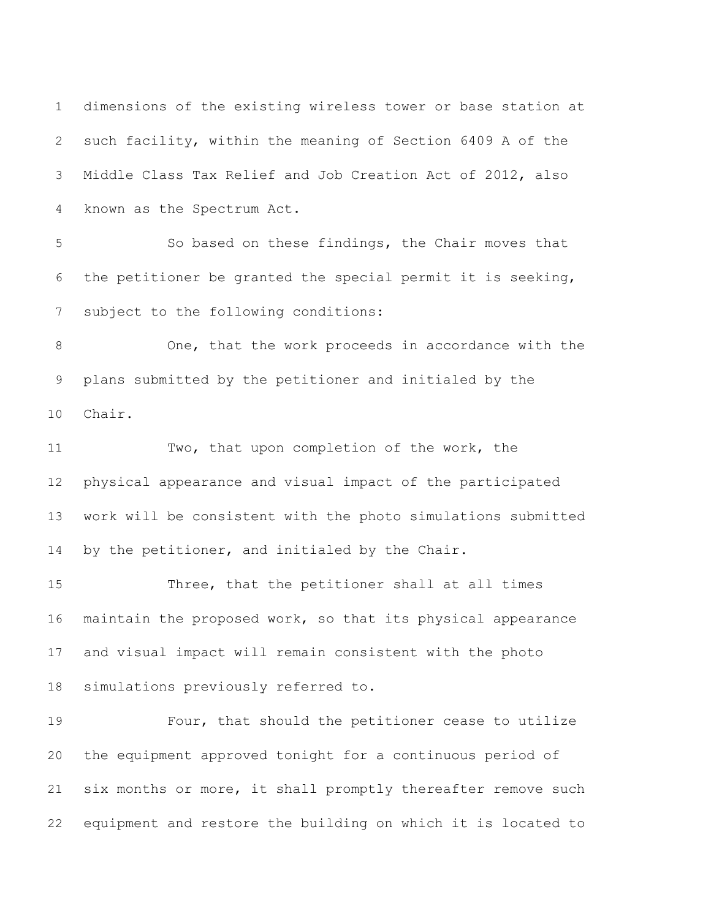dimensions of the existing wireless tower or base station at such facility, within the meaning of Section 6409 A of the Middle Class Tax Relief and Job Creation Act of 2012, also known as the Spectrum Act. So based on these findings, the Chair moves that

 the petitioner be granted the special permit it is seeking, subject to the following conditions:

 One, that the work proceeds in accordance with the plans submitted by the petitioner and initialed by the Chair.

 Two, that upon completion of the work, the physical appearance and visual impact of the participated work will be consistent with the photo simulations submitted 14 by the petitioner, and initialed by the Chair.

 Three, that the petitioner shall at all times maintain the proposed work, so that its physical appearance and visual impact will remain consistent with the photo simulations previously referred to.

 Four, that should the petitioner cease to utilize the equipment approved tonight for a continuous period of six months or more, it shall promptly thereafter remove such equipment and restore the building on which it is located to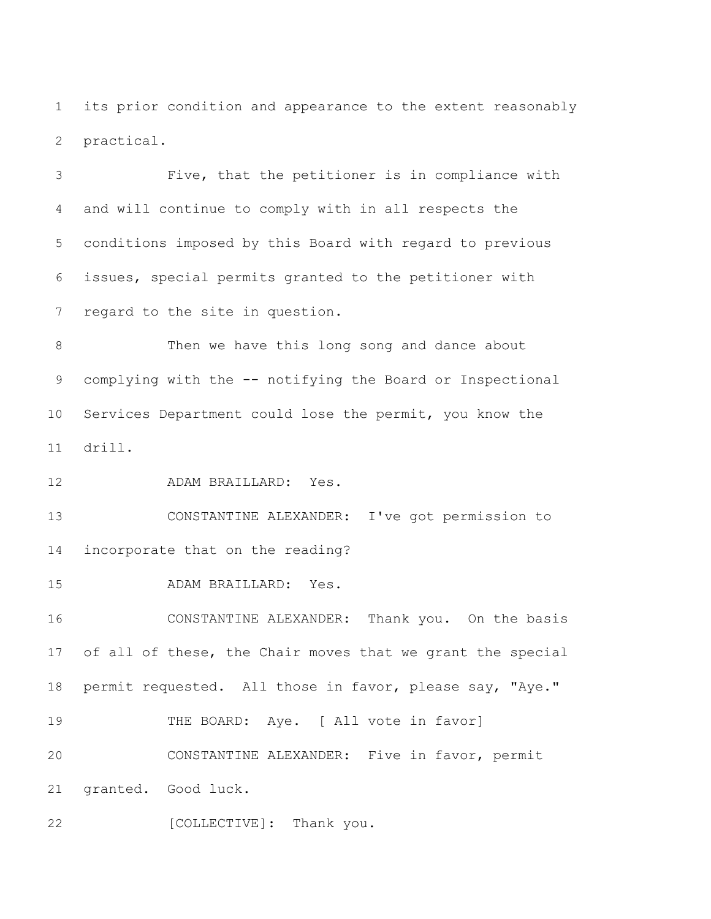its prior condition and appearance to the extent reasonably practical.

 Five, that the petitioner is in compliance with and will continue to comply with in all respects the conditions imposed by this Board with regard to previous issues, special permits granted to the petitioner with regard to the site in question.

 Then we have this long song and dance about complying with the -- notifying the Board or Inspectional Services Department could lose the permit, you know the drill.

ADAM BRAILLARD: Yes.

 CONSTANTINE ALEXANDER: I've got permission to incorporate that on the reading?

ADAM BRAILLARD: Yes.

 CONSTANTINE ALEXANDER: Thank you. On the basis of all of these, the Chair moves that we grant the special permit requested. All those in favor, please say, "Aye." 19 THE BOARD: Aye. [ All vote in favor]

 CONSTANTINE ALEXANDER: Five in favor, permit granted. Good luck.

22 [COLLECTIVE]: Thank you.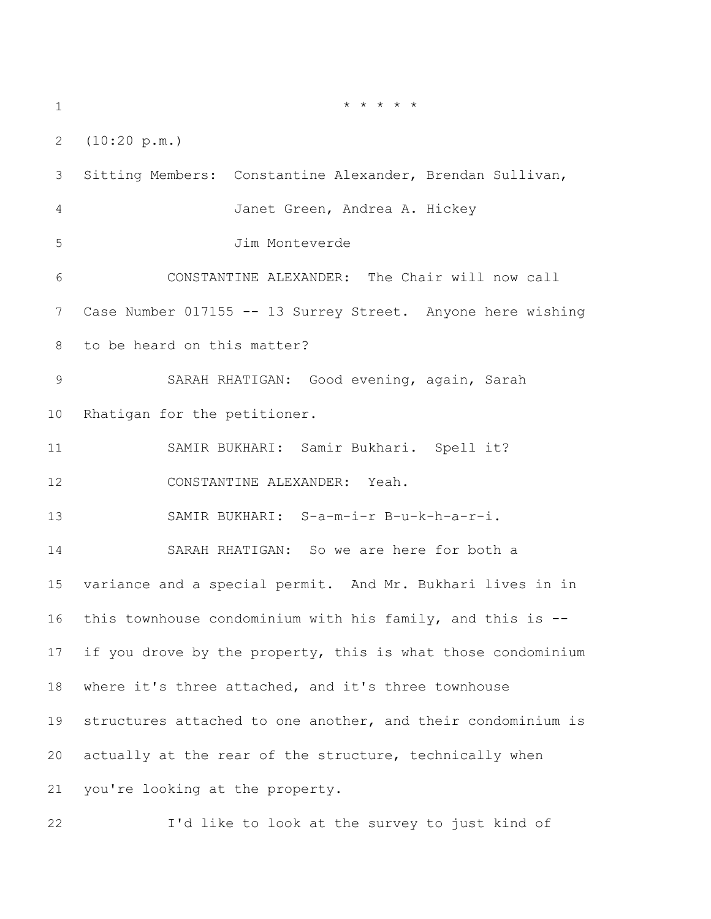\* \* \* \* \* (10:20 p.m.) Sitting Members: Constantine Alexander, Brendan Sullivan, Janet Green, Andrea A. Hickey Jim Monteverde CONSTANTINE ALEXANDER: The Chair will now call Case Number 017155 -- 13 Surrey Street. Anyone here wishing to be heard on this matter? SARAH RHATIGAN: Good evening, again, Sarah Rhatigan for the petitioner. SAMIR BUKHARI: Samir Bukhari. Spell it? CONSTANTINE ALEXANDER: Yeah. SAMIR BUKHARI: S-a-m-i-r B-u-k-h-a-r-i. SARAH RHATIGAN: So we are here for both a variance and a special permit. And Mr. Bukhari lives in in this townhouse condominium with his family, and this is -- if you drove by the property, this is what those condominium where it's three attached, and it's three townhouse structures attached to one another, and their condominium is actually at the rear of the structure, technically when you're looking at the property.

I'd like to look at the survey to just kind of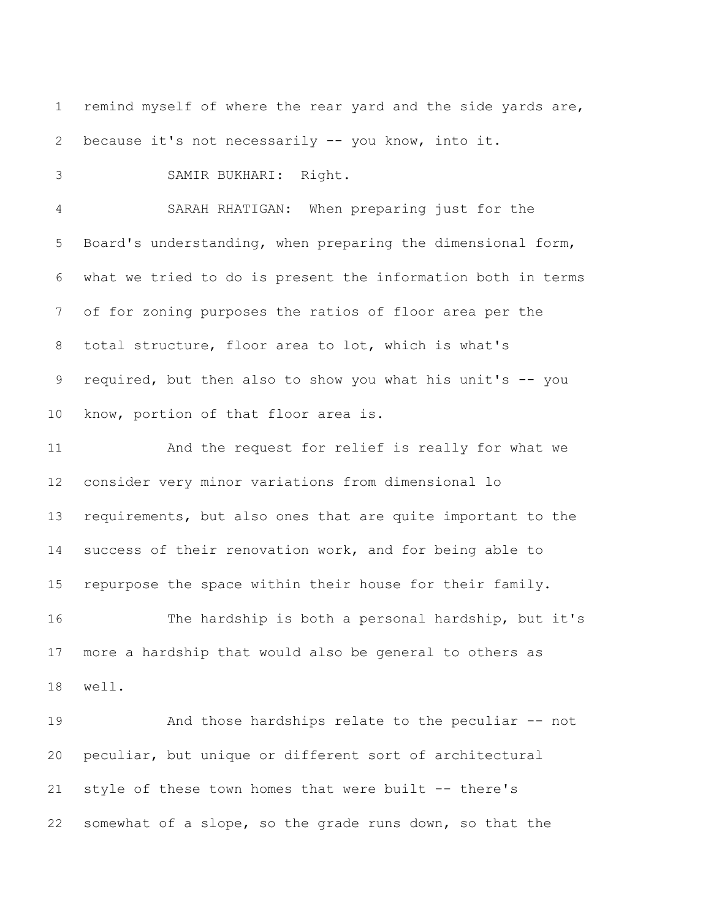remind myself of where the rear yard and the side yards are, because it's not necessarily -- you know, into it. SAMIR BUKHARI: Right. SARAH RHATIGAN: When preparing just for the Board's understanding, when preparing the dimensional form, what we tried to do is present the information both in terms of for zoning purposes the ratios of floor area per the total structure, floor area to lot, which is what's required, but then also to show you what his unit's -- you know, portion of that floor area is. And the request for relief is really for what we consider very minor variations from dimensional lo requirements, but also ones that are quite important to the success of their renovation work, and for being able to repurpose the space within their house for their family. The hardship is both a personal hardship, but it's more a hardship that would also be general to others as well. And those hardships relate to the peculiar -- not peculiar, but unique or different sort of architectural style of these town homes that were built -- there's somewhat of a slope, so the grade runs down, so that the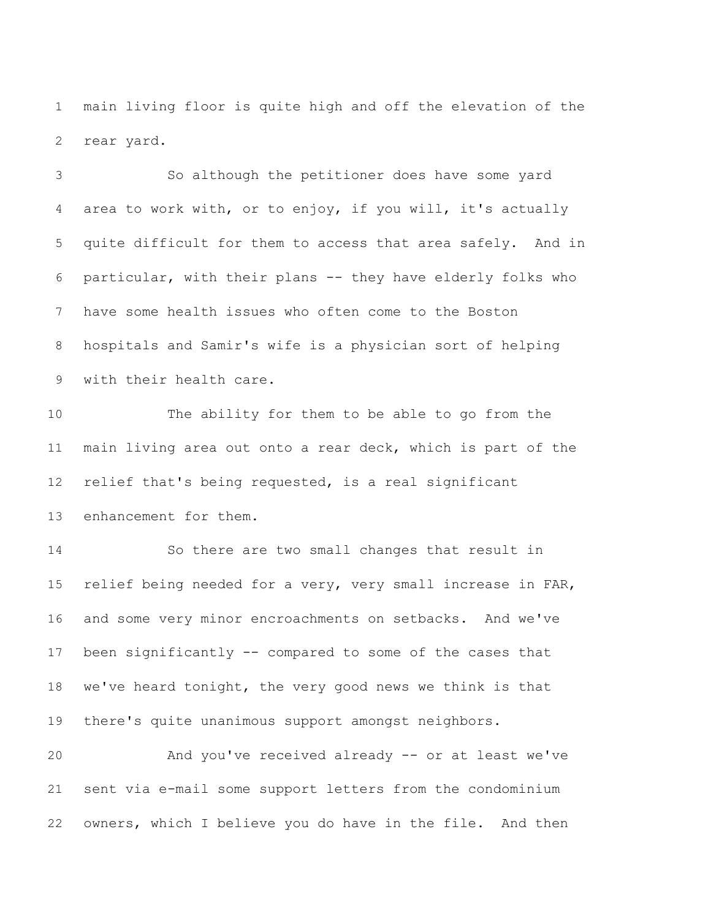main living floor is quite high and off the elevation of the rear yard.

 So although the petitioner does have some yard area to work with, or to enjoy, if you will, it's actually quite difficult for them to access that area safely. And in particular, with their plans -- they have elderly folks who have some health issues who often come to the Boston hospitals and Samir's wife is a physician sort of helping with their health care. The ability for them to be able to go from the main living area out onto a rear deck, which is part of the relief that's being requested, is a real significant enhancement for them. So there are two small changes that result in relief being needed for a very, very small increase in FAR, and some very minor encroachments on setbacks. And we've been significantly -- compared to some of the cases that we've heard tonight, the very good news we think is that there's quite unanimous support amongst neighbors. And you've received already -- or at least we've

owners, which I believe you do have in the file. And then

sent via e-mail some support letters from the condominium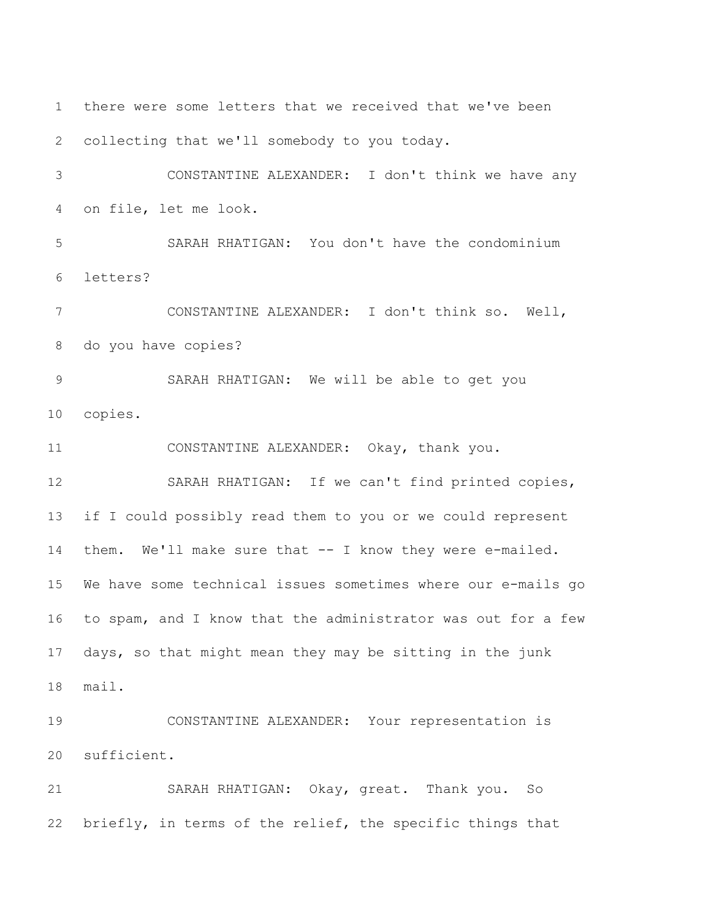there were some letters that we received that we've been collecting that we'll somebody to you today. CONSTANTINE ALEXANDER: I don't think we have any on file, let me look. SARAH RHATIGAN: You don't have the condominium letters? CONSTANTINE ALEXANDER: I don't think so. Well, do you have copies? SARAH RHATIGAN: We will be able to get you copies. CONSTANTINE ALEXANDER: Okay, thank you. SARAH RHATIGAN: If we can't find printed copies, if I could possibly read them to you or we could represent them. We'll make sure that -- I know they were e-mailed. We have some technical issues sometimes where our e-mails go to spam, and I know that the administrator was out for a few days, so that might mean they may be sitting in the junk mail. CONSTANTINE ALEXANDER: Your representation is sufficient. SARAH RHATIGAN: Okay, great. Thank you. So briefly, in terms of the relief, the specific things that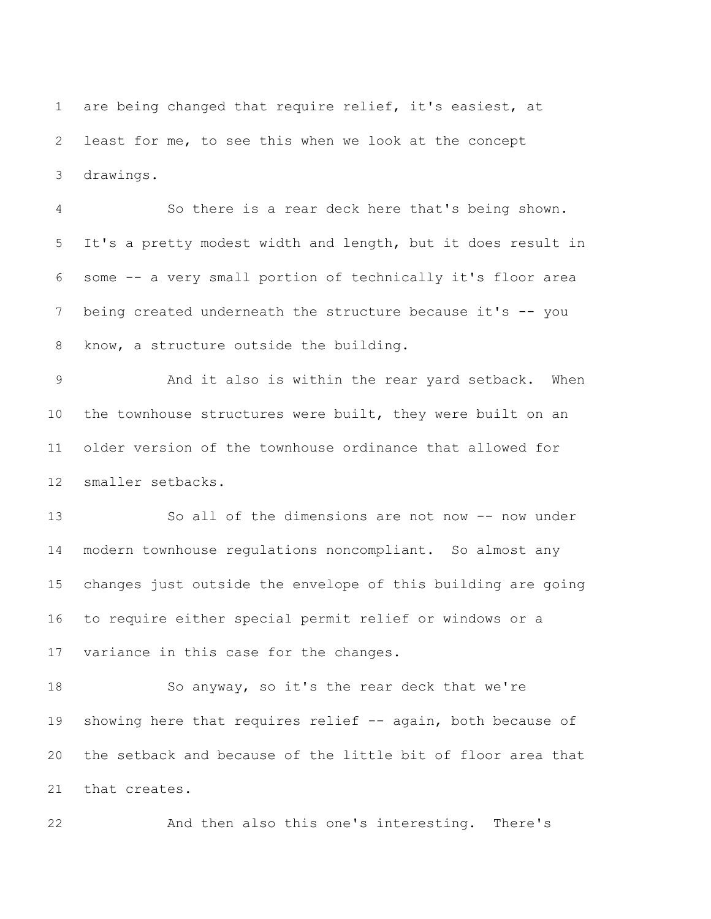are being changed that require relief, it's easiest, at least for me, to see this when we look at the concept drawings.

 So there is a rear deck here that's being shown. It's a pretty modest width and length, but it does result in some -- a very small portion of technically it's floor area 7 being created underneath the structure because it's -- you know, a structure outside the building.

 And it also is within the rear yard setback. When the townhouse structures were built, they were built on an older version of the townhouse ordinance that allowed for smaller setbacks.

13 So all of the dimensions are not now -- now under modern townhouse regulations noncompliant. So almost any changes just outside the envelope of this building are going to require either special permit relief or windows or a variance in this case for the changes.

 So anyway, so it's the rear deck that we're 19 showing here that requires relief -- again, both because of the setback and because of the little bit of floor area that that creates.

And then also this one's interesting. There's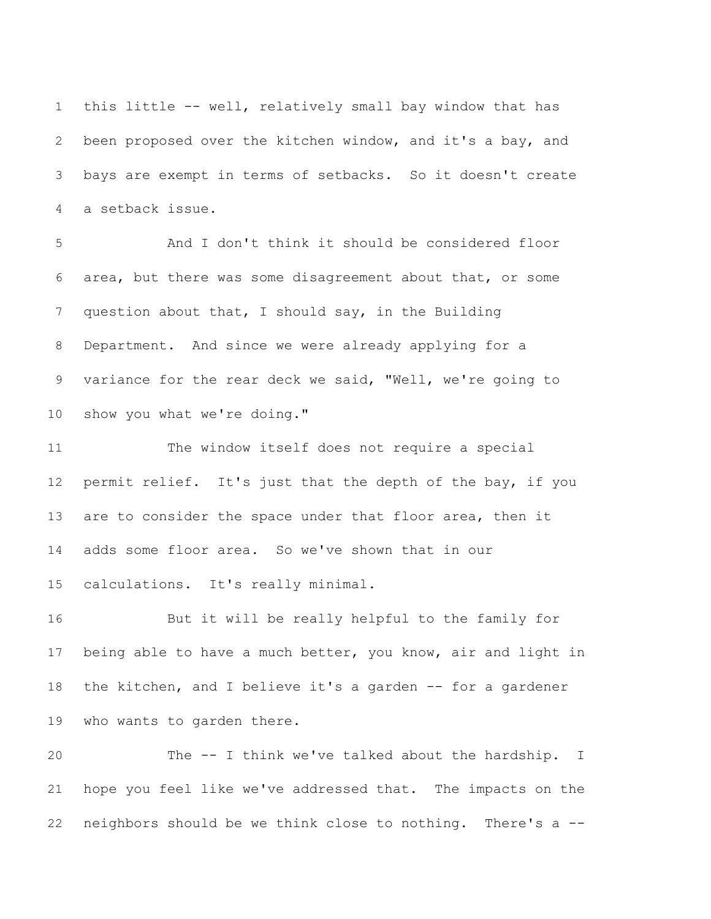this little -- well, relatively small bay window that has been proposed over the kitchen window, and it's a bay, and bays are exempt in terms of setbacks. So it doesn't create a setback issue.

 And I don't think it should be considered floor area, but there was some disagreement about that, or some question about that, I should say, in the Building Department. And since we were already applying for a variance for the rear deck we said, "Well, we're going to show you what we're doing."

 The window itself does not require a special permit relief. It's just that the depth of the bay, if you 13 are to consider the space under that floor area, then it adds some floor area. So we've shown that in our calculations. It's really minimal.

 But it will be really helpful to the family for being able to have a much better, you know, air and light in the kitchen, and I believe it's a garden -- for a gardener who wants to garden there.

 The -- I think we've talked about the hardship. I hope you feel like we've addressed that. The impacts on the neighbors should be we think close to nothing. There's a --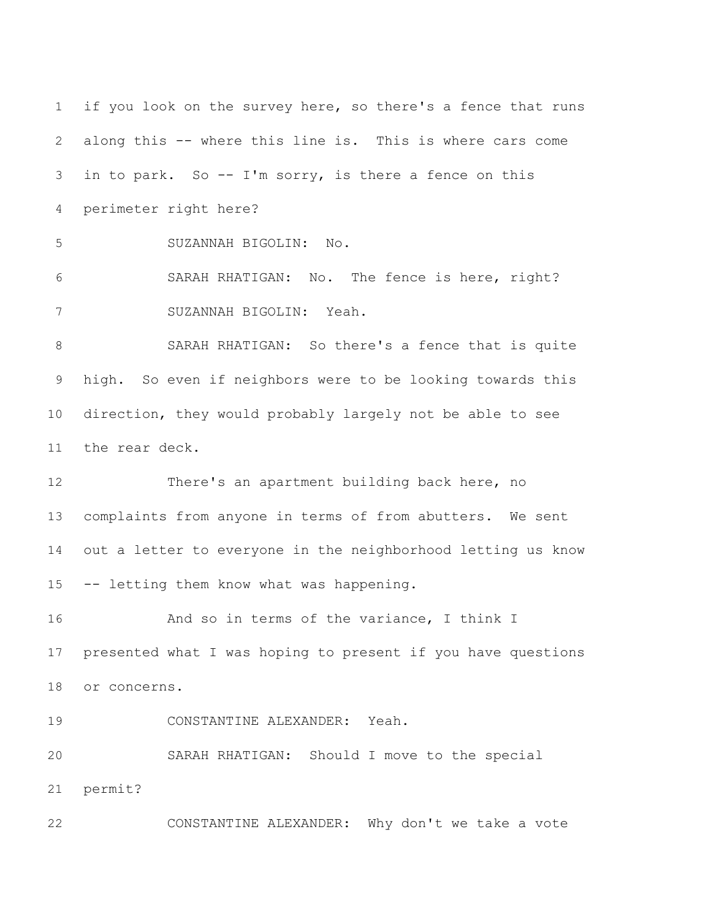if you look on the survey here, so there's a fence that runs along this -- where this line is. This is where cars come in to park. So -- I'm sorry, is there a fence on this perimeter right here? SUZANNAH BIGOLIN: No. SARAH RHATIGAN: No. The fence is here, right? SUZANNAH BIGOLIN: Yeah. SARAH RHATIGAN: So there's a fence that is quite high. So even if neighbors were to be looking towards this direction, they would probably largely not be able to see the rear deck. There's an apartment building back here, no complaints from anyone in terms of from abutters. We sent out a letter to everyone in the neighborhood letting us know -- letting them know what was happening. And so in terms of the variance, I think I presented what I was hoping to present if you have questions or concerns. CONSTANTINE ALEXANDER: Yeah. SARAH RHATIGAN: Should I move to the special permit? CONSTANTINE ALEXANDER: Why don't we take a vote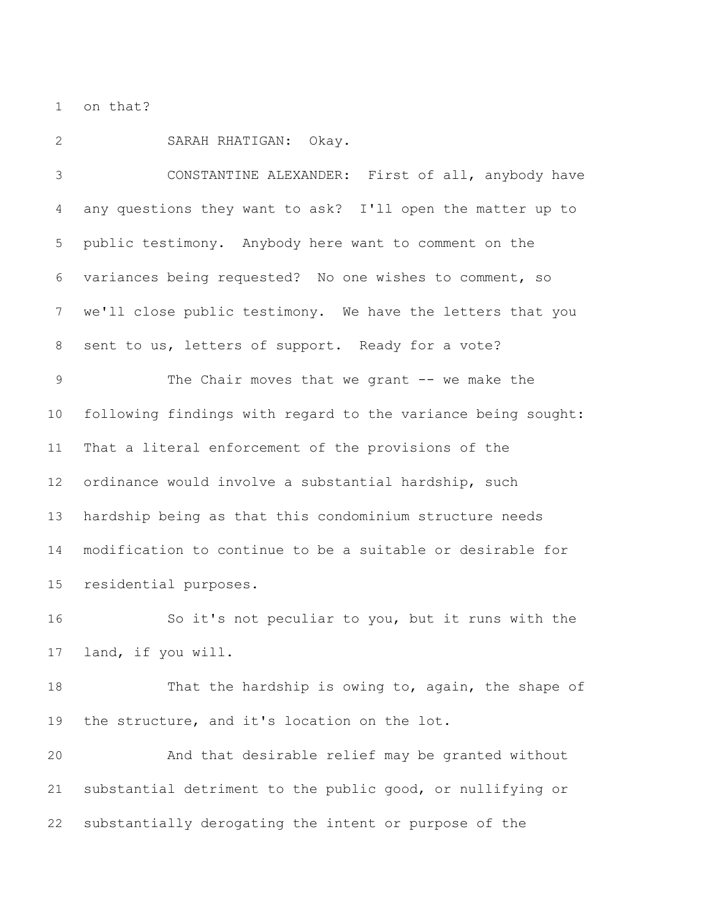on that?

SARAH RHATIGAN: Okay.

 CONSTANTINE ALEXANDER: First of all, anybody have any questions they want to ask? I'll open the matter up to public testimony. Anybody here want to comment on the variances being requested? No one wishes to comment, so we'll close public testimony. We have the letters that you sent to us, letters of support. Ready for a vote? The Chair moves that we grant -- we make the following findings with regard to the variance being sought: That a literal enforcement of the provisions of the ordinance would involve a substantial hardship, such hardship being as that this condominium structure needs modification to continue to be a suitable or desirable for residential purposes.

 So it's not peculiar to you, but it runs with the land, if you will.

 That the hardship is owing to, again, the shape of the structure, and it's location on the lot.

 And that desirable relief may be granted without substantial detriment to the public good, or nullifying or substantially derogating the intent or purpose of the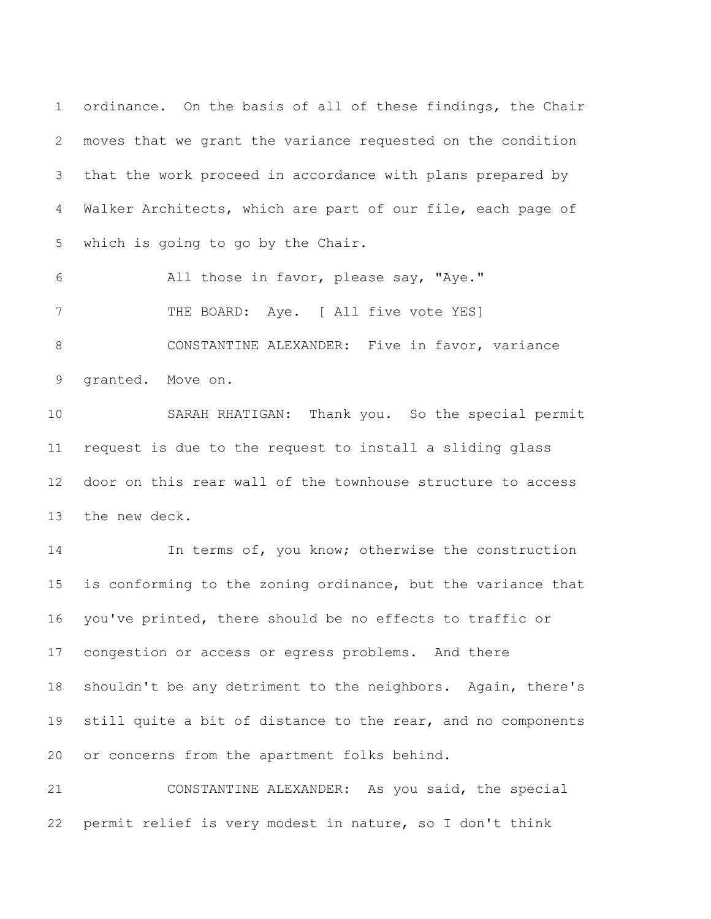ordinance. On the basis of all of these findings, the Chair moves that we grant the variance requested on the condition that the work proceed in accordance with plans prepared by Walker Architects, which are part of our file, each page of which is going to go by the Chair.

 All those in favor, please say, "Aye." 7 THE BOARD: Aye. [ All five vote YES] CONSTANTINE ALEXANDER: Five in favor, variance granted. Move on.

 SARAH RHATIGAN: Thank you. So the special permit request is due to the request to install a sliding glass door on this rear wall of the townhouse structure to access the new deck.

 In terms of, you know; otherwise the construction is conforming to the zoning ordinance, but the variance that you've printed, there should be no effects to traffic or congestion or access or egress problems. And there shouldn't be any detriment to the neighbors. Again, there's 19 still quite a bit of distance to the rear, and no components or concerns from the apartment folks behind.

 CONSTANTINE ALEXANDER: As you said, the special permit relief is very modest in nature, so I don't think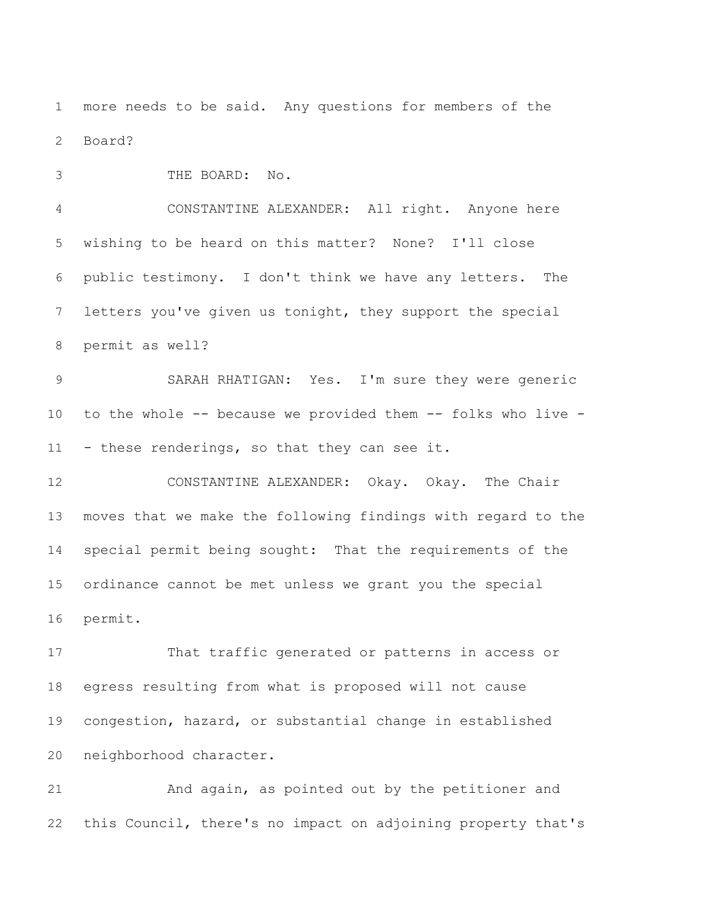more needs to be said. Any questions for members of the Board?

THE BOARD: No.

 CONSTANTINE ALEXANDER: All right. Anyone here wishing to be heard on this matter? None? I'll close public testimony. I don't think we have any letters. The letters you've given us tonight, they support the special permit as well?

 SARAH RHATIGAN: Yes. I'm sure they were generic to the whole -- because we provided them -- folks who live - - these renderings, so that they can see it.

 CONSTANTINE ALEXANDER: Okay. Okay. The Chair moves that we make the following findings with regard to the special permit being sought: That the requirements of the ordinance cannot be met unless we grant you the special permit.

 That traffic generated or patterns in access or egress resulting from what is proposed will not cause congestion, hazard, or substantial change in established neighborhood character.

 And again, as pointed out by the petitioner and this Council, there's no impact on adjoining property that's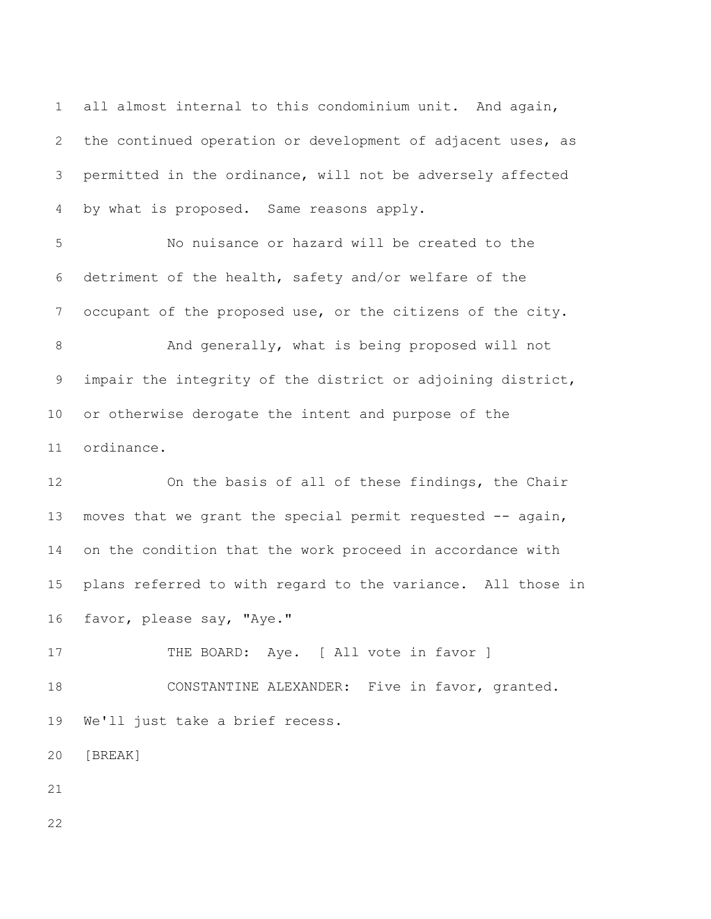all almost internal to this condominium unit. And again, the continued operation or development of adjacent uses, as permitted in the ordinance, will not be adversely affected by what is proposed. Same reasons apply.

 No nuisance or hazard will be created to the detriment of the health, safety and/or welfare of the occupant of the proposed use, or the citizens of the city.

 And generally, what is being proposed will not impair the integrity of the district or adjoining district, or otherwise derogate the intent and purpose of the ordinance.

 On the basis of all of these findings, the Chair 13 moves that we grant the special permit requested -- again, on the condition that the work proceed in accordance with plans referred to with regard to the variance. All those in favor, please say, "Aye."

17 THE BOARD: Aye. [ All vote in favor ]

 CONSTANTINE ALEXANDER: Five in favor, granted. We'll just take a brief recess.

[BREAK]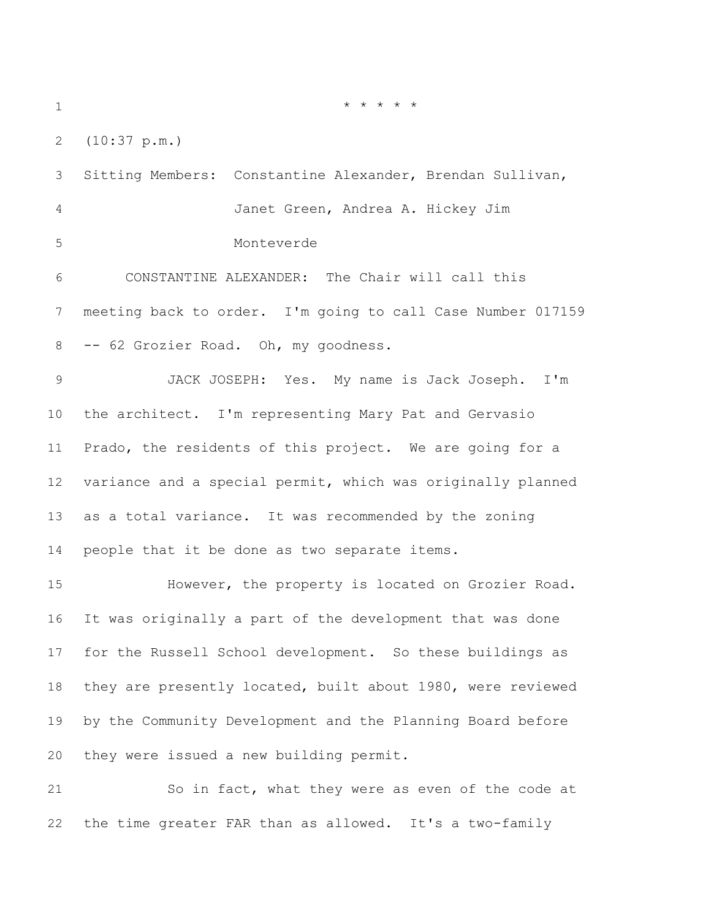\* \* \* \* \*

(10:37 p.m.)

 Sitting Members: Constantine Alexander, Brendan Sullivan, Janet Green, Andrea A. Hickey Jim Monteverde CONSTANTINE ALEXANDER: The Chair will call this meeting back to order. I'm going to call Case Number 017159 -- 62 Grozier Road. Oh, my goodness. JACK JOSEPH: Yes. My name is Jack Joseph. I'm the architect. I'm representing Mary Pat and Gervasio Prado, the residents of this project. We are going for a variance and a special permit, which was originally planned as a total variance. It was recommended by the zoning people that it be done as two separate items. However, the property is located on Grozier Road. It was originally a part of the development that was done for the Russell School development. So these buildings as they are presently located, built about 1980, were reviewed by the Community Development and the Planning Board before they were issued a new building permit.

 So in fact, what they were as even of the code at the time greater FAR than as allowed. It's a two-family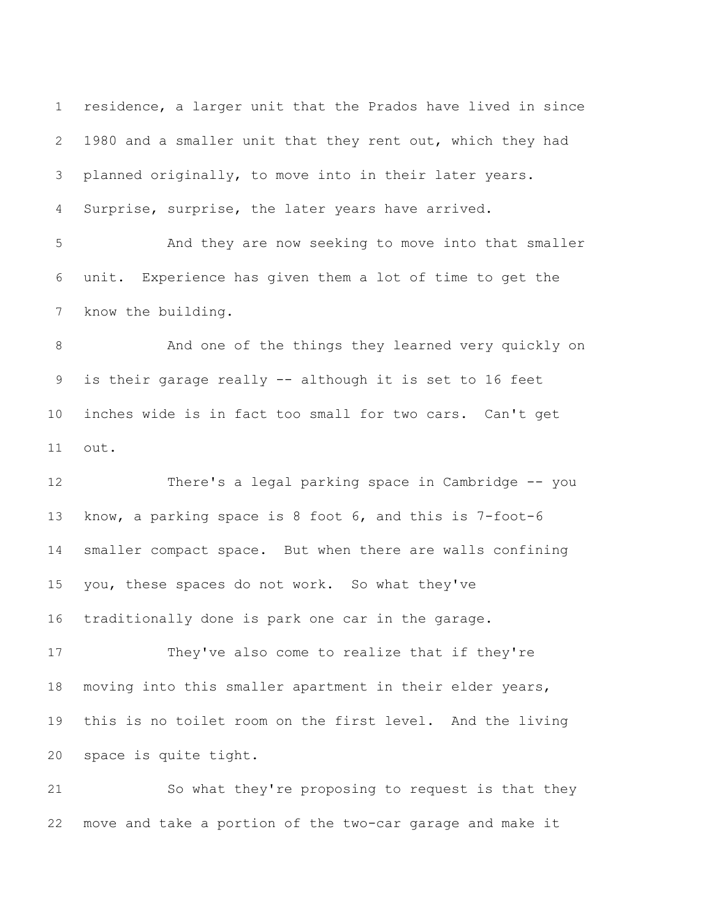residence, a larger unit that the Prados have lived in since 1980 and a smaller unit that they rent out, which they had planned originally, to move into in their later years. Surprise, surprise, the later years have arrived.

 And they are now seeking to move into that smaller unit. Experience has given them a lot of time to get the know the building.

 And one of the things they learned very quickly on is their garage really -- although it is set to 16 feet inches wide is in fact too small for two cars. Can't get out.

 There's a legal parking space in Cambridge -- you know, a parking space is 8 foot 6, and this is 7-foot-6 smaller compact space. But when there are walls confining you, these spaces do not work. So what they've traditionally done is park one car in the garage.

 They've also come to realize that if they're moving into this smaller apartment in their elder years, this is no toilet room on the first level. And the living space is quite tight.

 So what they're proposing to request is that they move and take a portion of the two-car garage and make it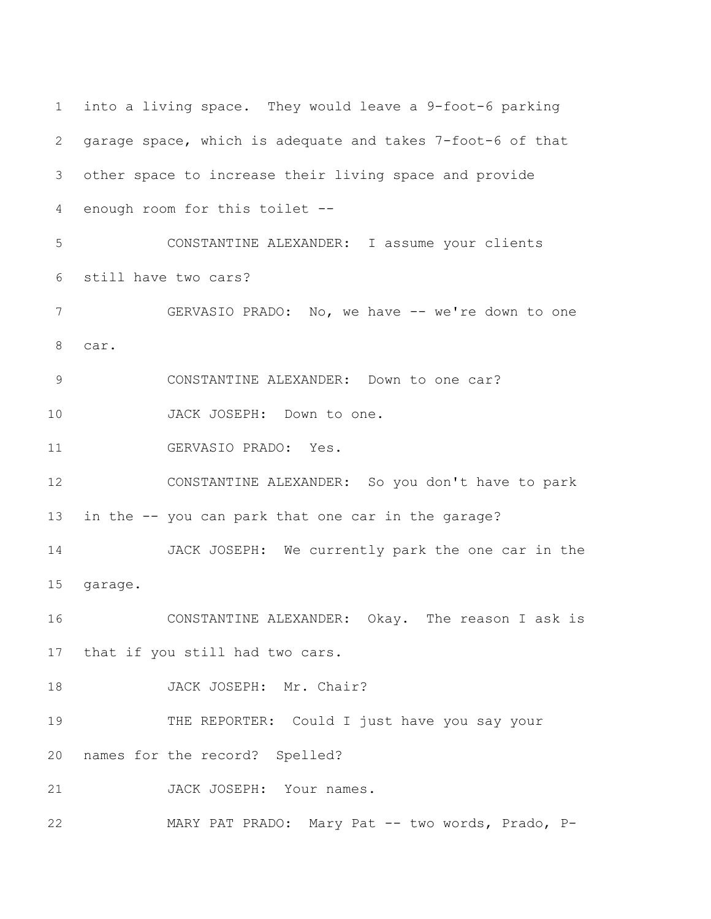into a living space. They would leave a 9-foot-6 parking garage space, which is adequate and takes 7-foot-6 of that other space to increase their living space and provide enough room for this toilet -- CONSTANTINE ALEXANDER: I assume your clients still have two cars? 7 GERVASIO PRADO: No, we have -- we're down to one car. CONSTANTINE ALEXANDER: Down to one car? 10 JACK JOSEPH: Down to one. GERVASIO PRADO: Yes. CONSTANTINE ALEXANDER: So you don't have to park in the -- you can park that one car in the garage? JACK JOSEPH: We currently park the one car in the garage. CONSTANTINE ALEXANDER: Okay. The reason I ask is that if you still had two cars. 18 JACK JOSEPH: Mr. Chair? THE REPORTER: Could I just have you say your names for the record? Spelled? 21 JACK JOSEPH: Your names. MARY PAT PRADO: Mary Pat -- two words, Prado, P-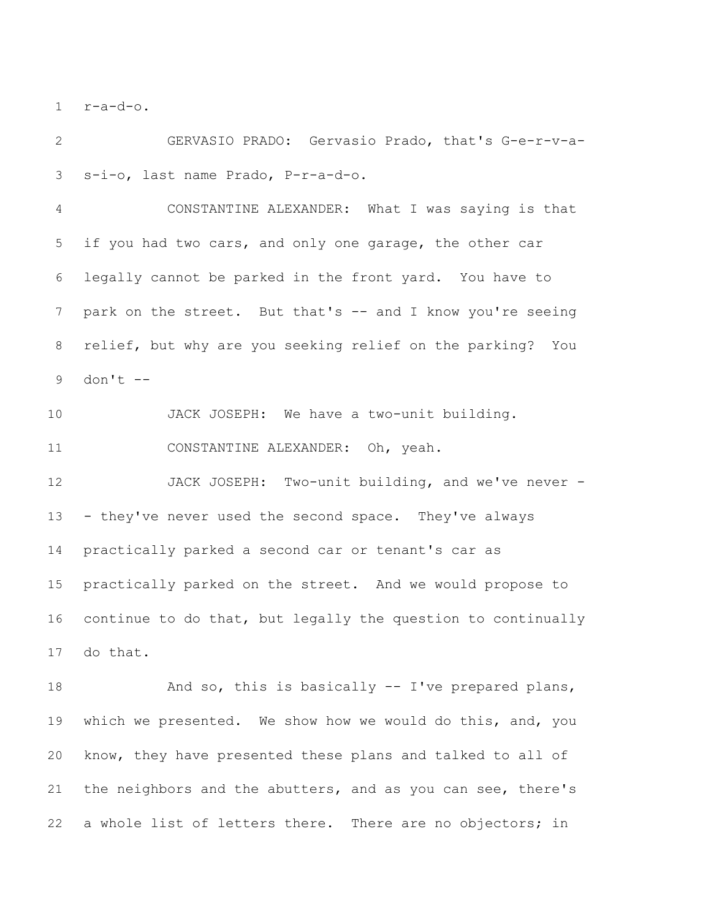r-a-d-o.

 GERVASIO PRADO: Gervasio Prado, that's G-e-r-v-a-s-i-o, last name Prado, P-r-a-d-o.

 CONSTANTINE ALEXANDER: What I was saying is that if you had two cars, and only one garage, the other car legally cannot be parked in the front yard. You have to 7 park on the street. But that's -- and I know you're seeing relief, but why are you seeking relief on the parking? You don't --

JACK JOSEPH: We have a two-unit building.

CONSTANTINE ALEXANDER: Oh, yeah.

 JACK JOSEPH: Two-unit building, and we've never - - they've never used the second space. They've always practically parked a second car or tenant's car as practically parked on the street. And we would propose to continue to do that, but legally the question to continually do that.

18 And so, this is basically -- I've prepared plans, which we presented. We show how we would do this, and, you know, they have presented these plans and talked to all of the neighbors and the abutters, and as you can see, there's 22 a whole list of letters there. There are no objectors; in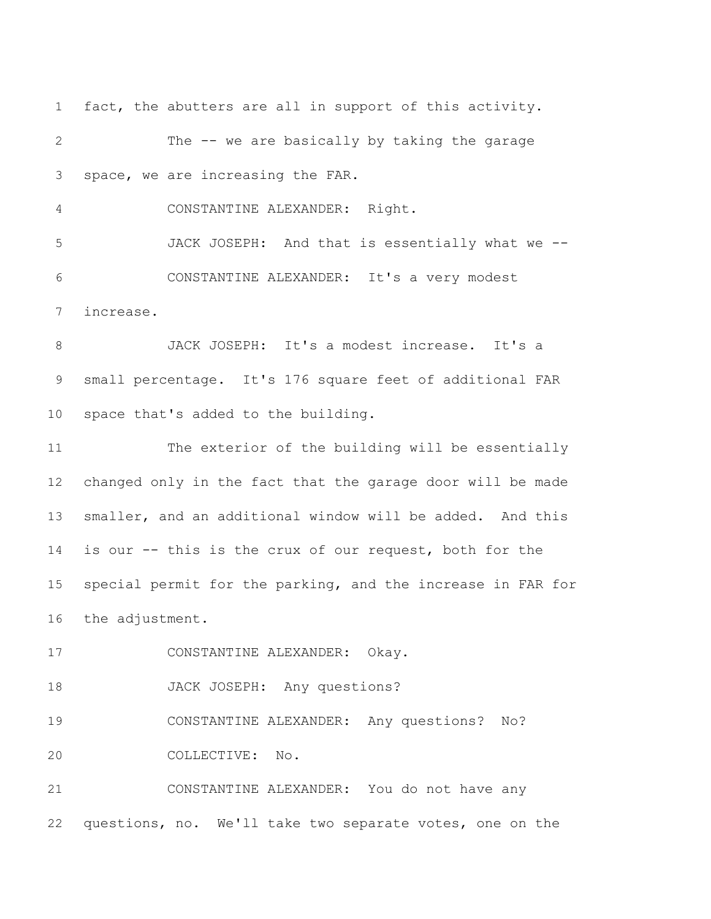fact, the abutters are all in support of this activity. The -- we are basically by taking the garage space, we are increasing the FAR.

CONSTANTINE ALEXANDER: Right.

 JACK JOSEPH: And that is essentially what we -- CONSTANTINE ALEXANDER: It's a very modest increase.

 JACK JOSEPH: It's a modest increase. It's a small percentage. It's 176 square feet of additional FAR space that's added to the building.

 The exterior of the building will be essentially changed only in the fact that the garage door will be made smaller, and an additional window will be added. And this is our -- this is the crux of our request, both for the special permit for the parking, and the increase in FAR for the adjustment.

CONSTANTINE ALEXANDER: Okay.

JACK JOSEPH: Any questions?

 CONSTANTINE ALEXANDER: Any questions? No? COLLECTIVE: No.

 CONSTANTINE ALEXANDER: You do not have any questions, no. We'll take two separate votes, one on the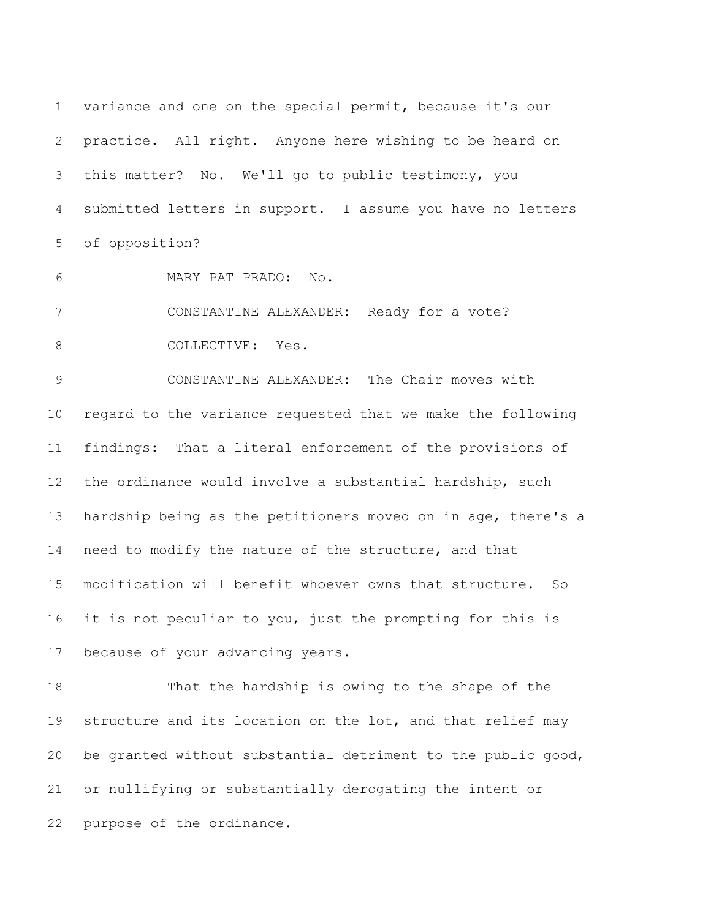variance and one on the special permit, because it's our practice. All right. Anyone here wishing to be heard on this matter? No. We'll go to public testimony, you submitted letters in support. I assume you have no letters of opposition?

MARY PAT PRADO: No.

CONSTANTINE ALEXANDER: Ready for a vote?

8 COLLECTIVE: Yes.

 CONSTANTINE ALEXANDER: The Chair moves with regard to the variance requested that we make the following findings: That a literal enforcement of the provisions of the ordinance would involve a substantial hardship, such hardship being as the petitioners moved on in age, there's a need to modify the nature of the structure, and that modification will benefit whoever owns that structure. So it is not peculiar to you, just the prompting for this is because of your advancing years.

 That the hardship is owing to the shape of the 19 structure and its location on the lot, and that relief may be granted without substantial detriment to the public good, or nullifying or substantially derogating the intent or purpose of the ordinance.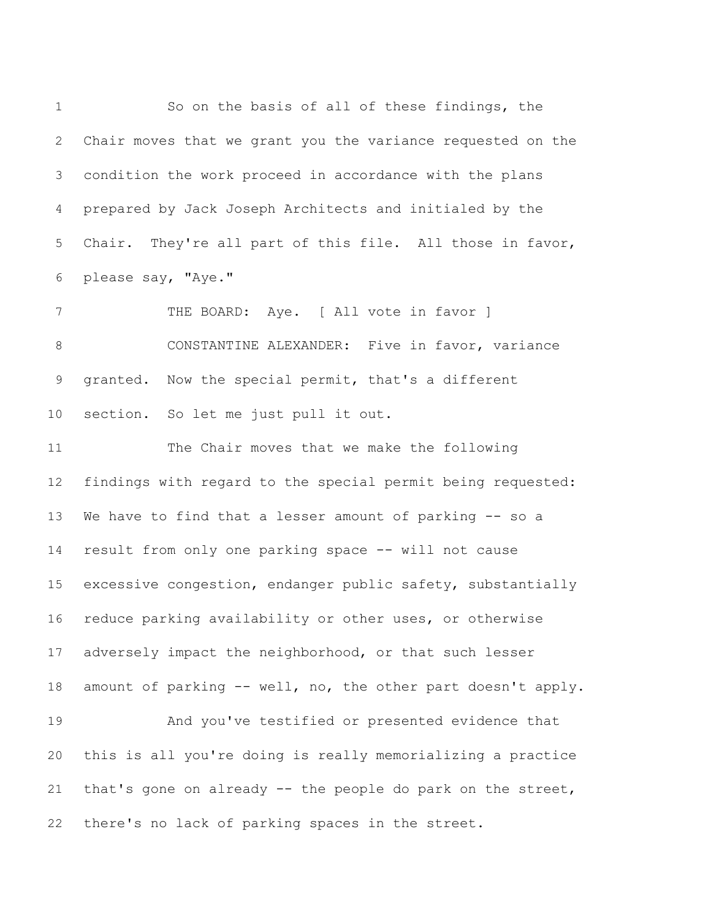So on the basis of all of these findings, the Chair moves that we grant you the variance requested on the condition the work proceed in accordance with the plans prepared by Jack Joseph Architects and initialed by the Chair. They're all part of this file. All those in favor, please say, "Aye." 7 THE BOARD: Aye. [ All vote in favor ] CONSTANTINE ALEXANDER: Five in favor, variance granted. Now the special permit, that's a different section. So let me just pull it out. The Chair moves that we make the following findings with regard to the special permit being requested: We have to find that a lesser amount of parking -- so a result from only one parking space -- will not cause excessive congestion, endanger public safety, substantially reduce parking availability or other uses, or otherwise adversely impact the neighborhood, or that such lesser amount of parking -- well, no, the other part doesn't apply. And you've testified or presented evidence that this is all you're doing is really memorializing a practice that's gone on already -- the people do park on the street, there's no lack of parking spaces in the street.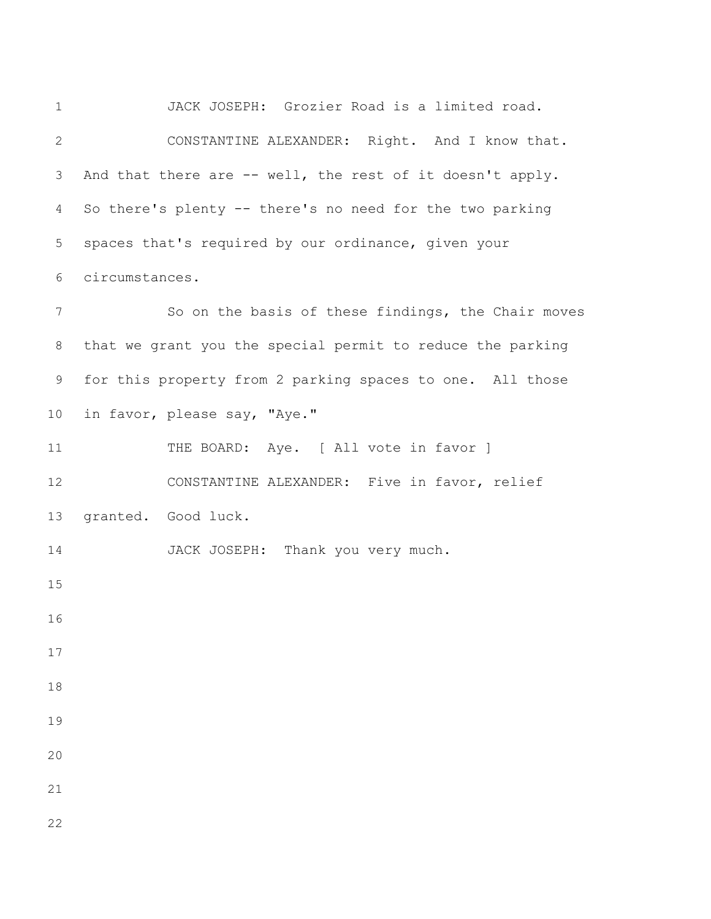JACK JOSEPH: Grozier Road is a limited road. CONSTANTINE ALEXANDER: Right. And I know that. And that there are -- well, the rest of it doesn't apply. So there's plenty -- there's no need for the two parking spaces that's required by our ordinance, given your circumstances. So on the basis of these findings, the Chair moves that we grant you the special permit to reduce the parking for this property from 2 parking spaces to one. All those in favor, please say, "Aye." 11 THE BOARD: Aye. [ All vote in favor ] CONSTANTINE ALEXANDER: Five in favor, relief granted. Good luck. 14 JACK JOSEPH: Thank you very much.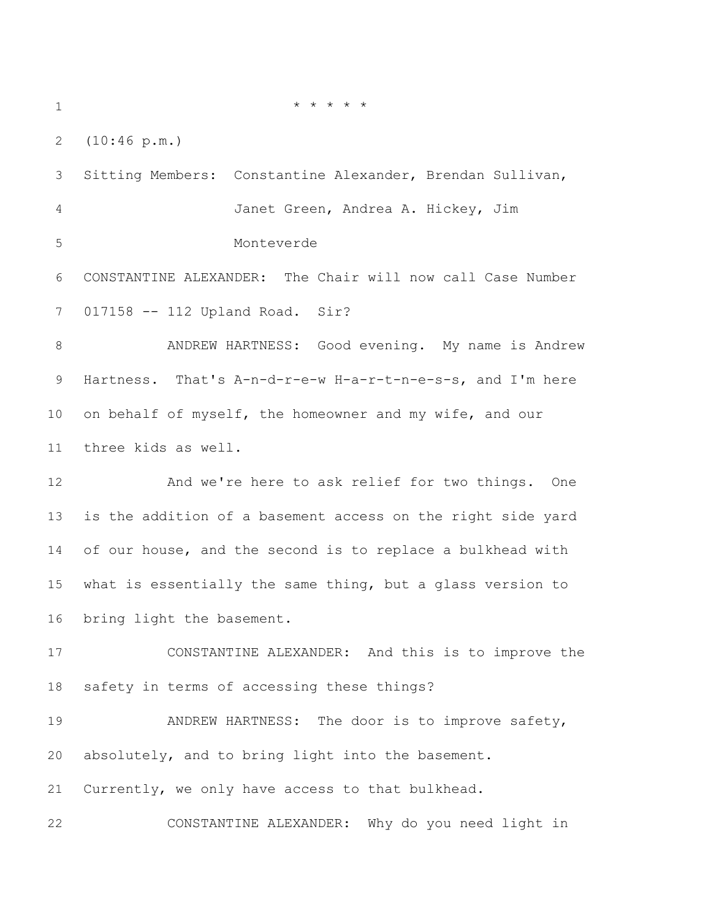\* \* \* \* \*

(10:46 p.m.)

 Sitting Members: Constantine Alexander, Brendan Sullivan, Janet Green, Andrea A. Hickey, Jim Monteverde CONSTANTINE ALEXANDER: The Chair will now call Case Number 017158 -- 112 Upland Road. Sir? ANDREW HARTNESS: Good evening. My name is Andrew Hartness. That's A-n-d-r-e-w H-a-r-t-n-e-s-s, and I'm here on behalf of myself, the homeowner and my wife, and our three kids as well. And we're here to ask relief for two things. One is the addition of a basement access on the right side yard of our house, and the second is to replace a bulkhead with what is essentially the same thing, but a glass version to bring light the basement. CONSTANTINE ALEXANDER: And this is to improve the safety in terms of accessing these things? 19 ANDREW HARTNESS: The door is to improve safety, absolutely, and to bring light into the basement. Currently, we only have access to that bulkhead. CONSTANTINE ALEXANDER: Why do you need light in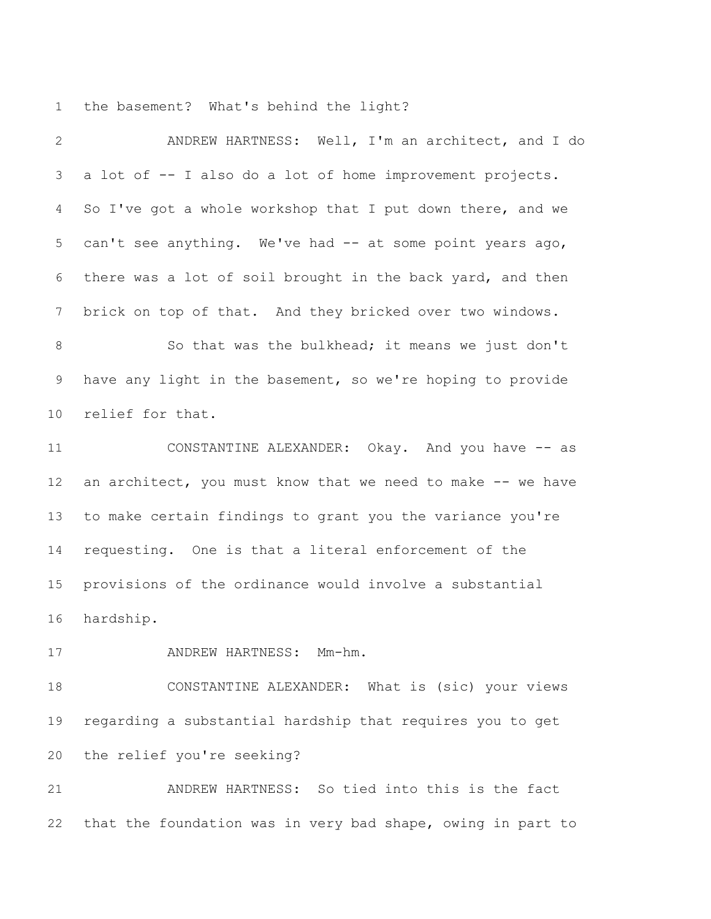the basement? What's behind the light?

| $\mathbf{2}$   | ANDREW HARTNESS: Well, I'm an architect, and I do           |
|----------------|-------------------------------------------------------------|
| 3              | a lot of -- I also do a lot of home improvement projects.   |
| $\overline{4}$ | So I've got a whole workshop that I put down there, and we  |
| 5              | can't see anything. We've had -- at some point years ago,   |
| 6              | there was a lot of soil brought in the back yard, and then  |
| 7              | brick on top of that. And they bricked over two windows.    |
| $\,8\,$        | So that was the bulkhead; it means we just don't            |
| 9              | have any light in the basement, so we're hoping to provide  |
| 10             | relief for that.                                            |
| 11             | CONSTANTINE ALEXANDER: Okay. And you have -- as             |
| 12             | an architect, you must know that we need to make -- we have |
| 13             | to make certain findings to grant you the variance you're   |
| 14             | requesting. One is that a literal enforcement of the        |
| 15             | provisions of the ordinance would involve a substantial     |
| 16             | hardship.                                                   |
| 17             | ANDREW HARTNESS: Mm-hm.                                     |
| 18             | CONSTANTINE ALEXANDER: What is (sic) your views             |
| 19             | regarding a substantial hardship that requires you to get   |
| 20             | the relief you're seeking?                                  |
| 21             | ANDREW HARTNESS: So tied into this is the fact              |
| 22             | that the foundation was in very bad shape, owing in part to |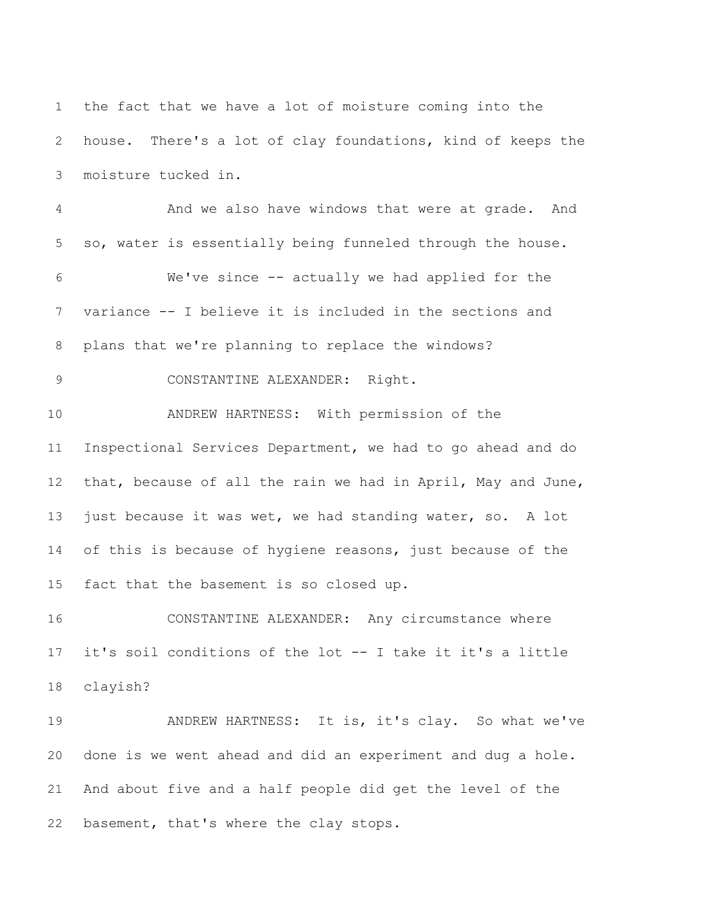the fact that we have a lot of moisture coming into the house. There's a lot of clay foundations, kind of keeps the moisture tucked in. And we also have windows that were at grade. And so, water is essentially being funneled through the house. We've since -- actually we had applied for the variance -- I believe it is included in the sections and plans that we're planning to replace the windows? CONSTANTINE ALEXANDER: Right. ANDREW HARTNESS: With permission of the Inspectional Services Department, we had to go ahead and do that, because of all the rain we had in April, May and June, 13 just because it was wet, we had standing water, so. A lot 14 of this is because of hygiene reasons, just because of the fact that the basement is so closed up. CONSTANTINE ALEXANDER: Any circumstance where it's soil conditions of the lot -- I take it it's a little clayish? 19 ANDREW HARTNESS: It is, it's clay. So what we've done is we went ahead and did an experiment and dug a hole.

 And about five and a half people did get the level of the basement, that's where the clay stops.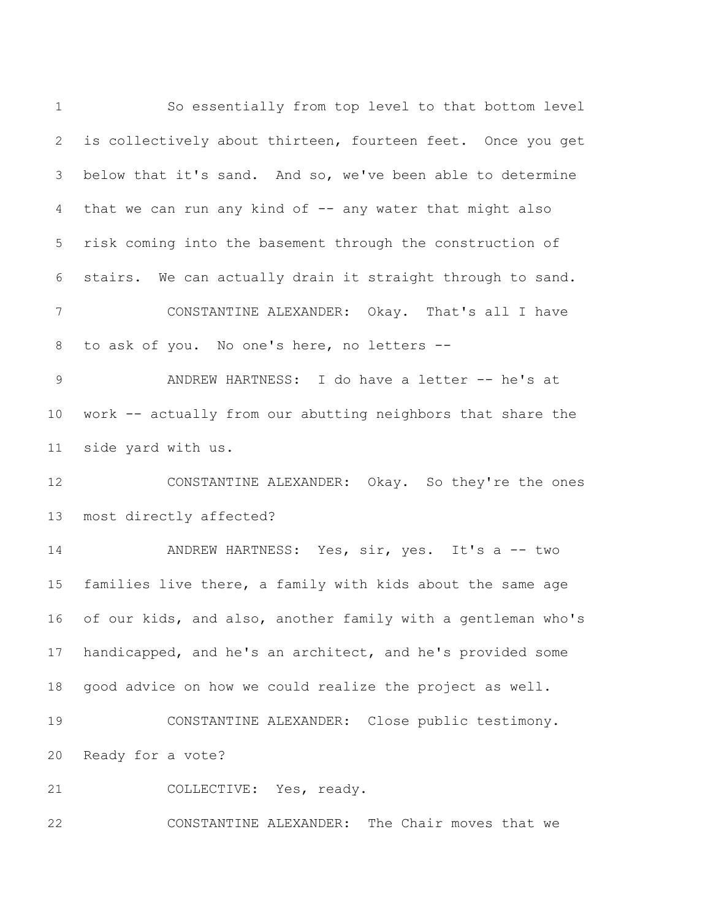So essentially from top level to that bottom level is collectively about thirteen, fourteen feet. Once you get below that it's sand. And so, we've been able to determine that we can run any kind of -- any water that might also risk coming into the basement through the construction of stairs. We can actually drain it straight through to sand. CONSTANTINE ALEXANDER: Okay. That's all I have to ask of you. No one's here, no letters -- 9 ANDREW HARTNESS: I do have a letter -- he's at work -- actually from our abutting neighbors that share the side yard with us. CONSTANTINE ALEXANDER: Okay. So they're the ones most directly affected? 14 ANDREW HARTNESS: Yes, sir, yes. It's a -- two families live there, a family with kids about the same age of our kids, and also, another family with a gentleman who's handicapped, and he's an architect, and he's provided some good advice on how we could realize the project as well. CONSTANTINE ALEXANDER: Close public testimony. Ready for a vote? 21 COLLECTIVE: Yes, ready. CONSTANTINE ALEXANDER: The Chair moves that we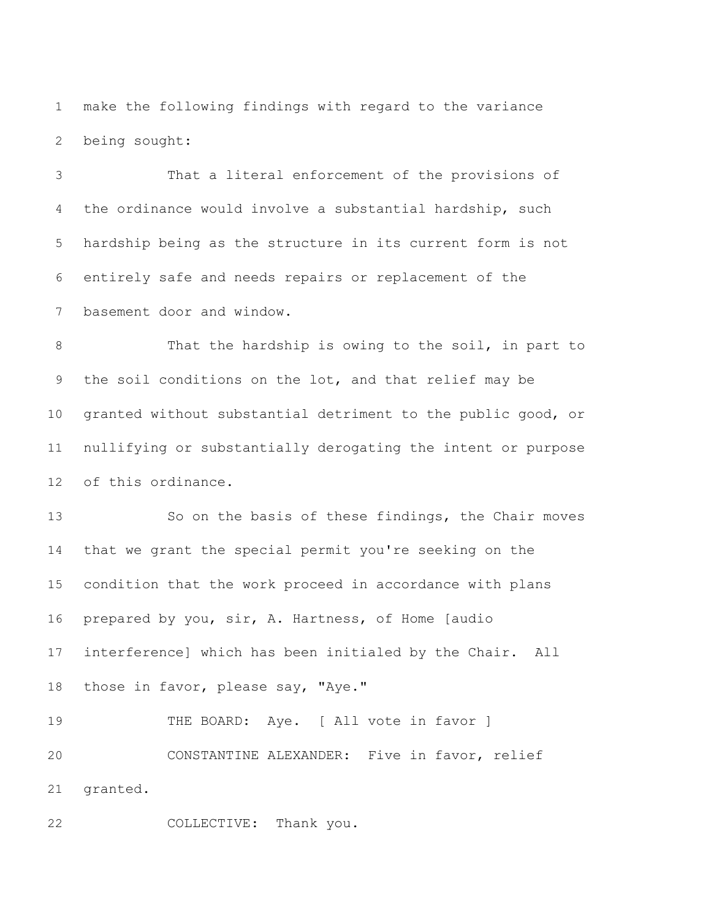make the following findings with regard to the variance being sought:

 That a literal enforcement of the provisions of the ordinance would involve a substantial hardship, such hardship being as the structure in its current form is not entirely safe and needs repairs or replacement of the basement door and window.

 That the hardship is owing to the soil, in part to the soil conditions on the lot, and that relief may be granted without substantial detriment to the public good, or nullifying or substantially derogating the intent or purpose of this ordinance.

 So on the basis of these findings, the Chair moves that we grant the special permit you're seeking on the condition that the work proceed in accordance with plans prepared by you, sir, A. Hartness, of Home [audio interference] which has been initialed by the Chair. All 18 those in favor, please say, "Aye."

19 THE BOARD: Aye. [ All vote in favor ] CONSTANTINE ALEXANDER: Five in favor, relief granted.

COLLECTIVE: Thank you.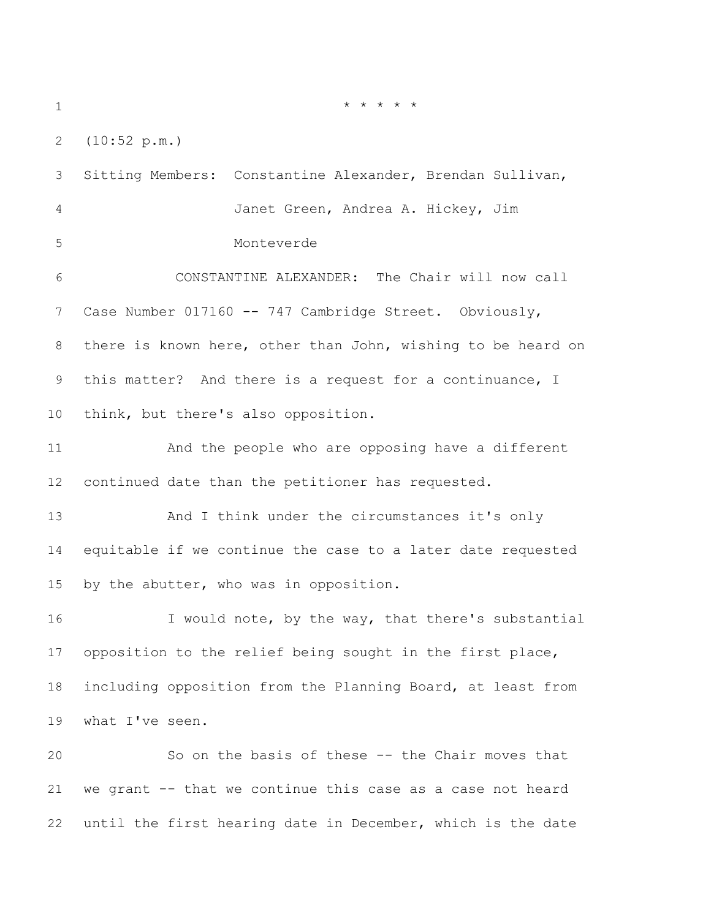(10:52 p.m.)

 Sitting Members: Constantine Alexander, Brendan Sullivan, Janet Green, Andrea A. Hickey, Jim Monteverde CONSTANTINE ALEXANDER: The Chair will now call Case Number 017160 -- 747 Cambridge Street. Obviously, there is known here, other than John, wishing to be heard on this matter? And there is a request for a continuance, I think, but there's also opposition. And the people who are opposing have a different continued date than the petitioner has requested. And I think under the circumstances it's only equitable if we continue the case to a later date requested by the abutter, who was in opposition. 16 I would note, by the way, that there's substantial opposition to the relief being sought in the first place, including opposition from the Planning Board, at least from what I've seen. So on the basis of these -- the Chair moves that we grant -- that we continue this case as a case not heard

until the first hearing date in December, which is the date

\* \* \* \* \*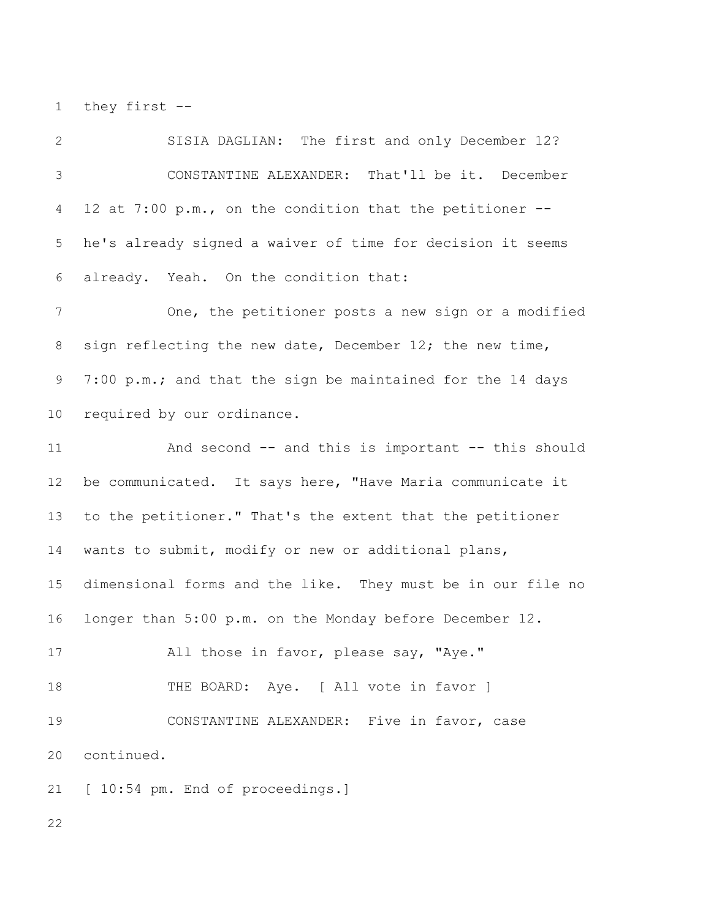they first --

 SISIA DAGLIAN: The first and only December 12? CONSTANTINE ALEXANDER: That'll be it. December 12 at 7:00 p.m., on the condition that the petitioner -- he's already signed a waiver of time for decision it seems already. Yeah. On the condition that: One, the petitioner posts a new sign or a modified sign reflecting the new date, December 12; the new time, 7:00 p.m.; and that the sign be maintained for the 14 days required by our ordinance. And second -- and this is important -- this should be communicated. It says here, "Have Maria communicate it to the petitioner." That's the extent that the petitioner wants to submit, modify or new or additional plans, dimensional forms and the like. They must be in our file no longer than 5:00 p.m. on the Monday before December 12. All those in favor, please say, "Aye." 18 THE BOARD: Aye. [ All vote in favor ] CONSTANTINE ALEXANDER: Five in favor, case continued. 21 [ 10:54 pm. End of proceedings.]